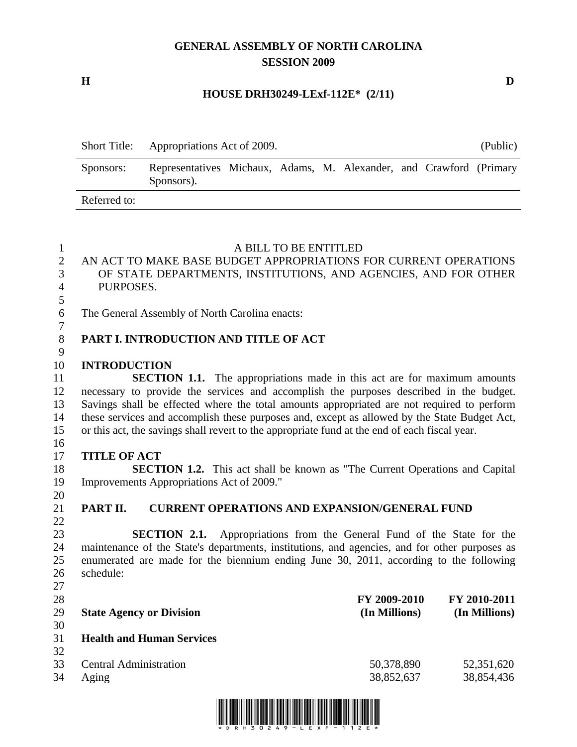# **GENERAL ASSEMBLY OF NORTH CAROLINA SESSION 2009**

**H D** 

### **HOUSE DRH30249-LExf-112E\* (2/11)**

|              | Short Title: Appropriations Act of 2009.                                          |  |  |  | (Public) |
|--------------|-----------------------------------------------------------------------------------|--|--|--|----------|
| Sponsors:    | Representatives Michaux, Adams, M. Alexander, and Crawford (Primary<br>Sponsors). |  |  |  |          |
| Referred to: |                                                                                   |  |  |  |          |

| $\mathbf{1}$   | A BILL TO BE ENTITLED                                                                         |               |               |
|----------------|-----------------------------------------------------------------------------------------------|---------------|---------------|
| $\mathbf{2}$   | AN ACT TO MAKE BASE BUDGET APPROPRIATIONS FOR CURRENT OPERATIONS                              |               |               |
| 3              | OF STATE DEPARTMENTS, INSTITUTIONS, AND AGENCIES, AND FOR OTHER                               |               |               |
| $\overline{4}$ | PURPOSES.                                                                                     |               |               |
| 5              |                                                                                               |               |               |
| 6              | The General Assembly of North Carolina enacts:                                                |               |               |
| $\tau$         |                                                                                               |               |               |
| $8\,$          | PART I. INTRODUCTION AND TITLE OF ACT                                                         |               |               |
| 9              |                                                                                               |               |               |
| 10             | <b>INTRODUCTION</b>                                                                           |               |               |
| 11             | <b>SECTION 1.1.</b> The appropriations made in this act are for maximum amounts               |               |               |
| 12             | necessary to provide the services and accomplish the purposes described in the budget.        |               |               |
| 13             | Savings shall be effected where the total amounts appropriated are not required to perform    |               |               |
| 14             | these services and accomplish these purposes and, except as allowed by the State Budget Act,  |               |               |
| 15             | or this act, the savings shall revert to the appropriate fund at the end of each fiscal year. |               |               |
| 16             |                                                                                               |               |               |
| 17             | <b>TITLE OF ACT</b>                                                                           |               |               |
| 18             | <b>SECTION 1.2.</b> This act shall be known as "The Current Operations and Capital            |               |               |
| 19             | Improvements Appropriations Act of 2009."                                                     |               |               |
| 20             |                                                                                               |               |               |
| 21             | PART II.<br><b>CURRENT OPERATIONS AND EXPANSION/GENERAL FUND</b>                              |               |               |
| 22             |                                                                                               |               |               |
| 23             | <b>SECTION 2.1.</b> Appropriations from the General Fund of the State for the                 |               |               |
| 24             | maintenance of the State's departments, institutions, and agencies, and for other purposes as |               |               |
| 25             | enumerated are made for the biennium ending June 30, 2011, according to the following         |               |               |
| 26             | schedule:                                                                                     |               |               |
| 27             |                                                                                               |               |               |
| 28             |                                                                                               | FY 2009-2010  | FY 2010-2011  |
| 29             | <b>State Agency or Division</b>                                                               | (In Millions) | (In Millions) |
| 30             |                                                                                               |               |               |
| 31             | <b>Health and Human Services</b>                                                              |               |               |
| 32             |                                                                                               |               |               |
| 33             | <b>Central Administration</b>                                                                 | 50,378,890    | 52,351,620    |
| 34             | Aging                                                                                         | 38,852,637    | 38,854,436    |
|                |                                                                                               |               |               |

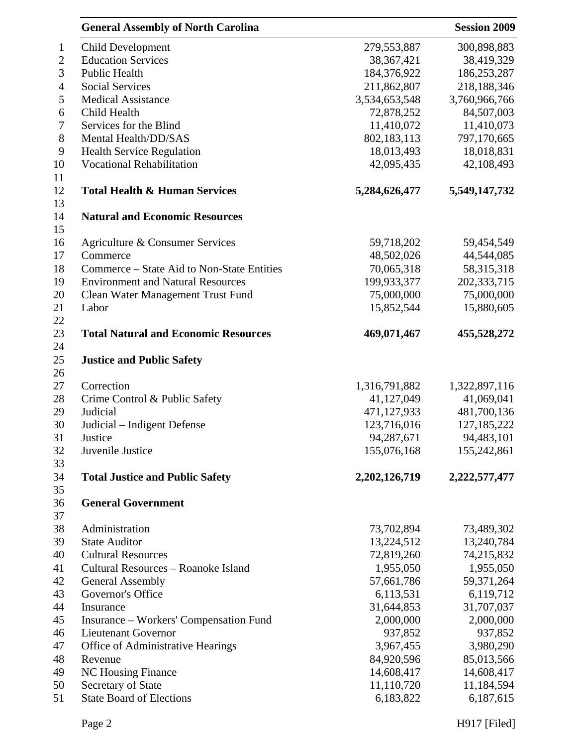|                  | <b>General Assembly of North Carolina</b>   |                         | <b>Session 2009</b> |
|------------------|---------------------------------------------|-------------------------|---------------------|
| $\mathbf{1}$     | Child Development                           | 279,553,887             | 300,898,883         |
| $\mathbf{2}$     | <b>Education Services</b>                   | 38, 367, 421            | 38,419,329          |
| 3                | Public Health                               | 184,376,922             | 186,253,287         |
| $\overline{4}$   | <b>Social Services</b>                      | 211,862,807             | 218,188,346         |
| 5                | <b>Medical Assistance</b>                   | 3,534,653,548           | 3,760,966,766       |
| 6                | Child Health                                | 72,878,252              | 84,507,003          |
| $\boldsymbol{7}$ | Services for the Blind                      | 11,410,072              | 11,410,073          |
| $8\,$            | Mental Health/DD/SAS                        | 802,183,113             | 797,170,665         |
| 9                | <b>Health Service Regulation</b>            | 18,013,493              | 18,018,831          |
| 10               | <b>Vocational Rehabilitation</b>            | 42,095,435              | 42,108,493          |
| 11               |                                             |                         |                     |
| 12<br>13         | <b>Total Health &amp; Human Services</b>    | 5,284,626,477           | 5,549,147,732       |
| 14<br>15         | <b>Natural and Economic Resources</b>       |                         |                     |
| 16               | Agriculture & Consumer Services             | 59,718,202              | 59,454,549          |
| 17               | Commerce                                    | 48,502,026              | 44,544,085          |
| 18               | Commerce – State Aid to Non-State Entities  | 70,065,318              | 58,315,318          |
| 19               | <b>Environment and Natural Resources</b>    | 199,933,377             | 202,333,715         |
| 20               | Clean Water Management Trust Fund           | 75,000,000              | 75,000,000          |
| 21               | Labor                                       | 15,852,544              | 15,880,605          |
| 22               |                                             |                         |                     |
| 23<br>24         | <b>Total Natural and Economic Resources</b> | 469,071,467             | 455,528,272         |
| 25<br>26         | <b>Justice and Public Safety</b>            |                         |                     |
| 27               | Correction                                  | 1,316,791,882           | 1,322,897,116       |
| 28               | Crime Control & Public Safety               | 41,127,049              | 41,069,041          |
| 29               | Judicial                                    | 471,127,933             | 481,700,136         |
| 30               | Judicial - Indigent Defense                 | 123,716,016             | 127, 185, 222       |
| 31               | Justice                                     | 94,287,671              | 94,483,101          |
| 32               | Juvenile Justice                            | 155,076,168             | 155,242,861         |
| 33               |                                             |                         |                     |
| 34<br>35         | <b>Total Justice and Public Safety</b>      | 2,202,126,719           | 2,222,577,477       |
| 36<br>37         | <b>General Government</b>                   |                         |                     |
| 38               | Administration                              | 73,702,894              | 73,489,302          |
| 39               | <b>State Auditor</b>                        | 13,224,512              | 13,240,784          |
| 40               | <b>Cultural Resources</b>                   | 72,819,260              | 74,215,832          |
| 41               | Cultural Resources - Roanoke Island         | 1,955,050               | 1,955,050           |
| 42               | <b>General Assembly</b>                     | 57,661,786              | 59,371,264          |
| 43               | Governor's Office                           | 6,113,531               | 6,119,712           |
| 44               | Insurance                                   | 31,644,853              | 31,707,037          |
| 45               | Insurance – Workers' Compensation Fund      | 2,000,000               | 2,000,000           |
| 46               | <b>Lieutenant Governor</b>                  | 937,852                 | 937,852             |
|                  |                                             |                         |                     |
| 47               | Office of Administrative Hearings           | 3,967,455<br>84,920,596 | 3,980,290           |
| 48               | Revenue                                     |                         | 85,013,566          |
| 49               | <b>NC Housing Finance</b>                   | 14,608,417              | 14,608,417          |
| 50               | Secretary of State                          | 11,110,720              | 11,184,594          |
| 51               | <b>State Board of Elections</b>             | 6,183,822               | 6,187,615           |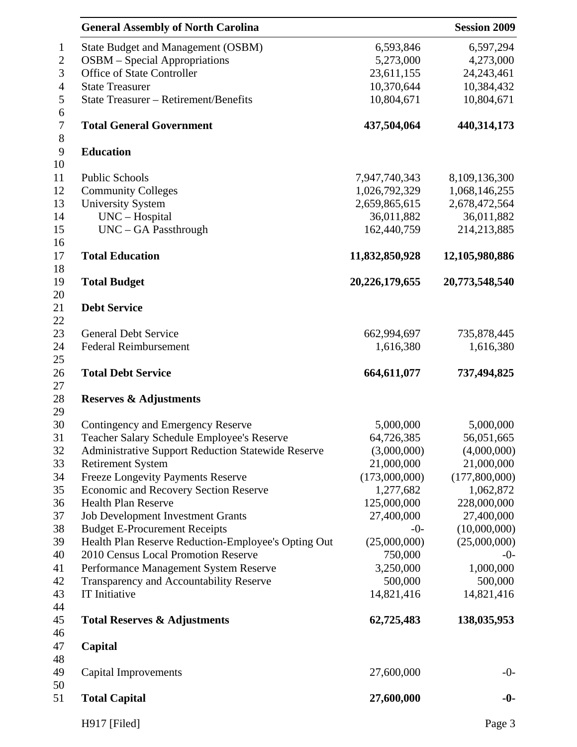| <b>General Assembly of North Carolina</b>                 |                | <b>Session 2009</b> |
|-----------------------------------------------------------|----------------|---------------------|
| State Budget and Management (OSBM)                        | 6,593,846      | 6,597,294           |
| <b>OSBM</b> – Special Appropriations                      | 5,273,000      | 4,273,000           |
| Office of State Controller                                | 23,611,155     | 24, 243, 461        |
| <b>State Treasurer</b>                                    | 10,370,644     | 10,384,432          |
| State Treasurer - Retirement/Benefits                     | 10,804,671     | 10,804,671          |
| <b>Total General Government</b>                           | 437,504,064    | 440,314,173         |
| <b>Education</b>                                          |                |                     |
| <b>Public Schools</b>                                     | 7,947,740,343  | 8,109,136,300       |
| <b>Community Colleges</b>                                 | 1,026,792,329  | 1,068,146,255       |
| <b>University System</b>                                  | 2,659,865,615  | 2,678,472,564       |
| UNC - Hospital                                            | 36,011,882     | 36,011,882          |
| UNC - GA Passthrough                                      | 162,440,759    | 214,213,885         |
| <b>Total Education</b>                                    | 11,832,850,928 | 12,105,980,886      |
| <b>Total Budget</b>                                       | 20,226,179,655 | 20,773,548,540      |
| <b>Debt Service</b>                                       |                |                     |
| <b>General Debt Service</b>                               | 662,994,697    | 735,878,445         |
| Federal Reimbursement                                     | 1,616,380      | 1,616,380           |
|                                                           |                |                     |
| <b>Total Debt Service</b>                                 | 664,611,077    | 737,494,825         |
| <b>Reserves &amp; Adjustments</b>                         |                |                     |
| Contingency and Emergency Reserve                         | 5,000,000      | 5,000,000           |
| Teacher Salary Schedule Employee's Reserve                | 64,726,385     | 56,051,665          |
| <b>Administrative Support Reduction Statewide Reserve</b> | (3,000,000)    | (4,000,000)         |
| <b>Retirement System</b>                                  | 21,000,000     | 21,000,000          |
| <b>Freeze Longevity Payments Reserve</b>                  | (173,000,000)  | (177,800,000)       |
| <b>Economic and Recovery Section Reserve</b>              | 1,277,682      | 1,062,872           |
| <b>Health Plan Reserve</b>                                | 125,000,000    | 228,000,000         |
| <b>Job Development Investment Grants</b>                  | 27,400,000     | 27,400,000          |
| <b>Budget E-Procurement Receipts</b>                      | $-0-$          | (10,000,000)        |
| Health Plan Reserve Reduction-Employee's Opting Out       | (25,000,000)   | (25,000,000)        |
| 2010 Census Local Promotion Reserve                       | 750,000        | $-0-$               |
| Performance Management System Reserve                     | 3,250,000      | 1,000,000           |
| Transparency and Accountability Reserve                   | 500,000        | 500,000             |
| IT Initiative                                             | 14,821,416     | 14,821,416          |
| <b>Total Reserves &amp; Adjustments</b>                   | 62,725,483     | 138,035,953         |
| Capital                                                   |                |                     |
| Capital Improvements                                      | 27,600,000     | $-0-$               |
| <b>Total Capital</b>                                      | 27,600,000     | $-0-$               |
| H917 [Filed]                                              |                | Page 3              |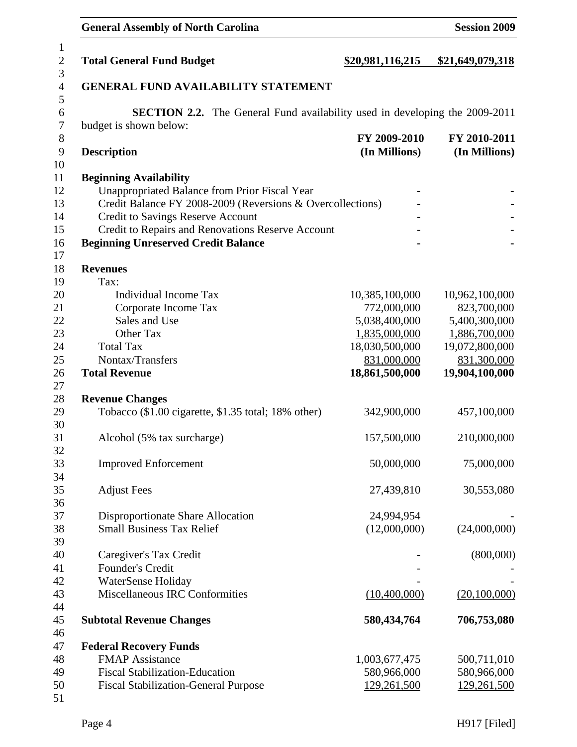# General Assembly of North Carolina **Session 2009**

| $\mathbf{1}$     |                                                                                    |                  |                  |
|------------------|------------------------------------------------------------------------------------|------------------|------------------|
| $\overline{2}$   | <b>Total General Fund Budget</b>                                                   | \$20,981,116,215 | \$21,649,079,318 |
| 3                |                                                                                    |                  |                  |
| $\overline{4}$   | <b>GENERAL FUND AVAILABILITY STATEMENT</b>                                         |                  |                  |
| 5                |                                                                                    |                  |                  |
| $\boldsymbol{6}$ | <b>SECTION 2.2.</b> The General Fund availability used in developing the 2009-2011 |                  |                  |
| $\overline{7}$   | budget is shown below:                                                             |                  |                  |
| 8                |                                                                                    | FY 2009-2010     | FY 2010-2011     |
| 9                | <b>Description</b>                                                                 | (In Millions)    | (In Millions)    |
| 10               |                                                                                    |                  |                  |
| 11               | <b>Beginning Availability</b>                                                      |                  |                  |
| 12               | Unappropriated Balance from Prior Fiscal Year                                      |                  |                  |
| 13               | Credit Balance FY 2008-2009 (Reversions & Overcollections)                         |                  |                  |
| 14               | Credit to Savings Reserve Account                                                  |                  |                  |
| 15               | Credit to Repairs and Renovations Reserve Account                                  |                  |                  |
| 16               | <b>Beginning Unreserved Credit Balance</b>                                         |                  |                  |
| 17               |                                                                                    |                  |                  |
| 18               | <b>Revenues</b>                                                                    |                  |                  |
| 19               | Tax:                                                                               |                  |                  |
| 20               | <b>Individual Income Tax</b>                                                       | 10,385,100,000   | 10,962,100,000   |
| 21               | Corporate Income Tax                                                               | 772,000,000      | 823,700,000      |
| 22               | Sales and Use                                                                      | 5,038,400,000    | 5,400,300,000    |
| 23               | Other Tax                                                                          | 1,835,000,000    | 1,886,700,000    |
| 24               | <b>Total Tax</b>                                                                   | 18,030,500,000   | 19,072,800,000   |
| 25               | Nontax/Transfers                                                                   | 831,000,000      | 831,300,000      |
| 26               | <b>Total Revenue</b>                                                               | 18,861,500,000   | 19,904,100,000   |
| 27               |                                                                                    |                  |                  |
| 28               | <b>Revenue Changes</b>                                                             |                  |                  |
| 29               | Tobacco (\$1.00 cigarette, \$1.35 total; 18% other)                                | 342,900,000      | 457,100,000      |
| 30               |                                                                                    |                  |                  |
| 31               | Alcohol (5% tax surcharge)                                                         | 157,500,000      | 210,000,000      |
| 32               |                                                                                    |                  |                  |
| 33               | <b>Improved Enforcement</b>                                                        | 50,000,000       | 75,000,000       |
| 34               |                                                                                    |                  |                  |
| 35               | <b>Adjust Fees</b>                                                                 | 27,439,810       | 30,553,080       |
| 36               |                                                                                    |                  |                  |
| 37               | Disproportionate Share Allocation                                                  | 24,994,954       |                  |
| 38               | <b>Small Business Tax Relief</b>                                                   | (12,000,000)     | (24,000,000)     |
| 39               |                                                                                    |                  |                  |
| 40               | Caregiver's Tax Credit                                                             |                  | (800,000)        |
| 41               | Founder's Credit                                                                   |                  |                  |
| 42               | WaterSense Holiday                                                                 |                  |                  |
| 43               | <b>Miscellaneous IRC Conformities</b>                                              | (10,400,000)     | (20,100,000)     |
| 44               |                                                                                    |                  |                  |
| 45               | <b>Subtotal Revenue Changes</b>                                                    | 580,434,764      | 706,753,080      |
| 46               |                                                                                    |                  |                  |
| 47               | <b>Federal Recovery Funds</b>                                                      |                  |                  |
| 48               | <b>FMAP</b> Assistance                                                             | 1,003,677,475    | 500,711,010      |
| 49               | <b>Fiscal Stabilization-Education</b>                                              | 580,966,000      | 580,966,000      |
| 50               | <b>Fiscal Stabilization-General Purpose</b>                                        | 129,261,500      | 129,261,500      |
| 51               |                                                                                    |                  |                  |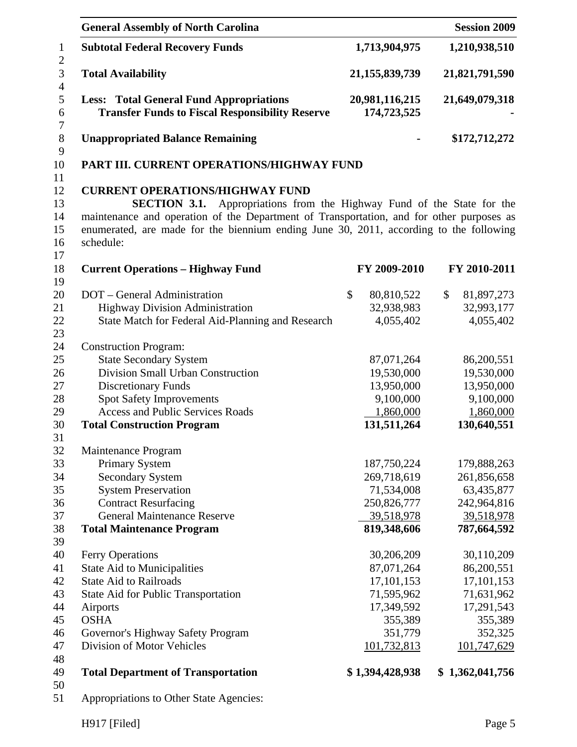| <b>General Assembly of North Carolina</b>                                                                                                                                                                                                                                                                                     |                               | <b>Session 2009</b>         |
|-------------------------------------------------------------------------------------------------------------------------------------------------------------------------------------------------------------------------------------------------------------------------------------------------------------------------------|-------------------------------|-----------------------------|
| <b>Subtotal Federal Recovery Funds</b>                                                                                                                                                                                                                                                                                        | 1,713,904,975                 | 1,210,938,510               |
| 21, 155, 839, 739<br><b>Total Availability</b>                                                                                                                                                                                                                                                                                |                               | 21,821,791,590              |
| <b>Less: Total General Fund Appropriations</b><br><b>Transfer Funds to Fiscal Responsibility Reserve</b>                                                                                                                                                                                                                      | 20,981,116,215<br>174,723,525 | 21,649,079,318              |
| <b>Unappropriated Balance Remaining</b>                                                                                                                                                                                                                                                                                       |                               | \$172,712,272               |
| PART III. CURRENT OPERATIONS/HIGHWAY FUND                                                                                                                                                                                                                                                                                     |                               |                             |
| <b>CURRENT OPERATIONS/HIGHWAY FUND</b><br>Appropriations from the Highway Fund of the State for the<br><b>SECTION 3.1.</b><br>maintenance and operation of the Department of Transportation, and for other purposes as<br>enumerated, are made for the biennium ending June 30, 2011, according to the following<br>schedule: |                               |                             |
| <b>Current Operations - Highway Fund</b>                                                                                                                                                                                                                                                                                      | FY 2009-2010                  | FY 2010-2011                |
| DOT – General Administration                                                                                                                                                                                                                                                                                                  | $\mathcal{S}$<br>80,810,522   | $\mathcal{S}$<br>81,897,273 |
| <b>Highway Division Administration</b><br>State Match for Federal Aid-Planning and Research                                                                                                                                                                                                                                   | 32,938,983<br>4,055,402       | 32,993,177<br>4,055,402     |
| <b>Construction Program:</b>                                                                                                                                                                                                                                                                                                  |                               |                             |
| <b>State Secondary System</b>                                                                                                                                                                                                                                                                                                 | 87,071,264                    | 86,200,551                  |
| Division Small Urban Construction                                                                                                                                                                                                                                                                                             | 19,530,000                    | 19,530,000                  |
| <b>Discretionary Funds</b>                                                                                                                                                                                                                                                                                                    | 13,950,000                    | 13,950,000                  |
| <b>Spot Safety Improvements</b>                                                                                                                                                                                                                                                                                               | 9,100,000                     | 9,100,000                   |
| <b>Access and Public Services Roads</b>                                                                                                                                                                                                                                                                                       | 1,860,000                     | 1,860,000                   |
| <b>Total Construction Program</b>                                                                                                                                                                                                                                                                                             | 131,511,264                   | 130,640,551                 |
| Maintenance Program                                                                                                                                                                                                                                                                                                           |                               |                             |
| Primary System                                                                                                                                                                                                                                                                                                                | 187,750,224                   | 179,888,263                 |
| <b>Secondary System</b>                                                                                                                                                                                                                                                                                                       | 269,718,619                   | 261,856,658                 |
| <b>System Preservation</b>                                                                                                                                                                                                                                                                                                    | 71,534,008                    | 63,435,877                  |
| <b>Contract Resurfacing</b>                                                                                                                                                                                                                                                                                                   | 250,826,777                   | 242,964,816                 |
| <b>General Maintenance Reserve</b>                                                                                                                                                                                                                                                                                            | 39,518,978                    | 39,518,978                  |
| <b>Total Maintenance Program</b>                                                                                                                                                                                                                                                                                              | 819,348,606                   | 787,664,592                 |
|                                                                                                                                                                                                                                                                                                                               |                               |                             |
| <b>Ferry Operations</b>                                                                                                                                                                                                                                                                                                       | 30,206,209                    | 30,110,209                  |
| State Aid to Municipalities                                                                                                                                                                                                                                                                                                   | 87,071,264                    | 86,200,551                  |
| <b>State Aid to Railroads</b>                                                                                                                                                                                                                                                                                                 | 17,101,153                    | 17,101,153                  |
| State Aid for Public Transportation                                                                                                                                                                                                                                                                                           | 71,595,962                    | 71,631,962                  |
| Airports<br><b>OSHA</b>                                                                                                                                                                                                                                                                                                       | 17,349,592<br>355,389         | 17,291,543<br>355,389       |
| Governor's Highway Safety Program                                                                                                                                                                                                                                                                                             | 351,779                       | 352,325                     |
| Division of Motor Vehicles                                                                                                                                                                                                                                                                                                    | 101,732,813                   | 101,747,629                 |
|                                                                                                                                                                                                                                                                                                                               |                               |                             |
| <b>Total Department of Transportation</b>                                                                                                                                                                                                                                                                                     | \$1,394,428,938               | \$1,362,041,756             |
| Appropriations to Other State Agencies:                                                                                                                                                                                                                                                                                       |                               |                             |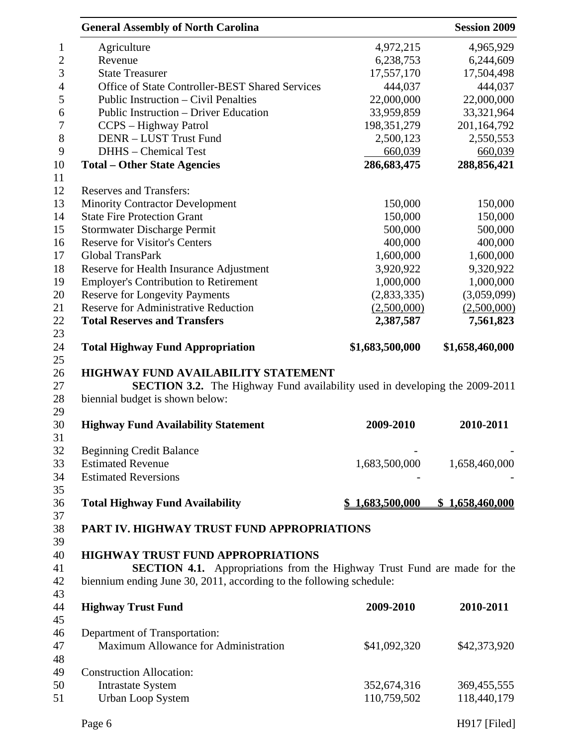|                                                                                 | <b>Session 2009</b>                                                                                                                                                                                                                                                                                                                                                                                                                |
|---------------------------------------------------------------------------------|------------------------------------------------------------------------------------------------------------------------------------------------------------------------------------------------------------------------------------------------------------------------------------------------------------------------------------------------------------------------------------------------------------------------------------|
|                                                                                 | 4,965,929                                                                                                                                                                                                                                                                                                                                                                                                                          |
|                                                                                 | 6,244,609                                                                                                                                                                                                                                                                                                                                                                                                                          |
| 17,557,170                                                                      | 17,504,498                                                                                                                                                                                                                                                                                                                                                                                                                         |
| 444,037                                                                         | 444,037                                                                                                                                                                                                                                                                                                                                                                                                                            |
|                                                                                 | 22,000,000                                                                                                                                                                                                                                                                                                                                                                                                                         |
|                                                                                 | 33,321,964                                                                                                                                                                                                                                                                                                                                                                                                                         |
|                                                                                 | 201,164,792                                                                                                                                                                                                                                                                                                                                                                                                                        |
|                                                                                 | 2,550,553                                                                                                                                                                                                                                                                                                                                                                                                                          |
|                                                                                 | 660,039                                                                                                                                                                                                                                                                                                                                                                                                                            |
| 286,683,475                                                                     | 288,856,421                                                                                                                                                                                                                                                                                                                                                                                                                        |
|                                                                                 |                                                                                                                                                                                                                                                                                                                                                                                                                                    |
|                                                                                 |                                                                                                                                                                                                                                                                                                                                                                                                                                    |
|                                                                                 | 150,000                                                                                                                                                                                                                                                                                                                                                                                                                            |
|                                                                                 | 150,000                                                                                                                                                                                                                                                                                                                                                                                                                            |
|                                                                                 | 500,000                                                                                                                                                                                                                                                                                                                                                                                                                            |
|                                                                                 | 400,000                                                                                                                                                                                                                                                                                                                                                                                                                            |
|                                                                                 | 1,600,000                                                                                                                                                                                                                                                                                                                                                                                                                          |
|                                                                                 | 9,320,922                                                                                                                                                                                                                                                                                                                                                                                                                          |
|                                                                                 | 1,000,000                                                                                                                                                                                                                                                                                                                                                                                                                          |
| (2,833,335)                                                                     | (3,059,099)                                                                                                                                                                                                                                                                                                                                                                                                                        |
| (2,500,000)                                                                     | (2,500,000)                                                                                                                                                                                                                                                                                                                                                                                                                        |
| 2,387,587                                                                       | 7,561,823                                                                                                                                                                                                                                                                                                                                                                                                                          |
|                                                                                 | \$1,658,460,000                                                                                                                                                                                                                                                                                                                                                                                                                    |
|                                                                                 |                                                                                                                                                                                                                                                                                                                                                                                                                                    |
|                                                                                 |                                                                                                                                                                                                                                                                                                                                                                                                                                    |
|                                                                                 |                                                                                                                                                                                                                                                                                                                                                                                                                                    |
|                                                                                 |                                                                                                                                                                                                                                                                                                                                                                                                                                    |
|                                                                                 |                                                                                                                                                                                                                                                                                                                                                                                                                                    |
|                                                                                 | 2010-2011                                                                                                                                                                                                                                                                                                                                                                                                                          |
|                                                                                 |                                                                                                                                                                                                                                                                                                                                                                                                                                    |
|                                                                                 |                                                                                                                                                                                                                                                                                                                                                                                                                                    |
|                                                                                 | 1,658,460,000                                                                                                                                                                                                                                                                                                                                                                                                                      |
|                                                                                 |                                                                                                                                                                                                                                                                                                                                                                                                                                    |
|                                                                                 |                                                                                                                                                                                                                                                                                                                                                                                                                                    |
|                                                                                 |                                                                                                                                                                                                                                                                                                                                                                                                                                    |
|                                                                                 | \$1,658,460,000                                                                                                                                                                                                                                                                                                                                                                                                                    |
|                                                                                 |                                                                                                                                                                                                                                                                                                                                                                                                                                    |
|                                                                                 |                                                                                                                                                                                                                                                                                                                                                                                                                                    |
|                                                                                 |                                                                                                                                                                                                                                                                                                                                                                                                                                    |
|                                                                                 |                                                                                                                                                                                                                                                                                                                                                                                                                                    |
| <b>SECTION 4.1.</b> Appropriations from the Highway Trust Fund are made for the |                                                                                                                                                                                                                                                                                                                                                                                                                                    |
|                                                                                 |                                                                                                                                                                                                                                                                                                                                                                                                                                    |
| biennium ending June 30, 2011, according to the following schedule:             |                                                                                                                                                                                                                                                                                                                                                                                                                                    |
|                                                                                 |                                                                                                                                                                                                                                                                                                                                                                                                                                    |
| 2009-2010                                                                       | 2010-2011                                                                                                                                                                                                                                                                                                                                                                                                                          |
|                                                                                 |                                                                                                                                                                                                                                                                                                                                                                                                                                    |
|                                                                                 |                                                                                                                                                                                                                                                                                                                                                                                                                                    |
|                                                                                 |                                                                                                                                                                                                                                                                                                                                                                                                                                    |
| \$41,092,320                                                                    | \$42,373,920                                                                                                                                                                                                                                                                                                                                                                                                                       |
|                                                                                 |                                                                                                                                                                                                                                                                                                                                                                                                                                    |
|                                                                                 |                                                                                                                                                                                                                                                                                                                                                                                                                                    |
| 352,674,316<br>110,759,502                                                      | 369, 455, 555<br>118,440,179                                                                                                                                                                                                                                                                                                                                                                                                       |
|                                                                                 | 4,972,215<br>6,238,753<br>22,000,000<br>33,959,859<br>198, 351, 279<br>2,500,123<br>660,039<br>150,000<br>150,000<br>500,000<br>400,000<br>1,600,000<br>3,920,922<br>1,000,000<br>\$1,683,500,000<br><b>HIGHWAY FUND AVAILABILITY STATEMENT</b><br><b>SECTION 3.2.</b> The Highway Fund availability used in developing the 2009-2011<br>2009-2010<br>1,683,500,000<br>1,683,500,000<br>PART IV. HIGHWAY TRUST FUND APPROPRIATIONS |

Page 6 H917 [Filed]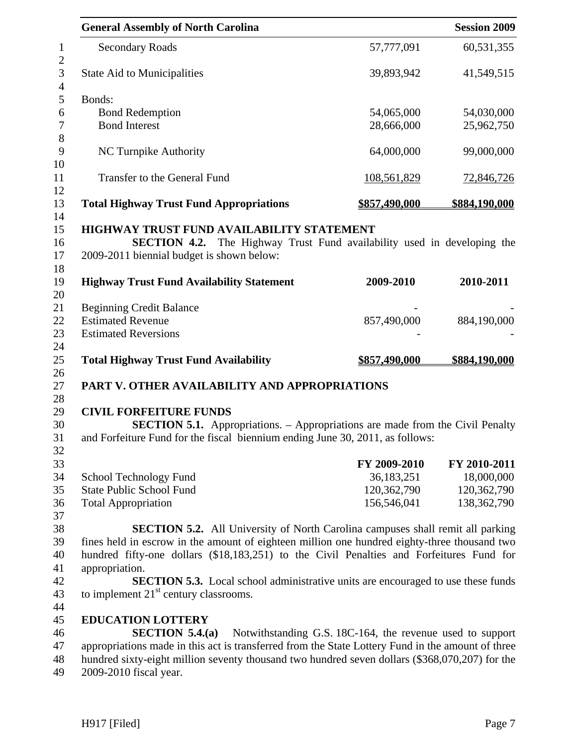| <b>General Assembly of North Carolina</b>                                                                                                                             |                                                           | <b>Session 2009</b> |
|-----------------------------------------------------------------------------------------------------------------------------------------------------------------------|-----------------------------------------------------------|---------------------|
| <b>Secondary Roads</b>                                                                                                                                                | 57,777,091                                                | 60,531,355          |
| <b>State Aid to Municipalities</b>                                                                                                                                    | 39,893,942                                                | 41,549,515          |
| Bonds:                                                                                                                                                                |                                                           |                     |
| <b>Bond Redemption</b>                                                                                                                                                | 54,065,000                                                | 54,030,000          |
| <b>Bond Interest</b>                                                                                                                                                  | 28,666,000                                                | 25,962,750          |
|                                                                                                                                                                       |                                                           |                     |
| <b>NC Turnpike Authority</b>                                                                                                                                          | 64,000,000                                                | 99,000,000          |
| Transfer to the General Fund                                                                                                                                          | 108,561,829                                               | <u>72,846,726</u>   |
| <b>Total Highway Trust Fund Appropriations</b>                                                                                                                        | \$857,490,000                                             | \$884,190,000       |
| HIGHWAY TRUST FUND AVAILABILITY STATEMENT                                                                                                                             |                                                           |                     |
| <b>SECTION 4.2.</b> The Highway Trust Fund availability used in developing the                                                                                        |                                                           |                     |
| 2009-2011 biennial budget is shown below:                                                                                                                             |                                                           |                     |
|                                                                                                                                                                       |                                                           |                     |
| <b>Highway Trust Fund Availability Statement</b>                                                                                                                      | 2009-2010                                                 | 2010-2011           |
|                                                                                                                                                                       |                                                           |                     |
| <b>Beginning Credit Balance</b>                                                                                                                                       |                                                           |                     |
| <b>Estimated Revenue</b>                                                                                                                                              | 857,490,000                                               | 884,190,000         |
| <b>Estimated Reversions</b>                                                                                                                                           |                                                           |                     |
|                                                                                                                                                                       |                                                           |                     |
| <b>Total Highway Trust Fund Availability</b>                                                                                                                          | \$857,490,000                                             | \$884,190,000       |
|                                                                                                                                                                       |                                                           |                     |
| PART V. OTHER AVAILABILITY AND APPROPRIATIONS                                                                                                                         |                                                           |                     |
|                                                                                                                                                                       |                                                           |                     |
| <b>CIVIL FORFEITURE FUNDS</b>                                                                                                                                         |                                                           |                     |
| <b>SECTION 5.1.</b> Appropriations. – Appropriations are made from the Civil Penalty<br>and Forfeiture Fund for the fiscal biennium ending June 30, 2011, as follows: |                                                           |                     |
|                                                                                                                                                                       |                                                           |                     |
|                                                                                                                                                                       | FY 2009-2010                                              | FY 2010-2011        |
| School Technology Fund                                                                                                                                                | 36,183,251                                                | 18,000,000          |
| <b>State Public School Fund</b>                                                                                                                                       | 120,362,790                                               | 120,362,790         |
| <b>Total Appropriation</b>                                                                                                                                            | 156,546,041                                               | 138, 362, 790       |
|                                                                                                                                                                       |                                                           |                     |
| <b>SECTION 5.2.</b> All University of North Carolina campuses shall remit all parking                                                                                 |                                                           |                     |
| fines held in escrow in the amount of eighteen million one hundred eighty-three thousand two                                                                          |                                                           |                     |
| hundred fifty-one dollars (\$18,183,251) to the Civil Penalties and Forfeitures Fund for                                                                              |                                                           |                     |
| appropriation.                                                                                                                                                        |                                                           |                     |
| <b>SECTION 5.3.</b> Local school administrative units are encouraged to use these funds                                                                               |                                                           |                     |
| to implement $21st$ century classrooms.                                                                                                                               |                                                           |                     |
|                                                                                                                                                                       |                                                           |                     |
| <b>EDUCATION LOTTERY</b>                                                                                                                                              |                                                           |                     |
| SECTION $5.4(a)$                                                                                                                                                      | Notwithstanding G.S. 18C-164, the revenue used to support |                     |
| appropriations made in this act is transferred from the State Lottery Fund in the amount of three                                                                     |                                                           |                     |
| hundred sixty-eight million seventy thousand two hundred seven dollars (\$368,070,207) for the                                                                        |                                                           |                     |
| 2009-2010 fiscal year.                                                                                                                                                |                                                           |                     |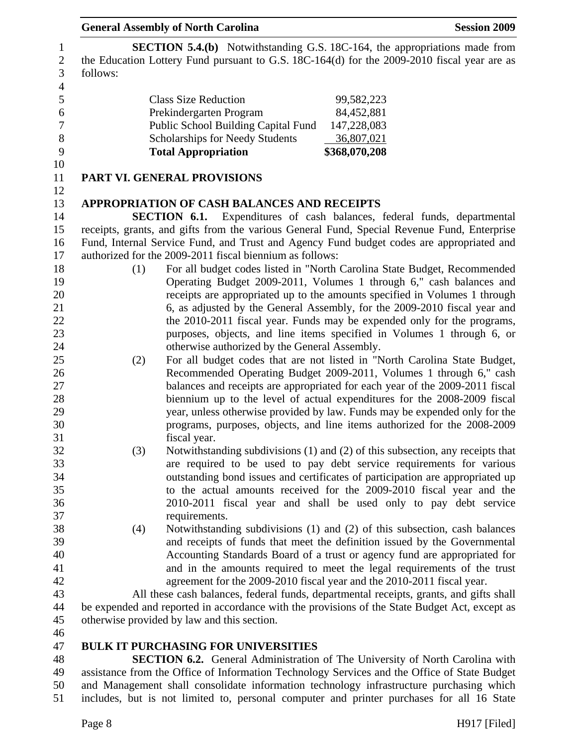| follows: |                                                          | <b>SECTION 5.4.(b)</b> Notwithstanding G.S. 18C-164, the appropriations made from<br>the Education Lottery Fund pursuant to G.S. 18C-164(d) for the 2009-2010 fiscal year are as |
|----------|----------------------------------------------------------|----------------------------------------------------------------------------------------------------------------------------------------------------------------------------------|
|          | <b>Class Size Reduction</b>                              | 99,582,223                                                                                                                                                                       |
|          | Prekindergarten Program                                  | 84,452,881                                                                                                                                                                       |
|          | Public School Building Capital Fund                      | 147,228,083                                                                                                                                                                      |
|          | Scholarships for Needy Students                          | 36,807,021                                                                                                                                                                       |
|          | <b>Total Appropriation</b>                               | \$368,070,208                                                                                                                                                                    |
|          | <b>PART VI. GENERAL PROVISIONS</b>                       |                                                                                                                                                                                  |
|          | <b>APPROPRIATION OF CASH BALANCES AND RECEIPTS</b>       |                                                                                                                                                                                  |
|          | <b>SECTION 6.1.</b>                                      | Expenditures of cash balances, federal funds, departmental                                                                                                                       |
|          |                                                          | receipts, grants, and gifts from the various General Fund, Special Revenue Fund, Enterprise                                                                                      |
|          |                                                          | Fund, Internal Service Fund, and Trust and Agency Fund budget codes are appropriated and                                                                                         |
|          | authorized for the 2009-2011 fiscal biennium as follows: |                                                                                                                                                                                  |
| (1)      |                                                          | For all budget codes listed in "North Carolina State Budget, Recommended                                                                                                         |
|          |                                                          | Operating Budget 2009-2011, Volumes 1 through 6," cash balances and                                                                                                              |
|          |                                                          | receipts are appropriated up to the amounts specified in Volumes 1 through                                                                                                       |
|          |                                                          | 6, as adjusted by the General Assembly, for the 2009-2010 fiscal year and                                                                                                        |
|          |                                                          | the 2010-2011 fiscal year. Funds may be expended only for the programs,                                                                                                          |
|          |                                                          | purposes, objects, and line items specified in Volumes 1 through 6, or                                                                                                           |
|          | otherwise authorized by the General Assembly.            |                                                                                                                                                                                  |
| (2)      |                                                          | For all budget codes that are not listed in "North Carolina State Budget,                                                                                                        |
|          |                                                          | Recommended Operating Budget 2009-2011, Volumes 1 through 6," cash                                                                                                               |
|          |                                                          | balances and receipts are appropriated for each year of the 2009-2011 fiscal                                                                                                     |
|          |                                                          | biennium up to the level of actual expenditures for the 2008-2009 fiscal                                                                                                         |
|          |                                                          | year, unless otherwise provided by law. Funds may be expended only for the                                                                                                       |
|          |                                                          | programs, purposes, objects, and line items authorized for the 2008-2009                                                                                                         |
|          | fiscal year.                                             |                                                                                                                                                                                  |
| (3)      |                                                          | Notwithstanding subdivisions (1) and (2) of this subsection, any receipts that                                                                                                   |
|          |                                                          | are required to be used to pay debt service requirements for various                                                                                                             |
|          |                                                          | outstanding bond issues and certificates of participation are appropriated up                                                                                                    |
|          |                                                          | to the actual amounts received for the 2009-2010 fiscal year and the                                                                                                             |
|          |                                                          | 2010-2011 fiscal year and shall be used only to pay debt service                                                                                                                 |
|          | requirements.                                            |                                                                                                                                                                                  |
| (4)      |                                                          | Notwithstanding subdivisions (1) and (2) of this subsection, cash balances                                                                                                       |
|          |                                                          | and receipts of funds that meet the definition issued by the Governmental                                                                                                        |
|          |                                                          | Accounting Standards Board of a trust or agency fund are appropriated for                                                                                                        |
|          |                                                          | and in the amounts required to meet the legal requirements of the trust                                                                                                          |
|          |                                                          | agreement for the 2009-2010 fiscal year and the 2010-2011 fiscal year.                                                                                                           |
|          |                                                          | All these cash balances, federal funds, departmental receipts, grants, and gifts shall                                                                                           |
|          |                                                          | be expended and reported in accordance with the provisions of the State Budget Act, except as                                                                                    |
|          | otherwise provided by law and this section.              |                                                                                                                                                                                  |
|          |                                                          |                                                                                                                                                                                  |
|          | <b>BULK IT PURCHASING FOR UNIVERSITIES</b>               |                                                                                                                                                                                  |
|          |                                                          | <b>SECTION 6.2.</b> General Administration of The University of North Carolina with                                                                                              |
|          |                                                          |                                                                                                                                                                                  |

49 assistance from the Office of Information Technology Services and the Office of State Budget 50 and Management shall consolidate information technology infrastructure purchasing which 51 includes, but is not limited to, personal computer and printer purchases for all 16 State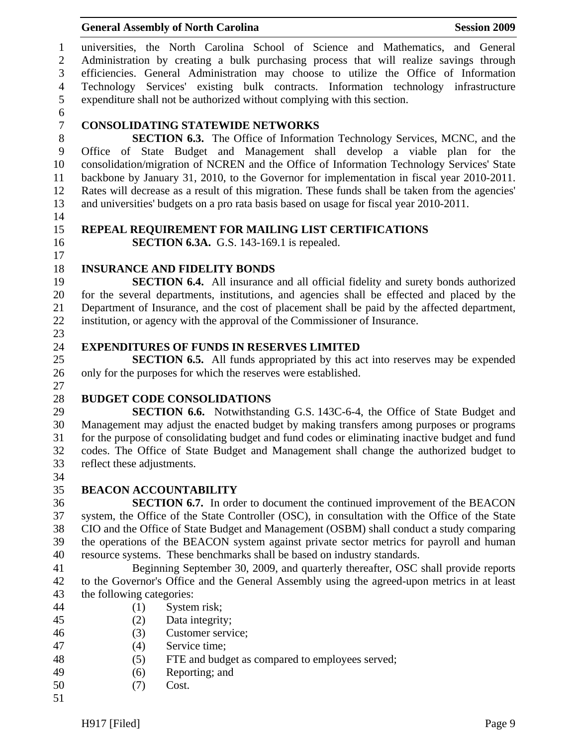1 universities, the North Carolina School of Science and Mathematics, and General 2 Administration by creating a bulk purchasing process that will realize savings through 3 efficiencies. General Administration may choose to utilize the Office of Information 4 Technology Services' existing bulk contracts. Information technology infrastructure 5 expenditure shall not be authorized without complying with this section.

6

# 7 **CONSOLIDATING STATEWIDE NETWORKS**

8 **SECTION 6.3.** The Office of Information Technology Services, MCNC, and the 9 Office of State Budget and Management shall develop a viable plan for the 10 consolidation/migration of NCREN and the Office of Information Technology Services' State 11 backbone by January 31, 2010, to the Governor for implementation in fiscal year 2010-2011. 12 Rates will decrease as a result of this migration. These funds shall be taken from the agencies' 13 and universities' budgets on a pro rata basis based on usage for fiscal year 2010-2011.

# 15 **REPEAL REQUIREMENT FOR MAILING LIST CERTIFICATIONS**

17

27

14

16 **SECTION 6.3A.** G.S. 143-169.1 is repealed.

# 18 **INSURANCE AND FIDELITY BONDS**

19 **SECTION 6.4.** All insurance and all official fidelity and surety bonds authorized 20 for the several departments, institutions, and agencies shall be effected and placed by the 21 Department of Insurance, and the cost of placement shall be paid by the affected department, 22 institution, or agency with the approval of the Commissioner of Insurance. 23

# 24 **EXPENDITURES OF FUNDS IN RESERVES LIMITED**

25 **SECTION 6.5.** All funds appropriated by this act into reserves may be expended 26 only for the purposes for which the reserves were established.

# 28 **BUDGET CODE CONSOLIDATIONS**

29 **SECTION 6.6.** Notwithstanding G.S. 143C-6-4, the Office of State Budget and 30 Management may adjust the enacted budget by making transfers among purposes or programs 31 for the purpose of consolidating budget and fund codes or eliminating inactive budget and fund 32 codes. The Office of State Budget and Management shall change the authorized budget to 33 reflect these adjustments. 34

# 35 **BEACON ACCOUNTABILITY**

36 **SECTION 6.7.** In order to document the continued improvement of the BEACON 37 system, the Office of the State Controller (OSC), in consultation with the Office of the State 38 CIO and the Office of State Budget and Management (OSBM) shall conduct a study comparing 39 the operations of the BEACON system against private sector metrics for payroll and human 40 resource systems. These benchmarks shall be based on industry standards.

41 Beginning September 30, 2009, and quarterly thereafter, OSC shall provide reports 42 to the Governor's Office and the General Assembly using the agreed-upon metrics in at least 43 the following categories:

- 44 (1) System risk;
- 45 (2) Data integrity;
- 46 (3) Customer service;
- 47 (4) Service time;
- 48 (5) FTE and budget as compared to employees served;
- 49 (6) Reporting; and
- 50 (7) Cost.
- 51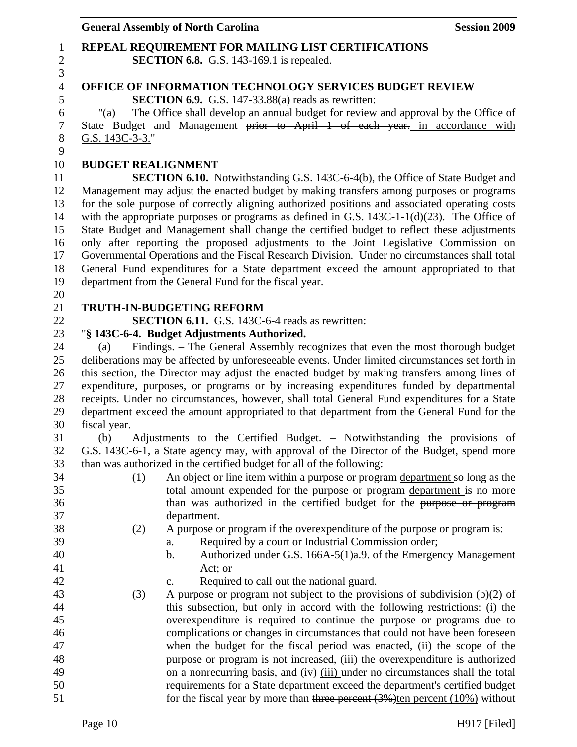| 8  | G.S. 143C-3-3."                                                                                 |
|----|-------------------------------------------------------------------------------------------------|
| 9  |                                                                                                 |
| 10 | <b>BUDGET REALIGNMENT</b>                                                                       |
| 11 | <b>SECTION 6.10.</b> Notwithstanding G.S. 143C-6-4(b), the Office of State Budget and           |
| 12 | Management may adjust the enacted budget by making transfers among purposes or programs         |
| 13 | for the sole purpose of correctly aligning authorized positions and associated operating costs  |
| 14 | with the appropriate purposes or programs as defined in G.S. $143C-1-1(d)(23)$ . The Office of  |
| 15 | State Budget and Management shall change the certified budget to reflect these adjustments      |
| 16 | only after reporting the proposed adjustments to the Joint Legislative Commission on            |
| 17 | Governmental Operations and the Fiscal Research Division. Under no circumstances shall total    |
| 18 | General Fund expenditures for a State department exceed the amount appropriated to that         |
|    |                                                                                                 |
| 19 | department from the General Fund for the fiscal year.                                           |
| 20 |                                                                                                 |
| 21 | TRUTH-IN-BUDGETING REFORM                                                                       |
| 22 | SECTION 6.11. G.S. 143C-6-4 reads as rewritten:                                                 |
| 23 | "§ 143C-6-4. Budget Adjustments Authorized.                                                     |
| 24 | Findings. - The General Assembly recognizes that even the most thorough budget<br>(a)           |
| 25 | deliberations may be affected by unforeseeable events. Under limited circumstances set forth in |
| 26 | this section, the Director may adjust the enacted budget by making transfers among lines of     |
| 27 | expenditure, purposes, or programs or by increasing expenditures funded by departmental         |
| 28 | receipts. Under no circumstances, however, shall total General Fund expenditures for a State    |
| 29 | department exceed the amount appropriated to that department from the General Fund for the      |
| 30 | fiscal year.                                                                                    |
| 31 | Adjustments to the Certified Budget. - Notwithstanding the provisions of<br>(b)                 |
| 32 | G.S. 143C-6-1, a State agency may, with approval of the Director of the Budget, spend more      |
| 33 | than was authorized in the certified budget for all of the following:                           |
| 34 | An object or line item within a purpose or program department so long as the<br>(1)             |
| 35 | total amount expended for the purpose or program department is no more                          |
| 36 | than was authorized in the certified budget for the purpose or program                          |
| 37 | department.                                                                                     |
| 38 | A purpose or program if the overexpenditure of the purpose or program is:<br>(2)                |
| 39 | Required by a court or Industrial Commission order;<br>a.                                       |
| 40 | Authorized under G.S. 166A-5(1)a.9. of the Emergency Management<br>h.                           |
| 41 | Act; or                                                                                         |
| 42 | Required to call out the national guard.<br>c.                                                  |
| 43 | (3)<br>A purpose or program not subject to the provisions of subdivision $(b)(2)$ of            |
| 44 | this subsection, but only in accord with the following restrictions: (i) the                    |
| 45 | overexpenditure is required to continue the purpose or programs due to                          |
| 46 | complications or changes in circumstances that could not have been foreseen                     |
| 47 | when the budget for the fiscal period was enacted, (ii) the scope of the                        |
| 48 | purpose or program is not increased, (iii) the overexpenditure is authorized                    |
| 49 | on a nonrecurring basis, and (iv) (iii) under no circumstances shall the total                  |
| 50 | requirements for a State department exceed the department's certified budget                    |
| 51 | for the fiscal year by more than three percent $(3%)$ ten percent $(10%)$ without               |
|    |                                                                                                 |
|    | Page 10<br>$H917$ [Filed]                                                                       |
|    |                                                                                                 |

# General Assembly of North Carolina **Session 2009** 1 **REPEAL REQUIREMENT FOR MAILING LIST CERTIFICATIONS**<br>2 **SECTION 6.8.** G.S. 143-169.1 is repealed.

 $\frac{3}{4}$ 

**SECTION 6.8.** G.S. 143-169.1 is repealed.

5 **SECTION 6.9.** G.S. 147-33.88(a) reads as rewritten:<br>
(a) The Office shall develop an annual budget for review

4 **OFFICE OF INFORMATION TECHNOLOGY SERVICES BUDGET REVIEW** 

7 State Budget and Management prior to April 1 of each year. in accordance with

"(a) The Office shall develop an annual budget for review and approval by the Office of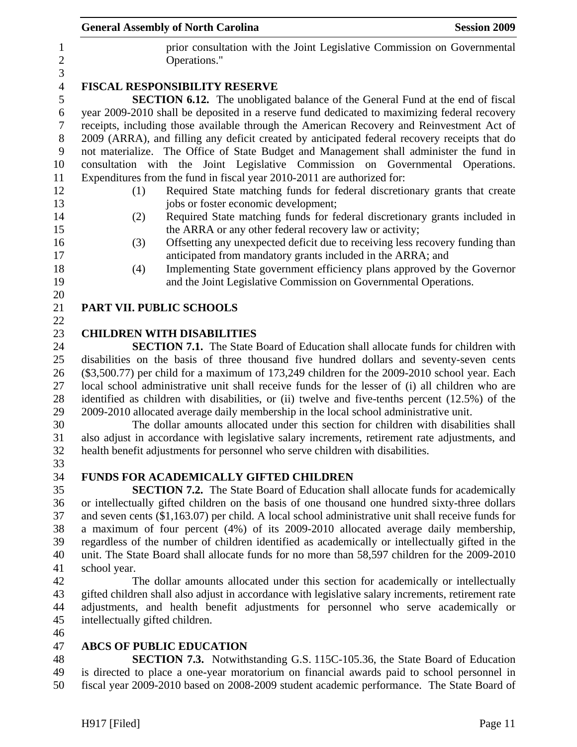| <b>General Assembly of North Carolina</b> |                                                                                                                                                                                                  | <b>Session 2009</b> |
|-------------------------------------------|--------------------------------------------------------------------------------------------------------------------------------------------------------------------------------------------------|---------------------|
|                                           | prior consultation with the Joint Legislative Commission on Governmental<br>Operations."                                                                                                         |                     |
|                                           | <b>FISCAL RESPONSIBILITY RESERVE</b>                                                                                                                                                             |                     |
|                                           | <b>SECTION 6.12.</b> The unobligated balance of the General Fund at the end of fiscal                                                                                                            |                     |
|                                           | year 2009-2010 shall be deposited in a reserve fund dedicated to maximizing federal recovery                                                                                                     |                     |
|                                           | receipts, including those available through the American Recovery and Reinvestment Act of                                                                                                        |                     |
|                                           | 2009 (ARRA), and filling any deficit created by anticipated federal recovery receipts that do                                                                                                    |                     |
|                                           | not materialize. The Office of State Budget and Management shall administer the fund in                                                                                                          |                     |
|                                           | consultation with the Joint Legislative Commission on Governmental Operations.                                                                                                                   |                     |
|                                           | Expenditures from the fund in fiscal year 2010-2011 are authorized for:                                                                                                                          |                     |
| (1)                                       | Required State matching funds for federal discretionary grants that create<br>jobs or foster economic development;                                                                               |                     |
| (2)                                       | Required State matching funds for federal discretionary grants included in                                                                                                                       |                     |
|                                           | the ARRA or any other federal recovery law or activity;                                                                                                                                          |                     |
| (3)                                       | Offsetting any unexpected deficit due to receiving less recovery funding than                                                                                                                    |                     |
|                                           | anticipated from mandatory grants included in the ARRA; and                                                                                                                                      |                     |
| (4)                                       | Implementing State government efficiency plans approved by the Governor                                                                                                                          |                     |
|                                           | and the Joint Legislative Commission on Governmental Operations.                                                                                                                                 |                     |
|                                           |                                                                                                                                                                                                  |                     |
| PART VII. PUBLIC SCHOOLS                  |                                                                                                                                                                                                  |                     |
|                                           |                                                                                                                                                                                                  |                     |
| <b>CHILDREN WITH DISABILITIES</b>         |                                                                                                                                                                                                  |                     |
|                                           | <b>SECTION 7.1.</b> The State Board of Education shall allocate funds for children with                                                                                                          |                     |
|                                           | disabilities on the basis of three thousand five hundred dollars and seventy-seven cents<br>$(\$3,500.77)$ per child for a maximum of 173,249 children for the 2009-2010 school year. Each       |                     |
|                                           | local school administrative unit shall receive funds for the lesser of (i) all children who are                                                                                                  |                     |
|                                           | identified as children with disabilities, or (ii) twelve and five-tenths percent (12.5%) of the                                                                                                  |                     |
|                                           | 2009-2010 allocated average daily membership in the local school administrative unit.                                                                                                            |                     |
|                                           | The dollar amounts allocated under this section for children with disabilities shall                                                                                                             |                     |
|                                           | also adjust in accordance with legislative salary increments, retirement rate adjustments, and                                                                                                   |                     |
|                                           | health benefit adjustments for personnel who serve children with disabilities.                                                                                                                   |                     |
|                                           |                                                                                                                                                                                                  |                     |
|                                           | <b>FUNDS FOR ACADEMICALLY GIFTED CHILDREN</b>                                                                                                                                                    |                     |
|                                           | <b>SECTION 7.2.</b> The State Board of Education shall allocate funds for academically                                                                                                           |                     |
|                                           | or intellectually gifted children on the basis of one thousand one hundred sixty-three dollars                                                                                                   |                     |
|                                           | and seven cents $(\$1,163.07)$ per child. A local school administrative unit shall receive funds for                                                                                             |                     |
|                                           | a maximum of four percent (4%) of its 2009-2010 allocated average daily membership,                                                                                                              |                     |
|                                           | regardless of the number of children identified as academically or intellectually gifted in the<br>unit. The State Board shall allocate funds for no more than 58,597 children for the 2009-2010 |                     |
| school year.                              |                                                                                                                                                                                                  |                     |
|                                           | The dollar amounts allocated under this section for academically or intellectually                                                                                                               |                     |

42 The dollar amounts allocated under this section for academically or intellectually 43 gifted children shall also adjust in accordance with legislative salary increments, retirement rate 44 adjustments, and health benefit adjustments for personnel who serve academically or 45 intellectually gifted children.

46

### 47 **ABCS OF PUBLIC EDUCATION**

48 **SECTION 7.3.** Notwithstanding G.S. 115C-105.36, the State Board of Education 49 is directed to place a one-year moratorium on financial awards paid to school personnel in 50 fiscal year 2009-2010 based on 2008-2009 student academic performance. The State Board of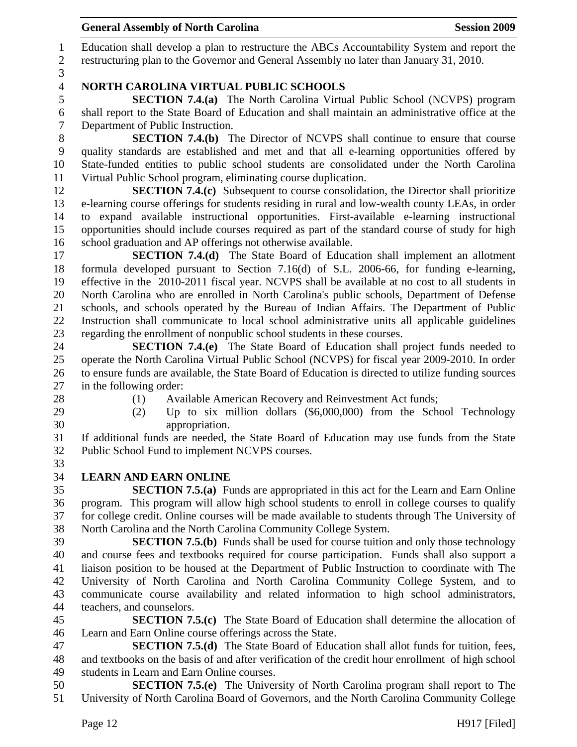| <b>General Assembly of North Carolina</b><br><b>Session 2009</b>                                                              |
|-------------------------------------------------------------------------------------------------------------------------------|
| Education shall develop a plan to restructure the ABCs Accountability System and report the                                   |
| restructuring plan to the Governor and General Assembly no later than January 31, 2010.                                       |
| <b>NORTH CAROLINA VIRTUAL PUBLIC SCHOOLS</b>                                                                                  |
| <b>SECTION 7.4.(a)</b> The North Carolina Virtual Public School (NCVPS) program                                               |
| shall report to the State Board of Education and shall maintain an administrative office at the                               |
| Department of Public Instruction.                                                                                             |
| <b>SECTION 7.4.(b)</b> The Director of NCVPS shall continue to ensure that course                                             |
| quality standards are established and met and that all e-learning opportunities offered by                                    |
| State-funded entities to public school students are consolidated under the North Carolina                                     |
| Virtual Public School program, eliminating course duplication.                                                                |
| <b>SECTION 7.4.(c)</b> Subsequent to course consolidation, the Director shall prioritize                                      |
| e-learning course offerings for students residing in rural and low-wealth county LEAs, in order                               |
| to expand available instructional opportunities. First-available e-learning instructional                                     |
| opportunities should include courses required as part of the standard course of study for high                                |
| school graduation and AP offerings not otherwise available.                                                                   |
| <b>SECTION 7.4.(d)</b> The State Board of Education shall implement an allotment                                              |
| formula developed pursuant to Section 7.16(d) of S.L. 2006-66, for funding e-learning,                                        |
| effective in the 2010-2011 fiscal year. NCVPS shall be available at no cost to all students in                                |
| North Carolina who are enrolled in North Carolina's public schools, Department of Defense                                     |
| schools, and schools operated by the Bureau of Indian Affairs. The Department of Public                                       |
| Instruction shall communicate to local school administrative units all applicable guidelines                                  |
| regarding the enrollment of nonpublic school students in these courses.                                                       |
| <b>SECTION 7.4.(e)</b> The State Board of Education shall project funds needed to                                             |
| operate the North Carolina Virtual Public School (NCVPS) for fiscal year 2009-2010. In order                                  |
| to ensure funds are available, the State Board of Education is directed to utilize funding sources<br>in the following order: |
| Available American Recovery and Reinvestment Act funds;                                                                       |
| (1)<br>Up to six million dollars $(\$6,000,000)$ from the School Technology<br>(2)                                            |
| appropriation.                                                                                                                |
| If additional funds are needed, the State Board of Education may use funds from the State                                     |
| Public School Fund to implement NCVPS courses.                                                                                |
|                                                                                                                               |
| <b>LEARN AND EARN ONLINE</b>                                                                                                  |
| <b>SECTION 7.5.(a)</b> Funds are appropriated in this act for the Learn and Earn Online                                       |
| program. This program will allow high school students to enroll in college courses to qualify                                 |
| for college credit. Online courses will be made available to students through The University of                               |
| North Carolina and the North Carolina Community College System.                                                               |

39 **SECTION 7.5.(b)** Funds shall be used for course tuition and only those technology 40 and course fees and textbooks required for course participation. Funds shall also support a 41 liaison position to be housed at the Department of Public Instruction to coordinate with The 42 University of North Carolina and North Carolina Community College System, and to 43 communicate course availability and related information to high school administrators, 44 teachers, and counselors.

45 **SECTION 7.5.(c)** The State Board of Education shall determine the allocation of 46 Learn and Earn Online course offerings across the State.

47 **SECTION 7.5.(d)** The State Board of Education shall allot funds for tuition, fees, 48 and textbooks on the basis of and after verification of the credit hour enrollment of high school 49 students in Learn and Earn Online courses.

50 **SECTION 7.5.(e)** The University of North Carolina program shall report to The 51 University of North Carolina Board of Governors, and the North Carolina Community College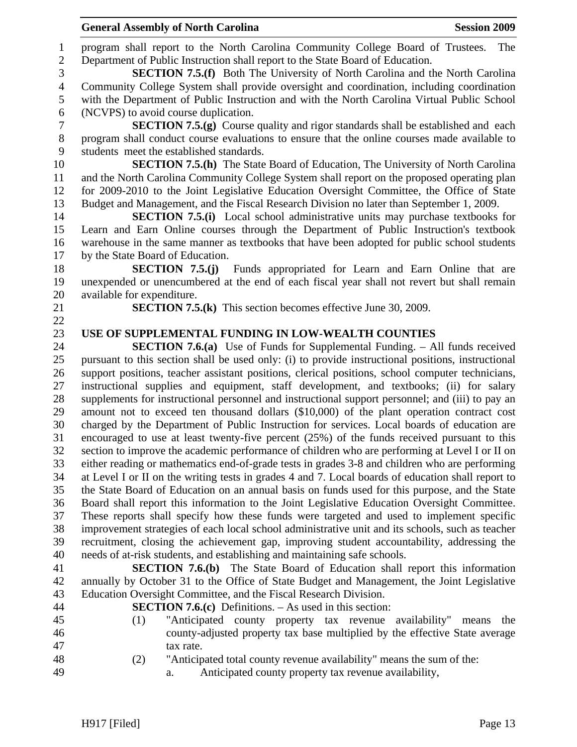1 program shall report to the North Carolina Community College Board of Trustees. The 2 Department of Public Instruction shall report to the State Board of Education.

3 **SECTION 7.5.(f)** Both The University of North Carolina and the North Carolina 4 Community College System shall provide oversight and coordination, including coordination 5 with the Department of Public Instruction and with the North Carolina Virtual Public School 6 (NCVPS) to avoid course duplication.

7 **SECTION 7.5.(g)** Course quality and rigor standards shall be established and each 8 program shall conduct course evaluations to ensure that the online courses made available to 9 students meet the established standards.

10 **SECTION 7.5.(h)** The State Board of Education, The University of North Carolina 11 and the North Carolina Community College System shall report on the proposed operating plan 12 for 2009-2010 to the Joint Legislative Education Oversight Committee, the Office of State 13 Budget and Management, and the Fiscal Research Division no later than September 1, 2009.

14 **SECTION 7.5.(i)** Local school administrative units may purchase textbooks for 15 Learn and Earn Online courses through the Department of Public Instruction's textbook 16 warehouse in the same manner as textbooks that have been adopted for public school students 17 by the State Board of Education.

18 **SECTION 7.5.(j)** Funds appropriated for Learn and Earn Online that are 19 unexpended or unencumbered at the end of each fiscal year shall not revert but shall remain 20 available for expenditure.

22

21 **SECTION 7.5.(k)** This section becomes effective June 30, 2009.

#### 23 **USE OF SUPPLEMENTAL FUNDING IN LOW-WEALTH COUNTIES**

24 **SECTION 7.6.(a)** Use of Funds for Supplemental Funding. – All funds received 25 pursuant to this section shall be used only: (i) to provide instructional positions, instructional 26 support positions, teacher assistant positions, clerical positions, school computer technicians, 27 instructional supplies and equipment, staff development, and textbooks; (ii) for salary 28 supplements for instructional personnel and instructional support personnel; and (iii) to pay an 29 amount not to exceed ten thousand dollars (\$10,000) of the plant operation contract cost 30 charged by the Department of Public Instruction for services. Local boards of education are 31 encouraged to use at least twenty-five percent (25%) of the funds received pursuant to this 32 section to improve the academic performance of children who are performing at Level I or II on 33 either reading or mathematics end-of-grade tests in grades 3-8 and children who are performing 34 at Level I or II on the writing tests in grades 4 and 7. Local boards of education shall report to 35 the State Board of Education on an annual basis on funds used for this purpose, and the State 36 Board shall report this information to the Joint Legislative Education Oversight Committee. 37 These reports shall specify how these funds were targeted and used to implement specific 38 improvement strategies of each local school administrative unit and its schools, such as teacher 39 recruitment, closing the achievement gap, improving student accountability, addressing the 40 needs of at-risk students, and establishing and maintaining safe schools.

41 **SECTION 7.6.(b)** The State Board of Education shall report this information 42 annually by October 31 to the Office of State Budget and Management, the Joint Legislative 43 Education Oversight Committee, and the Fiscal Research Division.

- 44 **SECTION 7.6.(c)** Definitions. As used in this section:
- 45 (1) "Anticipated county property tax revenue availability" means the 46 county-adjusted property tax base multiplied by the effective State average 47 tax rate.
- 48 (2) "Anticipated total county revenue availability" means the sum of the:
- 49 a. Anticipated county property tax revenue availability,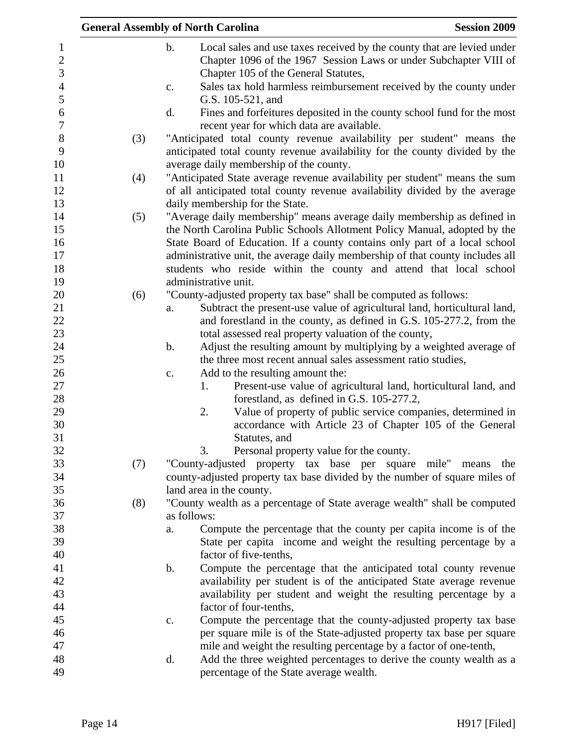|     | <b>General Assembly of North Carolina</b>                                                                                                                                                            | <b>Session 2009</b> |
|-----|------------------------------------------------------------------------------------------------------------------------------------------------------------------------------------------------------|---------------------|
|     | $\mathbf b$ .<br>Local sales and use taxes received by the county that are levied under<br>Chapter 1096 of the 1967 Session Laws or under Subchapter VIII of<br>Chapter 105 of the General Statutes, |                     |
|     | Sales tax hold harmless reimbursement received by the county under<br>c.<br>G.S. 105-521, and                                                                                                        |                     |
|     | Fines and forfeitures deposited in the county school fund for the most<br>d.<br>recent year for which data are available.                                                                            |                     |
| (3) | "Anticipated total county revenue availability per student" means the                                                                                                                                |                     |
|     | anticipated total county revenue availability for the county divided by the<br>average daily membership of the county.                                                                               |                     |
|     |                                                                                                                                                                                                      |                     |
| (4) | "Anticipated State average revenue availability per student" means the sum<br>of all anticipated total county revenue availability divided by the average                                            |                     |
|     | daily membership for the State.                                                                                                                                                                      |                     |
| (5) | "Average daily membership" means average daily membership as defined in<br>the North Carolina Public Schools Allotment Policy Manual, adopted by the                                                 |                     |
|     | State Board of Education. If a county contains only part of a local school                                                                                                                           |                     |
|     | administrative unit, the average daily membership of that county includes all<br>students who reside within the county and attend that local school                                                  |                     |
|     | administrative unit.                                                                                                                                                                                 |                     |
| (6) | "County-adjusted property tax base" shall be computed as follows:                                                                                                                                    |                     |
|     | Subtract the present-use value of agricultural land, horticultural land,<br>a.                                                                                                                       |                     |
|     | and forestland in the county, as defined in G.S. 105-277.2, from the                                                                                                                                 |                     |
|     | total assessed real property valuation of the county,                                                                                                                                                |                     |
|     | Adjust the resulting amount by multiplying by a weighted average of<br>b.                                                                                                                            |                     |
|     | the three most recent annual sales assessment ratio studies,                                                                                                                                         |                     |
|     | Add to the resulting amount the:<br>$\mathbf{c}$ .                                                                                                                                                   |                     |
|     | Present-use value of agricultural land, horticultural land, and<br>1.                                                                                                                                |                     |
|     | forestland, as defined in G.S. 105-277.2,                                                                                                                                                            |                     |
|     | Value of property of public service companies, determined in<br>2.                                                                                                                                   |                     |
|     | accordance with Article 23 of Chapter 105 of the General                                                                                                                                             |                     |
|     | Statutes, and                                                                                                                                                                                        |                     |
|     | Personal property value for the county.<br>3.                                                                                                                                                        |                     |
| (7) | "County-adjusted property tax base per square mile" means                                                                                                                                            | the                 |
|     | county-adjusted property tax base divided by the number of square miles of                                                                                                                           |                     |
|     | land area in the county.                                                                                                                                                                             |                     |
| (8) | "County wealth as a percentage of State average wealth" shall be computed                                                                                                                            |                     |
|     | as follows:                                                                                                                                                                                          |                     |
|     | Compute the percentage that the county per capita income is of the<br>a.                                                                                                                             |                     |
|     | State per capita income and weight the resulting percentage by a                                                                                                                                     |                     |
|     | factor of five-tenths,                                                                                                                                                                               |                     |
|     | Compute the percentage that the anticipated total county revenue<br>b.                                                                                                                               |                     |
|     | availability per student is of the anticipated State average revenue                                                                                                                                 |                     |
|     | availability per student and weight the resulting percentage by a                                                                                                                                    |                     |
|     | factor of four-tenths,                                                                                                                                                                               |                     |
|     | Compute the percentage that the county-adjusted property tax base<br>$\mathbf{c}$ .                                                                                                                  |                     |
|     | per square mile is of the State-adjusted property tax base per square                                                                                                                                |                     |
|     | mile and weight the resulting percentage by a factor of one-tenth,                                                                                                                                   |                     |
|     | Add the three weighted percentages to derive the county wealth as a<br>d.                                                                                                                            |                     |
|     | percentage of the State average wealth.                                                                                                                                                              |                     |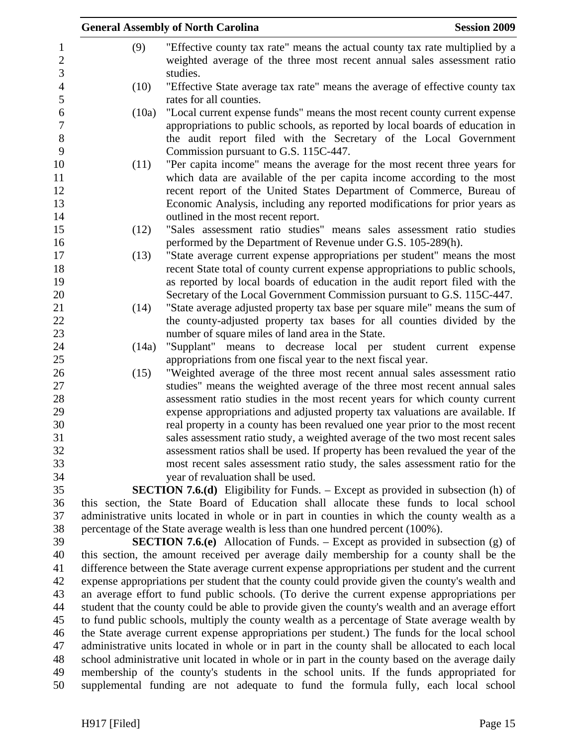|       | <b>General Assembly of North Carolina</b>                                                                                                  | <b>Session 2009</b> |
|-------|--------------------------------------------------------------------------------------------------------------------------------------------|---------------------|
| (9)   | "Effective county tax rate" means the actual county tax rate multiplied by a                                                               |                     |
|       | weighted average of the three most recent annual sales assessment ratio                                                                    |                     |
|       | studies.                                                                                                                                   |                     |
| (10)  | "Effective State average tax rate" means the average of effective county tax                                                               |                     |
|       | rates for all counties.                                                                                                                    |                     |
| (10a) | "Local current expense funds" means the most recent county current expense                                                                 |                     |
|       | appropriations to public schools, as reported by local boards of education in                                                              |                     |
|       | the audit report filed with the Secretary of the Local Government                                                                          |                     |
|       | Commission pursuant to G.S. 115C-447.                                                                                                      |                     |
| (11)  | "Per capita income" means the average for the most recent three years for                                                                  |                     |
|       | which data are available of the per capita income according to the most                                                                    |                     |
|       | recent report of the United States Department of Commerce, Bureau of                                                                       |                     |
|       | Economic Analysis, including any reported modifications for prior years as                                                                 |                     |
|       | outlined in the most recent report.                                                                                                        |                     |
| (12)  | "Sales assessment ratio studies" means sales assessment ratio studies                                                                      |                     |
|       | performed by the Department of Revenue under G.S. 105-289(h).<br>"State average current expense appropriations per student" means the most |                     |
| (13)  | recent State total of county current expense appropriations to public schools,                                                             |                     |
|       | as reported by local boards of education in the audit report filed with the                                                                |                     |
|       | Secretary of the Local Government Commission pursuant to G.S. 115C-447.                                                                    |                     |
| (14)  | "State average adjusted property tax base per square mile" means the sum of                                                                |                     |
|       | the county-adjusted property tax bases for all counties divided by the                                                                     |                     |
|       | number of square miles of land area in the State.                                                                                          |                     |
| (14a) | "Supplant" means to decrease local per student current expense                                                                             |                     |
|       | appropriations from one fiscal year to the next fiscal year.                                                                               |                     |
| (15)  | "Weighted average of the three most recent annual sales assessment ratio                                                                   |                     |
|       | studies" means the weighted average of the three most recent annual sales                                                                  |                     |
|       | assessment ratio studies in the most recent years for which county current                                                                 |                     |
|       | expense appropriations and adjusted property tax valuations are available. If                                                              |                     |
|       | real property in a county has been revalued one year prior to the most recent                                                              |                     |
|       | sales assessment ratio study, a weighted average of the two most recent sales                                                              |                     |
|       | assessment ratios shall be used. If property has been revalued the year of the                                                             |                     |
|       | most recent sales assessment ratio study, the sales assessment ratio for the                                                               |                     |
|       | year of revaluation shall be used.<br><b>SECTION 7.6.(d)</b> Eligibility for Funds. – Except as provided in subsection (h) of              |                     |
|       | this section, the State Board of Education shall allocate these funds to local school                                                      |                     |
|       | administrative units located in whole or in part in counties in which the county wealth as a                                               |                     |
|       | percentage of the State average wealth is less than one hundred percent (100%).                                                            |                     |
|       | <b>SECTION 7.6.(e)</b> Allocation of Funds. – Except as provided in subsection (g) of                                                      |                     |
|       | this section, the amount received per average daily membership for a county shall be the                                                   |                     |
|       | difference between the State average current expense appropriations per student and the current                                            |                     |
|       | expense appropriations per student that the county could provide given the county's wealth and                                             |                     |
|       | an average effort to fund public schools. (To derive the current expense appropriations per                                                |                     |
|       | student that the county could be able to provide given the county's wealth and an average effort                                           |                     |
|       | to fund public schools, multiply the county wealth as a percentage of State average wealth by                                              |                     |
|       | the State average current expense appropriations per student.) The funds for the local school                                              |                     |
|       | administrative units located in whole or in part in the county shall be allocated to each local                                            |                     |
|       | school administrative unit located in whole or in part in the county based on the average daily                                            |                     |
|       | membership of the county's students in the school units. If the funds appropriated for                                                     |                     |
|       | supplemental funding are not adequate to fund the formula fully, each local school                                                         |                     |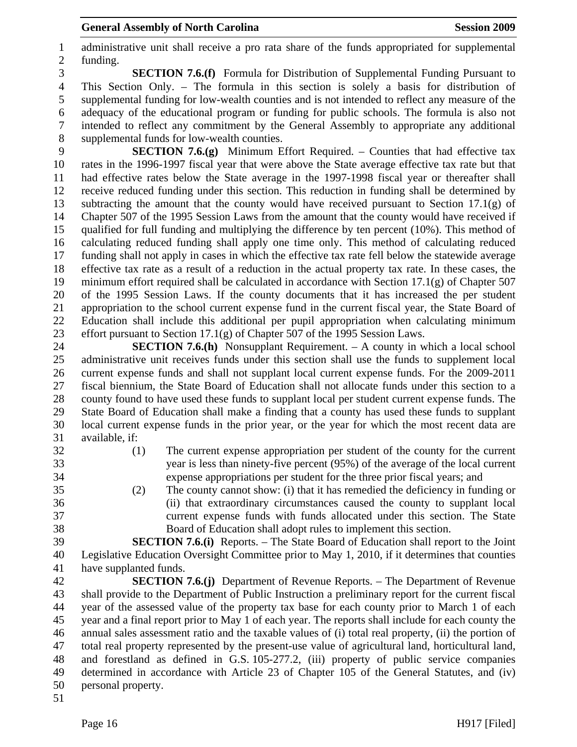1 administrative unit shall receive a pro rata share of the funds appropriated for supplemental 2 funding.

3 **SECTION 7.6.(f)** Formula for Distribution of Supplemental Funding Pursuant to 4 This Section Only. – The formula in this section is solely a basis for distribution of 5 supplemental funding for low-wealth counties and is not intended to reflect any measure of the 6 adequacy of the educational program or funding for public schools. The formula is also not 7 intended to reflect any commitment by the General Assembly to appropriate any additional 8 supplemental funds for low-wealth counties.

9 **SECTION 7.6.(g)** Minimum Effort Required. – Counties that had effective tax 10 rates in the 1996-1997 fiscal year that were above the State average effective tax rate but that 11 had effective rates below the State average in the 1997-1998 fiscal year or thereafter shall 12 receive reduced funding under this section. This reduction in funding shall be determined by 13 subtracting the amount that the county would have received pursuant to Section 17.1(g) of 14 Chapter 507 of the 1995 Session Laws from the amount that the county would have received if 15 qualified for full funding and multiplying the difference by ten percent (10%). This method of 16 calculating reduced funding shall apply one time only. This method of calculating reduced 17 funding shall not apply in cases in which the effective tax rate fell below the statewide average 18 effective tax rate as a result of a reduction in the actual property tax rate. In these cases, the 19 minimum effort required shall be calculated in accordance with Section 17.1(g) of Chapter 507 20 of the 1995 Session Laws. If the county documents that it has increased the per student 21 appropriation to the school current expense fund in the current fiscal year, the State Board of 22 Education shall include this additional per pupil appropriation when calculating minimum 23 effort pursuant to Section 17.1(g) of Chapter 507 of the 1995 Session Laws.

24 **SECTION 7.6.(h)** Nonsupplant Requirement. – A county in which a local school 25 administrative unit receives funds under this section shall use the funds to supplement local 26 current expense funds and shall not supplant local current expense funds. For the 2009-2011 27 fiscal biennium, the State Board of Education shall not allocate funds under this section to a 28 county found to have used these funds to supplant local per student current expense funds. The 29 State Board of Education shall make a finding that a county has used these funds to supplant 30 local current expense funds in the prior year, or the year for which the most recent data are 31 available, if:

- 32 (1) The current expense appropriation per student of the county for the current 33 year is less than ninety-five percent (95%) of the average of the local current 34 expense appropriations per student for the three prior fiscal years; and
- 35 (2) The county cannot show: (i) that it has remedied the deficiency in funding or 36 (ii) that extraordinary circumstances caused the county to supplant local 37 current expense funds with funds allocated under this section. The State 38 Board of Education shall adopt rules to implement this section.

39 **SECTION 7.6.(i)** Reports. – The State Board of Education shall report to the Joint 40 Legislative Education Oversight Committee prior to May 1, 2010, if it determines that counties 41 have supplanted funds.

42 **SECTION 7.6.(j)** Department of Revenue Reports. – The Department of Revenue 43 shall provide to the Department of Public Instruction a preliminary report for the current fiscal 44 year of the assessed value of the property tax base for each county prior to March 1 of each 45 year and a final report prior to May 1 of each year. The reports shall include for each county the 46 annual sales assessment ratio and the taxable values of (i) total real property, (ii) the portion of 47 total real property represented by the present-use value of agricultural land, horticultural land, 48 and forestland as defined in G.S. 105-277.2, (iii) property of public service companies 49 determined in accordance with Article 23 of Chapter 105 of the General Statutes, and (iv) 50 personal property.

51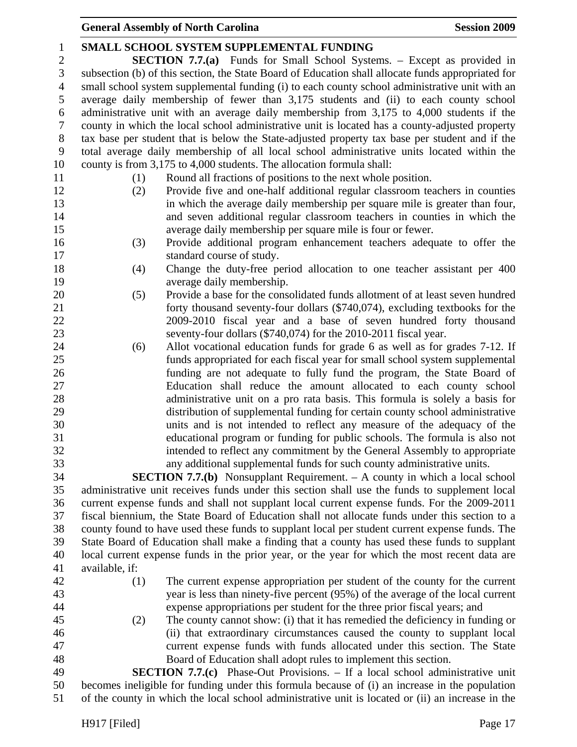| $\mathbf{1}$   | SMALL SCHOOL SYSTEM SUPPLEMENTAL FUNDING                                                                                                                                                      |  |  |  |
|----------------|-----------------------------------------------------------------------------------------------------------------------------------------------------------------------------------------------|--|--|--|
| $\overline{c}$ | <b>SECTION 7.7.(a)</b> Funds for Small School Systems. - Except as provided in                                                                                                                |  |  |  |
| 3              | subsection (b) of this section, the State Board of Education shall allocate funds appropriated for                                                                                            |  |  |  |
| $\overline{4}$ | small school system supplemental funding (i) to each county school administrative unit with an                                                                                                |  |  |  |
| 5              | average daily membership of fewer than 3,175 students and (ii) to each county school                                                                                                          |  |  |  |
| 6              | administrative unit with an average daily membership from 3,175 to 4,000 students if the                                                                                                      |  |  |  |
| $\tau$         | county in which the local school administrative unit is located has a county-adjusted property                                                                                                |  |  |  |
| $8\,$          | tax base per student that is below the State-adjusted property tax base per student and if the                                                                                                |  |  |  |
| 9              | total average daily membership of all local school administrative units located within the                                                                                                    |  |  |  |
| 10             | county is from 3,175 to 4,000 students. The allocation formula shall:                                                                                                                         |  |  |  |
| 11             | Round all fractions of positions to the next whole position.<br>(1)                                                                                                                           |  |  |  |
| 12             | Provide five and one-half additional regular classroom teachers in counties<br>(2)                                                                                                            |  |  |  |
| 13             | in which the average daily membership per square mile is greater than four,                                                                                                                   |  |  |  |
| 14             | and seven additional regular classroom teachers in counties in which the                                                                                                                      |  |  |  |
| 15             | average daily membership per square mile is four or fewer.                                                                                                                                    |  |  |  |
| 16             | Provide additional program enhancement teachers adequate to offer the<br>(3)                                                                                                                  |  |  |  |
| 17             | standard course of study.                                                                                                                                                                     |  |  |  |
| 18             | Change the duty-free period allocation to one teacher assistant per 400<br>(4)                                                                                                                |  |  |  |
| 19             | average daily membership.                                                                                                                                                                     |  |  |  |
| 20             | Provide a base for the consolidated funds allotment of at least seven hundred<br>(5)                                                                                                          |  |  |  |
| 21             | forty thousand seventy-four dollars (\$740,074), excluding textbooks for the                                                                                                                  |  |  |  |
| 22             | 2009-2010 fiscal year and a base of seven hundred forty thousand                                                                                                                              |  |  |  |
| 23             | seventy-four dollars (\$740,074) for the 2010-2011 fiscal year.                                                                                                                               |  |  |  |
| 24             | Allot vocational education funds for grade 6 as well as for grades 7-12. If<br>(6)                                                                                                            |  |  |  |
| 25             | funds appropriated for each fiscal year for small school system supplemental                                                                                                                  |  |  |  |
| 26             | funding are not adequate to fully fund the program, the State Board of                                                                                                                        |  |  |  |
| 27             | Education shall reduce the amount allocated to each county school                                                                                                                             |  |  |  |
| 28             | administrative unit on a pro rata basis. This formula is solely a basis for                                                                                                                   |  |  |  |
| 29             | distribution of supplemental funding for certain county school administrative                                                                                                                 |  |  |  |
| 30             | units and is not intended to reflect any measure of the adequacy of the                                                                                                                       |  |  |  |
| 31             | educational program or funding for public schools. The formula is also not                                                                                                                    |  |  |  |
| 32             | intended to reflect any commitment by the General Assembly to appropriate                                                                                                                     |  |  |  |
| 33             | any additional supplemental funds for such county administrative units                                                                                                                        |  |  |  |
| 34<br>35       | <b>SECTION 7.7.(b)</b> Nonsupplant Requirement. $-$ A county in which a local school                                                                                                          |  |  |  |
| 36             | administrative unit receives funds under this section shall use the funds to supplement local                                                                                                 |  |  |  |
| 37             | current expense funds and shall not supplant local current expense funds. For the 2009-2011<br>fiscal biennium, the State Board of Education shall not allocate funds under this section to a |  |  |  |
| 38             | county found to have used these funds to supplant local per student current expense funds. The                                                                                                |  |  |  |
| 39             | State Board of Education shall make a finding that a county has used these funds to supplant                                                                                                  |  |  |  |
| 40             | local current expense funds in the prior year, or the year for which the most recent data are                                                                                                 |  |  |  |
| 41             | available, if:                                                                                                                                                                                |  |  |  |
| 42             | The current expense appropriation per student of the county for the current<br>(1)                                                                                                            |  |  |  |
| 43             | year is less than ninety-five percent (95%) of the average of the local current                                                                                                               |  |  |  |
| 44             | expense appropriations per student for the three prior fiscal years; and                                                                                                                      |  |  |  |
| 45             | The county cannot show: (i) that it has remedied the deficiency in funding or<br>(2)                                                                                                          |  |  |  |
| 46             | (ii) that extraordinary circumstances caused the county to supplant local                                                                                                                     |  |  |  |
| 47             | current expense funds with funds allocated under this section. The State                                                                                                                      |  |  |  |
| 48             | Board of Education shall adopt rules to implement this section.                                                                                                                               |  |  |  |
| 49             | <b>SECTION 7.7.(c)</b> Phase-Out Provisions. – If a local school administrative unit                                                                                                          |  |  |  |
| 50             | becomes ineligible for funding under this formula because of (i) an increase in the population                                                                                                |  |  |  |
| 51             | of the county in which the local school administrative unit is located or (ii) an increase in the                                                                                             |  |  |  |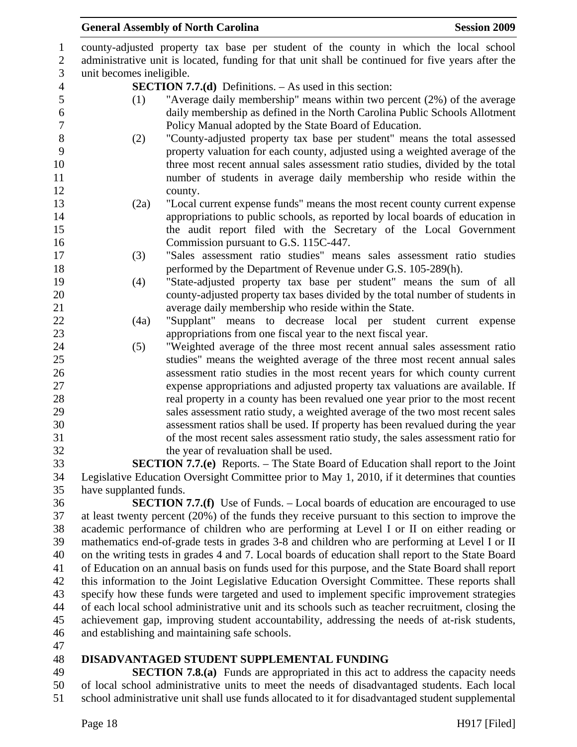|                          | <b>General Assembly of North Carolina</b>                                                         | <b>Session 2009</b> |
|--------------------------|---------------------------------------------------------------------------------------------------|---------------------|
|                          | county-adjusted property tax base per student of the county in which the local school             |                     |
|                          | administrative unit is located, funding for that unit shall be continued for five years after the |                     |
| unit becomes ineligible. |                                                                                                   |                     |
|                          | <b>SECTION 7.7.(d)</b> Definitions. $-$ As used in this section:                                  |                     |
| (1)                      | "Average daily membership" means within two percent (2%) of the average                           |                     |
|                          | daily membership as defined in the North Carolina Public Schools Allotment                        |                     |
|                          | Policy Manual adopted by the State Board of Education.                                            |                     |
| (2)                      | "County-adjusted property tax base per student" means the total assessed                          |                     |
|                          | property valuation for each county, adjusted using a weighted average of the                      |                     |
|                          | three most recent annual sales assessment ratio studies, divided by the total                     |                     |
|                          | number of students in average daily membership who reside within the                              |                     |
|                          | county.                                                                                           |                     |
| (2a)                     | "Local current expense funds" means the most recent county current expense                        |                     |
|                          | appropriations to public schools, as reported by local boards of education in                     |                     |
|                          | the audit report filed with the Secretary of the Local Government                                 |                     |
|                          | Commission pursuant to G.S. 115C-447.                                                             |                     |
| (3)                      | "Sales assessment ratio studies" means sales assessment ratio studies                             |                     |
|                          | performed by the Department of Revenue under G.S. 105-289(h).                                     |                     |
| (4)                      | "State-adjusted property tax base per student" means the sum of all                               |                     |
|                          | county-adjusted property tax bases divided by the total number of students in                     |                     |
|                          | average daily membership who reside within the State.                                             |                     |
| (4a)                     | "Supplant" means to decrease local per student                                                    | current expense     |
|                          | appropriations from one fiscal year to the next fiscal year.                                      |                     |
| (5)                      | "Weighted average of the three most recent annual sales assessment ratio                          |                     |
|                          | studies" means the weighted average of the three most recent annual sales                         |                     |
|                          | assessment ratio studies in the most recent years for which county current                        |                     |
|                          | expense appropriations and adjusted property tax valuations are available. If                     |                     |
|                          | real property in a county has been revalued one year prior to the most recent                     |                     |
|                          | sales assessment ratio study, a weighted average of the two most recent sales                     |                     |
|                          | assessment ratios shall be used. If property has been revalued during the year                    |                     |
|                          | of the most recent sales assessment ratio study, the sales assessment ratio for                   |                     |
|                          | the year of revaluation shall be used.                                                            |                     |
|                          | <b>SECTION 7.7.(e)</b> Reports. – The State Board of Education shall report to the Joint          |                     |
|                          | Legislative Education Oversight Committee prior to May 1, 2010, if it determines that counties    |                     |
| have supplanted funds.   |                                                                                                   |                     |
|                          | <b>SECTION 7.7.(f)</b> Use of Funds. – Local boards of education are encouraged to use            |                     |
|                          | at least twenty percent (20%) of the funds they receive pursuant to this section to improve the   |                     |
|                          | academic performance of children who are performing at Level I or II on either reading or         |                     |

38 academic performance of children who are performing at Level I or II on either reading or 39 mathematics end-of-grade tests in grades 3-8 and children who are performing at Level I or II 40 on the writing tests in grades 4 and 7. Local boards of education shall report to the State Board 41 of Education on an annual basis on funds used for this purpose, and the State Board shall report 42 this information to the Joint Legislative Education Oversight Committee. These reports shall 43 specify how these funds were targeted and used to implement specific improvement strategies 44 of each local school administrative unit and its schools such as teacher recruitment, closing the 45 achievement gap, improving student accountability, addressing the needs of at-risk students, 46 and establishing and maintaining safe schools.

47

#### 48 **DISADVANTAGED STUDENT SUPPLEMENTAL FUNDING**

49 **SECTION 7.8.(a)** Funds are appropriated in this act to address the capacity needs 50 of local school administrative units to meet the needs of disadvantaged students. Each local 51 school administrative unit shall use funds allocated to it for disadvantaged student supplemental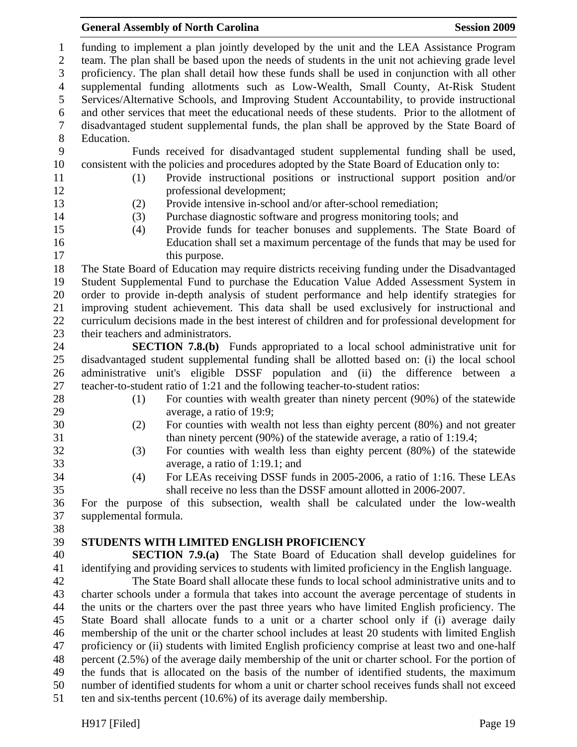1 funding to implement a plan jointly developed by the unit and the LEA Assistance Program 2 team. The plan shall be based upon the needs of students in the unit not achieving grade level 3 proficiency. The plan shall detail how these funds shall be used in conjunction with all other 4 supplemental funding allotments such as Low-Wealth, Small County, At-Risk Student 5 Services/Alternative Schools, and Improving Student Accountability, to provide instructional 6 and other services that meet the educational needs of these students. Prior to the allotment of 7 disadvantaged student supplemental funds, the plan shall be approved by the State Board of 8 Education. 9 Funds received for disadvantaged student supplemental funding shall be used, 10 consistent with the policies and procedures adopted by the State Board of Education only to: 11 (1) Provide instructional positions or instructional support position and/or 12 professional development; 13 (2) Provide intensive in-school and/or after-school remediation; 14 (3) Purchase diagnostic software and progress monitoring tools; and 15 (4) Provide funds for teacher bonuses and supplements. The State Board of 16 Education shall set a maximum percentage of the funds that may be used for 17 this purpose. 18 The State Board of Education may require districts receiving funding under the Disadvantaged 19 Student Supplemental Fund to purchase the Education Value Added Assessment System in 20 order to provide in-depth analysis of student performance and help identify strategies for 21 improving student achievement. This data shall be used exclusively for instructional and 22 curriculum decisions made in the best interest of children and for professional development for 23 their teachers and administrators. 24 **SECTION 7.8.(b)** Funds appropriated to a local school administrative unit for 25 disadvantaged student supplemental funding shall be allotted based on: (i) the local school 26 administrative unit's eligible DSSF population and (ii) the difference between a 27 teacher-to-student ratio of 1:21 and the following teacher-to-student ratios: 28 (1) For counties with wealth greater than ninety percent (90%) of the statewide 29 average, a ratio of 19:9; 30 (2) For counties with wealth not less than eighty percent (80%) and not greater 31 than ninety percent (90%) of the statewide average, a ratio of 1:19.4; 32 (3) For counties with wealth less than eighty percent (80%) of the statewide 33 average, a ratio of 1:19.1; and 34 (4) For LEAs receiving DSSF funds in 2005-2006, a ratio of 1:16. These LEAs 35 shall receive no less than the DSSF amount allotted in 2006-2007. 36 For the purpose of this subsection, wealth shall be calculated under the low-wealth 37 supplemental formula. 38 39 **STUDENTS WITH LIMITED ENGLISH PROFICIENCY**  40 **SECTION 7.9.(a)** The State Board of Education shall develop guidelines for 41 identifying and providing services to students with limited proficiency in the English language. 42 The State Board shall allocate these funds to local school administrative units and to 43 charter schools under a formula that takes into account the average percentage of students in 44 the units or the charters over the past three years who have limited English proficiency. The 45 State Board shall allocate funds to a unit or a charter school only if (i) average daily 46 membership of the unit or the charter school includes at least 20 students with limited English 47 proficiency or (ii) students with limited English proficiency comprise at least two and one-half 48 percent (2.5%) of the average daily membership of the unit or charter school. For the portion of 49 the funds that is allocated on the basis of the number of identified students, the maximum 50 number of identified students for whom a unit or charter school receives funds shall not exceed 51 ten and six-tenths percent (10.6%) of its average daily membership.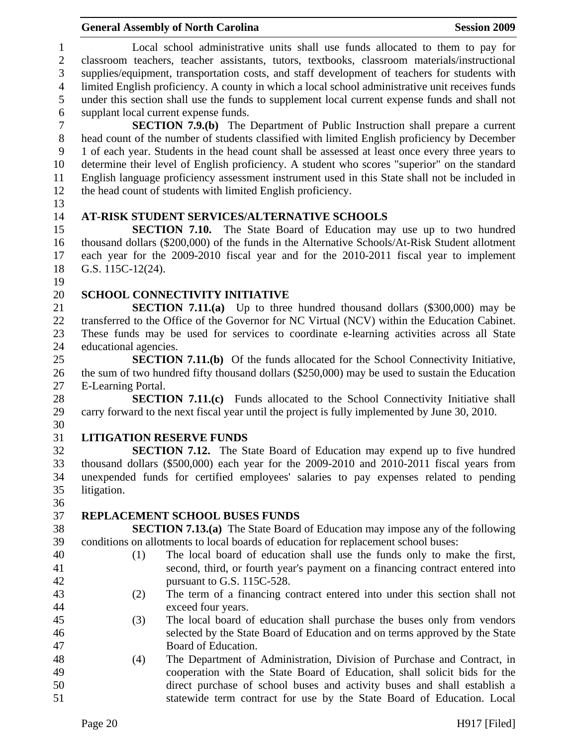1 Local school administrative units shall use funds allocated to them to pay for 2 classroom teachers, teacher assistants, tutors, textbooks, classroom materials/instructional 3 supplies/equipment, transportation costs, and staff development of teachers for students with 4 limited English proficiency. A county in which a local school administrative unit receives funds 5 under this section shall use the funds to supplement local current expense funds and shall not 6 supplant local current expense funds.

7 **SECTION 7.9.(b)** The Department of Public Instruction shall prepare a current 8 head count of the number of students classified with limited English proficiency by December 9 1 of each year. Students in the head count shall be assessed at least once every three years to 10 determine their level of English proficiency. A student who scores "superior" on the standard 11 English language proficiency assessment instrument used in this State shall not be included in 12 the head count of students with limited English proficiency.

13

### 14 **AT-RISK STUDENT SERVICES/ALTERNATIVE SCHOOLS**

15 **SECTION 7.10.** The State Board of Education may use up to two hundred 16 thousand dollars (\$200,000) of the funds in the Alternative Schools/At-Risk Student allotment 17 each year for the 2009-2010 fiscal year and for the 2010-2011 fiscal year to implement 18 G.S. 115C-12(24).

19

### 20 **SCHOOL CONNECTIVITY INITIATIVE**

21 **SECTION 7.11.(a)** Up to three hundred thousand dollars (\$300,000) may be 22 transferred to the Office of the Governor for NC Virtual (NCV) within the Education Cabinet. 23 These funds may be used for services to coordinate e-learning activities across all State 24 educational agencies.

25 **SECTION 7.11.(b)** Of the funds allocated for the School Connectivity Initiative, 26 the sum of two hundred fifty thousand dollars (\$250,000) may be used to sustain the Education 27 E-Learning Portal.

28 **SECTION 7.11.(c)** Funds allocated to the School Connectivity Initiative shall 29 carry forward to the next fiscal year until the project is fully implemented by June 30, 2010.

30

# 31 **LITIGATION RESERVE FUNDS**

32 **SECTION 7.12.** The State Board of Education may expend up to five hundred 33 thousand dollars (\$500,000) each year for the 2009-2010 and 2010-2011 fiscal years from 34 unexpended funds for certified employees' salaries to pay expenses related to pending 35 litigation.

36

# 37 **REPLACEMENT SCHOOL BUSES FUNDS**

38 **SECTION 7.13.(a)** The State Board of Education may impose any of the following 39 conditions on allotments to local boards of education for replacement school buses:

- 40 (1) The local board of education shall use the funds only to make the first, 41 second, third, or fourth year's payment on a financing contract entered into 42 pursuant to G.S. 115C-528.
- 43 (2) The term of a financing contract entered into under this section shall not 44 exceed four years.
- 45 (3) The local board of education shall purchase the buses only from vendors 46 selected by the State Board of Education and on terms approved by the State 47 Board of Education.
- 48 (4) The Department of Administration, Division of Purchase and Contract, in 49 cooperation with the State Board of Education, shall solicit bids for the 50 direct purchase of school buses and activity buses and shall establish a 51 statewide term contract for use by the State Board of Education. Local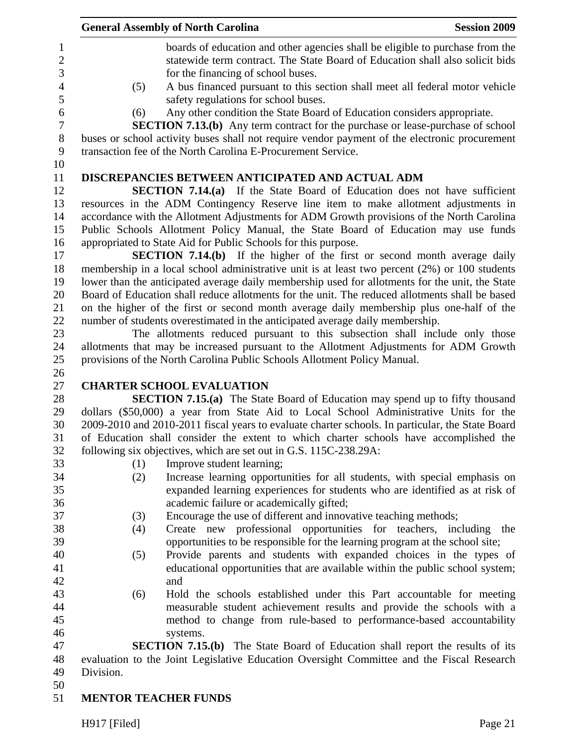|              | <b>General Assembly of North Carolina</b>                                                                                                                                                                 | <b>Session 2009</b> |
|--------------|-----------------------------------------------------------------------------------------------------------------------------------------------------------------------------------------------------------|---------------------|
|              | boards of education and other agencies shall be eligible to purchase from the<br>statewide term contract. The State Board of Education shall also solicit bids<br>for the financing of school buses.      |                     |
| (5)          | A bus financed pursuant to this section shall meet all federal motor vehicle                                                                                                                              |                     |
| (6)          | safety regulations for school buses.<br>Any other condition the State Board of Education considers appropriate.<br><b>SECTION 7.13.(b)</b> Any term contract for the purchase or lease-purchase of school |                     |
|              | buses or school activity buses shall not require vendor payment of the electronic procurement<br>transaction fee of the North Carolina E-Procurement Service.                                             |                     |
|              | DISCREPANCIES BETWEEN ANTICIPATED AND ACTUAL ADM                                                                                                                                                          |                     |
|              | <b>SECTION 7.14.(a)</b> If the State Board of Education does not have sufficient                                                                                                                          |                     |
|              | resources in the ADM Contingency Reserve line item to make allotment adjustments in                                                                                                                       |                     |
|              | accordance with the Allotment Adjustments for ADM Growth provisions of the North Carolina                                                                                                                 |                     |
|              | Public Schools Allotment Policy Manual, the State Board of Education may use funds                                                                                                                        |                     |
|              | appropriated to State Aid for Public Schools for this purpose.                                                                                                                                            |                     |
|              | <b>SECTION 7.14.(b)</b> If the higher of the first or second month average daily                                                                                                                          |                     |
|              | membership in a local school administrative unit is at least two percent (2%) or 100 students                                                                                                             |                     |
|              | lower than the anticipated average daily membership used for allotments for the unit, the State                                                                                                           |                     |
|              | Board of Education shall reduce allotments for the unit. The reduced allotments shall be based                                                                                                            |                     |
|              | on the higher of the first or second month average daily membership plus one-half of the                                                                                                                  |                     |
|              | number of students overestimated in the anticipated average daily membership.<br>The allotments reduced pursuant to this subsection shall include only those                                              |                     |
|              | allotments that may be increased pursuant to the Allotment Adjustments for ADM Growth                                                                                                                     |                     |
|              | provisions of the North Carolina Public Schools Allotment Policy Manual.                                                                                                                                  |                     |
|              |                                                                                                                                                                                                           |                     |
|              | <b>CHARTER SCHOOL EVALUATION</b>                                                                                                                                                                          |                     |
|              | <b>SECTION 7.15.(a)</b> The State Board of Education may spend up to fifty thousand                                                                                                                       |                     |
|              | dollars (\$50,000) a year from State Aid to Local School Administrative Units for the                                                                                                                     |                     |
|              | 2009-2010 and 2010-2011 fiscal years to evaluate charter schools. In particular, the State Board                                                                                                          |                     |
|              | of Education shall consider the extent to which charter schools have accomplished the                                                                                                                     |                     |
|              | following six objectives, which are set out in G.S. 115C-238.29A:                                                                                                                                         |                     |
| (1)          | Improve student learning;                                                                                                                                                                                 |                     |
| (2)          | Increase learning opportunities for all students, with special emphasis on                                                                                                                                |                     |
|              | expanded learning experiences for students who are identified as at risk of                                                                                                                               |                     |
|              | academic failure or academically gifted;                                                                                                                                                                  |                     |
| (3)          | Encourage the use of different and innovative teaching methods;                                                                                                                                           |                     |
| (4)          | Create new professional opportunities for teachers, including                                                                                                                                             | the                 |
|              | opportunities to be responsible for the learning program at the school site;                                                                                                                              |                     |
| (5)          | Provide parents and students with expanded choices in the types of                                                                                                                                        |                     |
|              | educational opportunities that are available within the public school system;                                                                                                                             |                     |
|              | and                                                                                                                                                                                                       |                     |
| (6)          | Hold the schools established under this Part accountable for meeting                                                                                                                                      |                     |
|              | measurable student achievement results and provide the schools with a                                                                                                                                     |                     |
|              | method to change from rule-based to performance-based accountability                                                                                                                                      |                     |
|              | systems.                                                                                                                                                                                                  |                     |
|              | <b>SECTION 7.15.(b)</b> The State Board of Education shall report the results of its                                                                                                                      |                     |
|              | evaluation to the Joint Legislative Education Oversight Committee and the Fiscal Research                                                                                                                 |                     |
| Division.    |                                                                                                                                                                                                           |                     |
|              | <b>MENTOR TEACHER FUNDS</b>                                                                                                                                                                               |                     |
|              |                                                                                                                                                                                                           |                     |
| H917 [Filed] |                                                                                                                                                                                                           | Page 21             |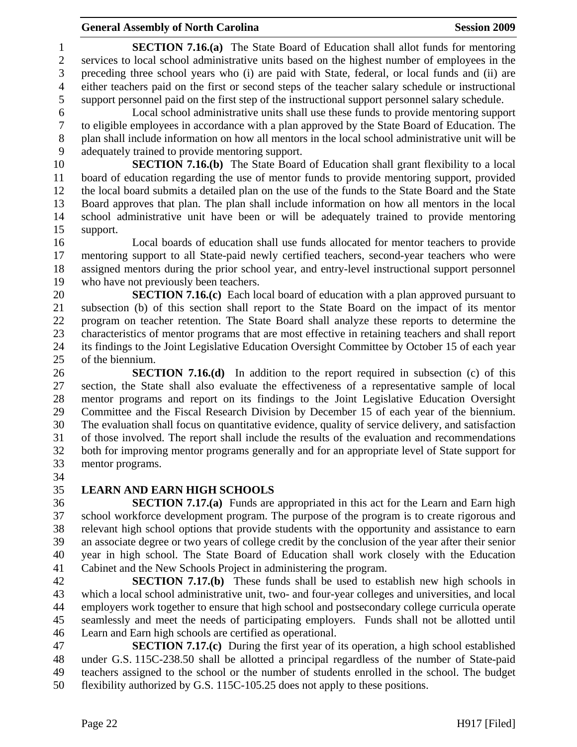1 **SECTION 7.16.(a)** The State Board of Education shall allot funds for mentoring 2 services to local school administrative units based on the highest number of employees in the 3 preceding three school years who (i) are paid with State, federal, or local funds and (ii) are 4 either teachers paid on the first or second steps of the teacher salary schedule or instructional 5 support personnel paid on the first step of the instructional support personnel salary schedule.

6 Local school administrative units shall use these funds to provide mentoring support 7 to eligible employees in accordance with a plan approved by the State Board of Education. The 8 plan shall include information on how all mentors in the local school administrative unit will be 9 adequately trained to provide mentoring support.

10 **SECTION 7.16.(b)** The State Board of Education shall grant flexibility to a local 11 board of education regarding the use of mentor funds to provide mentoring support, provided 12 the local board submits a detailed plan on the use of the funds to the State Board and the State 13 Board approves that plan. The plan shall include information on how all mentors in the local 14 school administrative unit have been or will be adequately trained to provide mentoring 15 support.

16 Local boards of education shall use funds allocated for mentor teachers to provide 17 mentoring support to all State-paid newly certified teachers, second-year teachers who were 18 assigned mentors during the prior school year, and entry-level instructional support personnel 19 who have not previously been teachers.

20 **SECTION 7.16.(c)** Each local board of education with a plan approved pursuant to 21 subsection (b) of this section shall report to the State Board on the impact of its mentor 22 program on teacher retention. The State Board shall analyze these reports to determine the 23 characteristics of mentor programs that are most effective in retaining teachers and shall report 24 its findings to the Joint Legislative Education Oversight Committee by October 15 of each year 25 of the biennium.

26 **SECTION 7.16.(d)** In addition to the report required in subsection (c) of this 27 section, the State shall also evaluate the effectiveness of a representative sample of local 28 mentor programs and report on its findings to the Joint Legislative Education Oversight 29 Committee and the Fiscal Research Division by December 15 of each year of the biennium. 30 The evaluation shall focus on quantitative evidence, quality of service delivery, and satisfaction 31 of those involved. The report shall include the results of the evaluation and recommendations 32 both for improving mentor programs generally and for an appropriate level of State support for 33 mentor programs.

34

# 35 **LEARN AND EARN HIGH SCHOOLS**

36 **SECTION 7.17.(a)** Funds are appropriated in this act for the Learn and Earn high 37 school workforce development program. The purpose of the program is to create rigorous and 38 relevant high school options that provide students with the opportunity and assistance to earn 39 an associate degree or two years of college credit by the conclusion of the year after their senior 40 year in high school. The State Board of Education shall work closely with the Education 41 Cabinet and the New Schools Project in administering the program.

42 **SECTION 7.17.(b)** These funds shall be used to establish new high schools in 43 which a local school administrative unit, two- and four-year colleges and universities, and local 44 employers work together to ensure that high school and postsecondary college curricula operate 45 seamlessly and meet the needs of participating employers. Funds shall not be allotted until 46 Learn and Earn high schools are certified as operational.

47 **SECTION 7.17.(c)** During the first year of its operation, a high school established 48 under G.S. 115C-238.50 shall be allotted a principal regardless of the number of State-paid 49 teachers assigned to the school or the number of students enrolled in the school. The budget 50 flexibility authorized by G.S. 115C-105.25 does not apply to these positions.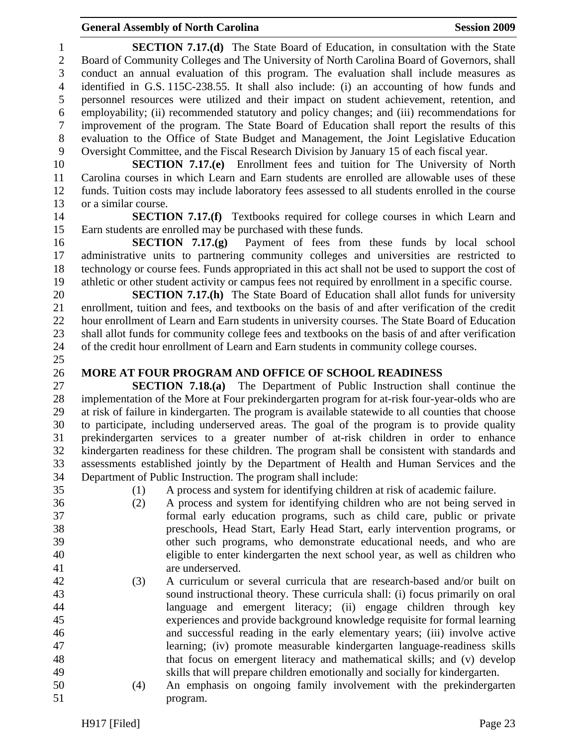1 **SECTION 7.17.(d)** The State Board of Education, in consultation with the State 2 Board of Community Colleges and The University of North Carolina Board of Governors, shall 3 conduct an annual evaluation of this program. The evaluation shall include measures as 4 identified in G.S. 115C-238.55. It shall also include: (i) an accounting of how funds and 5 personnel resources were utilized and their impact on student achievement, retention, and 6 employability; (ii) recommended statutory and policy changes; and (iii) recommendations for 7 improvement of the program. The State Board of Education shall report the results of this 8 evaluation to the Office of State Budget and Management, the Joint Legislative Education 9 Oversight Committee, and the Fiscal Research Division by January 15 of each fiscal year.

10 **SECTION 7.17.(e)** Enrollment fees and tuition for The University of North 11 Carolina courses in which Learn and Earn students are enrolled are allowable uses of these 12 funds. Tuition costs may include laboratory fees assessed to all students enrolled in the course 13 or a similar course.

14 **SECTION 7.17.(f)** Textbooks required for college courses in which Learn and 15 Earn students are enrolled may be purchased with these funds.

16 **SECTION 7.17.(g)** Payment of fees from these funds by local school 17 administrative units to partnering community colleges and universities are restricted to 18 technology or course fees. Funds appropriated in this act shall not be used to support the cost of 19 athletic or other student activity or campus fees not required by enrollment in a specific course.

20 **SECTION 7.17.(h)** The State Board of Education shall allot funds for university 21 enrollment, tuition and fees, and textbooks on the basis of and after verification of the credit 22 hour enrollment of Learn and Earn students in university courses. The State Board of Education 23 shall allot funds for community college fees and textbooks on the basis of and after verification 24 of the credit hour enrollment of Learn and Earn students in community college courses.

25

#### 26 **MORE AT FOUR PROGRAM AND OFFICE OF SCHOOL READINESS**

27 **SECTION 7.18.(a)** The Department of Public Instruction shall continue the 28 implementation of the More at Four prekindergarten program for at-risk four-year-olds who are 29 at risk of failure in kindergarten. The program is available statewide to all counties that choose 30 to participate, including underserved areas. The goal of the program is to provide quality 31 prekindergarten services to a greater number of at-risk children in order to enhance 32 kindergarten readiness for these children. The program shall be consistent with standards and 33 assessments established jointly by the Department of Health and Human Services and the 34 Department of Public Instruction. The program shall include:

35 (1) A process and system for identifying children at risk of academic failure.

- 36 (2) A process and system for identifying children who are not being served in 37 formal early education programs, such as child care, public or private 38 preschools, Head Start, Early Head Start, early intervention programs, or 39 other such programs, who demonstrate educational needs, and who are 40 eligible to enter kindergarten the next school year, as well as children who 41 are underserved.
- 42 (3) A curriculum or several curricula that are research-based and/or built on 43 sound instructional theory. These curricula shall: (i) focus primarily on oral 44 language and emergent literacy; (ii) engage children through key 45 experiences and provide background knowledge requisite for formal learning 46 and successful reading in the early elementary years; (iii) involve active 47 learning; (iv) promote measurable kindergarten language-readiness skills 48 that focus on emergent literacy and mathematical skills; and (v) develop 49 skills that will prepare children emotionally and socially for kindergarten.
- 50 (4) An emphasis on ongoing family involvement with the prekindergarten 51 program.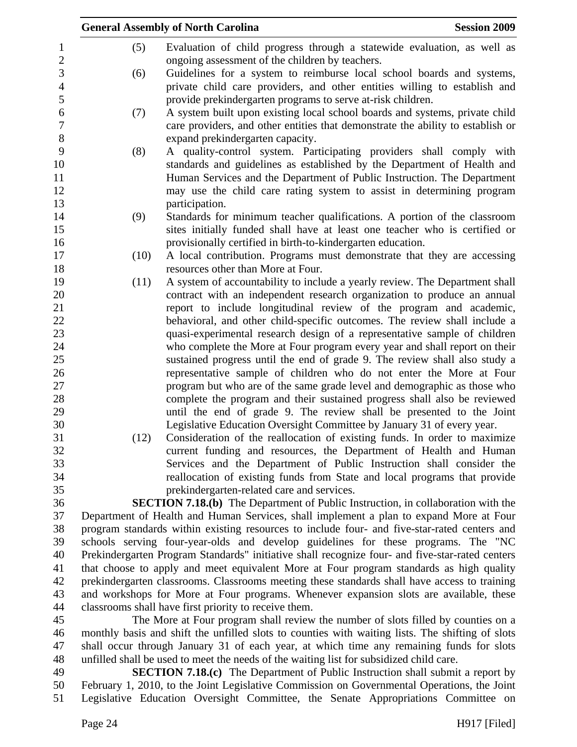|                           |      | <b>General Assembly of North Carolina</b>                                                                                  | <b>Session 2009</b> |
|---------------------------|------|----------------------------------------------------------------------------------------------------------------------------|---------------------|
| 1<br>$\overline{2}$       | (5)  | Evaluation of child progress through a statewide evaluation, as well as<br>ongoing assessment of the children by teachers. |                     |
| 3                         | (6)  | Guidelines for a system to reimburse local school boards and systems,                                                      |                     |
| $\overline{4}$            |      | private child care providers, and other entities willing to establish and                                                  |                     |
| 5                         |      | provide prekindergarten programs to serve at-risk children.                                                                |                     |
| 6                         | (7)  | A system built upon existing local school boards and systems, private child                                                |                     |
| $\boldsymbol{7}$<br>$8\,$ |      | care providers, and other entities that demonstrate the ability to establish or                                            |                     |
| 9                         |      | expand prekindergarten capacity.                                                                                           |                     |
|                           | (8)  | A quality-control system. Participating providers shall comply with                                                        |                     |
| 10                        |      | standards and guidelines as established by the Department of Health and                                                    |                     |
| 11<br>12                  |      | Human Services and the Department of Public Instruction. The Department                                                    |                     |
| 13                        |      | may use the child care rating system to assist in determining program<br>participation.                                    |                     |
| 14                        | (9)  | Standards for minimum teacher qualifications. A portion of the classroom                                                   |                     |
| 15                        |      | sites initially funded shall have at least one teacher who is certified or                                                 |                     |
| 16                        |      | provisionally certified in birth-to-kindergarten education.                                                                |                     |
| 17                        | (10) | A local contribution. Programs must demonstrate that they are accessing                                                    |                     |
| 18                        |      | resources other than More at Four.                                                                                         |                     |
| 19                        | (11) | A system of accountability to include a yearly review. The Department shall                                                |                     |
| 20                        |      | contract with an independent research organization to produce an annual                                                    |                     |
| 21                        |      | report to include longitudinal review of the program and academic,                                                         |                     |
| 22                        |      | behavioral, and other child-specific outcomes. The review shall include a                                                  |                     |
| 23                        |      | quasi-experimental research design of a representative sample of children                                                  |                     |
| 24                        |      | who complete the More at Four program every year and shall report on their                                                 |                     |
| 25                        |      | sustained progress until the end of grade 9. The review shall also study a                                                 |                     |
| 26                        |      | representative sample of children who do not enter the More at Four                                                        |                     |
| 27                        |      | program but who are of the same grade level and demographic as those who                                                   |                     |
| 28                        |      | complete the program and their sustained progress shall also be reviewed                                                   |                     |
| 29                        |      | until the end of grade 9. The review shall be presented to the Joint                                                       |                     |
| 30                        |      | Legislative Education Oversight Committee by January 31 of every year.                                                     |                     |
| 31                        | (12) | Consideration of the reallocation of existing funds. In order to maximize                                                  |                     |
| 32                        |      | current funding and resources, the Department of Health and Human                                                          |                     |
| 33                        |      | Services and the Department of Public Instruction shall consider the                                                       |                     |
| 34                        |      | reallocation of existing funds from State and local programs that provide                                                  |                     |
| 35                        |      | prekindergarten-related care and services.                                                                                 |                     |
| 36                        |      | <b>SECTION 7.18.(b)</b> The Department of Public Instruction, in collaboration with the                                    |                     |
| 37                        |      | Department of Health and Human Services, shall implement a plan to expand More at Four                                     |                     |
| 38                        |      | program standards within existing resources to include four- and five-star-rated centers and                               |                     |
| 39                        |      | schools serving four-year-olds and develop guidelines for these programs. The "NC                                          |                     |
| 40                        |      | Prekindergarten Program Standards" initiative shall recognize four- and five-star-rated centers                            |                     |

41 that choose to apply and meet equivalent More at Four program standards as high quality 42 prekindergarten classrooms. Classrooms meeting these standards shall have access to training 43 and workshops for More at Four programs. Whenever expansion slots are available, these 44 classrooms shall have first priority to receive them.

45 The More at Four program shall review the number of slots filled by counties on a 46 monthly basis and shift the unfilled slots to counties with waiting lists. The shifting of slots 47 shall occur through January 31 of each year, at which time any remaining funds for slots 48 unfilled shall be used to meet the needs of the waiting list for subsidized child care.

49 **SECTION 7.18.(c)** The Department of Public Instruction shall submit a report by 50 February 1, 2010, to the Joint Legislative Commission on Governmental Operations, the Joint 51 Legislative Education Oversight Committee, the Senate Appropriations Committee on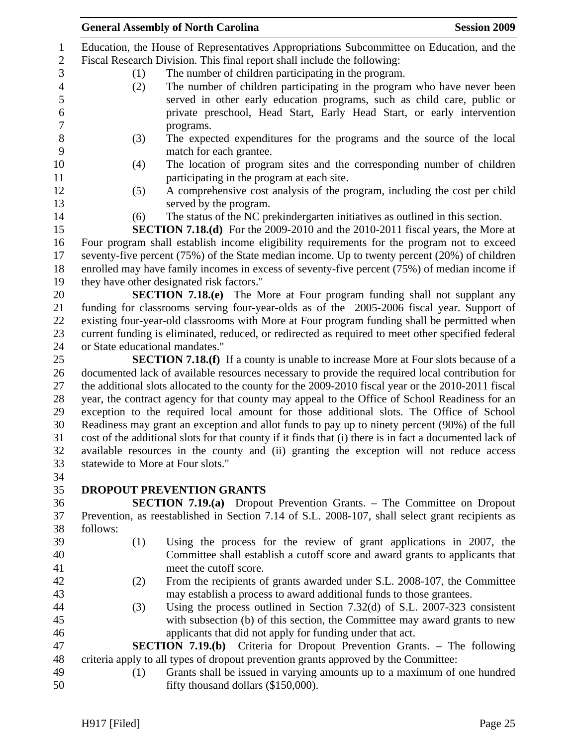|          |     | <b>General Assembly of North Carolina</b>                                                                                                                                                           | <b>Session 2009</b> |
|----------|-----|-----------------------------------------------------------------------------------------------------------------------------------------------------------------------------------------------------|---------------------|
|          |     | Education, the House of Representatives Appropriations Subcommittee on Education, and the                                                                                                           |                     |
|          |     | Fiscal Research Division. This final report shall include the following:                                                                                                                            |                     |
|          | (1) | The number of children participating in the program.                                                                                                                                                |                     |
|          | (2) | The number of children participating in the program who have never been                                                                                                                             |                     |
|          |     | served in other early education programs, such as child care, public or                                                                                                                             |                     |
|          |     | private preschool, Head Start, Early Head Start, or early intervention                                                                                                                              |                     |
|          |     | programs.                                                                                                                                                                                           |                     |
|          | (3) | The expected expenditures for the programs and the source of the local                                                                                                                              |                     |
|          |     | match for each grantee.                                                                                                                                                                             |                     |
|          | (4) | The location of program sites and the corresponding number of children<br>participating in the program at each site.                                                                                |                     |
|          | (5) | A comprehensive cost analysis of the program, including the cost per child                                                                                                                          |                     |
|          |     | served by the program.                                                                                                                                                                              |                     |
|          | (6) | The status of the NC prekindergarten initiatives as outlined in this section.                                                                                                                       |                     |
|          |     | SECTION 7.18.(d) For the 2009-2010 and the 2010-2011 fiscal years, the More at                                                                                                                      |                     |
|          |     | Four program shall establish income eligibility requirements for the program not to exceed                                                                                                          |                     |
|          |     | seventy-five percent $(75%)$ of the State median income. Up to twenty percent $(20%)$ of children                                                                                                   |                     |
|          |     | enrolled may have family incomes in excess of seventy-five percent (75%) of median income if                                                                                                        |                     |
|          |     | they have other designated risk factors."                                                                                                                                                           |                     |
|          |     | <b>SECTION 7.18.(e)</b> The More at Four program funding shall not supplant any                                                                                                                     |                     |
|          |     | funding for classrooms serving four-year-olds as of the 2005-2006 fiscal year. Support of                                                                                                           |                     |
|          |     | existing four-year-old classrooms with More at Four program funding shall be permitted when                                                                                                         |                     |
|          |     | current funding is eliminated, reduced, or redirected as required to meet other specified federal                                                                                                   |                     |
|          |     | or State educational mandates."                                                                                                                                                                     |                     |
|          |     | <b>SECTION 7.18.(f)</b> If a county is unable to increase More at Four slots because of a                                                                                                           |                     |
|          |     | documented lack of available resources necessary to provide the required local contribution for                                                                                                     |                     |
|          |     | the additional slots allocated to the county for the 2009-2010 fiscal year or the 2010-2011 fiscal<br>year, the contract agency for that county may appeal to the Office of School Readiness for an |                     |
|          |     | exception to the required local amount for those additional slots. The Office of School                                                                                                             |                     |
|          |     | Readiness may grant an exception and allot funds to pay up to ninety percent (90%) of the full                                                                                                      |                     |
|          |     | cost of the additional slots for that county if it finds that (i) there is in fact a documented lack of                                                                                             |                     |
|          |     |                                                                                                                                                                                                     |                     |
|          |     | available resources in the county and (ii) granting the exception will not reduce access<br>statewide to More at Four slots."                                                                       |                     |
|          |     |                                                                                                                                                                                                     |                     |
|          |     | <b>DROPOUT PREVENTION GRANTS</b>                                                                                                                                                                    |                     |
|          |     | <b>SECTION 7.19.(a)</b> Dropout Prevention Grants. – The Committee on Dropout                                                                                                                       |                     |
|          |     | Prevention, as reestablished in Section 7.14 of S.L. 2008-107, shall select grant recipients as                                                                                                     |                     |
| follows: |     |                                                                                                                                                                                                     |                     |
|          |     |                                                                                                                                                                                                     |                     |
|          | (1) | Using the process for the review of grant applications in 2007, the                                                                                                                                 |                     |
|          |     | Committee shall establish a cutoff score and award grants to applicants that                                                                                                                        |                     |
|          |     | meet the cutoff score.                                                                                                                                                                              |                     |
|          | (2) | From the recipients of grants awarded under S.L. 2008-107, the Committee                                                                                                                            |                     |
|          |     | may establish a process to award additional funds to those grantees.                                                                                                                                |                     |
|          | (3) | Using the process outlined in Section $7.32(d)$ of S.L. 2007-323 consistent                                                                                                                         |                     |
|          |     | with subsection (b) of this section, the Committee may award grants to new                                                                                                                          |                     |
|          |     | applicants that did not apply for funding under that act.                                                                                                                                           |                     |
|          |     | <b>SECTION 7.19.(b)</b> Criteria for Dropout Prevention Grants. – The following                                                                                                                     |                     |
|          |     | criteria apply to all types of dropout prevention grants approved by the Committee:                                                                                                                 |                     |
|          | (1) | Grants shall be issued in varying amounts up to a maximum of one hundred                                                                                                                            |                     |
|          |     | fifty thousand dollars (\$150,000).                                                                                                                                                                 |                     |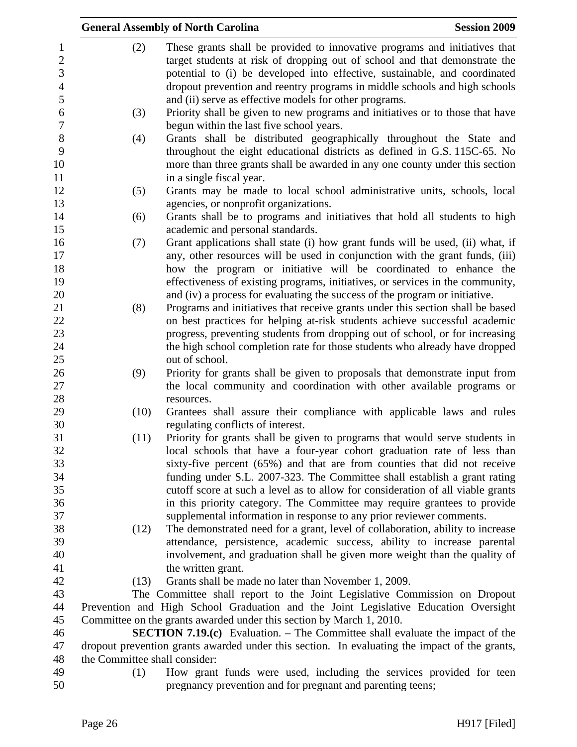|                  |                               | <b>General Assembly of North Carolina</b>                                                                                                                    | <b>Session 2009</b> |
|------------------|-------------------------------|--------------------------------------------------------------------------------------------------------------------------------------------------------------|---------------------|
| $\mathbf{1}$     | (2)                           | These grants shall be provided to innovative programs and initiatives that                                                                                   |                     |
| $\overline{2}$   |                               | target students at risk of dropping out of school and that demonstrate the                                                                                   |                     |
| 3                |                               | potential to (i) be developed into effective, sustainable, and coordinated                                                                                   |                     |
| $\overline{4}$   |                               | dropout prevention and reentry programs in middle schools and high schools                                                                                   |                     |
| 5                |                               | and (ii) serve as effective models for other programs.                                                                                                       |                     |
| $\boldsymbol{6}$ | (3)                           | Priority shall be given to new programs and initiatives or to those that have                                                                                |                     |
| $\overline{7}$   |                               | begun within the last five school years.                                                                                                                     |                     |
| $8\,$            | (4)                           | Grants shall be distributed geographically throughout the State and                                                                                          |                     |
| 9                |                               | throughout the eight educational districts as defined in G.S. 115C-65. No                                                                                    |                     |
| 10               |                               | more than three grants shall be awarded in any one county under this section                                                                                 |                     |
| 11               |                               | in a single fiscal year.                                                                                                                                     |                     |
| 12               | (5)                           | Grants may be made to local school administrative units, schools, local                                                                                      |                     |
| 13               |                               | agencies, or nonprofit organizations.                                                                                                                        |                     |
| 14               | (6)                           | Grants shall be to programs and initiatives that hold all students to high                                                                                   |                     |
| 15               |                               | academic and personal standards.                                                                                                                             |                     |
| 16               | (7)                           | Grant applications shall state (i) how grant funds will be used, (ii) what, if                                                                               |                     |
| 17               |                               | any, other resources will be used in conjunction with the grant funds, (iii)                                                                                 |                     |
| 18               |                               | how the program or initiative will be coordinated to enhance the                                                                                             |                     |
| 19               |                               | effectiveness of existing programs, initiatives, or services in the community,                                                                               |                     |
| 20               |                               | and (iv) a process for evaluating the success of the program or initiative.                                                                                  |                     |
| 21               | (8)                           | Programs and initiatives that receive grants under this section shall be based                                                                               |                     |
| 22               |                               | on best practices for helping at-risk students achieve successful academic                                                                                   |                     |
| 23               |                               | progress, preventing students from dropping out of school, or for increasing                                                                                 |                     |
| 24               |                               | the high school completion rate for those students who already have dropped                                                                                  |                     |
| 25               |                               | out of school.                                                                                                                                               |                     |
| 26               | (9)                           | Priority for grants shall be given to proposals that demonstrate input from                                                                                  |                     |
| 27               |                               | the local community and coordination with other available programs or                                                                                        |                     |
| 28               |                               | resources.                                                                                                                                                   |                     |
| 29               | (10)                          | Grantees shall assure their compliance with applicable laws and rules                                                                                        |                     |
| 30               |                               | regulating conflicts of interest.                                                                                                                            |                     |
| 31               | (11)                          | Priority for grants shall be given to programs that would serve students in                                                                                  |                     |
| 32               |                               | local schools that have a four-year cohort graduation rate of less than                                                                                      |                     |
| 33<br>34         |                               | sixty-five percent (65%) and that are from counties that did not receive                                                                                     |                     |
| 35               |                               | funding under S.L. 2007-323. The Committee shall establish a grant rating<br>cutoff score at such a level as to allow for consideration of all viable grants |                     |
| 36               |                               | in this priority category. The Committee may require grantees to provide                                                                                     |                     |
| 37               |                               | supplemental information in response to any prior reviewer comments.                                                                                         |                     |
| 38               | (12)                          | The demonstrated need for a grant, level of collaboration, ability to increase                                                                               |                     |
| 39               |                               | attendance, persistence, academic success, ability to increase parental                                                                                      |                     |
| 40               |                               | involvement, and graduation shall be given more weight than the quality of                                                                                   |                     |
| 41               |                               | the written grant.                                                                                                                                           |                     |
| 42               | (13)                          | Grants shall be made no later than November 1, 2009.                                                                                                         |                     |
| 43               |                               | The Committee shall report to the Joint Legislative Commission on Dropout                                                                                    |                     |
| 44               |                               | Prevention and High School Graduation and the Joint Legislative Education Oversight                                                                          |                     |
| 45               |                               | Committee on the grants awarded under this section by March 1, 2010.                                                                                         |                     |
| 46               |                               | <b>SECTION 7.19.(c)</b> Evaluation. – The Committee shall evaluate the impact of the                                                                         |                     |
| 47               |                               | dropout prevention grants awarded under this section. In evaluating the impact of the grants,                                                                |                     |
| 48               | the Committee shall consider: |                                                                                                                                                              |                     |
| 49               | (1)                           | How grant funds were used, including the services provided for teen                                                                                          |                     |
| 50               |                               | pregnancy prevention and for pregnant and parenting teens;                                                                                                   |                     |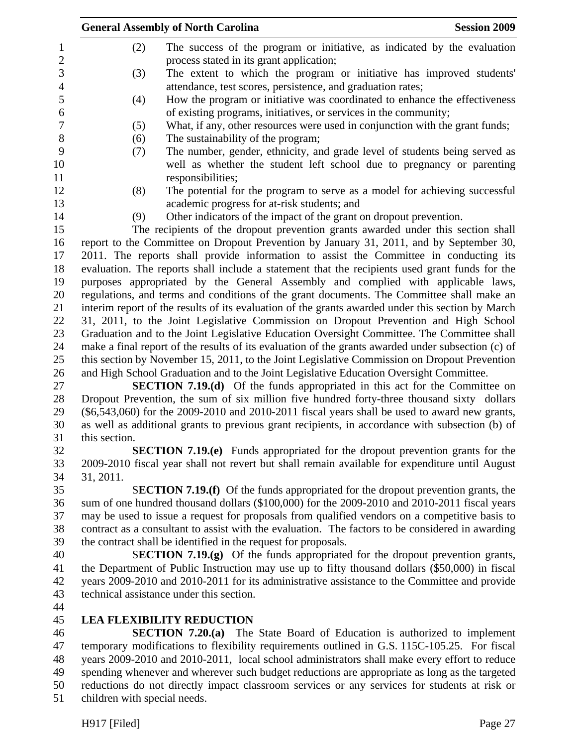|                          |                                                                                                                                                                                                    | <b>General Assembly of North Carolina</b>                                                          | <b>Session 2009</b> |
|--------------------------|----------------------------------------------------------------------------------------------------------------------------------------------------------------------------------------------------|----------------------------------------------------------------------------------------------------|---------------------|
| $\mathbf 1$              | (2)                                                                                                                                                                                                | The success of the program or initiative, as indicated by the evaluation                           |                     |
| $\overline{2}$           |                                                                                                                                                                                                    | process stated in its grant application;                                                           |                     |
| 3                        | (3)                                                                                                                                                                                                | The extent to which the program or initiative has improved students'                               |                     |
| $\overline{\mathcal{A}}$ |                                                                                                                                                                                                    | attendance, test scores, persistence, and graduation rates;                                        |                     |
| 5                        | (4)                                                                                                                                                                                                | How the program or initiative was coordinated to enhance the effectiveness                         |                     |
| 6                        |                                                                                                                                                                                                    | of existing programs, initiatives, or services in the community;                                   |                     |
| 7<br>$8\,$               | (5)                                                                                                                                                                                                | What, if any, other resources were used in conjunction with the grant funds;                       |                     |
|                          | (6)                                                                                                                                                                                                | The sustainability of the program;                                                                 |                     |
|                          | (7)                                                                                                                                                                                                | The number, gender, ethnicity, and grade level of students being served as                         |                     |
|                          |                                                                                                                                                                                                    | well as whether the student left school due to pregnancy or parenting                              |                     |
|                          |                                                                                                                                                                                                    | responsibilities;                                                                                  |                     |
|                          | (8)                                                                                                                                                                                                | The potential for the program to serve as a model for achieving successful                         |                     |
|                          |                                                                                                                                                                                                    | academic progress for at-risk students; and                                                        |                     |
|                          | (9)                                                                                                                                                                                                | Other indicators of the impact of the grant on dropout prevention.                                 |                     |
|                          |                                                                                                                                                                                                    | The recipients of the dropout prevention grants awarded under this section shall                   |                     |
|                          |                                                                                                                                                                                                    | report to the Committee on Dropout Prevention by January 31, 2011, and by September 30,            |                     |
|                          |                                                                                                                                                                                                    | 2011. The reports shall provide information to assist the Committee in conducting its              |                     |
|                          |                                                                                                                                                                                                    | evaluation. The reports shall include a statement that the recipients used grant funds for the     |                     |
|                          |                                                                                                                                                                                                    | purposes appropriated by the General Assembly and complied with applicable laws,                   |                     |
|                          |                                                                                                                                                                                                    | regulations, and terms and conditions of the grant documents. The Committee shall make an          |                     |
|                          |                                                                                                                                                                                                    | interim report of the results of its evaluation of the grants awarded under this section by March  |                     |
|                          |                                                                                                                                                                                                    | 31, 2011, to the Joint Legislative Commission on Dropout Prevention and High School                |                     |
|                          |                                                                                                                                                                                                    | Graduation and to the Joint Legislative Education Oversight Committee. The Committee shall         |                     |
|                          |                                                                                                                                                                                                    | make a final report of the results of its evaluation of the grants awarded under subsection (c) of |                     |
|                          | this section by November 15, 2011, to the Joint Legislative Commission on Dropout Prevention<br>and High School Graduation and to the Joint Legislative Education Oversight Committee.             |                                                                                                    |                     |
|                          |                                                                                                                                                                                                    |                                                                                                    |                     |
|                          | <b>SECTION 7.19.(d)</b> Of the funds appropriated in this act for the Committee on                                                                                                                 |                                                                                                    |                     |
|                          | Dropout Prevention, the sum of six million five hundred forty-three thousand sixty dollars                                                                                                         |                                                                                                    |                     |
|                          | $(\$6,543,060)$ for the 2009-2010 and 2010-2011 fiscal years shall be used to award new grants,<br>as well as additional grants to previous grant recipients, in accordance with subsection (b) of |                                                                                                    |                     |
|                          | this section.                                                                                                                                                                                      |                                                                                                    |                     |
|                          |                                                                                                                                                                                                    | <b>SECTION 7.19.(e)</b> Funds appropriated for the dropout prevention grants for the               |                     |
|                          |                                                                                                                                                                                                    | 2009-2010 fiscal year shall not revert but shall remain available for expenditure until August     |                     |
|                          | 31, 2011.                                                                                                                                                                                          |                                                                                                    |                     |
|                          |                                                                                                                                                                                                    | <b>SECTION 7.19.(f)</b> Of the funds appropriated for the dropout prevention grants, the           |                     |
|                          |                                                                                                                                                                                                    | sum of one hundred thousand dollars (\$100,000) for the 2009-2010 and 2010-2011 fiscal years       |                     |
|                          |                                                                                                                                                                                                    | may be used to issue a request for proposals from qualified vendors on a competitive basis to      |                     |
|                          |                                                                                                                                                                                                    | contract as a consultant to assist with the evaluation. The factors to be considered in awarding   |                     |
|                          |                                                                                                                                                                                                    | the contract shall be identified in the request for proposals.                                     |                     |
|                          |                                                                                                                                                                                                    | <b>SECTION 7.19.(g)</b> Of the funds appropriated for the dropout prevention grants,               |                     |
|                          |                                                                                                                                                                                                    | the Department of Public Instruction may use up to fifty thousand dollars (\$50,000) in fiscal     |                     |
|                          |                                                                                                                                                                                                    | years 2009-2010 and 2010-2011 for its administrative assistance to the Committee and provide       |                     |
|                          |                                                                                                                                                                                                    | technical assistance under this section.                                                           |                     |
|                          |                                                                                                                                                                                                    |                                                                                                    |                     |
|                          |                                                                                                                                                                                                    | <b>LEA FLEXIBILITY REDUCTION</b>                                                                   |                     |
|                          |                                                                                                                                                                                                    | <b>SECTION 7.20.(a)</b> The State Board of Education is authorized to implement                    |                     |
|                          |                                                                                                                                                                                                    | temporary modifications to flexibility requirements outlined in G.S. 115C-105.25. For fiscal       |                     |

48 years 2009-2010 and 2010-2011, local school administrators shall make every effort to reduce<br>49 spending whenever and wherever such budget reductions are appropriate as long as the targeted spending whenever and wherever such budget reductions are appropriate as long as the targeted 50 reductions do not directly impact classroom services or any services for students at risk or 51 children with special needs.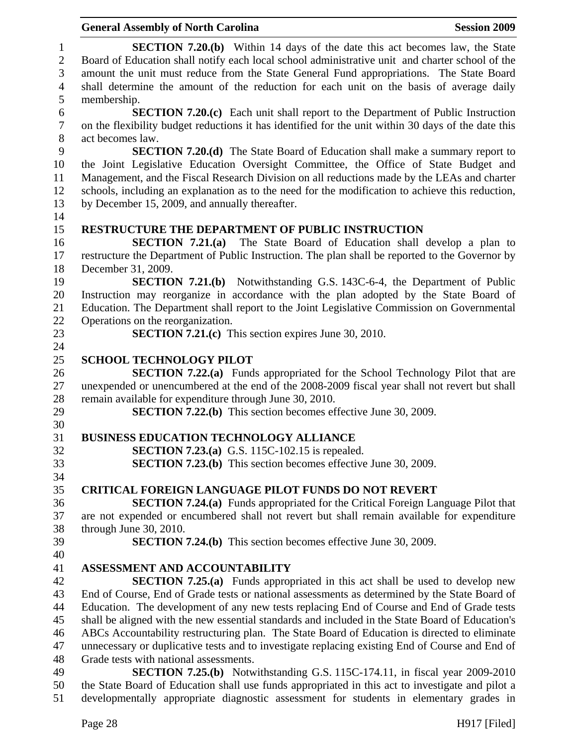|                              | <b>Session 2009</b><br><b>General Assembly of North Carolina</b>                                                                                                                      |
|------------------------------|---------------------------------------------------------------------------------------------------------------------------------------------------------------------------------------|
| $\mathbf{1}$<br>$\mathbf{2}$ | <b>SECTION 7.20.(b)</b> Within 14 days of the date this act becomes law, the State<br>Board of Education shall notify each local school administrative unit and charter school of the |
| 3                            | amount the unit must reduce from the State General Fund appropriations. The State Board                                                                                               |
| $\overline{4}$               | shall determine the amount of the reduction for each unit on the basis of average daily                                                                                               |
| 5                            | membership.                                                                                                                                                                           |
| 6                            | <b>SECTION 7.20.(c)</b> Each unit shall report to the Department of Public Instruction                                                                                                |
| $\boldsymbol{7}$<br>$8\,$    | on the flexibility budget reductions it has identified for the unit within 30 days of the date this<br>act becomes law.                                                               |
| 9                            | <b>SECTION 7.20.(d)</b> The State Board of Education shall make a summary report to                                                                                                   |
| 10                           | the Joint Legislative Education Oversight Committee, the Office of State Budget and                                                                                                   |
| 11                           | Management, and the Fiscal Research Division on all reductions made by the LEAs and charter                                                                                           |
| 12                           | schools, including an explanation as to the need for the modification to achieve this reduction,                                                                                      |
| 13                           |                                                                                                                                                                                       |
| 14                           | by December 15, 2009, and annually thereafter.                                                                                                                                        |
| 15                           | <b>RESTRUCTURE THE DEPARTMENT OF PUBLIC INSTRUCTION</b>                                                                                                                               |
| 16                           | SECTION $7.21(a)$<br>The State Board of Education shall develop a plan to                                                                                                             |
| 17                           | restructure the Department of Public Instruction. The plan shall be reported to the Governor by                                                                                       |
| 18                           | December 31, 2009.                                                                                                                                                                    |
| 19                           | <b>SECTION 7.21.(b)</b> Notwithstanding G.S. 143C-6-4, the Department of Public                                                                                                       |
| 20                           | Instruction may reorganize in accordance with the plan adopted by the State Board of                                                                                                  |
| 21                           | Education. The Department shall report to the Joint Legislative Commission on Governmental                                                                                            |
| 22                           | Operations on the reorganization.                                                                                                                                                     |
| 23                           | <b>SECTION 7.21.(c)</b> This section expires June 30, 2010.                                                                                                                           |
| 24                           |                                                                                                                                                                                       |
| 25                           | <b>SCHOOL TECHNOLOGY PILOT</b>                                                                                                                                                        |
| 26                           | <b>SECTION 7.22.(a)</b> Funds appropriated for the School Technology Pilot that are                                                                                                   |
| 27                           | unexpended or unencumbered at the end of the 2008-2009 fiscal year shall not revert but shall                                                                                         |
| 28                           | remain available for expenditure through June 30, 2010.                                                                                                                               |
| 29                           | <b>SECTION 7.22.(b)</b> This section becomes effective June 30, 2009.                                                                                                                 |
| 30                           |                                                                                                                                                                                       |
| 31                           | <b>BUSINESS EDUCATION TECHNOLOGY ALLIANCE</b>                                                                                                                                         |
| 32                           | <b>SECTION 7.23.(a)</b> G.S. 115C-102.15 is repealed.                                                                                                                                 |
| 33                           | <b>SECTION 7.23.(b)</b> This section becomes effective June 30, 2009.                                                                                                                 |
| 34                           |                                                                                                                                                                                       |
| 35                           | <b>CRITICAL FOREIGN LANGUAGE PILOT FUNDS DO NOT REVERT</b>                                                                                                                            |
| 36                           | <b>SECTION 7.24.(a)</b> Funds appropriated for the Critical Foreign Language Pilot that                                                                                               |
| 37                           | are not expended or encumbered shall not revert but shall remain available for expenditure                                                                                            |
| 38                           | through June 30, 2010.                                                                                                                                                                |
| 39                           | <b>SECTION 7.24.(b)</b> This section becomes effective June 30, 2009.                                                                                                                 |
| 40                           |                                                                                                                                                                                       |
| 41                           | ASSESSMENT AND ACCOUNTABILITY                                                                                                                                                         |
| 42                           | <b>SECTION 7.25.(a)</b> Funds appropriated in this act shall be used to develop new                                                                                                   |
| 43                           | End of Course, End of Grade tests or national assessments as determined by the State Board of                                                                                         |
| 44                           | Education. The development of any new tests replacing End of Course and End of Grade tests                                                                                            |
| 45                           | shall be aligned with the new essential standards and included in the State Board of Education's                                                                                      |
| 46                           | ABCs Accountability restructuring plan. The State Board of Education is directed to eliminate                                                                                         |
| 47                           | unnecessary or duplicative tests and to investigate replacing existing End of Course and End of                                                                                       |
| 48                           | Grade tests with national assessments.                                                                                                                                                |
| 49                           | <b>SECTION 7.25.(b)</b> Notwithstanding G.S. 115C-174.11, in fiscal year 2009-2010                                                                                                    |
| 50                           | the State Board of Education shall use funds appropriated in this act to investigate and pilot a                                                                                      |
| 51                           | developmentally appropriate diagnostic assessment for students in elementary grades in                                                                                                |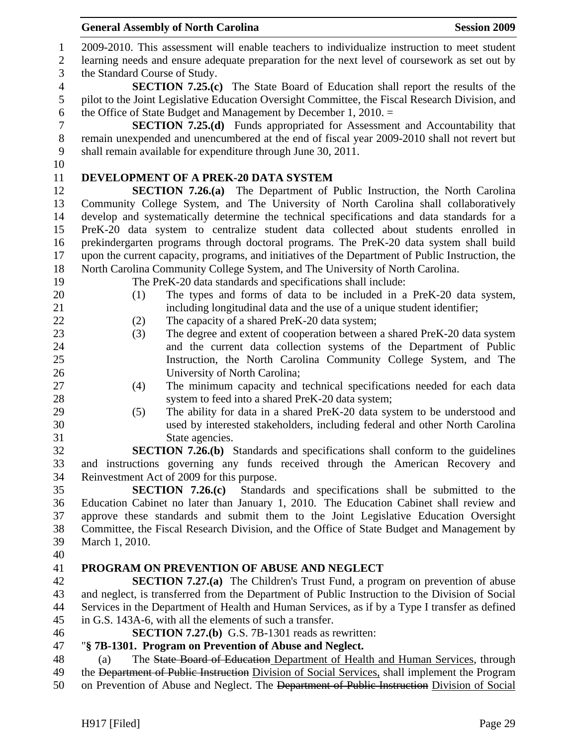|                | <b>General Assembly of North Carolina</b><br><b>Session 2009</b>                                                                                                |
|----------------|-----------------------------------------------------------------------------------------------------------------------------------------------------------------|
| $\mathbf{1}$   | 2009-2010. This assessment will enable teachers to individualize instruction to meet student                                                                    |
| $\mathbf{2}$   | learning needs and ensure adequate preparation for the next level of coursework as set out by                                                                   |
| 3              | the Standard Course of Study.                                                                                                                                   |
| $\overline{4}$ | <b>SECTION 7.25.(c)</b> The State Board of Education shall report the results of the                                                                            |
| $\mathfrak{S}$ | pilot to the Joint Legislative Education Oversight Committee, the Fiscal Research Division, and                                                                 |
| 6              | the Office of State Budget and Management by December 1, 2010. $=$                                                                                              |
| $\overline{7}$ | <b>SECTION 7.25.(d)</b> Funds appropriated for Assessment and Accountability that                                                                               |
| $8\,$          | remain unexpended and unencumbered at the end of fiscal year 2009-2010 shall not revert but                                                                     |
| $\mathbf{9}$   | shall remain available for expenditure through June 30, 2011.                                                                                                   |
| 10             |                                                                                                                                                                 |
| 11             | DEVELOPMENT OF A PREK-20 DATA SYSTEM                                                                                                                            |
| 12             | <b>SECTION 7.26.(a)</b> The Department of Public Instruction, the North Carolina                                                                                |
| 13             | Community College System, and The University of North Carolina shall collaboratively                                                                            |
| 14             | develop and systematically determine the technical specifications and data standards for a                                                                      |
| 15             | PreK-20 data system to centralize student data collected about students enrolled in                                                                             |
| 16             | prekindergarten programs through doctoral programs. The PreK-20 data system shall build                                                                         |
| 17             | upon the current capacity, programs, and initiatives of the Department of Public Instruction, the                                                               |
| 18             | North Carolina Community College System, and The University of North Carolina.                                                                                  |
| 19             | The PreK-20 data standards and specifications shall include:                                                                                                    |
| 20             | The types and forms of data to be included in a PreK-20 data system,<br>(1)                                                                                     |
| 21             | including longitudinal data and the use of a unique student identifier;                                                                                         |
| 22             | (2)<br>The capacity of a shared PreK-20 data system;                                                                                                            |
| 23             | The degree and extent of cooperation between a shared PreK-20 data system<br>(3)                                                                                |
| 24             | and the current data collection systems of the Department of Public                                                                                             |
| 25             | Instruction, the North Carolina Community College System, and The                                                                                               |
| 26             | University of North Carolina;                                                                                                                                   |
| 27             | The minimum capacity and technical specifications needed for each data<br>(4)                                                                                   |
| 28             | system to feed into a shared PreK-20 data system;                                                                                                               |
| 29<br>30       | The ability for data in a shared PreK-20 data system to be understood and<br>(5)<br>used by interested stakeholders, including federal and other North Carolina |
| 31             | State agencies.                                                                                                                                                 |
| 32             | <b>SECTION 7.26.(b)</b> Standards and specifications shall conform to the guidelines                                                                            |
| 33             | and instructions governing any funds received through the American Recovery and                                                                                 |
| 34             | Reinvestment Act of 2009 for this purpose.                                                                                                                      |
| 35             | SECTION $7.26(c)$<br>Standards and specifications shall be submitted to the                                                                                     |
| 36             | Education Cabinet no later than January 1, 2010. The Education Cabinet shall review and                                                                         |
| 37             | approve these standards and submit them to the Joint Legislative Education Oversight                                                                            |
| 38             | Committee, the Fiscal Research Division, and the Office of State Budget and Management by                                                                       |
| 39             | March 1, 2010.                                                                                                                                                  |
| 40             |                                                                                                                                                                 |
| 41             | PROGRAM ON PREVENTION OF ABUSE AND NEGLECT                                                                                                                      |
| 42             | <b>SECTION 7.27.(a)</b> The Children's Trust Fund, a program on prevention of abuse                                                                             |
| 43             | and neglect, is transferred from the Department of Public Instruction to the Division of Social                                                                 |
| 44             | Services in the Department of Health and Human Services, as if by a Type I transfer as defined                                                                  |
| 45             | in G.S. 143A-6, with all the elements of such a transfer.                                                                                                       |
| 46             | <b>SECTION 7.27.(b)</b> G.S. 7B-1301 reads as rewritten:                                                                                                        |
| 47             | "§ 7B-1301. Program on Prevention of Abuse and Neglect.                                                                                                         |
| 48             | The State Board of Education Department of Health and Human Services, through<br>(a)                                                                            |
| 49             | the Department of Public Instruction Division of Social Services, shall implement the Program                                                                   |
| 50             | on Prevention of Abuse and Neglect. The Department of Public Instruction Division of Social                                                                     |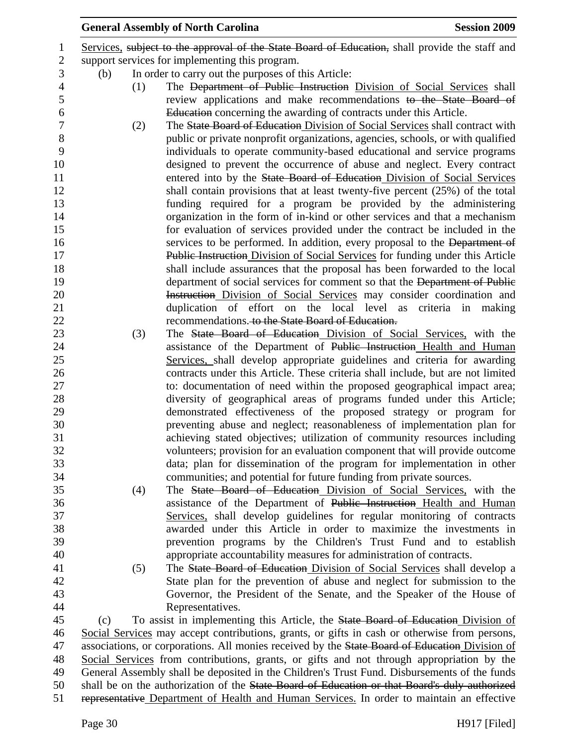|                |     |     | <b>General Assembly of North Carolina</b>                                                                                                     | <b>Session 2009</b> |
|----------------|-----|-----|-----------------------------------------------------------------------------------------------------------------------------------------------|---------------------|
| 1              |     |     | Services, subject to the approval of the State Board of Education, shall provide the staff and                                                |                     |
| $\mathbf{2}$   |     |     | support services for implementing this program.                                                                                               |                     |
| 3              | (b) |     | In order to carry out the purposes of this Article:                                                                                           |                     |
| $\overline{4}$ |     | (1) | The Department of Public Instruction Division of Social Services shall                                                                        |                     |
| $\mathfrak s$  |     |     | review applications and make recommendations to the State Board of                                                                            |                     |
| $\sqrt{6}$     |     |     | Education concerning the awarding of contracts under this Article.                                                                            |                     |
| $\tau$         |     | (2) | The State Board of Education Division of Social Services shall contract with                                                                  |                     |
| $8\,$          |     |     | public or private nonprofit organizations, agencies, schools, or with qualified                                                               |                     |
| 9              |     |     | individuals to operate community-based educational and service programs                                                                       |                     |
| 10             |     |     | designed to prevent the occurrence of abuse and neglect. Every contract                                                                       |                     |
| 11             |     |     | entered into by the State Board of Education Division of Social Services                                                                      |                     |
| 12             |     |     | shall contain provisions that at least twenty-five percent (25%) of the total                                                                 |                     |
| 13             |     |     | funding required for a program be provided by the administering                                                                               |                     |
| 14             |     |     | organization in the form of in-kind or other services and that a mechanism                                                                    |                     |
| 15             |     |     | for evaluation of services provided under the contract be included in the                                                                     |                     |
| 16             |     |     | services to be performed. In addition, every proposal to the Department of                                                                    |                     |
| 17             |     |     | Public Instruction Division of Social Services for funding under this Article                                                                 |                     |
| 18             |     |     | shall include assurances that the proposal has been forwarded to the local                                                                    |                     |
| 19             |     |     | department of social services for comment so that the Department of Public                                                                    |                     |
| 20             |     |     | Instruction Division of Social Services may consider coordination and                                                                         |                     |
| 21             |     |     | duplication of effort on the local level as criteria in making                                                                                |                     |
| 22             |     |     | recommendations. to the State Board of Education.                                                                                             |                     |
| 23             |     | (3) | The State Board of Education Division of Social Services, with the                                                                            |                     |
| 24             |     |     | assistance of the Department of Public Instruction Health and Human                                                                           |                     |
| 25             |     |     | Services, shall develop appropriate guidelines and criteria for awarding                                                                      |                     |
| 26             |     |     | contracts under this Article. These criteria shall include, but are not limited                                                               |                     |
| 27             |     |     | to: documentation of need within the proposed geographical impact area;                                                                       |                     |
| 28<br>29       |     |     | diversity of geographical areas of programs funded under this Article;                                                                        |                     |
| 30             |     |     | demonstrated effectiveness of the proposed strategy or program for<br>preventing abuse and neglect; reasonableness of implementation plan for |                     |
| 31             |     |     | achieving stated objectives; utilization of community resources including                                                                     |                     |
| 32             |     |     | volunteers; provision for an evaluation component that will provide outcome                                                                   |                     |
| 33             |     |     | data; plan for dissemination of the program for implementation in other                                                                       |                     |
| 34             |     |     | communities; and potential for future funding from private sources.                                                                           |                     |
| 35             |     | (4) | The State Board of Education Division of Social Services, with the                                                                            |                     |
| 36             |     |     | assistance of the Department of Public Instruction Health and Human                                                                           |                     |
| 37             |     |     | Services, shall develop guidelines for regular monitoring of contracts                                                                        |                     |
| 38             |     |     | awarded under this Article in order to maximize the investments in                                                                            |                     |
| 39             |     |     | prevention programs by the Children's Trust Fund and to establish                                                                             |                     |
| 40             |     |     | appropriate accountability measures for administration of contracts.                                                                          |                     |
| 41             |     | (5) | The State Board of Education Division of Social Services shall develop a                                                                      |                     |
| 42             |     |     | State plan for the prevention of abuse and neglect for submission to the                                                                      |                     |
| 43             |     |     | Governor, the President of the Senate, and the Speaker of the House of                                                                        |                     |
| 44             |     |     | Representatives.                                                                                                                              |                     |
| 45             | (c) |     | To assist in implementing this Article, the State Board of Education Division of                                                              |                     |
| 46             |     |     | Social Services may accept contributions, grants, or gifts in cash or otherwise from persons,                                                 |                     |
| 47             |     |     | associations, or corporations. All monies received by the State Board of Education Division of                                                |                     |
| 48             |     |     | Social Services from contributions, grants, or gifts and not through appropriation by the                                                     |                     |
| 49             |     |     | General Assembly shall be deposited in the Children's Trust Fund. Disbursements of the funds                                                  |                     |
| 50             |     |     | shall be on the authorization of the State Board of Education or that Board's duly authorized                                                 |                     |
| 51             |     |     | representative Department of Health and Human Services. In order to maintain an effective                                                     |                     |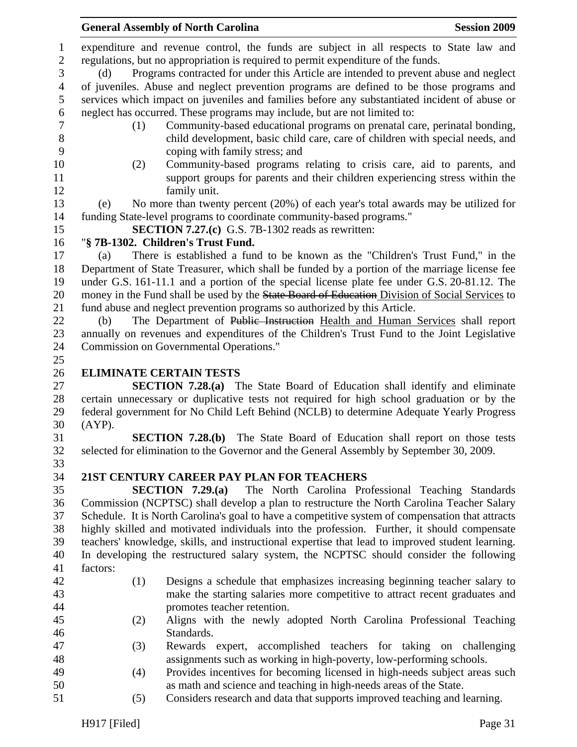General Assembly of North Carolina **Session 2009** 1 expenditure and revenue control, the funds are subject in all respects to State law and 2 regulations, but no appropriation is required to permit expenditure of the funds. 3 (d) Programs contracted for under this Article are intended to prevent abuse and neglect 4 of juveniles. Abuse and neglect prevention programs are defined to be those programs and 5 services which impact on juveniles and families before any substantiated incident of abuse or 6 neglect has occurred. These programs may include, but are not limited to: 7 (1) Community-based educational programs on prenatal care, perinatal bonding, 8 child development, basic child care, care of children with special needs, and 9 coping with family stress; and 10 (2) Community-based programs relating to crisis care, aid to parents, and 11 support groups for parents and their children experiencing stress within the 12 family unit. 13 (e) No more than twenty percent (20%) of each year's total awards may be utilized for 14 funding State-level programs to coordinate community-based programs." 15 **SECTION 7.27.(c)** G.S. 7B-1302 reads as rewritten: 16 "**§ 7B-1302. Children's Trust Fund.**  17 (a) There is established a fund to be known as the "Children's Trust Fund," in the 18 Department of State Treasurer, which shall be funded by a portion of the marriage license fee 19 under G.S. 161-11.1 and a portion of the special license plate fee under G.S. 20-81.12. The 20 money in the Fund shall be used by the State Board of Education Division of Social Services to 21 fund abuse and neglect prevention programs so authorized by this Article. 22 (b) The Department of Public Instruction Health and Human Services shall report 23 annually on revenues and expenditures of the Children's Trust Fund to the Joint Legislative 24 Commission on Governmental Operations." 25 26 **ELIMINATE CERTAIN TESTS**  27 **SECTION 7.28.(a)** The State Board of Education shall identify and eliminate 28 certain unnecessary or duplicative tests not required for high school graduation or by the 29 federal government for No Child Left Behind (NCLB) to determine Adequate Yearly Progress 30 (AYP). 31 **SECTION 7.28.(b)** The State Board of Education shall report on those tests 32 selected for elimination to the Governor and the General Assembly by September 30, 2009. 33 34 **21ST CENTURY CAREER PAY PLAN FOR TEACHERS**  35 **SECTION 7.29.(a)** The North Carolina Professional Teaching Standards 36 Commission (NCPTSC) shall develop a plan to restructure the North Carolina Teacher Salary 37 Schedule. It is North Carolina's goal to have a competitive system of compensation that attracts 38 highly skilled and motivated individuals into the profession. Further, it should compensate 39 teachers' knowledge, skills, and instructional expertise that lead to improved student learning. 40 In developing the restructured salary system, the NCPTSC should consider the following 41 factors: 42 (1) Designs a schedule that emphasizes increasing beginning teacher salary to 43 make the starting salaries more competitive to attract recent graduates and 44 promotes teacher retention. 45 (2) Aligns with the newly adopted North Carolina Professional Teaching 46 Standards. 47 (3) Rewards expert, accomplished teachers for taking on challenging 48 assignments such as working in high-poverty, low-performing schools. 49 (4) Provides incentives for becoming licensed in high-needs subject areas such 50 as math and science and teaching in high-needs areas of the State.

51 (5) Considers research and data that supports improved teaching and learning.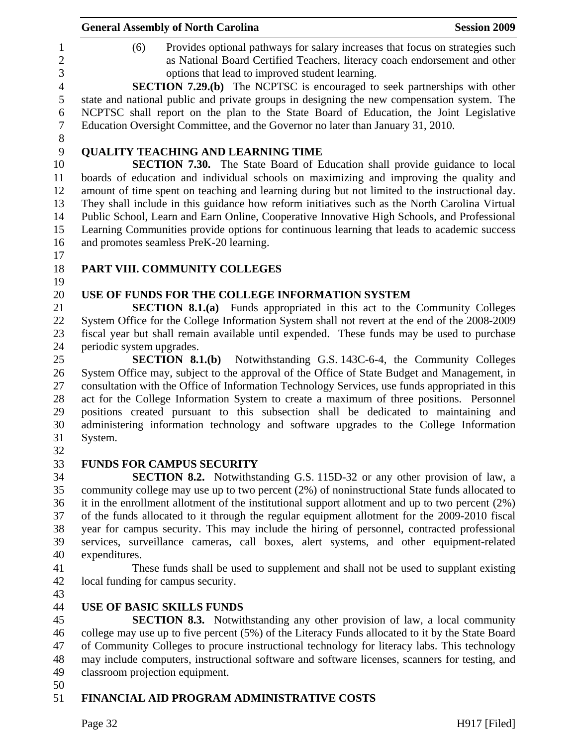|                                            | <b>General Assembly of North Carolina</b><br><b>Session 2009</b>                                                                                                                                                                                                                                                                                            |  |
|--------------------------------------------|-------------------------------------------------------------------------------------------------------------------------------------------------------------------------------------------------------------------------------------------------------------------------------------------------------------------------------------------------------------|--|
| 1<br>$\overline{2}$<br>3<br>$\overline{4}$ | Provides optional pathways for salary increases that focus on strategies such<br>(6)<br>as National Board Certified Teachers, literacy coach endorsement and other<br>options that lead to improved student learning.                                                                                                                                       |  |
| 5<br>6<br>$\boldsymbol{7}$                 | <b>SECTION 7.29.(b)</b> The NCPTSC is encouraged to seek partnerships with other<br>state and national public and private groups in designing the new compensation system. The<br>NCPTSC shall report on the plan to the State Board of Education, the Joint Legislative<br>Education Oversight Committee, and the Governor no later than January 31, 2010. |  |
| $8\,$                                      |                                                                                                                                                                                                                                                                                                                                                             |  |
| 9<br>10                                    | <b>QUALITY TEACHING AND LEARNING TIME</b>                                                                                                                                                                                                                                                                                                                   |  |
| 11                                         | <b>SECTION 7.30.</b> The State Board of Education shall provide guidance to local<br>boards of education and individual schools on maximizing and improving the quality and                                                                                                                                                                                 |  |
| 12                                         | amount of time spent on teaching and learning during but not limited to the instructional day.                                                                                                                                                                                                                                                              |  |
| 13                                         | They shall include in this guidance how reform initiatives such as the North Carolina Virtual                                                                                                                                                                                                                                                               |  |
| 14                                         | Public School, Learn and Earn Online, Cooperative Innovative High Schools, and Professional                                                                                                                                                                                                                                                                 |  |
| 15                                         | Learning Communities provide options for continuous learning that leads to academic success                                                                                                                                                                                                                                                                 |  |
| 16<br>17                                   | and promotes seamless PreK-20 learning.                                                                                                                                                                                                                                                                                                                     |  |
| 18<br>19                                   | PART VIII. COMMUNITY COLLEGES                                                                                                                                                                                                                                                                                                                               |  |
| 20                                         | USE OF FUNDS FOR THE COLLEGE INFORMATION SYSTEM                                                                                                                                                                                                                                                                                                             |  |
| 21                                         | <b>SECTION 8.1.(a)</b> Funds appropriated in this act to the Community Colleges                                                                                                                                                                                                                                                                             |  |
| 22                                         | System Office for the College Information System shall not revert at the end of the 2008-2009                                                                                                                                                                                                                                                               |  |
| 23                                         | fiscal year but shall remain available until expended. These funds may be used to purchase                                                                                                                                                                                                                                                                  |  |
| 24                                         | periodic system upgrades.                                                                                                                                                                                                                                                                                                                                   |  |
| 25                                         | <b>SECTION 8.1.(b)</b> Notwithstanding G.S. 143C-6-4, the Community Colleges                                                                                                                                                                                                                                                                                |  |
| 26<br>27                                   | System Office may, subject to the approval of the Office of State Budget and Management, in<br>consultation with the Office of Information Technology Services, use funds appropriated in this                                                                                                                                                              |  |
| 28                                         | act for the College Information System to create a maximum of three positions. Personnel                                                                                                                                                                                                                                                                    |  |
| 29                                         | positions created pursuant to this subsection shall be dedicated to maintaining and                                                                                                                                                                                                                                                                         |  |
| 30                                         | administering information technology and software upgrades to the College Information                                                                                                                                                                                                                                                                       |  |
| 31                                         | System.                                                                                                                                                                                                                                                                                                                                                     |  |
| 32                                         |                                                                                                                                                                                                                                                                                                                                                             |  |
| 33                                         | <b>FUNDS FOR CAMPUS SECURITY</b>                                                                                                                                                                                                                                                                                                                            |  |
| 34                                         | <b>SECTION 8.2.</b> Notwithstanding G.S. 115D-32 or any other provision of law, a                                                                                                                                                                                                                                                                           |  |
| 35                                         | community college may use up to two percent (2%) of noninstructional State funds allocated to                                                                                                                                                                                                                                                               |  |
| 36                                         | it in the enrollment allotment of the institutional support allotment and up to two percent (2%)                                                                                                                                                                                                                                                            |  |
| 37                                         | of the funds allocated to it through the regular equipment allotment for the 2009-2010 fiscal                                                                                                                                                                                                                                                               |  |
| 38                                         | year for campus security. This may include the hiring of personnel, contracted professional                                                                                                                                                                                                                                                                 |  |
| 39<br>40                                   | services, surveillance cameras, call boxes, alert systems, and other equipment-related<br>expenditures.                                                                                                                                                                                                                                                     |  |
| 41                                         | These funds shall be used to supplement and shall not be used to supplant existing                                                                                                                                                                                                                                                                          |  |
| 42                                         | local funding for campus security.                                                                                                                                                                                                                                                                                                                          |  |
| 43                                         |                                                                                                                                                                                                                                                                                                                                                             |  |
| 44                                         | <b>USE OF BASIC SKILLS FUNDS</b>                                                                                                                                                                                                                                                                                                                            |  |
| 45                                         | <b>SECTION 8.3.</b> Notwithstanding any other provision of law, a local community                                                                                                                                                                                                                                                                           |  |
| 46                                         | college may use up to five percent (5%) of the Literacy Funds allocated to it by the State Board                                                                                                                                                                                                                                                            |  |
| 47                                         | of Community Colleges to procure instructional technology for literacy labs. This technology                                                                                                                                                                                                                                                                |  |
| 48                                         | may include computers, instructional software and software licenses, scanners for testing, and                                                                                                                                                                                                                                                              |  |
| 49                                         | classroom projection equipment.                                                                                                                                                                                                                                                                                                                             |  |
| 50                                         |                                                                                                                                                                                                                                                                                                                                                             |  |
| 51                                         | FINANCIAL AID PROGRAM ADMINISTRATIVE COSTS                                                                                                                                                                                                                                                                                                                  |  |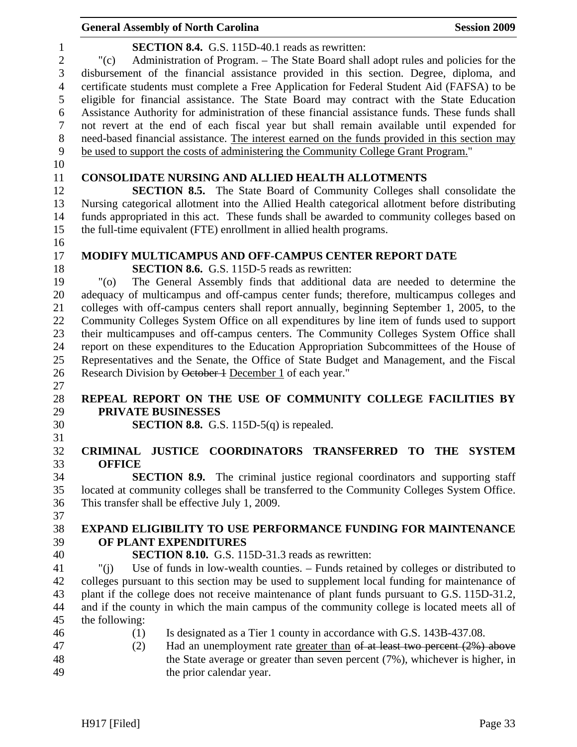|                              | <b>General Assembly of North Carolina</b>                                                                                                             | <b>Session 2009</b> |
|------------------------------|-------------------------------------------------------------------------------------------------------------------------------------------------------|---------------------|
| $\mathbf{1}$<br>$\mathbf{2}$ | <b>SECTION 8.4.</b> G.S. 115D-40.1 reads as rewritten:<br>Administration of Program. – The State Board shall adopt rules and policies for the<br>"(c) |                     |
| 3                            | disbursement of the financial assistance provided in this section. Degree, diploma, and                                                               |                     |
| $\overline{4}$               | certificate students must complete a Free Application for Federal Student Aid (FAFSA) to be                                                           |                     |
| 5                            | eligible for financial assistance. The State Board may contract with the State Education                                                              |                     |
| 6                            | Assistance Authority for administration of these financial assistance funds. These funds shall                                                        |                     |
| $\overline{7}$               | not revert at the end of each fiscal year but shall remain available until expended for                                                               |                     |
| $8\,$                        | need-based financial assistance. The interest earned on the funds provided in this section may                                                        |                     |
| 9                            | be used to support the costs of administering the Community College Grant Program."                                                                   |                     |
| 10<br>11                     | <b>CONSOLIDATE NURSING AND ALLIED HEALTH ALLOTMENTS</b>                                                                                               |                     |
| 12                           | <b>SECTION 8.5.</b> The State Board of Community Colleges shall consolidate the                                                                       |                     |
| 13                           | Nursing categorical allotment into the Allied Health categorical allotment before distributing                                                        |                     |
| 14                           | funds appropriated in this act. These funds shall be awarded to community colleges based on                                                           |                     |
| 15                           | the full-time equivalent (FTE) enrollment in allied health programs.                                                                                  |                     |
| 16<br>17                     | <b>MODIFY MULTICAMPUS AND OFF-CAMPUS CENTER REPORT DATE</b>                                                                                           |                     |
| 18                           | <b>SECTION 8.6.</b> G.S. 115D-5 reads as rewritten:                                                                                                   |                     |
| 19                           | The General Assembly finds that additional data are needed to determine the<br>"(0)                                                                   |                     |
| 20                           | adequacy of multicampus and off-campus center funds; therefore, multicampus colleges and                                                              |                     |
| 21                           | colleges with off-campus centers shall report annually, beginning September 1, 2005, to the                                                           |                     |
| 22                           | Community Colleges System Office on all expenditures by line item of funds used to support                                                            |                     |
| 23                           | their multicampuses and off-campus centers. The Community Colleges System Office shall                                                                |                     |
| 24                           | report on these expenditures to the Education Appropriation Subcommittees of the House of                                                             |                     |
| 25                           | Representatives and the Senate, the Office of State Budget and Management, and the Fiscal                                                             |                     |
| 26                           | Research Division by October 1 December 1 of each year."                                                                                              |                     |
| 27                           |                                                                                                                                                       |                     |
| 28                           | REPEAL REPORT ON THE USE OF COMMUNITY COLLEGE FACILITIES BY                                                                                           |                     |
| 29                           | PRIVATE BUSINESSES                                                                                                                                    |                     |
| 30<br>31                     | <b>SECTION 8.8.</b> G.S. 115D-5 $(q)$ is repealed.                                                                                                    |                     |
| 32                           | <b>CRIMINAL</b><br>JUSTICE COORDINATORS TRANSFERRED TO THE SYSTEM                                                                                     |                     |
| 33                           | <b>OFFICE</b>                                                                                                                                         |                     |
| 34                           | <b>SECTION 8.9.</b> The criminal justice regional coordinators and supporting staff                                                                   |                     |
| 35                           | located at community colleges shall be transferred to the Community Colleges System Office.                                                           |                     |
| 36                           | This transfer shall be effective July 1, 2009.                                                                                                        |                     |
| 37                           |                                                                                                                                                       |                     |
| 38                           | <b>EXPAND ELIGIBILITY TO USE PERFORMANCE FUNDING FOR MAINTENANCE</b>                                                                                  |                     |
| 39                           | OF PLANT EXPENDITURES                                                                                                                                 |                     |
| 40                           | <b>SECTION 8.10.</b> G.S. 115D-31.3 reads as rewritten:                                                                                               |                     |
| 41                           | Use of funds in low-wealth counties. - Funds retained by colleges or distributed to<br>" $(i)$                                                        |                     |
| 42                           | colleges pursuant to this section may be used to supplement local funding for maintenance of                                                          |                     |
| 43                           | plant if the college does not receive maintenance of plant funds pursuant to G.S. 115D-31.2,                                                          |                     |
| 44<br>45                     | and if the county in which the main campus of the community college is located meets all of<br>the following:                                         |                     |
| 46                           | Is designated as a Tier 1 county in accordance with G.S. 143B-437.08.<br>(1)                                                                          |                     |
| 47                           | Had an unemployment rate greater than of at least two percent (2%) above<br>(2)                                                                       |                     |
| 48                           | the State average or greater than seven percent (7%), whichever is higher, in                                                                         |                     |
| 49                           | the prior calendar year.                                                                                                                              |                     |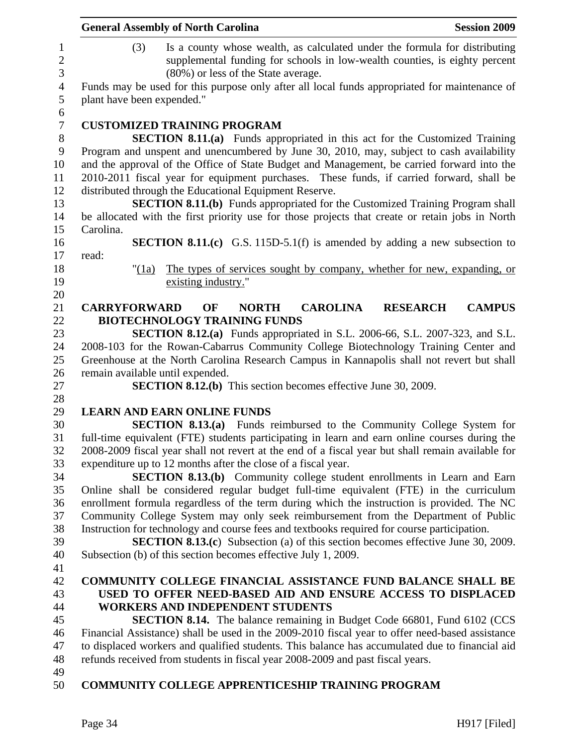|                                     | <b>General Assembly of North Carolina</b><br><b>Session 2009</b>                                                                                                                                       |
|-------------------------------------|--------------------------------------------------------------------------------------------------------------------------------------------------------------------------------------------------------|
| $\mathbf{1}$<br>$\overline{c}$<br>3 | Is a county whose wealth, as calculated under the formula for distributing<br>(3)<br>supplemental funding for schools in low-wealth counties, is eighty percent<br>(80%) or less of the State average. |
| $\overline{4}$<br>5                 | Funds may be used for this purpose only after all local funds appropriated for maintenance of<br>plant have been expended."                                                                            |
| 6                                   |                                                                                                                                                                                                        |
| $\boldsymbol{7}$                    | <b>CUSTOMIZED TRAINING PROGRAM</b>                                                                                                                                                                     |
| $8\,$                               | <b>SECTION 8.11.(a)</b> Funds appropriated in this act for the Customized Training                                                                                                                     |
| 9                                   | Program and unspent and unencumbered by June 30, 2010, may, subject to cash availability                                                                                                               |
| 10                                  | and the approval of the Office of State Budget and Management, be carried forward into the                                                                                                             |
| 11                                  | 2010-2011 fiscal year for equipment purchases. These funds, if carried forward, shall be                                                                                                               |
| 12                                  | distributed through the Educational Equipment Reserve.                                                                                                                                                 |
| 13                                  | <b>SECTION 8.11.(b)</b> Funds appropriated for the Customized Training Program shall                                                                                                                   |
| 14                                  | be allocated with the first priority use for those projects that create or retain jobs in North                                                                                                        |
| 15                                  | Carolina.                                                                                                                                                                                              |
| 16                                  | <b>SECTION 8.11.(c)</b> G.S. 115D-5.1(f) is amended by adding a new subsection to                                                                                                                      |
| 17                                  | read:                                                                                                                                                                                                  |
| 18                                  | The types of services sought by company, whether for new, expanding, or<br>" $(1a)$                                                                                                                    |
| 19                                  | existing industry."                                                                                                                                                                                    |
| 20                                  |                                                                                                                                                                                                        |
| 21                                  | <b>CAROLINA</b><br><b>CAMPUS</b><br><b>CARRYFORWARD</b><br>OF<br><b>NORTH</b><br><b>RESEARCH</b>                                                                                                       |
| 22                                  | <b>BIOTECHNOLOGY TRAINING FUNDS</b>                                                                                                                                                                    |
| 23                                  | <b>SECTION 8.12.(a)</b> Funds appropriated in S.L. 2006-66, S.L. 2007-323, and S.L.                                                                                                                    |
| 24                                  | 2008-103 for the Rowan-Cabarrus Community College Biotechnology Training Center and                                                                                                                    |
| 25                                  | Greenhouse at the North Carolina Research Campus in Kannapolis shall not revert but shall                                                                                                              |
| 26                                  | remain available until expended.                                                                                                                                                                       |
| 27                                  | <b>SECTION 8.12.(b)</b> This section becomes effective June 30, 2009.                                                                                                                                  |
| 28                                  |                                                                                                                                                                                                        |
| 29                                  | <b>LEARN AND EARN ONLINE FUNDS</b>                                                                                                                                                                     |
| 30                                  | <b>SECTION 8.13.(a)</b> Funds reimbursed to the Community College System for                                                                                                                           |
| 31                                  | full-time equivalent (FTE) students participating in learn and earn online courses during the                                                                                                          |
| 32                                  | 2008-2009 fiscal year shall not revert at the end of a fiscal year but shall remain available for                                                                                                      |
| 33                                  | expenditure up to 12 months after the close of a fiscal year.                                                                                                                                          |
| 34                                  | <b>SECTION 8.13.(b)</b> Community college student enrollments in Learn and Earn                                                                                                                        |
| 35                                  | Online shall be considered regular budget full-time equivalent (FTE) in the curriculum                                                                                                                 |
| 36                                  | enrollment formula regardless of the term during which the instruction is provided. The NC                                                                                                             |
| 37                                  | Community College System may only seek reimbursement from the Department of Public                                                                                                                     |
| 38                                  | Instruction for technology and course fees and textbooks required for course participation.                                                                                                            |
| 39                                  | <b>SECTION 8.13.(c)</b> Subsection (a) of this section becomes effective June 30, 2009.                                                                                                                |
| 40                                  | Subsection (b) of this section becomes effective July 1, 2009.                                                                                                                                         |
| 41                                  |                                                                                                                                                                                                        |
| 42                                  | <b>COMMUNITY COLLEGE FINANCIAL ASSISTANCE FUND BALANCE SHALL BE</b>                                                                                                                                    |
| 43                                  | USED TO OFFER NEED-BASED AID AND ENSURE ACCESS TO DISPLACED                                                                                                                                            |
| 44                                  | <b>WORKERS AND INDEPENDENT STUDENTS</b>                                                                                                                                                                |
| 45                                  | <b>SECTION 8.14.</b> The balance remaining in Budget Code 66801, Fund 6102 (CCS                                                                                                                        |
| 46                                  | Financial Assistance) shall be used in the 2009-2010 fiscal year to offer need-based assistance                                                                                                        |
| 47                                  | to displaced workers and qualified students. This balance has accumulated due to financial aid                                                                                                         |
| 48                                  | refunds received from students in fiscal year 2008-2009 and past fiscal years.                                                                                                                         |
| 49                                  |                                                                                                                                                                                                        |
| 50                                  | <b>COMMUNITY COLLEGE APPRENTICESHIP TRAINING PROGRAM</b>                                                                                                                                               |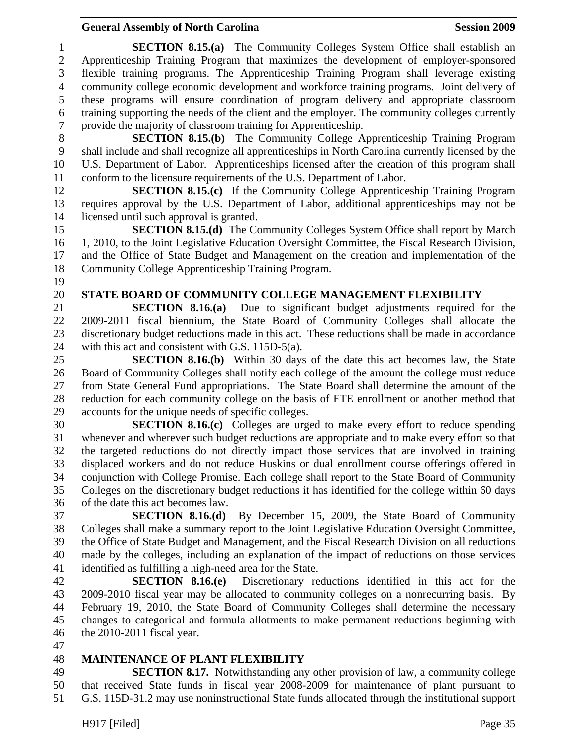#### General Assembly of North Carolina **Session 2009**

1 **SECTION 8.15.(a)** The Community Colleges System Office shall establish an 2 Apprenticeship Training Program that maximizes the development of employer-sponsored 3 flexible training programs. The Apprenticeship Training Program shall leverage existing 4 community college economic development and workforce training programs. Joint delivery of 5 these programs will ensure coordination of program delivery and appropriate classroom 6 training supporting the needs of the client and the employer. The community colleges currently 7 provide the majority of classroom training for Apprenticeship. 8 **SECTION 8.15.(b)** The Community College Apprenticeship Training Program 9 shall include and shall recognize all apprenticeships in North Carolina currently licensed by the 10 U.S. Department of Labor. Apprenticeships licensed after the creation of this program shall 11 conform to the licensure requirements of the U.S. Department of Labor. 12 **SECTION 8.15.(c)** If the Community College Apprenticeship Training Program 13 requires approval by the U.S. Department of Labor, additional apprenticeships may not be 14 licensed until such approval is granted. 15 **SECTION 8.15.(d)** The Community Colleges System Office shall report by March 16 1, 2010, to the Joint Legislative Education Oversight Committee, the Fiscal Research Division, 17 and the Office of State Budget and Management on the creation and implementation of the 18 Community College Apprenticeship Training Program. 19 20 **STATE BOARD OF COMMUNITY COLLEGE MANAGEMENT FLEXIBILITY**  21 **SECTION 8.16.(a)** Due to significant budget adjustments required for the 22 2009-2011 fiscal biennium, the State Board of Community Colleges shall allocate the 23 discretionary budget reductions made in this act. These reductions shall be made in accordance 24 with this act and consistent with G.S. 115D-5(a). 25 **SECTION 8.16.(b)** Within 30 days of the date this act becomes law, the State 26 Board of Community Colleges shall notify each college of the amount the college must reduce 27 from State General Fund appropriations. The State Board shall determine the amount of the 28 reduction for each community college on the basis of FTE enrollment or another method that 29 accounts for the unique needs of specific colleges. 30 **SECTION 8.16.(c)** Colleges are urged to make every effort to reduce spending 31 whenever and wherever such budget reductions are appropriate and to make every effort so that 32 the targeted reductions do not directly impact those services that are involved in training 33 displaced workers and do not reduce Huskins or dual enrollment course offerings offered in 34 conjunction with College Promise. Each college shall report to the State Board of Community 35 Colleges on the discretionary budget reductions it has identified for the college within 60 days 36 of the date this act becomes law. 37 **SECTION 8.16.(d)** By December 15, 2009, the State Board of Community 38 Colleges shall make a summary report to the Joint Legislative Education Oversight Committee, 39 the Office of State Budget and Management, and the Fiscal Research Division on all reductions 40 made by the colleges, including an explanation of the impact of reductions on those services 41 identified as fulfilling a high-need area for the State. 42 **SECTION 8.16.(e)** Discretionary reductions identified in this act for the 43 2009-2010 fiscal year may be allocated to community colleges on a nonrecurring basis. By 44 February 19, 2010, the State Board of Community Colleges shall determine the necessary 45 changes to categorical and formula allotments to make permanent reductions beginning with

- 46 the 2010-2011 fiscal year.
- 47

#### 48 **MAINTENANCE OF PLANT FLEXIBILITY**

49 **SECTION 8.17.** Notwithstanding any other provision of law, a community college 50 that received State funds in fiscal year 2008-2009 for maintenance of plant pursuant to 51 G.S. 115D-31.2 may use noninstructional State funds allocated through the institutional support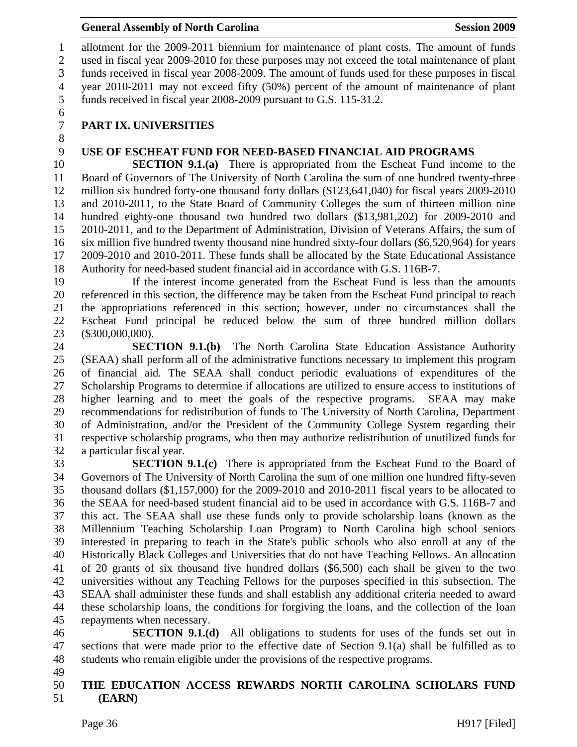1 allotment for the 2009-2011 biennium for maintenance of plant costs. The amount of funds 2 used in fiscal year 2009-2010 for these purposes may not exceed the total maintenance of plant 3 funds received in fiscal year 2008-2009. The amount of funds used for these purposes in fiscal 4 year 2010-2011 may not exceed fifty (50%) percent of the amount of maintenance of plant 5 funds received in fiscal year 2008-2009 pursuant to G.S. 115-31.2.

6

8

# 7 **PART IX. UNIVERSITIES**

#### 9 **USE OF ESCHEAT FUND FOR NEED-BASED FINANCIAL AID PROGRAMS**

10 **SECTION 9.1.(a)** There is appropriated from the Escheat Fund income to the 11 Board of Governors of The University of North Carolina the sum of one hundred twenty-three 12 million six hundred forty-one thousand forty dollars (\$123,641,040) for fiscal years 2009-2010 13 and 2010-2011, to the State Board of Community Colleges the sum of thirteen million nine 14 hundred eighty-one thousand two hundred two dollars (\$13,981,202) for 2009-2010 and 15 2010-2011, and to the Department of Administration, Division of Veterans Affairs, the sum of 16 six million five hundred twenty thousand nine hundred sixty-four dollars (\$6,520,964) for years 17 2009-2010 and 2010-2011. These funds shall be allocated by the State Educational Assistance 18 Authority for need-based student financial aid in accordance with G.S. 116B-7.

19 If the interest income generated from the Escheat Fund is less than the amounts 20 referenced in this section, the difference may be taken from the Escheat Fund principal to reach 21 the appropriations referenced in this section; however, under no circumstances shall the 22 Escheat Fund principal be reduced below the sum of three hundred million dollars 23 (\$300,000,000).

24 **SECTION 9.1.(b)** The North Carolina State Education Assistance Authority 25 (SEAA) shall perform all of the administrative functions necessary to implement this program 26 of financial aid. The SEAA shall conduct periodic evaluations of expenditures of the 27 Scholarship Programs to determine if allocations are utilized to ensure access to institutions of 28 higher learning and to meet the goals of the respective programs. SEAA may make 29 recommendations for redistribution of funds to The University of North Carolina, Department 30 of Administration, and/or the President of the Community College System regarding their 31 respective scholarship programs, who then may authorize redistribution of unutilized funds for 32 a particular fiscal year.

**SECTION 9.1.(c)** There is appropriated from the Escheat Fund to the Board of 34 Governors of The University of North Carolina the sum of one million one hundred fifty-seven 35 thousand dollars (\$1,157,000) for the 2009-2010 and 2010-2011 fiscal years to be allocated to 36 the SEAA for need-based student financial aid to be used in accordance with G.S. 116B-7 and 37 this act. The SEAA shall use these funds only to provide scholarship loans (known as the 38 Millennium Teaching Scholarship Loan Program) to North Carolina high school seniors 39 interested in preparing to teach in the State's public schools who also enroll at any of the 40 Historically Black Colleges and Universities that do not have Teaching Fellows. An allocation 41 of 20 grants of six thousand five hundred dollars (\$6,500) each shall be given to the two 42 universities without any Teaching Fellows for the purposes specified in this subsection. The 43 SEAA shall administer these funds and shall establish any additional criteria needed to award 44 these scholarship loans, the conditions for forgiving the loans, and the collection of the loan 45 repayments when necessary.

46 **SECTION 9.1.(d)** All obligations to students for uses of the funds set out in 47 sections that were made prior to the effective date of Section 9.1(a) shall be fulfilled as to 48 students who remain eligible under the provisions of the respective programs.

49

#### 50 **THE EDUCATION ACCESS REWARDS NORTH CAROLINA SCHOLARS FUND**  51 **(EARN)**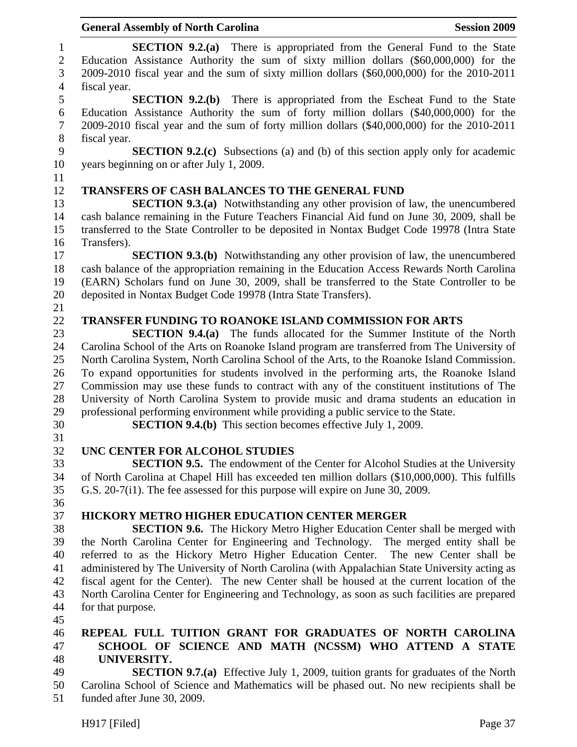|                              | <b>General Assembly of North Carolina</b><br><b>Session 2009</b>                                                                                                                                                                                                         |
|------------------------------|--------------------------------------------------------------------------------------------------------------------------------------------------------------------------------------------------------------------------------------------------------------------------|
| $\mathbf{1}$<br>$\mathbf{2}$ | <b>SECTION 9.2.(a)</b> There is appropriated from the General Fund to the State<br>Education Assistance Authority the sum of sixty million dollars (\$60,000,000) for the                                                                                                |
| 3                            | 2009-2010 fiscal year and the sum of sixty million dollars (\$60,000,000) for the 2010-2011                                                                                                                                                                              |
| $\overline{4}$               | fiscal year.                                                                                                                                                                                                                                                             |
| 5<br>6<br>$\tau$             | <b>SECTION 9.2.(b)</b> There is appropriated from the Escheat Fund to the State<br>Education Assistance Authority the sum of forty million dollars (\$40,000,000) for the<br>2009-2010 fiscal year and the sum of forty million dollars (\$40,000,000) for the 2010-2011 |
| 8                            | fiscal year.                                                                                                                                                                                                                                                             |
| 9                            | <b>SECTION 9.2.(c)</b> Subsections (a) and (b) of this section apply only for academic                                                                                                                                                                                   |
| 10                           | years beginning on or after July 1, 2009.                                                                                                                                                                                                                                |
| 11                           |                                                                                                                                                                                                                                                                          |
| 12                           | <b>TRANSFERS OF CASH BALANCES TO THE GENERAL FUND</b>                                                                                                                                                                                                                    |
| 13<br>14                     | <b>SECTION 9.3.(a)</b> Notwithstanding any other provision of law, the unencumbered<br>cash balance remaining in the Future Teachers Financial Aid fund on June 30, 2009, shall be                                                                                       |
| 15                           | transferred to the State Controller to be deposited in Nontax Budget Code 19978 (Intra State                                                                                                                                                                             |
| 16                           | Transfers).                                                                                                                                                                                                                                                              |
| 17                           | <b>SECTION 9.3.(b)</b> Notwithstanding any other provision of law, the unencumbered                                                                                                                                                                                      |
| 18<br>19                     | cash balance of the appropriation remaining in the Education Access Rewards North Carolina<br>(EARN) Scholars fund on June 30, 2009, shall be transferred to the State Controller to be                                                                                  |
| 20                           | deposited in Nontax Budget Code 19978 (Intra State Transfers).                                                                                                                                                                                                           |
| 21                           |                                                                                                                                                                                                                                                                          |
| 22                           | <b>TRANSFER FUNDING TO ROANOKE ISLAND COMMISSION FOR ARTS</b>                                                                                                                                                                                                            |
| 23                           | <b>SECTION 9.4.(a)</b> The funds allocated for the Summer Institute of the North                                                                                                                                                                                         |
| 24                           | Carolina School of the Arts on Roanoke Island program are transferred from The University of                                                                                                                                                                             |
| 25                           | North Carolina System, North Carolina School of the Arts, to the Roanoke Island Commission.                                                                                                                                                                              |
| 26                           | To expand opportunities for students involved in the performing arts, the Roanoke Island                                                                                                                                                                                 |
| 27                           | Commission may use these funds to contract with any of the constituent institutions of The                                                                                                                                                                               |
| 28                           | University of North Carolina System to provide music and drama students an education in                                                                                                                                                                                  |
| 29                           | professional performing environment while providing a public service to the State.                                                                                                                                                                                       |
| 30                           | <b>SECTION 9.4.(b)</b> This section becomes effective July 1, 2009.                                                                                                                                                                                                      |
| 31                           |                                                                                                                                                                                                                                                                          |
| 32                           | UNC CENTER FOR ALCOHOL STUDIES                                                                                                                                                                                                                                           |
| 33                           | <b>SECTION 9.5.</b> The endowment of the Center for Alcohol Studies at the University                                                                                                                                                                                    |
| 34                           | of North Carolina at Chapel Hill has exceeded ten million dollars (\$10,000,000). This fulfills                                                                                                                                                                          |
| 35                           | G.S. 20-7(i1). The fee assessed for this purpose will expire on June 30, 2009.                                                                                                                                                                                           |
| 36                           |                                                                                                                                                                                                                                                                          |
| 37                           | <b>HICKORY METRO HIGHER EDUCATION CENTER MERGER</b>                                                                                                                                                                                                                      |
| 38                           | <b>SECTION 9.6.</b> The Hickory Metro Higher Education Center shall be merged with                                                                                                                                                                                       |
| 39                           | the North Carolina Center for Engineering and Technology. The merged entity shall be                                                                                                                                                                                     |
| 40                           | referred to as the Hickory Metro Higher Education Center. The new Center shall be                                                                                                                                                                                        |
| 41                           | administered by The University of North Carolina (with Appalachian State University acting as                                                                                                                                                                            |
| 42                           | fiscal agent for the Center). The new Center shall be housed at the current location of the                                                                                                                                                                              |
| 43                           | North Carolina Center for Engineering and Technology, as soon as such facilities are prepared                                                                                                                                                                            |
| 44                           | for that purpose.                                                                                                                                                                                                                                                        |
| 45                           |                                                                                                                                                                                                                                                                          |
| 46                           | REPEAL FULL TUITION GRANT FOR GRADUATES OF NORTH CAROLINA                                                                                                                                                                                                                |
| 47                           | SCHOOL OF SCIENCE AND MATH (NCSSM) WHO ATTEND A STATE                                                                                                                                                                                                                    |
| 48                           | UNIVERSITY.                                                                                                                                                                                                                                                              |
| 49                           | <b>SECTION 9.7.(a)</b> Effective July 1, 2009, tuition grants for graduates of the North                                                                                                                                                                                 |
| 50<br>51                     | Carolina School of Science and Mathematics will be phased out. No new recipients shall be<br>funded after June 30, 2009.                                                                                                                                                 |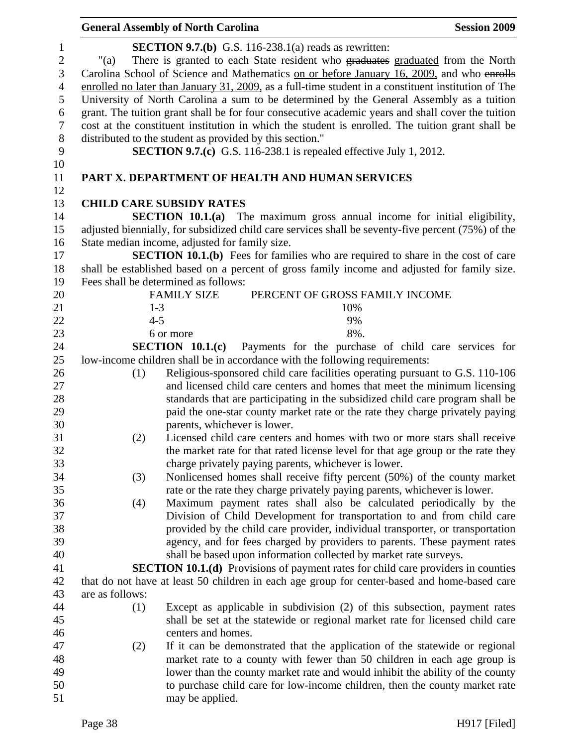|                                                                                    | <b>General Assembly of North Carolina</b>                |                                                                                                                                                                                                                                                                                                                                                                                                                                                                                                                                                                                                                                                         | <b>Session 2009</b> |
|------------------------------------------------------------------------------------|----------------------------------------------------------|---------------------------------------------------------------------------------------------------------------------------------------------------------------------------------------------------------------------------------------------------------------------------------------------------------------------------------------------------------------------------------------------------------------------------------------------------------------------------------------------------------------------------------------------------------------------------------------------------------------------------------------------------------|---------------------|
| $\mathbf{1}$<br>$\sqrt{2}$<br>$\mathfrak{Z}$<br>$\overline{4}$<br>5<br>6<br>$\tau$ | "(a)                                                     | <b>SECTION 9.7.(b)</b> G.S. 116-238.1(a) reads as rewritten:<br>There is granted to each State resident who graduates graduated from the North<br>Carolina School of Science and Mathematics on or before January 16, 2009, and who enrolls<br>enrolled no later than January 31, 2009, as a full-time student in a constituent institution of The<br>University of North Carolina a sum to be determined by the General Assembly as a tuition<br>grant. The tuition grant shall be for four consecutive academic years and shall cover the tuition<br>cost at the constituent institution in which the student is enrolled. The tuition grant shall be |                     |
| $8\,$                                                                              | distributed to the student as provided by this section." |                                                                                                                                                                                                                                                                                                                                                                                                                                                                                                                                                                                                                                                         |                     |
| 9                                                                                  |                                                          | <b>SECTION 9.7.(c)</b> G.S. 116-238.1 is repealed effective July 1, 2012.                                                                                                                                                                                                                                                                                                                                                                                                                                                                                                                                                                               |                     |
| 10                                                                                 |                                                          |                                                                                                                                                                                                                                                                                                                                                                                                                                                                                                                                                                                                                                                         |                     |
| 11<br>12                                                                           |                                                          | PART X. DEPARTMENT OF HEALTH AND HUMAN SERVICES                                                                                                                                                                                                                                                                                                                                                                                                                                                                                                                                                                                                         |                     |
| 13                                                                                 | <b>CHILD CARE SUBSIDY RATES</b>                          |                                                                                                                                                                                                                                                                                                                                                                                                                                                                                                                                                                                                                                                         |                     |
| 14                                                                                 |                                                          | <b>SECTION 10.1.(a)</b> The maximum gross annual income for initial eligibility,                                                                                                                                                                                                                                                                                                                                                                                                                                                                                                                                                                        |                     |
| 15                                                                                 |                                                          | adjusted biennially, for subsidized child care services shall be seventy-five percent (75%) of the                                                                                                                                                                                                                                                                                                                                                                                                                                                                                                                                                      |                     |
| 16                                                                                 | State median income, adjusted for family size.           |                                                                                                                                                                                                                                                                                                                                                                                                                                                                                                                                                                                                                                                         |                     |
| 17                                                                                 |                                                          | <b>SECTION 10.1.(b)</b> Fees for families who are required to share in the cost of care                                                                                                                                                                                                                                                                                                                                                                                                                                                                                                                                                                 |                     |
| 18                                                                                 |                                                          | shall be established based on a percent of gross family income and adjusted for family size.                                                                                                                                                                                                                                                                                                                                                                                                                                                                                                                                                            |                     |
| 19                                                                                 | Fees shall be determined as follows:                     |                                                                                                                                                                                                                                                                                                                                                                                                                                                                                                                                                                                                                                                         |                     |
| 20                                                                                 | <b>FAMILY SIZE</b>                                       | PERCENT OF GROSS FAMILY INCOME                                                                                                                                                                                                                                                                                                                                                                                                                                                                                                                                                                                                                          |                     |
| 21                                                                                 | $1 - 3$                                                  | 10%                                                                                                                                                                                                                                                                                                                                                                                                                                                                                                                                                                                                                                                     |                     |
| 22                                                                                 | $4 - 5$                                                  | 9%                                                                                                                                                                                                                                                                                                                                                                                                                                                                                                                                                                                                                                                      |                     |
| 23                                                                                 | 6 or more                                                | 8%.                                                                                                                                                                                                                                                                                                                                                                                                                                                                                                                                                                                                                                                     |                     |
| 24                                                                                 | SECTION 10.1(c)                                          | Payments for the purchase of child care services for                                                                                                                                                                                                                                                                                                                                                                                                                                                                                                                                                                                                    |                     |
| 25                                                                                 |                                                          | low-income children shall be in accordance with the following requirements:                                                                                                                                                                                                                                                                                                                                                                                                                                                                                                                                                                             |                     |
| 26                                                                                 | (1)                                                      | Religious-sponsored child care facilities operating pursuant to G.S. 110-106                                                                                                                                                                                                                                                                                                                                                                                                                                                                                                                                                                            |                     |
| 27                                                                                 |                                                          | and licensed child care centers and homes that meet the minimum licensing                                                                                                                                                                                                                                                                                                                                                                                                                                                                                                                                                                               |                     |
| 28                                                                                 |                                                          | standards that are participating in the subsidized child care program shall be                                                                                                                                                                                                                                                                                                                                                                                                                                                                                                                                                                          |                     |
| 29                                                                                 |                                                          | paid the one-star county market rate or the rate they charge privately paying                                                                                                                                                                                                                                                                                                                                                                                                                                                                                                                                                                           |                     |
| 30                                                                                 |                                                          | parents, whichever is lower.                                                                                                                                                                                                                                                                                                                                                                                                                                                                                                                                                                                                                            |                     |
| 31                                                                                 | (2)                                                      | Licensed child care centers and homes with two or more stars shall receive                                                                                                                                                                                                                                                                                                                                                                                                                                                                                                                                                                              |                     |
| 32                                                                                 |                                                          | the market rate for that rated license level for that age group or the rate they                                                                                                                                                                                                                                                                                                                                                                                                                                                                                                                                                                        |                     |
| 33                                                                                 |                                                          | charge privately paying parents, whichever is lower.                                                                                                                                                                                                                                                                                                                                                                                                                                                                                                                                                                                                    |                     |
| 34                                                                                 | (3)                                                      | Nonlicensed homes shall receive fifty percent (50%) of the county market                                                                                                                                                                                                                                                                                                                                                                                                                                                                                                                                                                                |                     |
| 35                                                                                 |                                                          | rate or the rate they charge privately paying parents, whichever is lower.                                                                                                                                                                                                                                                                                                                                                                                                                                                                                                                                                                              |                     |
| 36                                                                                 | (4)                                                      | Maximum payment rates shall also be calculated periodically by the                                                                                                                                                                                                                                                                                                                                                                                                                                                                                                                                                                                      |                     |
| 37                                                                                 |                                                          | Division of Child Development for transportation to and from child care                                                                                                                                                                                                                                                                                                                                                                                                                                                                                                                                                                                 |                     |
| 38                                                                                 |                                                          | provided by the child care provider, individual transporter, or transportation                                                                                                                                                                                                                                                                                                                                                                                                                                                                                                                                                                          |                     |
| 39                                                                                 |                                                          | agency, and for fees charged by providers to parents. These payment rates                                                                                                                                                                                                                                                                                                                                                                                                                                                                                                                                                                               |                     |
| 40                                                                                 |                                                          | shall be based upon information collected by market rate surveys.                                                                                                                                                                                                                                                                                                                                                                                                                                                                                                                                                                                       |                     |
| 41                                                                                 |                                                          | <b>SECTION 10.1.(d)</b> Provisions of payment rates for child care providers in counties                                                                                                                                                                                                                                                                                                                                                                                                                                                                                                                                                                |                     |
| 42                                                                                 |                                                          | that do not have at least 50 children in each age group for center-based and home-based care                                                                                                                                                                                                                                                                                                                                                                                                                                                                                                                                                            |                     |
| 43                                                                                 | are as follows:                                          |                                                                                                                                                                                                                                                                                                                                                                                                                                                                                                                                                                                                                                                         |                     |
| 44                                                                                 | (1)                                                      | Except as applicable in subdivision (2) of this subsection, payment rates                                                                                                                                                                                                                                                                                                                                                                                                                                                                                                                                                                               |                     |
| 45                                                                                 |                                                          | shall be set at the statewide or regional market rate for licensed child care                                                                                                                                                                                                                                                                                                                                                                                                                                                                                                                                                                           |                     |
| 46                                                                                 | centers and homes.                                       |                                                                                                                                                                                                                                                                                                                                                                                                                                                                                                                                                                                                                                                         |                     |
| 47                                                                                 | (2)                                                      | If it can be demonstrated that the application of the statewide or regional                                                                                                                                                                                                                                                                                                                                                                                                                                                                                                                                                                             |                     |
| 48                                                                                 |                                                          | market rate to a county with fewer than 50 children in each age group is                                                                                                                                                                                                                                                                                                                                                                                                                                                                                                                                                                                |                     |
| 49                                                                                 |                                                          | lower than the county market rate and would inhibit the ability of the county                                                                                                                                                                                                                                                                                                                                                                                                                                                                                                                                                                           |                     |
| 50                                                                                 |                                                          | to purchase child care for low-income children, then the county market rate                                                                                                                                                                                                                                                                                                                                                                                                                                                                                                                                                                             |                     |
| 51                                                                                 | may be applied.                                          |                                                                                                                                                                                                                                                                                                                                                                                                                                                                                                                                                                                                                                                         |                     |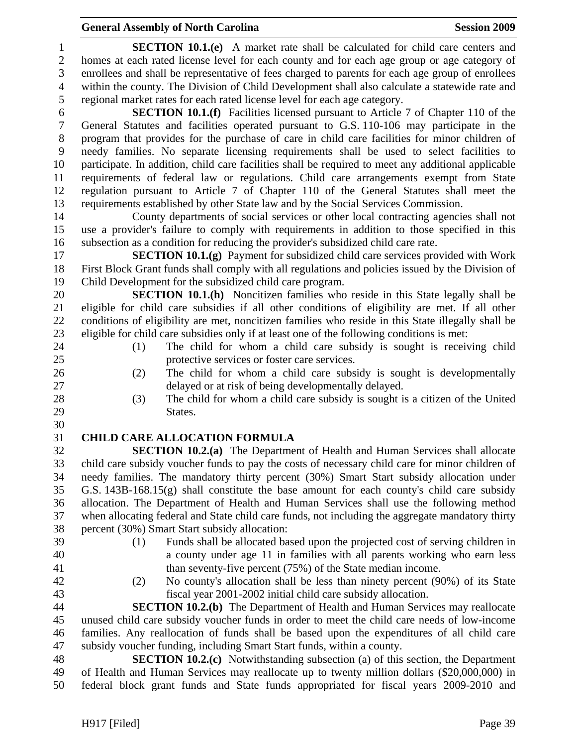# **General Assembly of North Carolina Session 2009 Session 2009**

| 1                | <b>SECTION 10.1.(e)</b> A market rate shall be calculated for child care centers and                                                                                              |
|------------------|-----------------------------------------------------------------------------------------------------------------------------------------------------------------------------------|
| $\mathbf{2}$     | homes at each rated license level for each county and for each age group or age category of                                                                                       |
| 3                | enrollees and shall be representative of fees charged to parents for each age group of enrollees                                                                                  |
| $\overline{4}$   | within the county. The Division of Child Development shall also calculate a statewide rate and                                                                                    |
| 5                | regional market rates for each rated license level for each age category.                                                                                                         |
| 6                | <b>SECTION 10.1.(f)</b> Facilities licensed pursuant to Article 7 of Chapter 110 of the                                                                                           |
| $\boldsymbol{7}$ | General Statutes and facilities operated pursuant to G.S. 110-106 may participate in the                                                                                          |
| $8\,$            | program that provides for the purchase of care in child care facilities for minor children of                                                                                     |
| 9                | needy families. No separate licensing requirements shall be used to select facilities to                                                                                          |
| 10               | participate. In addition, child care facilities shall be required to meet any additional applicable                                                                               |
| 11               | requirements of federal law or regulations. Child care arrangements exempt from State                                                                                             |
| 12               | regulation pursuant to Article 7 of Chapter 110 of the General Statutes shall meet the                                                                                            |
| 13               | requirements established by other State law and by the Social Services Commission.                                                                                                |
| 14               | County departments of social services or other local contracting agencies shall not                                                                                               |
| 15               | use a provider's failure to comply with requirements in addition to those specified in this                                                                                       |
| 16               | subsection as a condition for reducing the provider's subsidized child care rate.                                                                                                 |
| 17               | <b>SECTION 10.1.(g)</b> Payment for subsidized child care services provided with Work                                                                                             |
| 18               | First Block Grant funds shall comply with all regulations and policies issued by the Division of                                                                                  |
| 19               | Child Development for the subsidized child care program.                                                                                                                          |
| 20               | <b>SECTION 10.1.(h)</b> Noncitizen families who reside in this State legally shall be                                                                                             |
| 21               | eligible for child care subsidies if all other conditions of eligibility are met. If all other                                                                                    |
| 22               | conditions of eligibility are met, noncitizen families who reside in this State illegally shall be                                                                                |
| 23               | eligible for child care subsidies only if at least one of the following conditions is met:                                                                                        |
| 24               | The child for whom a child care subsidy is sought is receiving child<br>(1)                                                                                                       |
| 25               | protective services or foster care services.                                                                                                                                      |
| 26               | The child for whom a child care subsidy is sought is developmentally<br>(2)                                                                                                       |
| 27               | delayed or at risk of being developmentally delayed.                                                                                                                              |
| 28               | The child for whom a child care subsidy is sought is a citizen of the United<br>(3)                                                                                               |
| 29               | States.                                                                                                                                                                           |
| 30               |                                                                                                                                                                                   |
| 31               | <b>CHILD CARE ALLOCATION FORMULA</b>                                                                                                                                              |
| 32               | <b>SECTION 10.2.(a)</b> The Department of Health and Human Services shall allocate                                                                                                |
| 33               | child care subsidy voucher funds to pay the costs of necessary child care for minor children of                                                                                   |
| 34               | needy families. The mandatory thirty percent (30%) Smart Start subsidy allocation under                                                                                           |
| 35               | G.S. $143B-168.15(g)$ shall constitute the base amount for each county's child care subsidy                                                                                       |
| 36               | allocation. The Department of Health and Human Services shall use the following method                                                                                            |
| 37               | when allocating federal and State child care funds, not including the aggregate mandatory thirty                                                                                  |
| 38               | percent (30%) Smart Start subsidy allocation:                                                                                                                                     |
| 39               | Funds shall be allocated based upon the projected cost of serving children in<br>(1)                                                                                              |
| 40               | a county under age 11 in families with all parents working who earn less                                                                                                          |
| 41<br>42         | than seventy-five percent (75%) of the State median income.                                                                                                                       |
| 43               | No county's allocation shall be less than ninety percent (90%) of its State<br>(2)                                                                                                |
| 44               | fiscal year 2001-2002 initial child care subsidy allocation.                                                                                                                      |
| 45               | <b>SECTION 10.2.(b)</b> The Department of Health and Human Services may reallocate<br>unused child care subsidy voucher funds in order to meet the child care needs of low-income |
| 46               | families. Any reallocation of funds shall be based upon the expenditures of all child care                                                                                        |
| 47               | subsidy voucher funding, including Smart Start funds, within a county.                                                                                                            |
| 48               | <b>SECTION 10.2.(c)</b> Notwithstanding subsection (a) of this section, the Department                                                                                            |
| 49               | of Health and Human Services may reallocate up to twenty million dollars (\$20,000,000) in                                                                                        |
| 50               | federal block grant funds and State funds appropriated for fiscal years 2009-2010 and                                                                                             |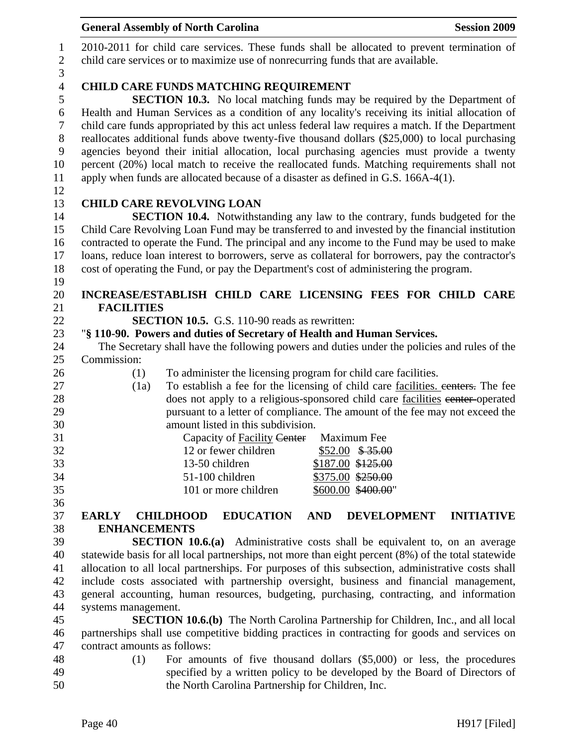|                  | <b>General Assembly of North Carolina</b><br><b>Session 2009</b>                                              |
|------------------|---------------------------------------------------------------------------------------------------------------|
| $\mathbf{1}$     | 2010-2011 for child care services. These funds shall be allocated to prevent termination of                   |
| $\sqrt{2}$       | child care services or to maximize use of nonrecurring funds that are available.                              |
| 3                |                                                                                                               |
| $\overline{4}$   | <b>CHILD CARE FUNDS MATCHING REQUIREMENT</b>                                                                  |
| 5                | <b>SECTION 10.3.</b> No local matching funds may be required by the Department of                             |
| $\boldsymbol{6}$ | Health and Human Services as a condition of any locality's receiving its initial allocation of                |
| $\overline{7}$   | child care funds appropriated by this act unless federal law requires a match. If the Department              |
| $8\,$            | reallocates additional funds above twenty-five thousand dollars (\$25,000) to local purchasing                |
| $\boldsymbol{9}$ | agencies beyond their initial allocation, local purchasing agencies must provide a twenty                     |
| 10               | percent (20%) local match to receive the reallocated funds. Matching requirements shall not                   |
| 11               | apply when funds are allocated because of a disaster as defined in G.S. 166A-4(1).                            |
| 12               |                                                                                                               |
| 13               | <b>CHILD CARE REVOLVING LOAN</b>                                                                              |
| 14               | <b>SECTION 10.4.</b> Notwithstanding any law to the contrary, funds budgeted for the                          |
| 15               | Child Care Revolving Loan Fund may be transferred to and invested by the financial institution                |
| 16               | contracted to operate the Fund. The principal and any income to the Fund may be used to make                  |
| 17<br>18         | loans, reduce loan interest to borrowers, serve as collateral for borrowers, pay the contractor's             |
| 19               | cost of operating the Fund, or pay the Department's cost of administering the program.                        |
| 20               | INCREASE/ESTABLISH CHILD CARE LICENSING FEES FOR CHILD CARE                                                   |
| 21               | <b>FACILITIES</b>                                                                                             |
| 22               | <b>SECTION 10.5.</b> G.S. 110-90 reads as rewritten:                                                          |
| 23               | "§ 110-90. Powers and duties of Secretary of Health and Human Services.                                       |
| 24               | The Secretary shall have the following powers and duties under the policies and rules of the                  |
| 25               | Commission:                                                                                                   |
| 26               | To administer the licensing program for child care facilities.<br>(1)                                         |
| 27               | To establish a fee for the licensing of child care facilities, centers. The fee<br>(1a)                       |
| 28               | does not apply to a religious-sponsored child care facilities eenter-operated                                 |
| 29               | pursuant to a letter of compliance. The amount of the fee may not exceed the                                  |
| 30               | amount listed in this subdivision.                                                                            |
| 31               | Capacity of Facility Center Maximum Fee                                                                       |
| 32               | 12 or fewer children<br>$$52.00$ \$35.00                                                                      |
| 33               | \$187.00 \$125.00<br>13-50 children                                                                           |
| 34               | 51-100 children<br>\$375.00 \$250.00                                                                          |
| 35               | 101 or more children<br>\$600.00 \$400.00"                                                                    |
| 36<br>37         | <b>EDUCATION</b><br><b>AND</b><br><b>DEVELOPMENT</b><br><b>INITIATIVE</b><br><b>EARLY</b><br><b>CHILDHOOD</b> |
| 38               | <b>ENHANCEMENTS</b>                                                                                           |
| 39               | <b>SECTION 10.6.(a)</b> Administrative costs shall be equivalent to, on an average                            |
| 40               | statewide basis for all local partnerships, not more than eight percent (8%) of the total statewide           |
| 41               | allocation to all local partnerships. For purposes of this subsection, administrative costs shall             |
| 42               | include costs associated with partnership oversight, business and financial management,                       |
| 43               | general accounting, human resources, budgeting, purchasing, contracting, and information                      |
| 44               | systems management.                                                                                           |
| 45               | <b>SECTION 10.6.(b)</b> The North Carolina Partnership for Children, Inc., and all local                      |
| 46               | partnerships shall use competitive bidding practices in contracting for goods and services on                 |
| 47               | contract amounts as follows:                                                                                  |
| 48               | For amounts of five thousand dollars $(\$5,000)$ or less, the procedures<br>(1)                               |
| 49               | specified by a written policy to be developed by the Board of Directors of                                    |
| 50               | the North Carolina Partnership for Children, Inc.                                                             |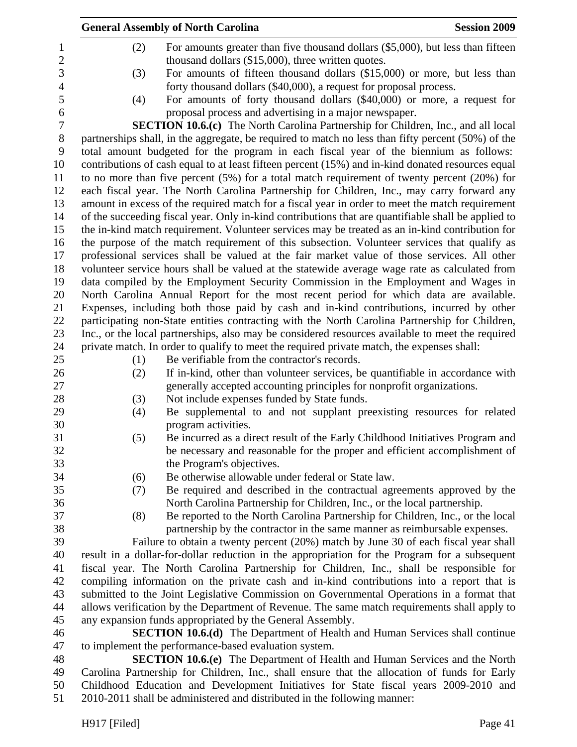|                | <b>Session 2009</b><br><b>General Assembly of North Carolina</b>                                            |
|----------------|-------------------------------------------------------------------------------------------------------------|
| $\mathbf{1}$   | For amounts greater than five thousand dollars (\$5,000), but less than fifteen<br>(2)                      |
| $\overline{2}$ | thousand dollars (\$15,000), three written quotes.                                                          |
|                | For amounts of fifteen thousand dollars (\$15,000) or more, but less than<br>(3)                            |
|                | forty thousand dollars (\$40,000), a request for proposal process.                                          |
|                | For amounts of forty thousand dollars (\$40,000) or more, a request for<br>(4)                              |
|                | proposal process and advertising in a major newspaper.                                                      |
|                | <b>SECTION 10.6.(c)</b> The North Carolina Partnership for Children, Inc., and all local                    |
|                | partnerships shall, in the aggregate, be required to match no less than fifty percent (50%) of the          |
|                | total amount budgeted for the program in each fiscal year of the biennium as follows:                       |
|                | contributions of cash equal to at least fifteen percent (15%) and in-kind donated resources equal           |
|                | to no more than five percent $(5%)$ for a total match requirement of twenty percent $(20%)$ for             |
|                | each fiscal year. The North Carolina Partnership for Children, Inc., may carry forward any                  |
|                | amount in excess of the required match for a fiscal year in order to meet the match requirement             |
|                | of the succeeding fiscal year. Only in-kind contributions that are quantifiable shall be applied to         |
|                | the in-kind match requirement. Volunteer services may be treated as an in-kind contribution for             |
|                | the purpose of the match requirement of this subsection. Volunteer services that qualify as                 |
|                | professional services shall be valued at the fair market value of those services. All other                 |
|                | volunteer service hours shall be valued at the statewide average wage rate as calculated from               |
|                | data compiled by the Employment Security Commission in the Employment and Wages in                          |
|                | North Carolina Annual Report for the most recent period for which data are available.                       |
|                | Expenses, including both those paid by cash and in-kind contributions, incurred by other                    |
|                | participating non-State entities contracting with the North Carolina Partnership for Children,              |
|                | Inc., or the local partnerships, also may be considered resources available to meet the required            |
|                | private match. In order to qualify to meet the required private match, the expenses shall:                  |
|                | Be verifiable from the contractor's records.<br>(1)                                                         |
|                | If in-kind, other than volunteer services, be quantifiable in accordance with<br>(2)                        |
|                | generally accepted accounting principles for nonprofit organizations.                                       |
|                | Not include expenses funded by State funds.<br>(3)                                                          |
|                | Be supplemental to and not supplant preexisting resources for related<br>(4)                                |
|                | program activities.<br>Be incurred as a direct result of the Early Childhood Initiatives Program and<br>(5) |
|                | be necessary and reasonable for the proper and efficient accomplishment of                                  |
|                | the Program's objectives.                                                                                   |
|                | Be otherwise allowable under federal or State law.<br>(6)                                                   |
|                | Be required and described in the contractual agreements approved by the<br>(7)                              |
|                | North Carolina Partnership for Children, Inc., or the local partnership.                                    |
|                | (8)<br>Be reported to the North Carolina Partnership for Children, Inc., or the local                       |
|                | partnership by the contractor in the same manner as reimbursable expenses.                                  |
|                | Failure to obtain a twenty percent (20%) match by June 30 of each fiscal year shall                         |
|                | result in a dollar-for-dollar reduction in the appropriation for the Program for a subsequent               |
|                | fiscal year. The North Carolina Partnership for Children, Inc., shall be responsible for                    |
|                | compiling information on the private cash and in-kind contributions into a report that is                   |
|                | submitted to the Joint Legislative Commission on Governmental Operations in a format that                   |
|                | allows verification by the Department of Revenue. The same match requirements shall apply to                |
|                | any expansion funds appropriated by the General Assembly.                                                   |
|                | <b>SECTION 10.6.(d)</b> The Department of Health and Human Services shall continue                          |
|                | to implement the performance-based evaluation system.                                                       |
|                | <b>SECTION 10.6.(e)</b> The Department of Health and Human Services and the North                           |
|                | Carolina Partnership for Children, Inc., shall ensure that the allocation of funds for Early                |
|                | Childhood Education and Development Initiatives for State fiscal years 2009-2010 and                        |

H917 [Filed] Page 41

51 2010-2011 shall be administered and distributed in the following manner: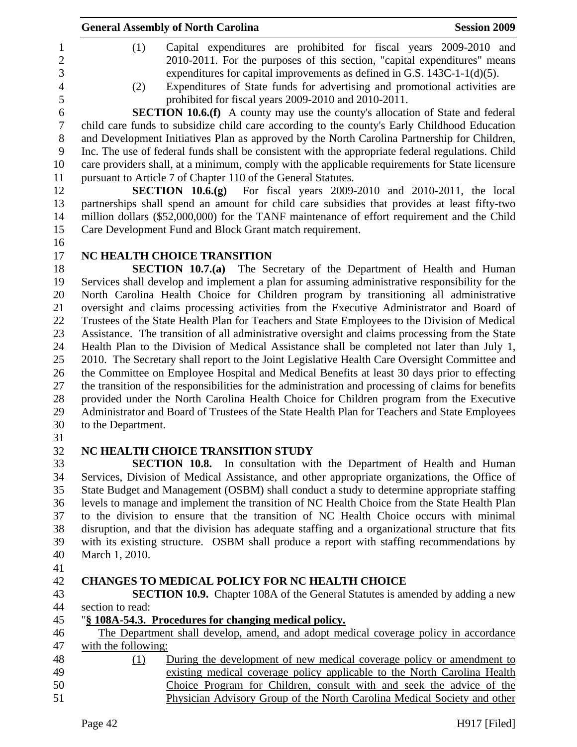|    | <b>General Assembly of North Carolina</b>                                                                                                                                                                                                                                                                                                                                          | <b>Session 2009</b> |
|----|------------------------------------------------------------------------------------------------------------------------------------------------------------------------------------------------------------------------------------------------------------------------------------------------------------------------------------------------------------------------------------|---------------------|
|    | (1)<br>Capital expenditures are prohibited for fiscal years 2009-2010 and<br>2010-2011. For the purposes of this section, "capital expenditures" means<br>expenditures for capital improvements as defined in G.S. $143C-1-1(d)(5)$ .<br>Expenditures of State funds for advertising and promotional activities are<br>(2)<br>prohibited for fiscal years 2009-2010 and 2010-2011. |                     |
|    | <b>SECTION 10.6.(f)</b> A county may use the county's allocation of State and federal<br>child care funds to subsidize child care according to the county's Early Childhood Education                                                                                                                                                                                              |                     |
|    | and Development Initiatives Plan as approved by the North Carolina Partnership for Children,                                                                                                                                                                                                                                                                                       |                     |
|    | Inc. The use of federal funds shall be consistent with the appropriate federal regulations. Child                                                                                                                                                                                                                                                                                  |                     |
|    | care providers shall, at a minimum, comply with the applicable requirements for State licensure                                                                                                                                                                                                                                                                                    |                     |
|    | pursuant to Article 7 of Chapter 110 of the General Statutes.                                                                                                                                                                                                                                                                                                                      |                     |
|    | <b>SECTION 10.6.(g)</b> For fiscal years $2009-2010$ and $2010-2011$ , the local                                                                                                                                                                                                                                                                                                   |                     |
|    | partnerships shall spend an amount for child care subsidies that provides at least fifty-two                                                                                                                                                                                                                                                                                       |                     |
| 14 | million dollars (\$52,000,000) for the TANF maintenance of effort requirement and the Child                                                                                                                                                                                                                                                                                        |                     |
|    | Care Development Fund and Block Grant match requirement.                                                                                                                                                                                                                                                                                                                           |                     |
| 16 |                                                                                                                                                                                                                                                                                                                                                                                    |                     |
|    | NC HEALTH CHOICE TRANSITION<br>SECTION 10.7.(a) The Secretary of the Department of Health and Human                                                                                                                                                                                                                                                                                |                     |
| 19 | Services shall develop and implement a plan for assuming administrative responsibility for the                                                                                                                                                                                                                                                                                     |                     |
|    | North Carolina Health Choice for Children program by transitioning all administrative                                                                                                                                                                                                                                                                                              |                     |
|    | oversight and claims processing activities from the Executive Administrator and Board of                                                                                                                                                                                                                                                                                           |                     |
|    | Trustees of the State Health Plan for Teachers and State Employees to the Division of Medical                                                                                                                                                                                                                                                                                      |                     |
|    | Assistance. The transition of all administrative oversight and claims processing from the State                                                                                                                                                                                                                                                                                    |                     |
|    | Health Plan to the Division of Medical Assistance shall be completed not later than July 1,                                                                                                                                                                                                                                                                                        |                     |
|    | 2010. The Secretary shall report to the Joint Legislative Health Care Oversight Committee and                                                                                                                                                                                                                                                                                      |                     |
|    | the Committee on Employee Hospital and Medical Benefits at least 30 days prior to effecting                                                                                                                                                                                                                                                                                        |                     |
|    | the transition of the responsibilities for the administration and processing of claims for benefits                                                                                                                                                                                                                                                                                |                     |
|    | provided under the North Carolina Health Choice for Children program from the Executive                                                                                                                                                                                                                                                                                            |                     |
| 29 | Administrator and Board of Trustees of the State Health Plan for Teachers and State Employees<br>to the Department.                                                                                                                                                                                                                                                                |                     |
|    |                                                                                                                                                                                                                                                                                                                                                                                    |                     |
|    | NC HEALTH CHOICE TRANSITION STUDY                                                                                                                                                                                                                                                                                                                                                  |                     |
|    | <b>SECTION 10.8.</b> In consultation with the Department of Health and Human                                                                                                                                                                                                                                                                                                       |                     |
|    | Services, Division of Medical Assistance, and other appropriate organizations, the Office of                                                                                                                                                                                                                                                                                       |                     |
|    | State Budget and Management (OSBM) shall conduct a study to determine appropriate staffing                                                                                                                                                                                                                                                                                         |                     |
|    | levels to manage and implement the transition of NC Health Choice from the State Health Plan                                                                                                                                                                                                                                                                                       |                     |
|    | to the division to ensure that the transition of NC Health Choice occurs with minimal                                                                                                                                                                                                                                                                                              |                     |
|    | disruption, and that the division has adequate staffing and a organizational structure that fits<br>with its existing structure. OSBM shall produce a report with staffing recommendations by                                                                                                                                                                                      |                     |
|    | March 1, 2010.                                                                                                                                                                                                                                                                                                                                                                     |                     |
|    |                                                                                                                                                                                                                                                                                                                                                                                    |                     |
|    | <b>CHANGES TO MEDICAL POLICY FOR NC HEALTH CHOICE</b>                                                                                                                                                                                                                                                                                                                              |                     |
|    | <b>SECTION 10.9.</b> Chapter 108A of the General Statutes is amended by adding a new                                                                                                                                                                                                                                                                                               |                     |
|    | section to read:                                                                                                                                                                                                                                                                                                                                                                   |                     |
|    | "§ 108A-54.3. Procedures for changing medical policy.                                                                                                                                                                                                                                                                                                                              |                     |
|    | The Department shall develop, amend, and adopt medical coverage policy in accordance                                                                                                                                                                                                                                                                                               |                     |
|    | with the following:                                                                                                                                                                                                                                                                                                                                                                |                     |
|    | During the development of new medical coverage policy or amendment to<br>(1)                                                                                                                                                                                                                                                                                                       |                     |
|    | existing medical coverage policy applicable to the North Carolina Health                                                                                                                                                                                                                                                                                                           |                     |
|    | Choice Program for Children, consult with and seek the advice of the<br>Physician Advisory Group of the North Carolina Medical Society and other                                                                                                                                                                                                                                   |                     |
|    | Page 42                                                                                                                                                                                                                                                                                                                                                                            | H917 [Filed]        |
|    |                                                                                                                                                                                                                                                                                                                                                                                    |                     |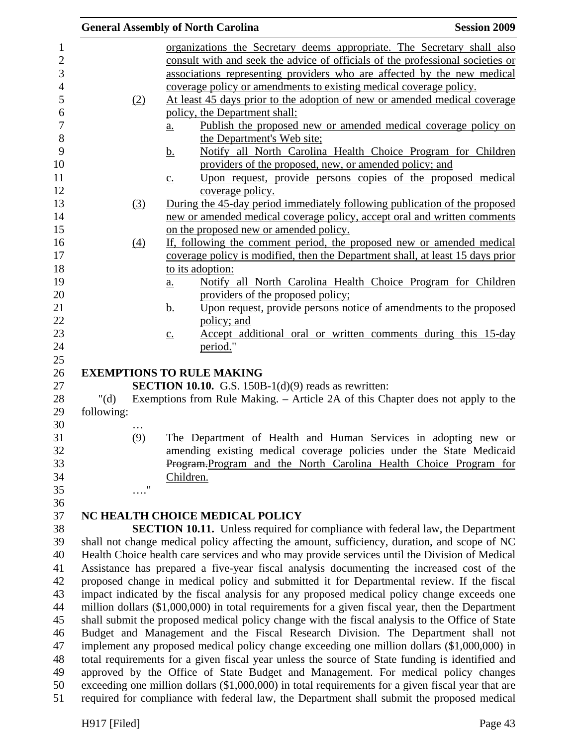|                                                                                                 |                   | <b>General Assembly of North Carolina</b>                                                          | <b>Session 2009</b> |
|-------------------------------------------------------------------------------------------------|-------------------|----------------------------------------------------------------------------------------------------|---------------------|
|                                                                                                 |                   | organizations the Secretary deems appropriate. The Secretary shall also                            |                     |
|                                                                                                 |                   | consult with and seek the advice of officials of the professional societies or                     |                     |
|                                                                                                 |                   | associations representing providers who are affected by the new medical                            |                     |
|                                                                                                 |                   | coverage policy or amendments to existing medical coverage policy.                                 |                     |
|                                                                                                 | (2)               | At least 45 days prior to the adoption of new or amended medical coverage                          |                     |
|                                                                                                 |                   | policy, the Department shall:                                                                      |                     |
|                                                                                                 |                   | Publish the proposed new or amended medical coverage policy on<br>$\underline{a}$ .                |                     |
|                                                                                                 |                   | the Department's Web site;                                                                         |                     |
|                                                                                                 |                   | Notify all North Carolina Health Choice Program for Children<br><u>b.</u>                          |                     |
|                                                                                                 |                   | providers of the proposed, new, or amended policy; and                                             |                     |
|                                                                                                 |                   | Upon request, provide persons copies of the proposed medical<br>$\underline{c}$ .                  |                     |
|                                                                                                 |                   | coverage policy.                                                                                   |                     |
|                                                                                                 | (3)               | During the 45-day period immediately following publication of the proposed                         |                     |
|                                                                                                 |                   | new or amended medical coverage policy, accept oral and written comments                           |                     |
|                                                                                                 |                   | on the proposed new or amended policy.                                                             |                     |
|                                                                                                 | $\underline{(4)}$ | If, following the comment period, the proposed new or amended medical                              |                     |
|                                                                                                 |                   | coverage policy is modified, then the Department shall, at least 15 days prior<br>to its adoption: |                     |
|                                                                                                 |                   | Notify all North Carolina Health Choice Program for Children<br>$\underline{a}$ .                  |                     |
|                                                                                                 |                   | providers of the proposed policy;                                                                  |                     |
|                                                                                                 |                   | Upon request, provide persons notice of amendments to the proposed<br><u>b.</u>                    |                     |
|                                                                                                 |                   | policy; and                                                                                        |                     |
|                                                                                                 |                   | Accept additional oral or written comments during this 15-day<br>$\underline{c}$ .                 |                     |
|                                                                                                 |                   | period."                                                                                           |                     |
|                                                                                                 |                   | <b>EXEMPTIONS TO RULE MAKING</b>                                                                   |                     |
|                                                                                                 |                   | <b>SECTION 10.10.</b> G.S. 150B-1( $d$ )(9) reads as rewritten:                                    |                     |
| " $(d)$                                                                                         |                   | Exemptions from Rule Making. – Article 2A of this Chapter does not apply to the                    |                     |
| following:                                                                                      |                   |                                                                                                    |                     |
|                                                                                                 | .                 |                                                                                                    |                     |
|                                                                                                 | (9)               | The Department of Health and Human Services in adopting new or                                     |                     |
|                                                                                                 |                   | amending existing medical coverage policies under the State Medicaid                               |                     |
|                                                                                                 |                   | Program-Program and the North Carolina Health Choice Program for                                   |                     |
|                                                                                                 | 11                | Children.                                                                                          |                     |
|                                                                                                 |                   |                                                                                                    |                     |
|                                                                                                 |                   | NC HEALTH CHOICE MEDICAL POLICY                                                                    |                     |
|                                                                                                 |                   | <b>SECTION 10.11.</b> Unless required for compliance with federal law, the Department              |                     |
|                                                                                                 |                   | shall not change medical policy affecting the amount, sufficiency, duration, and scope of NC       |                     |
|                                                                                                 |                   | Health Choice health care services and who may provide services until the Division of Medical      |                     |
|                                                                                                 |                   | Assistance has prepared a five-year fiscal analysis documenting the increased cost of the          |                     |
|                                                                                                 |                   | proposed change in medical policy and submitted it for Departmental review. If the fiscal          |                     |
|                                                                                                 |                   | impact indicated by the fiscal analysis for any proposed medical policy change exceeds one         |                     |
|                                                                                                 |                   | million dollars (\$1,000,000) in total requirements for a given fiscal year, then the Department   |                     |
|                                                                                                 |                   | shall submit the proposed medical policy change with the fiscal analysis to the Office of State    |                     |
|                                                                                                 |                   | Budget and Management and the Fiscal Research Division. The Department shall not                   |                     |
|                                                                                                 |                   | implement any proposed medical policy change exceeding one million dollars (\$1,000,000) in        |                     |
| total requirements for a given fiscal year unless the source of State funding is identified and |                   |                                                                                                    |                     |
|                                                                                                 |                   | approved by the Office of State Budget and Management. For medical policy changes                  |                     |
|                                                                                                 |                   | exceeding one million dollars (\$1,000,000) in total requirements for a given fiscal year that are |                     |
| required for compliance with federal law, the Department shall submit the proposed medical      |                   |                                                                                                    |                     |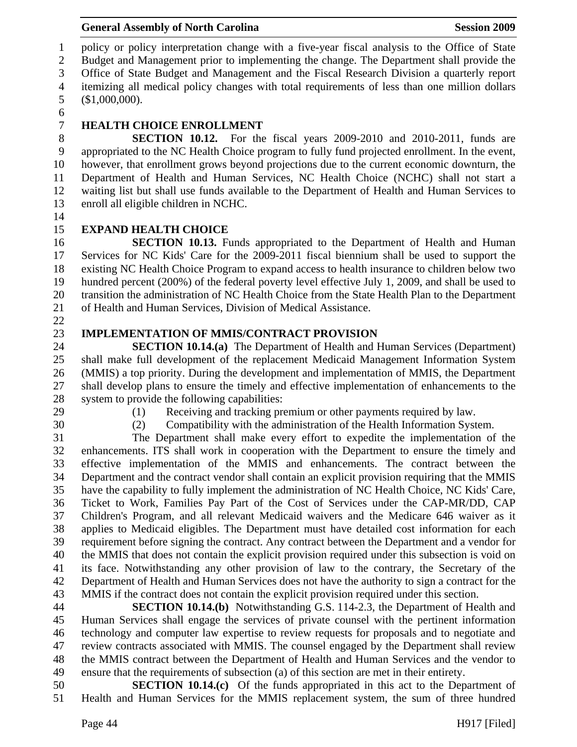1 policy or policy interpretation change with a five-year fiscal analysis to the Office of State 2 Budget and Management prior to implementing the change. The Department shall provide the 3 Office of State Budget and Management and the Fiscal Research Division a quarterly report 4 itemizing all medical policy changes with total requirements of less than one million dollars 5 (\$1,000,000).

6

# 7 **HEALTH CHOICE ENROLLMENT**

8 **SECTION 10.12.** For the fiscal years 2009-2010 and 2010-2011, funds are 9 appropriated to the NC Health Choice program to fully fund projected enrollment. In the event, 10 however, that enrollment grows beyond projections due to the current economic downturn, the 11 Department of Health and Human Services, NC Health Choice (NCHC) shall not start a 12 waiting list but shall use funds available to the Department of Health and Human Services to 13 enroll all eligible children in NCHC.

14

# 15 **EXPAND HEALTH CHOICE**

16 **SECTION 10.13.** Funds appropriated to the Department of Health and Human 17 Services for NC Kids' Care for the 2009-2011 fiscal biennium shall be used to support the 18 existing NC Health Choice Program to expand access to health insurance to children below two 19 hundred percent (200%) of the federal poverty level effective July 1, 2009, and shall be used to 20 transition the administration of NC Health Choice from the State Health Plan to the Department 21 of Health and Human Services, Division of Medical Assistance.

22

## 23 **IMPLEMENTATION OF MMIS/CONTRACT PROVISION**

24 **SECTION 10.14.(a)** The Department of Health and Human Services (Department) 25 shall make full development of the replacement Medicaid Management Information System 26 (MMIS) a top priority. During the development and implementation of MMIS, the Department 27 shall develop plans to ensure the timely and effective implementation of enhancements to the 28 system to provide the following capabilities:

- 
- 

29 (1) Receiving and tracking premium or other payments required by law.

30 (2) Compatibility with the administration of the Health Information System.

31 The Department shall make every effort to expedite the implementation of the 32 enhancements. ITS shall work in cooperation with the Department to ensure the timely and 33 effective implementation of the MMIS and enhancements. The contract between the 34 Department and the contract vendor shall contain an explicit provision requiring that the MMIS 35 have the capability to fully implement the administration of NC Health Choice, NC Kids' Care, 36 Ticket to Work, Families Pay Part of the Cost of Services under the CAP-MR/DD, CAP 37 Children's Program, and all relevant Medicaid waivers and the Medicare 646 waiver as it 38 applies to Medicaid eligibles. The Department must have detailed cost information for each 39 requirement before signing the contract. Any contract between the Department and a vendor for 40 the MMIS that does not contain the explicit provision required under this subsection is void on 41 its face. Notwithstanding any other provision of law to the contrary, the Secretary of the 42 Department of Health and Human Services does not have the authority to sign a contract for the 43 MMIS if the contract does not contain the explicit provision required under this section.

44 **SECTION 10.14.(b)** Notwithstanding G.S. 114-2.3, the Department of Health and 45 Human Services shall engage the services of private counsel with the pertinent information 46 technology and computer law expertise to review requests for proposals and to negotiate and 47 review contracts associated with MMIS. The counsel engaged by the Department shall review 48 the MMIS contract between the Department of Health and Human Services and the vendor to 49 ensure that the requirements of subsection (a) of this section are met in their entirety.

50 **SECTION 10.14.(c)** Of the funds appropriated in this act to the Department of 51 Health and Human Services for the MMIS replacement system, the sum of three hundred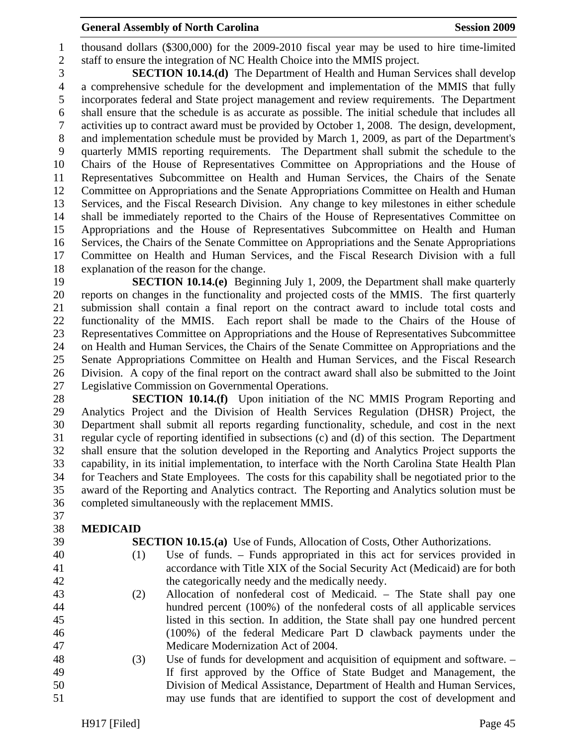#### **General Assembly of North Carolina**  Session 2009 **Session 2009**

1 thousand dollars (\$300,000) for the 2009-2010 fiscal year may be used to hire time-limited 2 staff to ensure the integration of NC Health Choice into the MMIS project.

3 **SECTION 10.14.(d)** The Department of Health and Human Services shall develop 4 a comprehensive schedule for the development and implementation of the MMIS that fully 5 incorporates federal and State project management and review requirements. The Department 6 shall ensure that the schedule is as accurate as possible. The initial schedule that includes all 7 activities up to contract award must be provided by October 1, 2008. The design, development, 8 and implementation schedule must be provided by March 1, 2009, as part of the Department's 9 quarterly MMIS reporting requirements. The Department shall submit the schedule to the 10 Chairs of the House of Representatives Committee on Appropriations and the House of 11 Representatives Subcommittee on Health and Human Services, the Chairs of the Senate 12 Committee on Appropriations and the Senate Appropriations Committee on Health and Human 13 Services, and the Fiscal Research Division. Any change to key milestones in either schedule 14 shall be immediately reported to the Chairs of the House of Representatives Committee on 15 Appropriations and the House of Representatives Subcommittee on Health and Human 16 Services, the Chairs of the Senate Committee on Appropriations and the Senate Appropriations 17 Committee on Health and Human Services, and the Fiscal Research Division with a full 18 explanation of the reason for the change.

19 **SECTION 10.14.(e)** Beginning July 1, 2009, the Department shall make quarterly 20 reports on changes in the functionality and projected costs of the MMIS. The first quarterly 21 submission shall contain a final report on the contract award to include total costs and 22 functionality of the MMIS. Each report shall be made to the Chairs of the House of 23 Representatives Committee on Appropriations and the House of Representatives Subcommittee 24 on Health and Human Services, the Chairs of the Senate Committee on Appropriations and the 25 Senate Appropriations Committee on Health and Human Services, and the Fiscal Research 26 Division. A copy of the final report on the contract award shall also be submitted to the Joint 27 Legislative Commission on Governmental Operations.

28 **SECTION 10.14.(f)** Upon initiation of the NC MMIS Program Reporting and 29 Analytics Project and the Division of Health Services Regulation (DHSR) Project, the 30 Department shall submit all reports regarding functionality, schedule, and cost in the next 31 regular cycle of reporting identified in subsections (c) and (d) of this section. The Department 32 shall ensure that the solution developed in the Reporting and Analytics Project supports the 33 capability, in its initial implementation, to interface with the North Carolina State Health Plan 34 for Teachers and State Employees. The costs for this capability shall be negotiated prior to the 35 award of the Reporting and Analytics contract. The Reporting and Analytics solution must be 36 completed simultaneously with the replacement MMIS.

- 37
- 38 **MEDICAID**
- 
- 

39 **SECTION 10.15.(a)** Use of Funds, Allocation of Costs, Other Authorizations.

- 40 (1) Use of funds. Funds appropriated in this act for services provided in 41 accordance with Title XIX of the Social Security Act (Medicaid) are for both 42 the categorically needy and the medically needy.
- 43 (2) Allocation of nonfederal cost of Medicaid. The State shall pay one 44 hundred percent (100%) of the nonfederal costs of all applicable services 45 listed in this section. In addition, the State shall pay one hundred percent 46 (100%) of the federal Medicare Part D clawback payments under the 47 Medicare Modernization Act of 2004.
- 48 (3) Use of funds for development and acquisition of equipment and software. 49 If first approved by the Office of State Budget and Management, the 50 Division of Medical Assistance, Department of Health and Human Services, 51 may use funds that are identified to support the cost of development and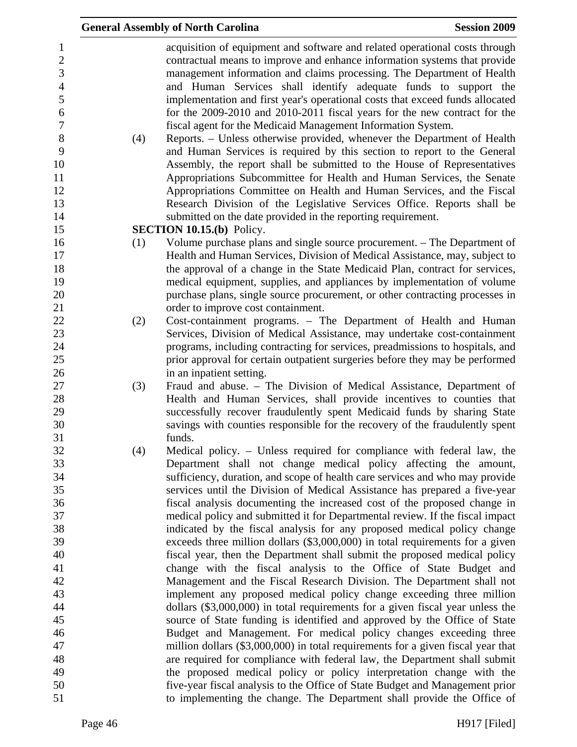|                                                                                                                                   |     | <b>General Assembly of North Carolina</b>                                                                                                                                                                                                                                                                                                                                                                                                                                                                                                                                                                                                                                                                                                                                                                                                                                                                                                                                                                                                                        | <b>Session 2009</b> |
|-----------------------------------------------------------------------------------------------------------------------------------|-----|------------------------------------------------------------------------------------------------------------------------------------------------------------------------------------------------------------------------------------------------------------------------------------------------------------------------------------------------------------------------------------------------------------------------------------------------------------------------------------------------------------------------------------------------------------------------------------------------------------------------------------------------------------------------------------------------------------------------------------------------------------------------------------------------------------------------------------------------------------------------------------------------------------------------------------------------------------------------------------------------------------------------------------------------------------------|---------------------|
| $\mathbf{1}$<br>$\boldsymbol{2}$<br>3<br>$\overline{4}$<br>5<br>6<br>$\boldsymbol{7}$<br>$8\,$<br>9<br>10<br>11<br>12<br>13<br>14 | (4) | acquisition of equipment and software and related operational costs through<br>contractual means to improve and enhance information systems that provide<br>management information and claims processing. The Department of Health<br>and Human Services shall identify adequate funds to support the<br>implementation and first year's operational costs that exceed funds allocated<br>for the 2009-2010 and 2010-2011 fiscal years for the new contract for the<br>fiscal agent for the Medicaid Management Information System.<br>Reports. – Unless otherwise provided, whenever the Department of Health<br>and Human Services is required by this section to report to the General<br>Assembly, the report shall be submitted to the House of Representatives<br>Appropriations Subcommittee for Health and Human Services, the Senate<br>Appropriations Committee on Health and Human Services, and the Fiscal<br>Research Division of the Legislative Services Office. Reports shall be<br>submitted on the date provided in the reporting requirement. |                     |
| 15                                                                                                                                |     | <b>SECTION 10.15.(b)</b> Policy.                                                                                                                                                                                                                                                                                                                                                                                                                                                                                                                                                                                                                                                                                                                                                                                                                                                                                                                                                                                                                                 |                     |
| 16<br>17<br>18<br>19<br>20<br>21                                                                                                  | (1) | Volume purchase plans and single source procurement. – The Department of<br>Health and Human Services, Division of Medical Assistance, may, subject to<br>the approval of a change in the State Medicaid Plan, contract for services,<br>medical equipment, supplies, and appliances by implementation of volume<br>purchase plans, single source procurement, or other contracting processes in<br>order to improve cost containment.                                                                                                                                                                                                                                                                                                                                                                                                                                                                                                                                                                                                                           |                     |
| 22                                                                                                                                | (2) | Cost-containment programs. - The Department of Health and Human                                                                                                                                                                                                                                                                                                                                                                                                                                                                                                                                                                                                                                                                                                                                                                                                                                                                                                                                                                                                  |                     |
| 23                                                                                                                                |     | Services, Division of Medical Assistance, may undertake cost-containment                                                                                                                                                                                                                                                                                                                                                                                                                                                                                                                                                                                                                                                                                                                                                                                                                                                                                                                                                                                         |                     |
| 24                                                                                                                                |     | programs, including contracting for services, preadmissions to hospitals, and                                                                                                                                                                                                                                                                                                                                                                                                                                                                                                                                                                                                                                                                                                                                                                                                                                                                                                                                                                                    |                     |
| 25                                                                                                                                |     | prior approval for certain outpatient surgeries before they may be performed                                                                                                                                                                                                                                                                                                                                                                                                                                                                                                                                                                                                                                                                                                                                                                                                                                                                                                                                                                                     |                     |
| 26                                                                                                                                |     | in an inpatient setting.                                                                                                                                                                                                                                                                                                                                                                                                                                                                                                                                                                                                                                                                                                                                                                                                                                                                                                                                                                                                                                         |                     |
| 27                                                                                                                                | (3) | Fraud and abuse. - The Division of Medical Assistance, Department of                                                                                                                                                                                                                                                                                                                                                                                                                                                                                                                                                                                                                                                                                                                                                                                                                                                                                                                                                                                             |                     |
| 28                                                                                                                                |     | Health and Human Services, shall provide incentives to counties that                                                                                                                                                                                                                                                                                                                                                                                                                                                                                                                                                                                                                                                                                                                                                                                                                                                                                                                                                                                             |                     |
| 29                                                                                                                                |     | successfully recover fraudulently spent Medicaid funds by sharing State                                                                                                                                                                                                                                                                                                                                                                                                                                                                                                                                                                                                                                                                                                                                                                                                                                                                                                                                                                                          |                     |
| 30                                                                                                                                |     | savings with counties responsible for the recovery of the fraudulently spent                                                                                                                                                                                                                                                                                                                                                                                                                                                                                                                                                                                                                                                                                                                                                                                                                                                                                                                                                                                     |                     |
| 31                                                                                                                                |     | funds.                                                                                                                                                                                                                                                                                                                                                                                                                                                                                                                                                                                                                                                                                                                                                                                                                                                                                                                                                                                                                                                           |                     |
| 32                                                                                                                                | (4) | Medical policy. – Unless required for compliance with federal law, the                                                                                                                                                                                                                                                                                                                                                                                                                                                                                                                                                                                                                                                                                                                                                                                                                                                                                                                                                                                           |                     |
| 33                                                                                                                                |     | Department shall not change medical policy affecting the amount,                                                                                                                                                                                                                                                                                                                                                                                                                                                                                                                                                                                                                                                                                                                                                                                                                                                                                                                                                                                                 |                     |
| 34                                                                                                                                |     | sufficiency, duration, and scope of health care services and who may provide                                                                                                                                                                                                                                                                                                                                                                                                                                                                                                                                                                                                                                                                                                                                                                                                                                                                                                                                                                                     |                     |
| 35                                                                                                                                |     | services until the Division of Medical Assistance has prepared a five-year                                                                                                                                                                                                                                                                                                                                                                                                                                                                                                                                                                                                                                                                                                                                                                                                                                                                                                                                                                                       |                     |
| 36<br>37                                                                                                                          |     | fiscal analysis documenting the increased cost of the proposed change in                                                                                                                                                                                                                                                                                                                                                                                                                                                                                                                                                                                                                                                                                                                                                                                                                                                                                                                                                                                         |                     |
| 38                                                                                                                                |     | medical policy and submitted it for Departmental review. If the fiscal impact<br>indicated by the fiscal analysis for any proposed medical policy change                                                                                                                                                                                                                                                                                                                                                                                                                                                                                                                                                                                                                                                                                                                                                                                                                                                                                                         |                     |
| 39                                                                                                                                |     | exceeds three million dollars (\$3,000,000) in total requirements for a given                                                                                                                                                                                                                                                                                                                                                                                                                                                                                                                                                                                                                                                                                                                                                                                                                                                                                                                                                                                    |                     |
| 40                                                                                                                                |     | fiscal year, then the Department shall submit the proposed medical policy                                                                                                                                                                                                                                                                                                                                                                                                                                                                                                                                                                                                                                                                                                                                                                                                                                                                                                                                                                                        |                     |
| 41                                                                                                                                |     | change with the fiscal analysis to the Office of State Budget and                                                                                                                                                                                                                                                                                                                                                                                                                                                                                                                                                                                                                                                                                                                                                                                                                                                                                                                                                                                                |                     |
| 42                                                                                                                                |     | Management and the Fiscal Research Division. The Department shall not                                                                                                                                                                                                                                                                                                                                                                                                                                                                                                                                                                                                                                                                                                                                                                                                                                                                                                                                                                                            |                     |
| 43                                                                                                                                |     | implement any proposed medical policy change exceeding three million                                                                                                                                                                                                                                                                                                                                                                                                                                                                                                                                                                                                                                                                                                                                                                                                                                                                                                                                                                                             |                     |
| 44                                                                                                                                |     | dollars (\$3,000,000) in total requirements for a given fiscal year unless the                                                                                                                                                                                                                                                                                                                                                                                                                                                                                                                                                                                                                                                                                                                                                                                                                                                                                                                                                                                   |                     |
| 45                                                                                                                                |     | source of State funding is identified and approved by the Office of State                                                                                                                                                                                                                                                                                                                                                                                                                                                                                                                                                                                                                                                                                                                                                                                                                                                                                                                                                                                        |                     |
| 46                                                                                                                                |     | Budget and Management. For medical policy changes exceeding three                                                                                                                                                                                                                                                                                                                                                                                                                                                                                                                                                                                                                                                                                                                                                                                                                                                                                                                                                                                                |                     |
| 47                                                                                                                                |     | million dollars (\$3,000,000) in total requirements for a given fiscal year that                                                                                                                                                                                                                                                                                                                                                                                                                                                                                                                                                                                                                                                                                                                                                                                                                                                                                                                                                                                 |                     |
| 48                                                                                                                                |     | are required for compliance with federal law, the Department shall submit                                                                                                                                                                                                                                                                                                                                                                                                                                                                                                                                                                                                                                                                                                                                                                                                                                                                                                                                                                                        |                     |
| 49                                                                                                                                |     | the proposed medical policy or policy interpretation change with the                                                                                                                                                                                                                                                                                                                                                                                                                                                                                                                                                                                                                                                                                                                                                                                                                                                                                                                                                                                             |                     |
| 50                                                                                                                                |     | five-year fiscal analysis to the Office of State Budget and Management prior                                                                                                                                                                                                                                                                                                                                                                                                                                                                                                                                                                                                                                                                                                                                                                                                                                                                                                                                                                                     |                     |
| 51                                                                                                                                |     | to implementing the change. The Department shall provide the Office of                                                                                                                                                                                                                                                                                                                                                                                                                                                                                                                                                                                                                                                                                                                                                                                                                                                                                                                                                                                           |                     |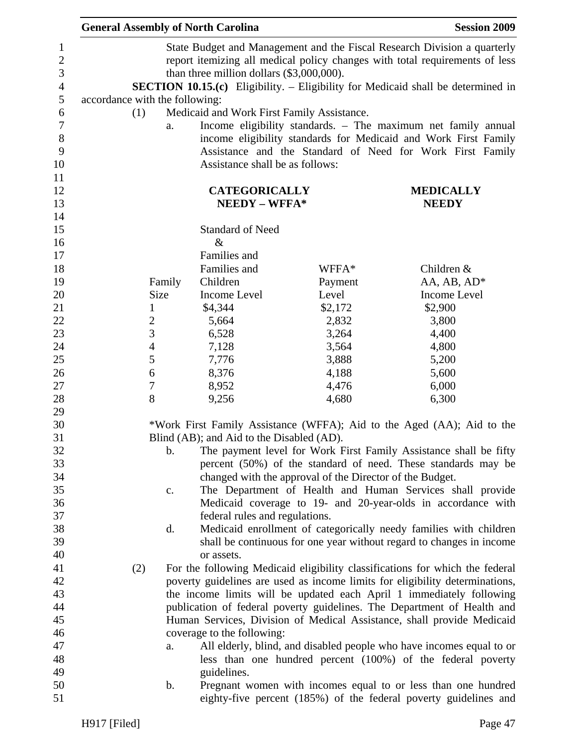|                                | <b>General Assembly of North Carolina</b>  |                                                          | <b>Session 2009</b>                                                                     |
|--------------------------------|--------------------------------------------|----------------------------------------------------------|-----------------------------------------------------------------------------------------|
|                                |                                            |                                                          | State Budget and Management and the Fiscal Research Division a quarterly                |
|                                |                                            |                                                          | report itemizing all medical policy changes with total requirements of less             |
|                                | than three million dollars (\$3,000,000).  |                                                          |                                                                                         |
|                                |                                            |                                                          | <b>SECTION 10.15.(c)</b> Eligibility. - Eligibility for Medicaid shall be determined in |
| accordance with the following: |                                            |                                                          |                                                                                         |
| (1)                            | Medicaid and Work First Family Assistance. |                                                          |                                                                                         |
| a.                             |                                            |                                                          | Income eligibility standards. - The maximum net family annual                           |
|                                |                                            |                                                          | income eligibility standards for Medicaid and Work First Family                         |
|                                |                                            |                                                          | Assistance and the Standard of Need for Work First Family                               |
|                                | Assistance shall be as follows:            |                                                          |                                                                                         |
|                                |                                            |                                                          |                                                                                         |
|                                | <b>CATEGORICALLY</b>                       |                                                          | <b>MEDICALLY</b>                                                                        |
|                                | NEEDY - WFFA*                              |                                                          | <b>NEEDY</b>                                                                            |
|                                |                                            |                                                          |                                                                                         |
|                                | <b>Standard of Need</b>                    |                                                          |                                                                                         |
|                                | $\&$                                       |                                                          |                                                                                         |
|                                | Families and                               |                                                          |                                                                                         |
|                                | Families and                               | WFFA*                                                    | Children &                                                                              |
| Family                         | Children                                   | Payment                                                  | AA, AB, AD*                                                                             |
| Size                           | Income Level                               | Level                                                    | <b>Income Level</b>                                                                     |
| $\mathbf{1}$                   | \$4,344                                    | \$2,172                                                  | \$2,900                                                                                 |
| $\overline{2}$                 | 5,664                                      | 2,832                                                    | 3,800                                                                                   |
| 3                              | 6,528                                      | 3,264                                                    | 4,400                                                                                   |
| $\overline{4}$                 | 7,128                                      | 3,564                                                    | 4,800                                                                                   |
| 5                              | 7,776                                      | 3,888                                                    | 5,200                                                                                   |
| 6                              | 8,376                                      | 4,188                                                    | 5,600                                                                                   |
| $\boldsymbol{7}$               | 8,952                                      | 4,476                                                    | 6,000                                                                                   |
| 8                              | 9,256                                      | 4,680                                                    | 6,300                                                                                   |
|                                |                                            |                                                          |                                                                                         |
|                                |                                            |                                                          | *Work First Family Assistance (WFFA); Aid to the Aged (AA); Aid to the                  |
|                                | Blind (AB); and Aid to the Disabled (AD).  |                                                          |                                                                                         |
| b.                             |                                            |                                                          | The payment level for Work First Family Assistance shall be fifty                       |
|                                |                                            |                                                          | percent (50%) of the standard of need. These standards may be                           |
|                                |                                            | changed with the approval of the Director of the Budget. |                                                                                         |
| c.                             |                                            |                                                          | The Department of Health and Human Services shall provide                               |
|                                |                                            |                                                          | Medicaid coverage to 19- and 20-year-olds in accordance with                            |
|                                | federal rules and regulations.             |                                                          |                                                                                         |
| d.                             |                                            |                                                          | Medicaid enrollment of categorically needy families with children                       |
|                                |                                            |                                                          | shall be continuous for one year without regard to changes in income                    |
|                                | or assets.                                 |                                                          |                                                                                         |
| (2)                            |                                            |                                                          | For the following Medicaid eligibility classifications for which the federal            |
|                                |                                            |                                                          | poverty guidelines are used as income limits for eligibility determinations,            |
|                                |                                            |                                                          | the income limits will be updated each April 1 immediately following                    |
|                                |                                            |                                                          | publication of federal poverty guidelines. The Department of Health and                 |
|                                |                                            |                                                          | Human Services, Division of Medical Assistance, shall provide Medicaid                  |
|                                | coverage to the following:                 |                                                          |                                                                                         |
| a.                             |                                            |                                                          | All elderly, blind, and disabled people who have incomes equal to or                    |
|                                |                                            |                                                          | less than one hundred percent (100%) of the federal poverty                             |
|                                | guidelines.                                |                                                          |                                                                                         |
| $\mathbf b$ .                  |                                            |                                                          | Pregnant women with incomes equal to or less than one hundred                           |
|                                |                                            |                                                          | eighty-five percent (185%) of the federal poverty guidelines and                        |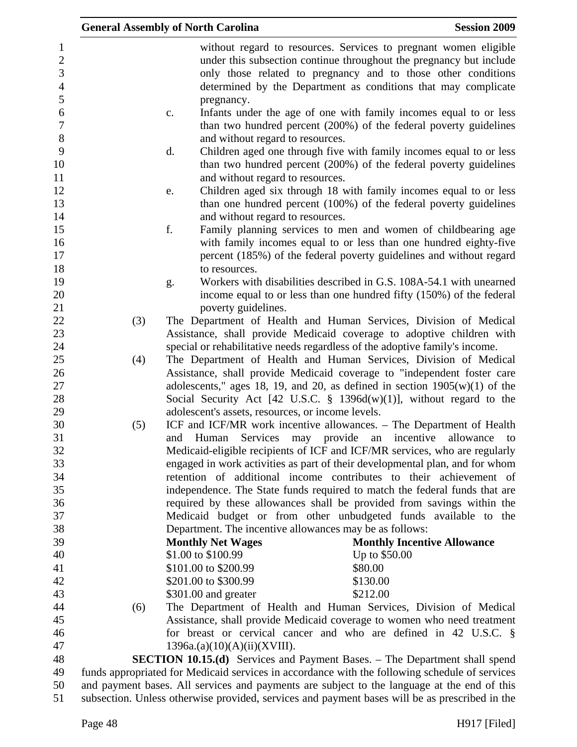|                                                       |     | <b>General Assembly of North Carolina</b>          | <b>Session 2009</b>                                                                                                                                                                                                                                                        |
|-------------------------------------------------------|-----|----------------------------------------------------|----------------------------------------------------------------------------------------------------------------------------------------------------------------------------------------------------------------------------------------------------------------------------|
| $\mathbf{1}$<br>$\overline{c}$<br>3<br>$\overline{4}$ |     |                                                    | without regard to resources. Services to pregnant women eligible<br>under this subsection continue throughout the pregnancy but include<br>only those related to pregnancy and to those other conditions<br>determined by the Department as conditions that may complicate |
| 5                                                     |     | pregnancy.                                         |                                                                                                                                                                                                                                                                            |
| 6<br>$\boldsymbol{7}$<br>$8\,$                        |     | $\mathbf{c}$ .<br>and without regard to resources. | Infants under the age of one with family incomes equal to or less<br>than two hundred percent (200%) of the federal poverty guidelines                                                                                                                                     |
| 9<br>10<br>11                                         |     | d.<br>and without regard to resources.             | Children aged one through five with family incomes equal to or less<br>than two hundred percent (200%) of the federal poverty guidelines                                                                                                                                   |
| 12<br>13<br>14                                        |     | e.<br>and without regard to resources.             | Children aged six through 18 with family incomes equal to or less<br>than one hundred percent (100%) of the federal poverty guidelines                                                                                                                                     |
| 15<br>16<br>17                                        |     | f.                                                 | Family planning services to men and women of childbearing age<br>with family incomes equal to or less than one hundred eighty-five<br>percent (185%) of the federal poverty guidelines and without regard                                                                  |
| 18                                                    |     | to resources.                                      |                                                                                                                                                                                                                                                                            |
| 19                                                    |     | g.                                                 | Workers with disabilities described in G.S. 108A-54.1 with unearned                                                                                                                                                                                                        |
| 20                                                    |     |                                                    | income equal to or less than one hundred fifty (150%) of the federal                                                                                                                                                                                                       |
| 21<br>22                                              | (3) | poverty guidelines.                                | The Department of Health and Human Services, Division of Medical                                                                                                                                                                                                           |
| 23                                                    |     |                                                    | Assistance, shall provide Medicaid coverage to adoptive children with                                                                                                                                                                                                      |
| 24                                                    |     |                                                    | special or rehabilitative needs regardless of the adoptive family's income.                                                                                                                                                                                                |
| 25                                                    | (4) |                                                    | The Department of Health and Human Services, Division of Medical                                                                                                                                                                                                           |
| 26                                                    |     |                                                    | Assistance, shall provide Medicaid coverage to "independent foster care                                                                                                                                                                                                    |
| 27                                                    |     |                                                    | adolescents," ages 18, 19, and 20, as defined in section $1905(w)(1)$ of the                                                                                                                                                                                               |
| 28                                                    |     |                                                    | Social Security Act [42 U.S.C. $\S$ 1396d(w)(1)], without regard to the                                                                                                                                                                                                    |
| 29                                                    |     | adolescent's assets, resources, or income levels.  |                                                                                                                                                                                                                                                                            |
| 30                                                    | (5) |                                                    | ICF and ICF/MR work incentive allowances. – The Department of Health                                                                                                                                                                                                       |
| 31                                                    |     | Services may<br>and<br>Human                       | provide<br>incentive<br>allowance<br>an<br>to                                                                                                                                                                                                                              |
| 32                                                    |     |                                                    | Medicaid-eligible recipients of ICF and ICF/MR services, who are regularly                                                                                                                                                                                                 |
| 33                                                    |     |                                                    | engaged in work activities as part of their developmental plan, and for whom                                                                                                                                                                                               |
| 34                                                    |     |                                                    | retention of additional income contributes to their achievement of                                                                                                                                                                                                         |
| 35                                                    |     |                                                    | independence. The State funds required to match the federal funds that are                                                                                                                                                                                                 |
| 36                                                    |     |                                                    | required by these allowances shall be provided from savings within the                                                                                                                                                                                                     |
| 37                                                    |     |                                                    | Medicaid budget or from other unbudgeted funds available to the                                                                                                                                                                                                            |
| 38                                                    |     |                                                    | Department. The incentive allowances may be as follows:                                                                                                                                                                                                                    |
| 39                                                    |     | <b>Monthly Net Wages</b>                           | <b>Monthly Incentive Allowance</b>                                                                                                                                                                                                                                         |
| 40                                                    |     | \$1.00 to \$100.99                                 | Up to \$50.00                                                                                                                                                                                                                                                              |
| 41<br>42                                              |     | \$101.00 to \$200.99                               | \$80.00                                                                                                                                                                                                                                                                    |
| 43                                                    |     | \$201.00 to \$300.99<br>\$301.00 and greater       | \$130.00<br>\$212.00                                                                                                                                                                                                                                                       |
| 44                                                    | (6) |                                                    | The Department of Health and Human Services, Division of Medical                                                                                                                                                                                                           |
| 45                                                    |     |                                                    | Assistance, shall provide Medicaid coverage to women who need treatment                                                                                                                                                                                                    |
| 46                                                    |     |                                                    | for breast or cervical cancer and who are defined in 42 U.S.C. $\S$                                                                                                                                                                                                        |
| 47                                                    |     | 1396a.(a)(10)(A)(ii)(XVIII).                       |                                                                                                                                                                                                                                                                            |
| 48                                                    |     |                                                    | <b>SECTION 10.15.(d)</b> Services and Payment Bases. – The Department shall spend                                                                                                                                                                                          |
| 49                                                    |     |                                                    | funds appropriated for Medicaid services in accordance with the following schedule of services                                                                                                                                                                             |
| 50                                                    |     |                                                    | and payment bases. All services and payments are subject to the language at the end of this                                                                                                                                                                                |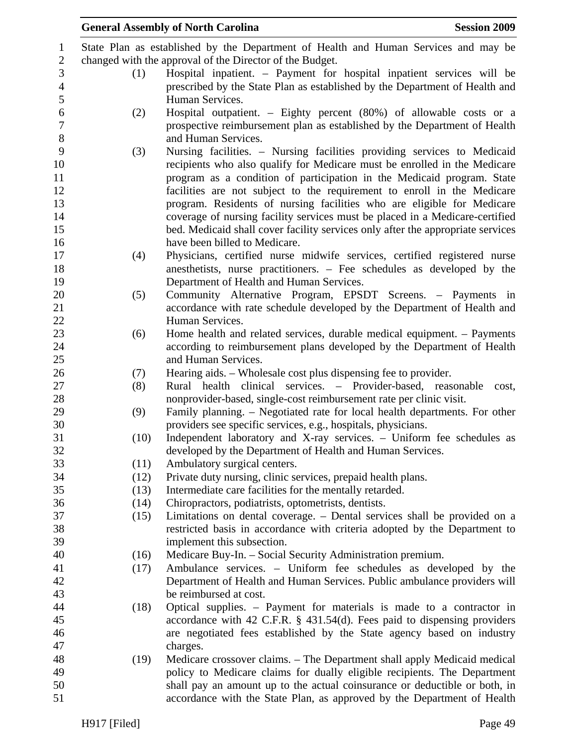|      | <b>General Assembly of North Carolina</b>                                                               | <b>Session 2009</b> |
|------|---------------------------------------------------------------------------------------------------------|---------------------|
|      | State Plan as established by the Department of Health and Human Services and may be                     |                     |
|      | changed with the approval of the Director of the Budget.                                                |                     |
| (1)  | Hospital inpatient. – Payment for hospital inpatient services will be                                   |                     |
|      | prescribed by the State Plan as established by the Department of Health and                             |                     |
|      | Human Services.                                                                                         |                     |
| (2)  | Hospital outpatient. – Eighty percent (80%) of allowable costs or a                                     |                     |
|      | prospective reimbursement plan as established by the Department of Health                               |                     |
|      | and Human Services.                                                                                     |                     |
| (3)  | Nursing facilities. – Nursing facilities providing services to Medicaid                                 |                     |
|      | recipients who also qualify for Medicare must be enrolled in the Medicare                               |                     |
|      | program as a condition of participation in the Medicaid program. State                                  |                     |
|      | facilities are not subject to the requirement to enroll in the Medicare                                 |                     |
|      | program. Residents of nursing facilities who are eligible for Medicare                                  |                     |
|      | coverage of nursing facility services must be placed in a Medicare-certified                            |                     |
|      | bed. Medicaid shall cover facility services only after the appropriate services                         |                     |
|      | have been billed to Medicare.                                                                           |                     |
| (4)  | Physicians, certified nurse midwife services, certified registered nurse                                |                     |
|      | anesthetists, nurse practitioners. – Fee schedules as developed by the                                  |                     |
|      | Department of Health and Human Services.                                                                |                     |
| (5)  | Community Alternative Program, EPSDT Screens. - Payments in                                             |                     |
|      | accordance with rate schedule developed by the Department of Health and                                 |                     |
|      | Human Services.                                                                                         |                     |
| (6)  | Home health and related services, durable medical equipment. – Payments                                 |                     |
|      | according to reimbursement plans developed by the Department of Health                                  |                     |
|      | and Human Services.                                                                                     |                     |
| (7)  | Hearing aids. – Wholesale cost plus dispensing fee to provider.                                         |                     |
| (8)  | Rural health clinical services. – Provider-based, reasonable                                            | cost,               |
|      | nonprovider-based, single-cost reimbursement rate per clinic visit.                                     |                     |
| (9)  | Family planning. – Negotiated rate for local health departments. For other                              |                     |
|      | providers see specific services, e.g., hospitals, physicians.                                           |                     |
| (10) | Independent laboratory and X-ray services. - Uniform fee schedules as                                   |                     |
|      | developed by the Department of Health and Human Services.                                               |                     |
| (11) | Ambulatory surgical centers.                                                                            |                     |
|      | Private duty nursing, clinic services, prepaid health plans.<br>(12)                                    |                     |
|      | Intermediate care facilities for the mentally retarded.<br>(13)                                         |                     |
|      | Chiropractors, podiatrists, optometrists, dentists.<br>(14)                                             |                     |
|      | Limitations on dental coverage. – Dental services shall be provided on a<br>(15)                        |                     |
|      | restricted basis in accordance with criteria adopted by the Department to<br>implement this subsection. |                     |
|      | Medicare Buy-In. - Social Security Administration premium.<br>(16)                                      |                     |
|      | Ambulance services. - Uniform fee schedules as developed by the<br>(17)                                 |                     |
|      | Department of Health and Human Services. Public ambulance providers will                                |                     |
|      | be reimbursed at cost.                                                                                  |                     |
|      | Optical supplies. – Payment for materials is made to a contractor in<br>(18)                            |                     |
|      | accordance with 42 C.F.R. $\S$ 431.54(d). Fees paid to dispensing providers                             |                     |
|      | are negotiated fees established by the State agency based on industry                                   |                     |
|      | charges.                                                                                                |                     |
|      | Medicare crossover claims. – The Department shall apply Medicaid medical<br>(19)                        |                     |
|      | policy to Medicare claims for dually eligible recipients. The Department                                |                     |
|      | shall pay an amount up to the actual coinsurance or deductible or both, in                              |                     |
|      | accordance with the State Plan, as approved by the Department of Health                                 |                     |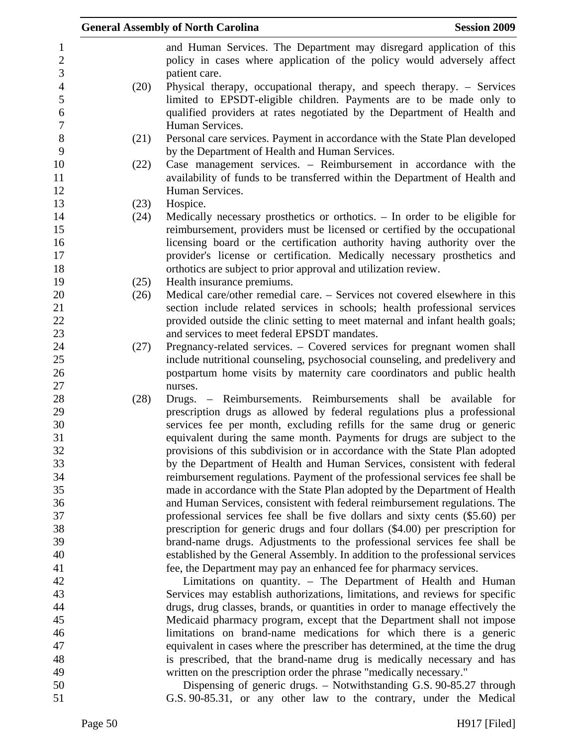|      | <b>General Assembly of North Carolina</b><br><b>Session 2009</b>                                                                               |
|------|------------------------------------------------------------------------------------------------------------------------------------------------|
|      | and Human Services. The Department may disregard application of this<br>policy in cases where application of the policy would adversely affect |
| (20) | patient care.<br>Physical therapy, occupational therapy, and speech therapy. – Services                                                        |
|      | limited to EPSDT-eligible children. Payments are to be made only to<br>qualified providers at rates negotiated by the Department of Health and |
|      | Human Services.                                                                                                                                |
| (21) | Personal care services. Payment in accordance with the State Plan developed<br>by the Department of Health and Human Services.                 |
| (22) | Case management services. – Reimbursement in accordance with the                                                                               |
|      | availability of funds to be transferred within the Department of Health and                                                                    |
|      | Human Services.                                                                                                                                |
| (23) | Hospice.                                                                                                                                       |
| (24) | Medically necessary prosthetics or orthotics. $-$ In order to be eligible for                                                                  |
|      | reimbursement, providers must be licensed or certified by the occupational                                                                     |
|      | licensing board or the certification authority having authority over the                                                                       |
|      | provider's license or certification. Medically necessary prosthetics and                                                                       |
|      | orthotics are subject to prior approval and utilization review.                                                                                |
| (25) | Health insurance premiums.                                                                                                                     |
| (26) | Medical care/other remedial care. – Services not covered elsewhere in this                                                                     |
|      | section include related services in schools; health professional services                                                                      |
|      | provided outside the clinic setting to meet maternal and infant health goals;                                                                  |
|      | and services to meet federal EPSDT mandates.                                                                                                   |
| (27) | Pregnancy-related services. – Covered services for pregnant women shall                                                                        |
|      | include nutritional counseling, psychosocial counseling, and predelivery and                                                                   |
|      | postpartum home visits by maternity care coordinators and public health                                                                        |
|      | nurses.                                                                                                                                        |
| (28) | Drugs. – Reimbursements. Reimbursements shall be available for<br>prescription drugs as allowed by federal regulations plus a professional     |
|      | services fee per month, excluding refills for the same drug or generic                                                                         |
|      | equivalent during the same month. Payments for drugs are subject to the                                                                        |
|      | provisions of this subdivision or in accordance with the State Plan adopted                                                                    |
|      | by the Department of Health and Human Services, consistent with federal                                                                        |
|      | reimbursement regulations. Payment of the professional services fee shall be                                                                   |
|      | made in accordance with the State Plan adopted by the Department of Health                                                                     |
|      | and Human Services, consistent with federal reimbursement regulations. The                                                                     |
|      | professional services fee shall be five dollars and sixty cents (\$5.60) per                                                                   |
|      | prescription for generic drugs and four dollars (\$4.00) per prescription for                                                                  |
|      | brand-name drugs. Adjustments to the professional services fee shall be                                                                        |
|      | established by the General Assembly. In addition to the professional services                                                                  |
|      | fee, the Department may pay an enhanced fee for pharmacy services.                                                                             |
|      | Limitations on quantity. - The Department of Health and Human                                                                                  |
|      | Services may establish authorizations, limitations, and reviews for specific                                                                   |
|      | drugs, drug classes, brands, or quantities in order to manage effectively the                                                                  |
|      | Medicaid pharmacy program, except that the Department shall not impose                                                                         |
|      | limitations on brand-name medications for which there is a generic                                                                             |
|      | equivalent in cases where the prescriber has determined, at the time the drug                                                                  |
|      | is prescribed, that the brand-name drug is medically necessary and has                                                                         |
|      | written on the prescription order the phrase "medically necessary."                                                                            |
|      | Dispensing of generic drugs. – Notwithstanding G.S. 90-85.27 through                                                                           |
|      | G.S. 90-85.31, or any other law to the contrary, under the Medical                                                                             |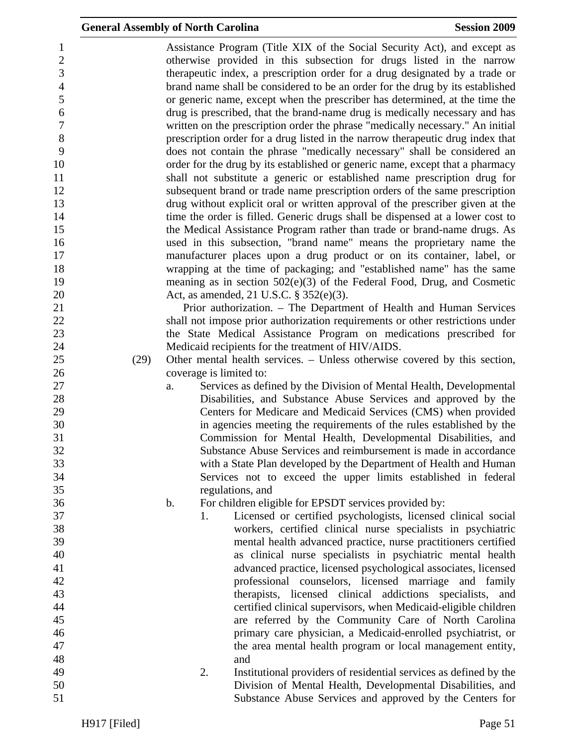| $\mathbf{1}$     |      |    |    | Assistance Program (Title XIX of the Social Security Act), and except as       |
|------------------|------|----|----|--------------------------------------------------------------------------------|
| $\sqrt{2}$       |      |    |    | otherwise provided in this subsection for drugs listed in the narrow           |
| 3                |      |    |    | therapeutic index, a prescription order for a drug designated by a trade or    |
| $\overline{4}$   |      |    |    | brand name shall be considered to be an order for the drug by its established  |
| 5                |      |    |    | or generic name, except when the prescriber has determined, at the time the    |
| $\boldsymbol{6}$ |      |    |    | drug is prescribed, that the brand-name drug is medically necessary and has    |
| $\boldsymbol{7}$ |      |    |    | written on the prescription order the phrase "medically necessary." An initial |
| 8                |      |    |    |                                                                                |
|                  |      |    |    | prescription order for a drug listed in the narrow therapeutic drug index that |
| 9                |      |    |    | does not contain the phrase "medically necessary" shall be considered an       |
| 10               |      |    |    | order for the drug by its established or generic name, except that a pharmacy  |
| 11               |      |    |    | shall not substitute a generic or established name prescription drug for       |
| 12               |      |    |    | subsequent brand or trade name prescription orders of the same prescription    |
| 13               |      |    |    | drug without explicit oral or written approval of the prescriber given at the  |
| 14               |      |    |    | time the order is filled. Generic drugs shall be dispensed at a lower cost to  |
| 15               |      |    |    | the Medical Assistance Program rather than trade or brand-name drugs. As       |
| 16               |      |    |    | used in this subsection, "brand name" means the proprietary name the           |
| 17               |      |    |    | manufacturer places upon a drug product or on its container, label, or         |
| 18               |      |    |    | wrapping at the time of packaging; and "established name" has the same         |
| 19               |      |    |    | meaning as in section $502(e)(3)$ of the Federal Food, Drug, and Cosmetic      |
| 20               |      |    |    | Act, as amended, 21 U.S.C. § 352(e)(3).                                        |
| 21               |      |    |    | Prior authorization. – The Department of Health and Human Services             |
| 22               |      |    |    | shall not impose prior authorization requirements or other restrictions under  |
|                  |      |    |    |                                                                                |
| 23               |      |    |    | the State Medical Assistance Program on medications prescribed for             |
| 24               |      |    |    | Medicaid recipients for the treatment of HIV/AIDS.                             |
| 25               | (29) |    |    | Other mental health services. – Unless otherwise covered by this section,      |
| 26               |      |    |    | coverage is limited to:                                                        |
| 27               |      | a. |    | Services as defined by the Division of Mental Health, Developmental            |
| 28               |      |    |    | Disabilities, and Substance Abuse Services and approved by the                 |
| 29               |      |    |    | Centers for Medicare and Medicaid Services (CMS) when provided                 |
| 30               |      |    |    | in agencies meeting the requirements of the rules established by the           |
| 31               |      |    |    | Commission for Mental Health, Developmental Disabilities, and                  |
| 32               |      |    |    | Substance Abuse Services and reimbursement is made in accordance               |
| 33               |      |    |    | with a State Plan developed by the Department of Health and Human              |
| 34               |      |    |    | Services not to exceed the upper limits established in federal                 |
| 35               |      |    |    | regulations, and                                                               |
| 36               |      | b. |    | For children eligible for EPSDT services provided by:                          |
| 37               |      |    | 1. | Licensed or certified psychologists, licensed clinical social                  |
| 38               |      |    |    | workers, certified clinical nurse specialists in psychiatric                   |
| 39               |      |    |    |                                                                                |
|                  |      |    |    | mental health advanced practice, nurse practitioners certified                 |
| 40               |      |    |    | as clinical nurse specialists in psychiatric mental health                     |
| 41               |      |    |    | advanced practice, licensed psychological associates, licensed                 |
| 42               |      |    |    | professional counselors, licensed marriage and family                          |
| 43               |      |    |    | therapists, licensed clinical addictions specialists, and                      |
| 44               |      |    |    | certified clinical supervisors, when Medicaid-eligible children                |
| 45               |      |    |    | are referred by the Community Care of North Carolina                           |
| 46               |      |    |    | primary care physician, a Medicaid-enrolled psychiatrist, or                   |
| 47               |      |    |    | the area mental health program or local management entity,                     |
| 48               |      |    |    | and                                                                            |
| 49               |      |    | 2. | Institutional providers of residential services as defined by the              |
| 50               |      |    |    | Division of Mental Health, Developmental Disabilities, and                     |
| 51               |      |    |    | Substance Abuse Services and approved by the Centers for                       |
|                  |      |    |    |                                                                                |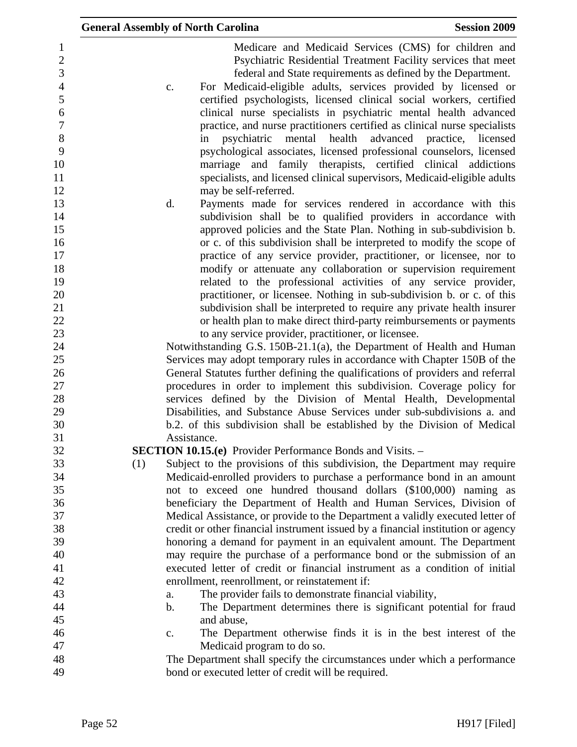| <b>General Assembly of North Carolina</b><br><b>Session 2009</b>                                                                                                                                                                                                                                                                                                                                                                                                                                                                                                                                                                                                                                   |  |
|----------------------------------------------------------------------------------------------------------------------------------------------------------------------------------------------------------------------------------------------------------------------------------------------------------------------------------------------------------------------------------------------------------------------------------------------------------------------------------------------------------------------------------------------------------------------------------------------------------------------------------------------------------------------------------------------------|--|
| Medicare and Medicaid Services (CMS) for children and<br>Psychiatric Residential Treatment Facility services that meet<br>federal and State requirements as defined by the Department.<br>For Medicaid-eligible adults, services provided by licensed or<br>c.<br>certified psychologists, licensed clinical social workers, certified<br>clinical nurse specialists in psychiatric mental health advanced<br>practice, and nurse practitioners certified as clinical nurse specialists<br>psychiatric mental health<br>advanced practice, licensed<br>in<br>psychological associates, licensed professional counselors, licensed<br>marriage and family therapists, certified clinical addictions |  |
| specialists, and licensed clinical supervisors, Medicaid-eligible adults                                                                                                                                                                                                                                                                                                                                                                                                                                                                                                                                                                                                                           |  |
| may be self-referred.                                                                                                                                                                                                                                                                                                                                                                                                                                                                                                                                                                                                                                                                              |  |
| d.<br>Payments made for services rendered in accordance with this<br>subdivision shall be to qualified providers in accordance with<br>approved policies and the State Plan. Nothing in sub-subdivision b.                                                                                                                                                                                                                                                                                                                                                                                                                                                                                         |  |
| or c. of this subdivision shall be interpreted to modify the scope of                                                                                                                                                                                                                                                                                                                                                                                                                                                                                                                                                                                                                              |  |
| practice of any service provider, practitioner, or licensee, nor to<br>modify or attenuate any collaboration or supervision requirement                                                                                                                                                                                                                                                                                                                                                                                                                                                                                                                                                            |  |
| related to the professional activities of any service provider,                                                                                                                                                                                                                                                                                                                                                                                                                                                                                                                                                                                                                                    |  |
| practitioner, or licensee. Nothing in sub-subdivision b. or c. of this                                                                                                                                                                                                                                                                                                                                                                                                                                                                                                                                                                                                                             |  |
| subdivision shall be interpreted to require any private health insurer                                                                                                                                                                                                                                                                                                                                                                                                                                                                                                                                                                                                                             |  |
| or health plan to make direct third-party reimbursements or payments                                                                                                                                                                                                                                                                                                                                                                                                                                                                                                                                                                                                                               |  |
| to any service provider, practitioner, or licensee.                                                                                                                                                                                                                                                                                                                                                                                                                                                                                                                                                                                                                                                |  |
| Notwithstanding G.S. 150B-21.1(a), the Department of Health and Human                                                                                                                                                                                                                                                                                                                                                                                                                                                                                                                                                                                                                              |  |
| Services may adopt temporary rules in accordance with Chapter 150B of the                                                                                                                                                                                                                                                                                                                                                                                                                                                                                                                                                                                                                          |  |
| General Statutes further defining the qualifications of providers and referral                                                                                                                                                                                                                                                                                                                                                                                                                                                                                                                                                                                                                     |  |
| procedures in order to implement this subdivision. Coverage policy for                                                                                                                                                                                                                                                                                                                                                                                                                                                                                                                                                                                                                             |  |
| services defined by the Division of Mental Health, Developmental                                                                                                                                                                                                                                                                                                                                                                                                                                                                                                                                                                                                                                   |  |
| Disabilities, and Substance Abuse Services under sub-subdivisions a. and<br>b.2. of this subdivision shall be established by the Division of Medical                                                                                                                                                                                                                                                                                                                                                                                                                                                                                                                                               |  |
| Assistance.                                                                                                                                                                                                                                                                                                                                                                                                                                                                                                                                                                                                                                                                                        |  |
| <b>SECTION 10.15.(e)</b> Provider Performance Bonds and Visits. –                                                                                                                                                                                                                                                                                                                                                                                                                                                                                                                                                                                                                                  |  |
| Subject to the provisions of this subdivision, the Department may require<br>(1)                                                                                                                                                                                                                                                                                                                                                                                                                                                                                                                                                                                                                   |  |
| Medicaid-enrolled providers to purchase a performance bond in an amount                                                                                                                                                                                                                                                                                                                                                                                                                                                                                                                                                                                                                            |  |
| not to exceed one hundred thousand dollars (\$100,000) naming as                                                                                                                                                                                                                                                                                                                                                                                                                                                                                                                                                                                                                                   |  |
| beneficiary the Department of Health and Human Services, Division of                                                                                                                                                                                                                                                                                                                                                                                                                                                                                                                                                                                                                               |  |
| Medical Assistance, or provide to the Department a validly executed letter of                                                                                                                                                                                                                                                                                                                                                                                                                                                                                                                                                                                                                      |  |
| credit or other financial instrument issued by a financial institution or agency                                                                                                                                                                                                                                                                                                                                                                                                                                                                                                                                                                                                                   |  |
| honoring a demand for payment in an equivalent amount. The Department                                                                                                                                                                                                                                                                                                                                                                                                                                                                                                                                                                                                                              |  |
| may require the purchase of a performance bond or the submission of an<br>executed letter of credit or financial instrument as a condition of initial                                                                                                                                                                                                                                                                                                                                                                                                                                                                                                                                              |  |
| enrollment, reenrollment, or reinstatement if:                                                                                                                                                                                                                                                                                                                                                                                                                                                                                                                                                                                                                                                     |  |
| The provider fails to demonstrate financial viability,<br>a.                                                                                                                                                                                                                                                                                                                                                                                                                                                                                                                                                                                                                                       |  |
| The Department determines there is significant potential for fraud<br>$\mathbf b$ .                                                                                                                                                                                                                                                                                                                                                                                                                                                                                                                                                                                                                |  |
| and abuse,                                                                                                                                                                                                                                                                                                                                                                                                                                                                                                                                                                                                                                                                                         |  |
| The Department otherwise finds it is in the best interest of the<br>c.                                                                                                                                                                                                                                                                                                                                                                                                                                                                                                                                                                                                                             |  |
| Medicaid program to do so.                                                                                                                                                                                                                                                                                                                                                                                                                                                                                                                                                                                                                                                                         |  |
| The Department shall specify the circumstances under which a performance                                                                                                                                                                                                                                                                                                                                                                                                                                                                                                                                                                                                                           |  |
| bond or executed letter of credit will be required.                                                                                                                                                                                                                                                                                                                                                                                                                                                                                                                                                                                                                                                |  |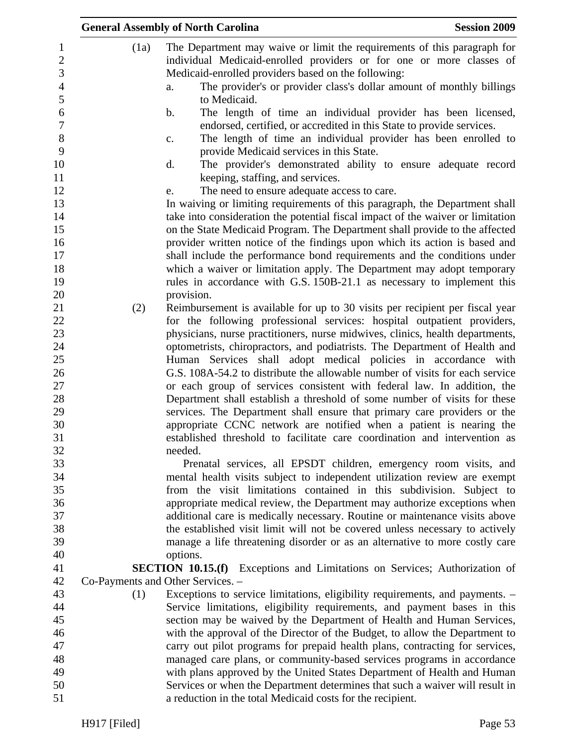|                                   | <b>General Assembly of North Carolina</b>                                                                                                                 | <b>Session 2009</b> |
|-----------------------------------|-----------------------------------------------------------------------------------------------------------------------------------------------------------|---------------------|
| (1a)                              | The Department may waive or limit the requirements of this paragraph for<br>individual Medicaid-enrolled providers or for one or more classes of          |                     |
|                                   | Medicaid-enrolled providers based on the following:                                                                                                       |                     |
|                                   | The provider's or provider class's dollar amount of monthly billings<br>a.<br>to Medicaid.                                                                |                     |
|                                   | The length of time an individual provider has been licensed,<br>b.                                                                                        |                     |
|                                   | endorsed, certified, or accredited in this State to provide services.<br>The length of time an individual provider has been enrolled to<br>$\mathbf{C}$ . |                     |
|                                   | provide Medicaid services in this State.                                                                                                                  |                     |
|                                   | d.<br>The provider's demonstrated ability to ensure adequate record<br>keeping, staffing, and services.                                                   |                     |
|                                   | The need to ensure adequate access to care.<br>e.                                                                                                         |                     |
|                                   | In waiving or limiting requirements of this paragraph, the Department shall                                                                               |                     |
|                                   | take into consideration the potential fiscal impact of the waiver or limitation                                                                           |                     |
|                                   | on the State Medicaid Program. The Department shall provide to the affected                                                                               |                     |
|                                   | provider written notice of the findings upon which its action is based and                                                                                |                     |
|                                   | shall include the performance bond requirements and the conditions under                                                                                  |                     |
|                                   | which a waiver or limitation apply. The Department may adopt temporary                                                                                    |                     |
|                                   | rules in accordance with G.S. 150B-21.1 as necessary to implement this                                                                                    |                     |
| (2)                               | provision.<br>Reimbursement is available for up to 30 visits per recipient per fiscal year                                                                |                     |
|                                   | for the following professional services: hospital outpatient providers,                                                                                   |                     |
|                                   | physicians, nurse practitioners, nurse midwives, clinics, health departments,                                                                             |                     |
|                                   | optometrists, chiropractors, and podiatrists. The Department of Health and                                                                                |                     |
|                                   | Human Services shall adopt medical policies in accordance with                                                                                            |                     |
|                                   | G.S. 108A-54.2 to distribute the allowable number of visits for each service                                                                              |                     |
|                                   | or each group of services consistent with federal law. In addition, the                                                                                   |                     |
|                                   | Department shall establish a threshold of some number of visits for these                                                                                 |                     |
|                                   | services. The Department shall ensure that primary care providers or the                                                                                  |                     |
|                                   | appropriate CCNC network are notified when a patient is nearing the                                                                                       |                     |
|                                   | established threshold to facilitate care coordination and intervention as<br>needed.                                                                      |                     |
|                                   | Prenatal services, all EPSDT children, emergency room visits, and                                                                                         |                     |
|                                   | mental health visits subject to independent utilization review are exempt                                                                                 |                     |
|                                   | from the visit limitations contained in this subdivision. Subject to                                                                                      |                     |
|                                   | appropriate medical review, the Department may authorize exceptions when                                                                                  |                     |
|                                   | additional care is medically necessary. Routine or maintenance visits above                                                                               |                     |
|                                   | the established visit limit will not be covered unless necessary to actively                                                                              |                     |
|                                   | manage a life threatening disorder or as an alternative to more costly care                                                                               |                     |
|                                   | options.                                                                                                                                                  |                     |
| Co-Payments and Other Services. - | <b>SECTION 10.15.(f)</b> Exceptions and Limitations on Services; Authorization of                                                                         |                     |
| (1)                               | Exceptions to service limitations, eligibility requirements, and payments. -                                                                              |                     |
|                                   | Service limitations, eligibility requirements, and payment bases in this                                                                                  |                     |
|                                   | section may be waived by the Department of Health and Human Services,                                                                                     |                     |
|                                   | with the approval of the Director of the Budget, to allow the Department to                                                                               |                     |
|                                   | carry out pilot programs for prepaid health plans, contracting for services,                                                                              |                     |
|                                   | managed care plans, or community-based services programs in accordance                                                                                    |                     |
|                                   | with plans approved by the United States Department of Health and Human                                                                                   |                     |
|                                   | Services or when the Department determines that such a waiver will result in                                                                              |                     |
|                                   | a reduction in the total Medicaid costs for the recipient.                                                                                                |                     |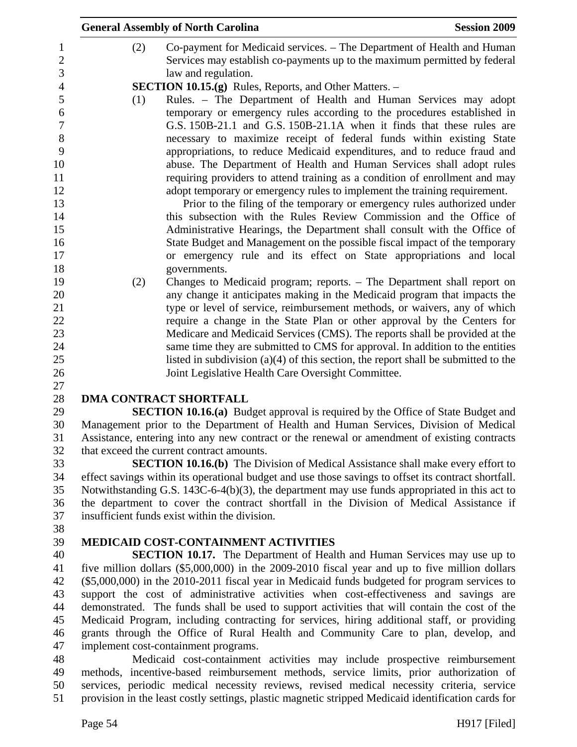|     | <b>General Assembly of North Carolina</b>                                                                                                                                                                                                                                                                                                                                                                                                                                                                                                                                                                                                                                                                                                                                                                                                                                                                              | <b>Session 2009</b> |
|-----|------------------------------------------------------------------------------------------------------------------------------------------------------------------------------------------------------------------------------------------------------------------------------------------------------------------------------------------------------------------------------------------------------------------------------------------------------------------------------------------------------------------------------------------------------------------------------------------------------------------------------------------------------------------------------------------------------------------------------------------------------------------------------------------------------------------------------------------------------------------------------------------------------------------------|---------------------|
| (2) | Co-payment for Medicaid services. – The Department of Health and Human<br>Services may establish co-payments up to the maximum permitted by federal<br>law and regulation.                                                                                                                                                                                                                                                                                                                                                                                                                                                                                                                                                                                                                                                                                                                                             |                     |
|     | <b>SECTION 10.15.(g)</b> Rules, Reports, and Other Matters. –                                                                                                                                                                                                                                                                                                                                                                                                                                                                                                                                                                                                                                                                                                                                                                                                                                                          |                     |
| (1) | Rules. - The Department of Health and Human Services may adopt<br>temporary or emergency rules according to the procedures established in<br>G.S. 150B-21.1 and G.S. 150B-21.1A when it finds that these rules are<br>necessary to maximize receipt of federal funds within existing State<br>appropriations, to reduce Medicaid expenditures, and to reduce fraud and<br>abuse. The Department of Health and Human Services shall adopt rules<br>requiring providers to attend training as a condition of enrollment and may<br>adopt temporary or emergency rules to implement the training requirement.<br>Prior to the filing of the temporary or emergency rules authorized under<br>this subsection with the Rules Review Commission and the Office of<br>Administrative Hearings, the Department shall consult with the Office of<br>State Budget and Management on the possible fiscal impact of the temporary |                     |
|     | or emergency rule and its effect on State appropriations and local                                                                                                                                                                                                                                                                                                                                                                                                                                                                                                                                                                                                                                                                                                                                                                                                                                                     |                     |
|     | governments.                                                                                                                                                                                                                                                                                                                                                                                                                                                                                                                                                                                                                                                                                                                                                                                                                                                                                                           |                     |
|     | Changes to Medicaid program; reports. - The Department shall report on                                                                                                                                                                                                                                                                                                                                                                                                                                                                                                                                                                                                                                                                                                                                                                                                                                                 |                     |
| (2) | any change it anticipates making in the Medicaid program that impacts the                                                                                                                                                                                                                                                                                                                                                                                                                                                                                                                                                                                                                                                                                                                                                                                                                                              |                     |
|     | type or level of service, reimbursement methods, or waivers, any of which                                                                                                                                                                                                                                                                                                                                                                                                                                                                                                                                                                                                                                                                                                                                                                                                                                              |                     |
|     | require a change in the State Plan or other approval by the Centers for                                                                                                                                                                                                                                                                                                                                                                                                                                                                                                                                                                                                                                                                                                                                                                                                                                                |                     |
|     | Medicare and Medicaid Services (CMS). The reports shall be provided at the                                                                                                                                                                                                                                                                                                                                                                                                                                                                                                                                                                                                                                                                                                                                                                                                                                             |                     |
|     | same time they are submitted to CMS for approval. In addition to the entities                                                                                                                                                                                                                                                                                                                                                                                                                                                                                                                                                                                                                                                                                                                                                                                                                                          |                     |
|     | listed in subdivision $(a)(4)$ of this section, the report shall be submitted to the                                                                                                                                                                                                                                                                                                                                                                                                                                                                                                                                                                                                                                                                                                                                                                                                                                   |                     |
|     | Joint Legislative Health Care Oversight Committee.                                                                                                                                                                                                                                                                                                                                                                                                                                                                                                                                                                                                                                                                                                                                                                                                                                                                     |                     |
|     |                                                                                                                                                                                                                                                                                                                                                                                                                                                                                                                                                                                                                                                                                                                                                                                                                                                                                                                        |                     |
|     | <b>DMA CONTRACT SHORTFALL</b>                                                                                                                                                                                                                                                                                                                                                                                                                                                                                                                                                                                                                                                                                                                                                                                                                                                                                          |                     |
|     | <b>SECTION 10.16.(a)</b> Budget approval is required by the Office of State Budget and                                                                                                                                                                                                                                                                                                                                                                                                                                                                                                                                                                                                                                                                                                                                                                                                                                 |                     |
|     | Management prior to the Department of Health and Human Services, Division of Medical                                                                                                                                                                                                                                                                                                                                                                                                                                                                                                                                                                                                                                                                                                                                                                                                                                   |                     |
|     | Assistance, entering into any new contract or the renewal or amendment of existing contracts                                                                                                                                                                                                                                                                                                                                                                                                                                                                                                                                                                                                                                                                                                                                                                                                                           |                     |
|     | that exceed the current contract amounts.                                                                                                                                                                                                                                                                                                                                                                                                                                                                                                                                                                                                                                                                                                                                                                                                                                                                              |                     |
|     | <b>SECTION 10.16.(b)</b> The Division of Medical Assistance shall make every effort to                                                                                                                                                                                                                                                                                                                                                                                                                                                                                                                                                                                                                                                                                                                                                                                                                                 |                     |
|     | effect savings within its operational budget and use those savings to offset its contract shortfall.                                                                                                                                                                                                                                                                                                                                                                                                                                                                                                                                                                                                                                                                                                                                                                                                                   |                     |
|     | Notwithstanding G.S. 143C-6-4(b)(3), the department may use funds appropriated in this act to                                                                                                                                                                                                                                                                                                                                                                                                                                                                                                                                                                                                                                                                                                                                                                                                                          |                     |
|     | the department to cover the contract shortfall in the Division of Medical Assistance if                                                                                                                                                                                                                                                                                                                                                                                                                                                                                                                                                                                                                                                                                                                                                                                                                                |                     |
|     | insufficient funds exist within the division.                                                                                                                                                                                                                                                                                                                                                                                                                                                                                                                                                                                                                                                                                                                                                                                                                                                                          |                     |
|     |                                                                                                                                                                                                                                                                                                                                                                                                                                                                                                                                                                                                                                                                                                                                                                                                                                                                                                                        |                     |
|     | <b>MEDICAID COST-CONTAINMENT ACTIVITIES</b>                                                                                                                                                                                                                                                                                                                                                                                                                                                                                                                                                                                                                                                                                                                                                                                                                                                                            |                     |
|     | <b>SECTION 10.17.</b> The Department of Health and Human Services may use up to                                                                                                                                                                                                                                                                                                                                                                                                                                                                                                                                                                                                                                                                                                                                                                                                                                        |                     |
|     | five million dollars (\$5,000,000) in the 2009-2010 fiscal year and up to five million dollars                                                                                                                                                                                                                                                                                                                                                                                                                                                                                                                                                                                                                                                                                                                                                                                                                         |                     |
|     | (\$5,000,000) in the 2010-2011 fiscal year in Medicaid funds budgeted for program services to                                                                                                                                                                                                                                                                                                                                                                                                                                                                                                                                                                                                                                                                                                                                                                                                                          |                     |
|     | support the cost of administrative activities when cost-effectiveness and savings are<br>demonstrated. The funds shall be used to support activities that will contain the cost of the                                                                                                                                                                                                                                                                                                                                                                                                                                                                                                                                                                                                                                                                                                                                 |                     |

45 Medicaid Program, including contracting for services, hiring additional staff, or providing 46 grants through the Office of Rural Health and Community Care to plan, develop, and 47 implement cost-containment programs.

48 Medicaid cost-containment activities may include prospective reimbursement 49 methods, incentive-based reimbursement methods, service limits, prior authorization of 50 services, periodic medical necessity reviews, revised medical necessity criteria, service 51 provision in the least costly settings, plastic magnetic stripped Medicaid identification cards for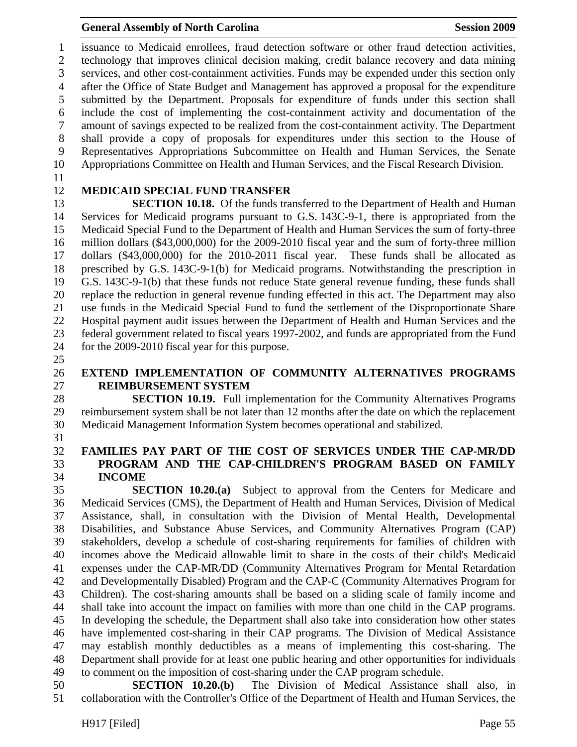1 issuance to Medicaid enrollees, fraud detection software or other fraud detection activities, 2 technology that improves clinical decision making, credit balance recovery and data mining 3 services, and other cost-containment activities. Funds may be expended under this section only 4 after the Office of State Budget and Management has approved a proposal for the expenditure 5 submitted by the Department. Proposals for expenditure of funds under this section shall 6 include the cost of implementing the cost-containment activity and documentation of the 7 amount of savings expected to be realized from the cost-containment activity. The Department 8 shall provide a copy of proposals for expenditures under this section to the House of 9 Representatives Appropriations Subcommittee on Health and Human Services, the Senate 10 Appropriations Committee on Health and Human Services, and the Fiscal Research Division.

11

## 12 **MEDICAID SPECIAL FUND TRANSFER**

13 **SECTION 10.18.** Of the funds transferred to the Department of Health and Human 14 Services for Medicaid programs pursuant to G.S. 143C-9-1, there is appropriated from the 15 Medicaid Special Fund to the Department of Health and Human Services the sum of forty-three 16 million dollars (\$43,000,000) for the 2009-2010 fiscal year and the sum of forty-three million 17 dollars (\$43,000,000) for the 2010-2011 fiscal year. These funds shall be allocated as 18 prescribed by G.S. 143C-9-1(b) for Medicaid programs. Notwithstanding the prescription in 19 G.S. 143C-9-1(b) that these funds not reduce State general revenue funding, these funds shall 20 replace the reduction in general revenue funding effected in this act. The Department may also 21 use funds in the Medicaid Special Fund to fund the settlement of the Disproportionate Share 22 Hospital payment audit issues between the Department of Health and Human Services and the 23 federal government related to fiscal years 1997-2002, and funds are appropriated from the Fund 24 for the 2009-2010 fiscal year for this purpose.

25

# 26 **EXTEND IMPLEMENTATION OF COMMUNITY ALTERNATIVES PROGRAMS**  27 **REIMBURSEMENT SYSTEM**

28 **SECTION 10.19.** Full implementation for the Community Alternatives Programs 29 reimbursement system shall be not later than 12 months after the date on which the replacement 30 Medicaid Management Information System becomes operational and stabilized.

31

## 32 **FAMILIES PAY PART OF THE COST OF SERVICES UNDER THE CAP-MR/DD**  33 **PROGRAM AND THE CAP-CHILDREN'S PROGRAM BASED ON FAMILY**  34 **INCOME**

35 **SECTION 10.20.(a)** Subject to approval from the Centers for Medicare and 36 Medicaid Services (CMS), the Department of Health and Human Services, Division of Medical 37 Assistance, shall, in consultation with the Division of Mental Health, Developmental 38 Disabilities, and Substance Abuse Services, and Community Alternatives Program (CAP) 39 stakeholders, develop a schedule of cost-sharing requirements for families of children with 40 incomes above the Medicaid allowable limit to share in the costs of their child's Medicaid 41 expenses under the CAP-MR/DD (Community Alternatives Program for Mental Retardation 42 and Developmentally Disabled) Program and the CAP-C (Community Alternatives Program for 43 Children). The cost-sharing amounts shall be based on a sliding scale of family income and 44 shall take into account the impact on families with more than one child in the CAP programs. 45 In developing the schedule, the Department shall also take into consideration how other states 46 have implemented cost-sharing in their CAP programs. The Division of Medical Assistance 47 may establish monthly deductibles as a means of implementing this cost-sharing. The 48 Department shall provide for at least one public hearing and other opportunities for individuals 49 to comment on the imposition of cost-sharing under the CAP program schedule.

50 **SECTION 10.20.(b)** The Division of Medical Assistance shall also, in 51 collaboration with the Controller's Office of the Department of Health and Human Services, the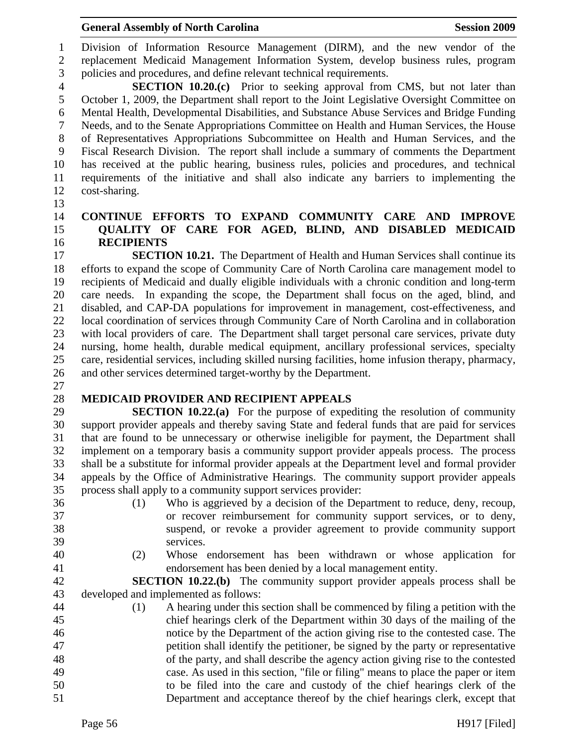#### General Assembly of North Carolina **Session 2009**

1 Division of Information Resource Management (DIRM), and the new vendor of the 2 replacement Medicaid Management Information System, develop business rules, program 3 policies and procedures, and define relevant technical requirements.

4 **SECTION 10.20.(c)** Prior to seeking approval from CMS, but not later than 5 October 1, 2009, the Department shall report to the Joint Legislative Oversight Committee on 6 Mental Health, Developmental Disabilities, and Substance Abuse Services and Bridge Funding 7 Needs, and to the Senate Appropriations Committee on Health and Human Services, the House 8 of Representatives Appropriations Subcommittee on Health and Human Services, and the 9 Fiscal Research Division. The report shall include a summary of comments the Department 10 has received at the public hearing, business rules, policies and procedures, and technical 11 requirements of the initiative and shall also indicate any barriers to implementing the 12 cost-sharing.

13

#### 14 **CONTINUE EFFORTS TO EXPAND COMMUNITY CARE AND IMPROVE**  15 **QUALITY OF CARE FOR AGED, BLIND, AND DISABLED MEDICAID**  16 **RECIPIENTS**

17 **SECTION 10.21.** The Department of Health and Human Services shall continue its 18 efforts to expand the scope of Community Care of North Carolina care management model to 19 recipients of Medicaid and dually eligible individuals with a chronic condition and long-term 20 care needs. In expanding the scope, the Department shall focus on the aged, blind, and 21 disabled, and CAP-DA populations for improvement in management, cost-effectiveness, and 22 local coordination of services through Community Care of North Carolina and in collaboration 23 with local providers of care. The Department shall target personal care services, private duty 24 nursing, home health, durable medical equipment, ancillary professional services, specialty 25 care, residential services, including skilled nursing facilities, home infusion therapy, pharmacy, 26 and other services determined target-worthy by the Department.

27

## 28 **MEDICAID PROVIDER AND RECIPIENT APPEALS**

29 **SECTION 10.22.(a)** For the purpose of expediting the resolution of community 30 support provider appeals and thereby saving State and federal funds that are paid for services 31 that are found to be unnecessary or otherwise ineligible for payment, the Department shall 32 implement on a temporary basis a community support provider appeals process. The process 33 shall be a substitute for informal provider appeals at the Department level and formal provider 34 appeals by the Office of Administrative Hearings. The community support provider appeals 35 process shall apply to a community support services provider:

- 
- 
- 36 (1) Who is aggrieved by a decision of the Department to reduce, deny, recoup, 37 or recover reimbursement for community support services, or to deny, 38 suspend, or revoke a provider agreement to provide community support 39 services.
- 
- 40 (2) Whose endorsement has been withdrawn or whose application for 41 endorsement has been denied by a local management entity.

42 **SECTION 10.22.(b)** The community support provider appeals process shall be 43 developed and implemented as follows:

44 (1) A hearing under this section shall be commenced by filing a petition with the 45 chief hearings clerk of the Department within 30 days of the mailing of the 46 notice by the Department of the action giving rise to the contested case. The 47 petition shall identify the petitioner, be signed by the party or representative 48 of the party, and shall describe the agency action giving rise to the contested 49 case. As used in this section, "file or filing" means to place the paper or item 50 to be filed into the care and custody of the chief hearings clerk of the 51 Department and acceptance thereof by the chief hearings clerk, except that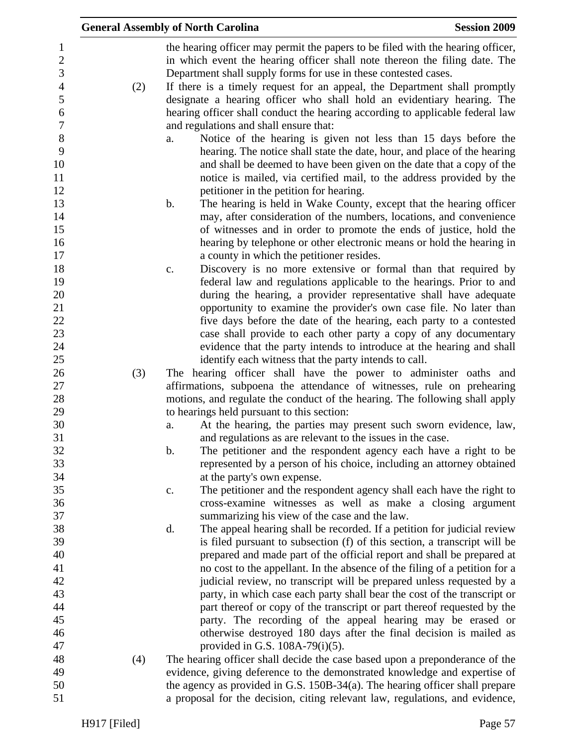|                                 |     | <b>General Assembly of North Carolina</b>                                                                                                                     | <b>Session 2009</b> |
|---------------------------------|-----|---------------------------------------------------------------------------------------------------------------------------------------------------------------|---------------------|
| $\mathbf{1}$<br>$\sqrt{2}$<br>3 |     | the hearing officer may permit the papers to be filed with the hearing officer,<br>in which event the hearing officer shall note thereon the filing date. The |                     |
|                                 |     | Department shall supply forms for use in these contested cases.                                                                                               |                     |
| $\overline{4}$<br>5             | (2) | If there is a timely request for an appeal, the Department shall promptly<br>designate a hearing officer who shall hold an evidentiary hearing. The           |                     |
| $\boldsymbol{6}$                |     | hearing officer shall conduct the hearing according to applicable federal law                                                                                 |                     |
| $\overline{7}$                  |     | and regulations and shall ensure that:                                                                                                                        |                     |
| $\,8\,$                         |     | Notice of the hearing is given not less than 15 days before the<br>a.                                                                                         |                     |
| 9                               |     | hearing. The notice shall state the date, hour, and place of the hearing                                                                                      |                     |
| 10                              |     | and shall be deemed to have been given on the date that a copy of the                                                                                         |                     |
| 11                              |     | notice is mailed, via certified mail, to the address provided by the                                                                                          |                     |
| 12                              |     | petitioner in the petition for hearing.                                                                                                                       |                     |
| 13                              |     | The hearing is held in Wake County, except that the hearing officer<br>b.                                                                                     |                     |
| 14                              |     | may, after consideration of the numbers, locations, and convenience                                                                                           |                     |
| 15                              |     | of witnesses and in order to promote the ends of justice, hold the                                                                                            |                     |
| 16<br>17                        |     | hearing by telephone or other electronic means or hold the hearing in<br>a county in which the petitioner resides.                                            |                     |
| 18                              |     | Discovery is no more extensive or formal than that required by<br>c.                                                                                          |                     |
| 19                              |     | federal law and regulations applicable to the hearings. Prior to and                                                                                          |                     |
| 20                              |     | during the hearing, a provider representative shall have adequate                                                                                             |                     |
| 21                              |     | opportunity to examine the provider's own case file. No later than                                                                                            |                     |
| 22                              |     | five days before the date of the hearing, each party to a contested                                                                                           |                     |
| 23                              |     | case shall provide to each other party a copy of any documentary                                                                                              |                     |
| 24                              |     | evidence that the party intends to introduce at the hearing and shall                                                                                         |                     |
| 25                              |     | identify each witness that the party intends to call.                                                                                                         |                     |
| 26                              | (3) | The hearing officer shall have the power to administer oaths and                                                                                              |                     |
| 27                              |     | affirmations, subpoena the attendance of witnesses, rule on prehearing                                                                                        |                     |
| 28                              |     | motions, and regulate the conduct of the hearing. The following shall apply                                                                                   |                     |
| 29<br>30                        |     | to hearings held pursuant to this section:                                                                                                                    |                     |
| 31                              |     | At the hearing, the parties may present such sworn evidence, law,<br>a.<br>and regulations as are relevant to the issues in the case.                         |                     |
| 32                              |     | The petitioner and the respondent agency each have a right to be<br>$\mathbf b$ .                                                                             |                     |
| 33                              |     | represented by a person of his choice, including an attorney obtained                                                                                         |                     |
| 34                              |     | at the party's own expense.                                                                                                                                   |                     |
| 35                              |     | The petitioner and the respondent agency shall each have the right to<br>$\mathbf{C}$ .                                                                       |                     |
| 36                              |     | cross-examine witnesses as well as make a closing argument                                                                                                    |                     |
| 37                              |     | summarizing his view of the case and the law.                                                                                                                 |                     |
| 38                              |     | The appeal hearing shall be recorded. If a petition for judicial review<br>d.                                                                                 |                     |
| 39                              |     | is filed pursuant to subsection (f) of this section, a transcript will be                                                                                     |                     |
| 40                              |     | prepared and made part of the official report and shall be prepared at                                                                                        |                     |
| 41                              |     | no cost to the appellant. In the absence of the filing of a petition for a                                                                                    |                     |
| 42                              |     | judicial review, no transcript will be prepared unless requested by a                                                                                         |                     |
| 43<br>44                        |     | party, in which case each party shall bear the cost of the transcript or                                                                                      |                     |
| 45                              |     | part thereof or copy of the transcript or part thereof requested by the<br>party. The recording of the appeal hearing may be erased or                        |                     |
| 46                              |     | otherwise destroyed 180 days after the final decision is mailed as                                                                                            |                     |
| 47                              |     | provided in G.S. $108A-79(i)(5)$ .                                                                                                                            |                     |
| 48                              | (4) | The hearing officer shall decide the case based upon a preponderance of the                                                                                   |                     |
| 49                              |     | evidence, giving deference to the demonstrated knowledge and expertise of                                                                                     |                     |
| 50                              |     | the agency as provided in G.S. 150B-34(a). The hearing officer shall prepare                                                                                  |                     |
| 51                              |     | a proposal for the decision, citing relevant law, regulations, and evidence,                                                                                  |                     |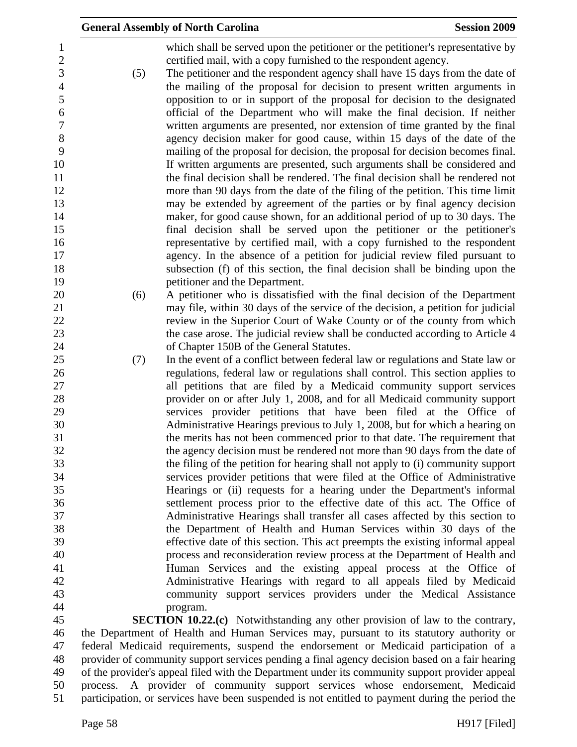|                       |     | <b>General Assembly of North Carolina</b>                                                                                                                    | <b>Session 2009</b> |
|-----------------------|-----|--------------------------------------------------------------------------------------------------------------------------------------------------------------|---------------------|
| 1<br>$\sqrt{2}$       |     | which shall be served upon the petitioner or the petitioner's representative by<br>certified mail, with a copy furnished to the respondent agency.           |                     |
| 3<br>$\overline{4}$   | (5) | The petitioner and the respondent agency shall have 15 days from the date of<br>the mailing of the proposal for decision to present written arguments in     |                     |
| 5                     |     | opposition to or in support of the proposal for decision to the designated                                                                                   |                     |
| 6<br>$\boldsymbol{7}$ |     | official of the Department who will make the final decision. If neither<br>written arguments are presented, nor extension of time granted by the final       |                     |
| 8                     |     | agency decision maker for good cause, within 15 days of the date of the                                                                                      |                     |
| 9                     |     | mailing of the proposal for decision, the proposal for decision becomes final.                                                                               |                     |
| 10<br>11              |     | If written arguments are presented, such arguments shall be considered and<br>the final decision shall be rendered. The final decision shall be rendered not |                     |
| 12                    |     | more than 90 days from the date of the filing of the petition. This time limit                                                                               |                     |
| 13                    |     | may be extended by agreement of the parties or by final agency decision                                                                                      |                     |
| 14<br>15              |     | maker, for good cause shown, for an additional period of up to 30 days. The<br>final decision shall be served upon the petitioner or the petitioner's        |                     |
| 16                    |     | representative by certified mail, with a copy furnished to the respondent                                                                                    |                     |
| 17                    |     | agency. In the absence of a petition for judicial review filed pursuant to                                                                                   |                     |
| 18<br>19              |     | subsection (f) of this section, the final decision shall be binding upon the<br>petitioner and the Department.                                               |                     |
| 20                    | (6) | A petitioner who is dissatisfied with the final decision of the Department                                                                                   |                     |
| 21                    |     | may file, within 30 days of the service of the decision, a petition for judicial                                                                             |                     |
| 22<br>23              |     | review in the Superior Court of Wake County or of the county from which<br>the case arose. The judicial review shall be conducted according to Article 4     |                     |
| 24                    |     | of Chapter 150B of the General Statutes.                                                                                                                     |                     |
| 25                    | (7) | In the event of a conflict between federal law or regulations and State law or                                                                               |                     |
| 26<br>27              |     | regulations, federal law or regulations shall control. This section applies to<br>all petitions that are filed by a Medicaid community support services      |                     |
| 28                    |     | provider on or after July 1, 2008, and for all Medicaid community support                                                                                    |                     |
| 29                    |     | services provider petitions that have been filed at the Office of                                                                                            |                     |
| 30<br>31              |     | Administrative Hearings previous to July 1, 2008, but for which a hearing on<br>the merits has not been commenced prior to that date. The requirement that   |                     |
| 32                    |     | the agency decision must be rendered not more than 90 days from the date of                                                                                  |                     |
| 33                    |     | the filing of the petition for hearing shall not apply to (i) community support                                                                              |                     |
| 34<br>35              |     | services provider petitions that were filed at the Office of Administrative<br>Hearings or (ii) requests for a hearing under the Department's informal       |                     |
| 36                    |     | settlement process prior to the effective date of this act. The Office of                                                                                    |                     |
| 37                    |     | Administrative Hearings shall transfer all cases affected by this section to                                                                                 |                     |
| 38<br>39              |     | the Department of Health and Human Services within 30 days of the<br>effective date of this section. This act preempts the existing informal appeal          |                     |
| 40                    |     | process and reconsideration review process at the Department of Health and                                                                                   |                     |
| 41                    |     | Human Services and the existing appeal process at the Office of                                                                                              |                     |
| 42<br>43              |     | Administrative Hearings with regard to all appeals filed by Medicaid<br>community support services providers under the Medical Assistance                    |                     |
| 44                    |     | program.                                                                                                                                                     |                     |
| 45                    |     | <b>SECTION 10.22.(c)</b> Notwithstanding any other provision of law to the contrary,                                                                         |                     |
| 46<br>47              |     | the Department of Health and Human Services may, pursuant to its statutory authority or                                                                      |                     |
|                       |     | federal Medicaid requirements, suspend the endorsement or Medicaid participation of a                                                                        |                     |

48 provider of community support services pending a final agency decision based on a fair hearing<br>49 of the provider's appeal filed with the Department under its community support provider appeal of the provider's appeal filed with the Department under its community support provider appeal 50 process. A provider of community support services whose endorsement, Medicaid 51 participation, or services have been suspended is not entitled to payment during the period the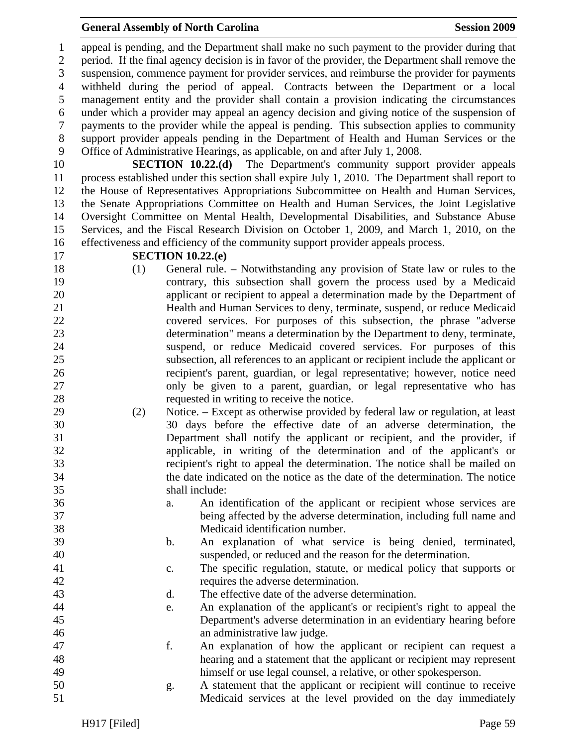#### **General Assembly of North Carolina**  Session 2009 **Session 2009**

1 appeal is pending, and the Department shall make no such payment to the provider during that 2 period. If the final agency decision is in favor of the provider, the Department shall remove the 3 suspension, commence payment for provider services, and reimburse the provider for payments 4 withheld during the period of appeal. Contracts between the Department or a local 5 management entity and the provider shall contain a provision indicating the circumstances 6 under which a provider may appeal an agency decision and giving notice of the suspension of 7 payments to the provider while the appeal is pending. This subsection applies to community 8 support provider appeals pending in the Department of Health and Human Services or the 9 Office of Administrative Hearings, as applicable, on and after July 1, 2008.

10 **SECTION 10.22.(d)** The Department's community support provider appeals 11 process established under this section shall expire July 1, 2010. The Department shall report to 12 the House of Representatives Appropriations Subcommittee on Health and Human Services, 13 the Senate Appropriations Committee on Health and Human Services, the Joint Legislative 14 Oversight Committee on Mental Health, Developmental Disabilities, and Substance Abuse 15 Services, and the Fiscal Research Division on October 1, 2009, and March 1, 2010, on the 16 effectiveness and efficiency of the community support provider appeals process.

#### 17 **SECTION 10.22.(e)**

- 18 (1) General rule. Notwithstanding any provision of State law or rules to the 19 contrary, this subsection shall govern the process used by a Medicaid 20 applicant or recipient to appeal a determination made by the Department of 21 Health and Human Services to deny, terminate, suspend, or reduce Medicaid 22 covered services. For purposes of this subsection, the phrase "adverse 23 determination" means a determination by the Department to deny, terminate, 24 suspend, or reduce Medicaid covered services. For purposes of this 25 subsection, all references to an applicant or recipient include the applicant or 26 recipient's parent, guardian, or legal representative; however, notice need 27 only be given to a parent, guardian, or legal representative who has 28 requested in writing to receive the notice.
- 29 (2) Notice. Except as otherwise provided by federal law or regulation, at least 30 30 days before the effective date of an adverse determination, the 31 Department shall notify the applicant or recipient, and the provider, if 32 applicable, in writing of the determination and of the applicant's or 33 recipient's right to appeal the determination. The notice shall be mailed on 34 the date indicated on the notice as the date of the determination. The notice 35 shall include:
- 36 a. An identification of the applicant or recipient whose services are 37 being affected by the adverse determination, including full name and 38 Medicaid identification number.
- 39 b. An explanation of what service is being denied, terminated, 40 suspended, or reduced and the reason for the determination.
- 41 c. The specific regulation, statute, or medical policy that supports or 42 requires the adverse determination.
- 43 d. The effective date of the adverse determination.
- 44 e. An explanation of the applicant's or recipient's right to appeal the 45 Department's adverse determination in an evidentiary hearing before 46 an administrative law judge.
- 47 f. An explanation of how the applicant or recipient can request a 48 hearing and a statement that the applicant or recipient may represent 49 himself or use legal counsel, a relative, or other spokesperson.
- 50 g. A statement that the applicant or recipient will continue to receive 51 Medicaid services at the level provided on the day immediately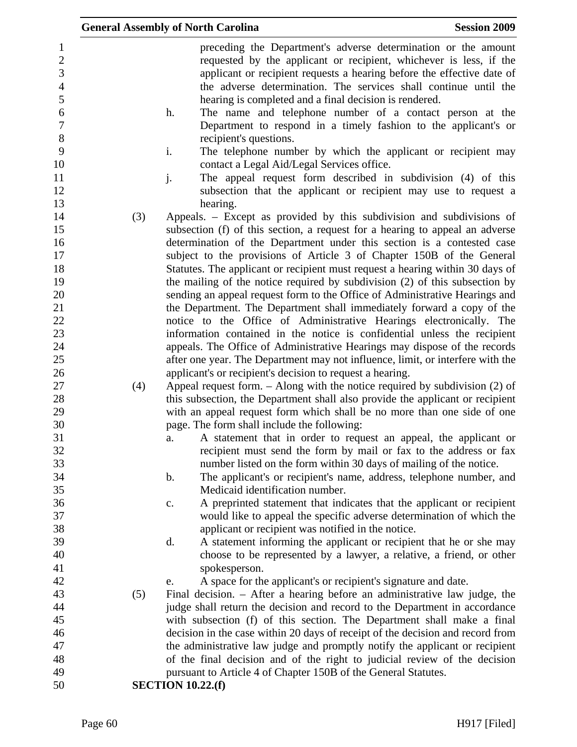|                                                     |     | <b>General Assembly of North Carolina</b><br><b>Session 2009</b>                                                                                                                                                                                                                   |
|-----------------------------------------------------|-----|------------------------------------------------------------------------------------------------------------------------------------------------------------------------------------------------------------------------------------------------------------------------------------|
| $\mathbf{1}$<br>$\mathbf{2}$<br>3<br>$\overline{4}$ |     | preceding the Department's adverse determination or the amount<br>requested by the applicant or recipient, whichever is less, if the<br>applicant or recipient requests a hearing before the effective date of<br>the adverse determination. The services shall continue until the |
| 5<br>6<br>$\overline{7}$                            |     | hearing is completed and a final decision is rendered.<br>The name and telephone number of a contact person at the<br>h.<br>Department to respond in a timely fashion to the applicant's or                                                                                        |
| $8\,$<br>9                                          |     | recipient's questions.<br>i.<br>The telephone number by which the applicant or recipient may                                                                                                                                                                                       |
| 10<br>11                                            |     | contact a Legal Aid/Legal Services office.<br>j.<br>The appeal request form described in subdivision (4) of this                                                                                                                                                                   |
| 12<br>13                                            |     | subsection that the applicant or recipient may use to request a<br>hearing.                                                                                                                                                                                                        |
| 14<br>15<br>16                                      | (3) | Appeals. – Except as provided by this subdivision and subdivisions of<br>subsection (f) of this section, a request for a hearing to appeal an adverse<br>determination of the Department under this section is a contested case                                                    |
| 17<br>18                                            |     | subject to the provisions of Article 3 of Chapter 150B of the General<br>Statutes. The applicant or recipient must request a hearing within 30 days of                                                                                                                             |
| 19<br>20                                            |     | the mailing of the notice required by subdivision (2) of this subsection by<br>sending an appeal request form to the Office of Administrative Hearings and                                                                                                                         |
| 21                                                  |     | the Department. The Department shall immediately forward a copy of the                                                                                                                                                                                                             |
| 22                                                  |     | notice to the Office of Administrative Hearings electronically. The                                                                                                                                                                                                                |
| 23<br>24                                            |     | information contained in the notice is confidential unless the recipient<br>appeals. The Office of Administrative Hearings may dispose of the records                                                                                                                              |
| 25                                                  |     | after one year. The Department may not influence, limit, or interfere with the                                                                                                                                                                                                     |
| 26                                                  |     | applicant's or recipient's decision to request a hearing.                                                                                                                                                                                                                          |
| 27                                                  | (4) | Appeal request form. $-$ Along with the notice required by subdivision (2) of                                                                                                                                                                                                      |
| 28<br>29                                            |     | this subsection, the Department shall also provide the applicant or recipient<br>with an appeal request form which shall be no more than one side of one                                                                                                                           |
| 30                                                  |     | page. The form shall include the following:                                                                                                                                                                                                                                        |
| 31                                                  |     | A statement that in order to request an appeal, the applicant or<br>a.                                                                                                                                                                                                             |
| 32<br>33                                            |     | recipient must send the form by mail or fax to the address or fax<br>number listed on the form within 30 days of mailing of the notice.                                                                                                                                            |
| 34                                                  |     | The applicant's or recipient's name, address, telephone number, and<br>$\mathbf b$ .                                                                                                                                                                                               |
| 35                                                  |     | Medicaid identification number.                                                                                                                                                                                                                                                    |
| 36<br>37                                            |     | A preprinted statement that indicates that the applicant or recipient<br>c.<br>would like to appeal the specific adverse determination of which the                                                                                                                                |
| 38                                                  |     | applicant or recipient was notified in the notice.                                                                                                                                                                                                                                 |
| 39                                                  |     | A statement informing the applicant or recipient that he or she may<br>d.                                                                                                                                                                                                          |
| 40                                                  |     | choose to be represented by a lawyer, a relative, a friend, or other                                                                                                                                                                                                               |
| 41                                                  |     | spokesperson.                                                                                                                                                                                                                                                                      |
| 42                                                  |     | A space for the applicant's or recipient's signature and date.<br>e.                                                                                                                                                                                                               |
| 43                                                  | (5) | Final decision. - After a hearing before an administrative law judge, the                                                                                                                                                                                                          |
| 44                                                  |     | judge shall return the decision and record to the Department in accordance                                                                                                                                                                                                         |
| 45                                                  |     | with subsection (f) of this section. The Department shall make a final                                                                                                                                                                                                             |
| 46                                                  |     | decision in the case within 20 days of receipt of the decision and record from                                                                                                                                                                                                     |
| 47<br>48                                            |     | the administrative law judge and promptly notify the applicant or recipient<br>of the final decision and of the right to judicial review of the decision                                                                                                                           |
| 49                                                  |     | pursuant to Article 4 of Chapter 150B of the General Statutes.                                                                                                                                                                                                                     |
| 50                                                  |     | <b>SECTION 10.22.(f)</b>                                                                                                                                                                                                                                                           |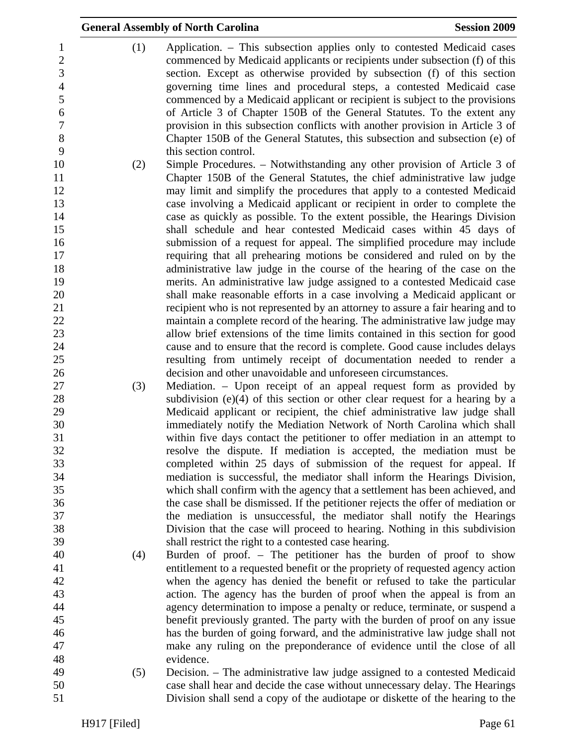|                                                   | <b>General Assembly of North Carolina</b>                                                                                                                                                                                                                                                                              | <b>Session 2009</b> |
|---------------------------------------------------|------------------------------------------------------------------------------------------------------------------------------------------------------------------------------------------------------------------------------------------------------------------------------------------------------------------------|---------------------|
| (1)<br>1<br>$\overline{2}$<br>3<br>$\overline{4}$ | Application. – This subsection applies only to contested Medicaid cases<br>commenced by Medicaid applicants or recipients under subsection (f) of this<br>section. Except as otherwise provided by subsection (f) of this section<br>governing time lines and procedural steps, a contested Medicaid case              |                     |
| 5<br>6<br>$\boldsymbol{7}$<br>$8\,$               | commenced by a Medicaid applicant or recipient is subject to the provisions<br>of Article 3 of Chapter 150B of the General Statutes. To the extent any<br>provision in this subsection conflicts with another provision in Article 3 of<br>Chapter 150B of the General Statutes, this subsection and subsection (e) of |                     |
| 9                                                 | this section control.                                                                                                                                                                                                                                                                                                  |                     |
| 10<br>(2)                                         | Simple Procedures. - Notwithstanding any other provision of Article 3 of                                                                                                                                                                                                                                               |                     |
| 11                                                | Chapter 150B of the General Statutes, the chief administrative law judge                                                                                                                                                                                                                                               |                     |
| 12                                                | may limit and simplify the procedures that apply to a contested Medicaid                                                                                                                                                                                                                                               |                     |
| 13                                                | case involving a Medicaid applicant or recipient in order to complete the                                                                                                                                                                                                                                              |                     |
| 14                                                | case as quickly as possible. To the extent possible, the Hearings Division                                                                                                                                                                                                                                             |                     |
| 15<br>16                                          | shall schedule and hear contested Medicaid cases within 45 days of<br>submission of a request for appeal. The simplified procedure may include                                                                                                                                                                         |                     |
| 17                                                | requiring that all prehearing motions be considered and ruled on by the                                                                                                                                                                                                                                                |                     |
| 18                                                | administrative law judge in the course of the hearing of the case on the                                                                                                                                                                                                                                               |                     |
| 19                                                | merits. An administrative law judge assigned to a contested Medicaid case                                                                                                                                                                                                                                              |                     |
| 20                                                | shall make reasonable efforts in a case involving a Medicaid applicant or                                                                                                                                                                                                                                              |                     |
| 21                                                | recipient who is not represented by an attorney to assure a fair hearing and to                                                                                                                                                                                                                                        |                     |
| 22                                                | maintain a complete record of the hearing. The administrative law judge may                                                                                                                                                                                                                                            |                     |
| 23                                                | allow brief extensions of the time limits contained in this section for good                                                                                                                                                                                                                                           |                     |
| 24                                                | cause and to ensure that the record is complete. Good cause includes delays                                                                                                                                                                                                                                            |                     |
| 25                                                | resulting from untimely receipt of documentation needed to render a                                                                                                                                                                                                                                                    |                     |
| 26                                                | decision and other unavoidable and unforeseen circumstances.                                                                                                                                                                                                                                                           |                     |
| 27<br>(3)                                         | Mediation. – Upon receipt of an appeal request form as provided by<br>subdivision $(e)(4)$ of this section or other clear request for a hearing by a                                                                                                                                                                   |                     |
| 28<br>29                                          | Medicaid applicant or recipient, the chief administrative law judge shall                                                                                                                                                                                                                                              |                     |
| 30                                                | immediately notify the Mediation Network of North Carolina which shall                                                                                                                                                                                                                                                 |                     |
| 31                                                | within five days contact the petitioner to offer mediation in an attempt to                                                                                                                                                                                                                                            |                     |
| 32                                                | resolve the dispute. If mediation is accepted, the mediation must be                                                                                                                                                                                                                                                   |                     |
| 33                                                | completed within 25 days of submission of the request for appeal. If                                                                                                                                                                                                                                                   |                     |
| 34                                                | mediation is successful, the mediator shall inform the Hearings Division,                                                                                                                                                                                                                                              |                     |
| 35                                                | which shall confirm with the agency that a settlement has been achieved, and                                                                                                                                                                                                                                           |                     |
| 36                                                | the case shall be dismissed. If the petitioner rejects the offer of mediation or                                                                                                                                                                                                                                       |                     |
| 37                                                | the mediation is unsuccessful, the mediator shall notify the Hearings                                                                                                                                                                                                                                                  |                     |
| 38<br>39                                          | Division that the case will proceed to hearing. Nothing in this subdivision                                                                                                                                                                                                                                            |                     |
| 40<br>(4)                                         | shall restrict the right to a contested case hearing.<br>Burden of proof. - The petitioner has the burden of proof to show                                                                                                                                                                                             |                     |
|                                                   | entitlement to a requested benefit or the propriety of requested agency action                                                                                                                                                                                                                                         |                     |
| 42                                                | when the agency has denied the benefit or refused to take the particular                                                                                                                                                                                                                                               |                     |
| 43                                                | action. The agency has the burden of proof when the appeal is from an                                                                                                                                                                                                                                                  |                     |
| 44                                                | agency determination to impose a penalty or reduce, terminate, or suspend a                                                                                                                                                                                                                                            |                     |
| 45                                                | benefit previously granted. The party with the burden of proof on any issue                                                                                                                                                                                                                                            |                     |
|                                                   | has the burden of going forward, and the administrative law judge shall not                                                                                                                                                                                                                                            |                     |
|                                                   | make any ruling on the preponderance of evidence until the close of all                                                                                                                                                                                                                                                |                     |
| 48<br>49                                          | evidence.                                                                                                                                                                                                                                                                                                              |                     |
| (5)<br>50                                         | Decision. – The administrative law judge assigned to a contested Medicaid                                                                                                                                                                                                                                              |                     |
|                                                   | case shall hear and decide the case without unnecessary delay. The Hearings<br>Division shall send a copy of the audiotape or diskette of the hearing to the                                                                                                                                                           |                     |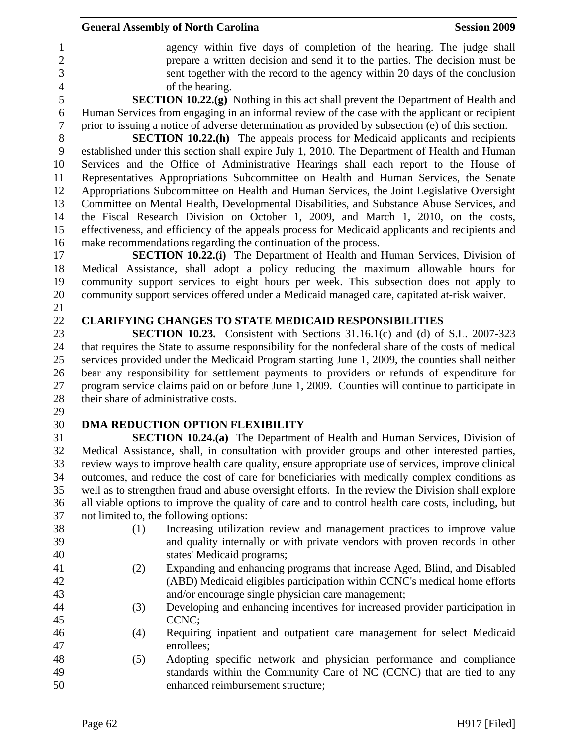| agency within five days of completion of the hearing. The judge shall<br>$\mathbf{1}$<br>$\overline{c}$<br>prepare a written decision and send it to the parties. The decision must be<br>$\overline{3}$<br>sent together with the record to the agency within 20 days of the conclusion<br>$\overline{4}$<br>of the hearing.<br>5<br><b>SECTION 10.22.(g)</b> Nothing in this act shall prevent the Department of Health and<br>Human Services from engaging in an informal review of the case with the applicant or recipient<br>6<br>$\boldsymbol{7}$<br>prior to issuing a notice of adverse determination as provided by subsection (e) of this section.<br>8<br><b>SECTION 10.22.(h)</b> The appeals process for Medicaid applicants and recipients<br>9<br>established under this section shall expire July 1, 2010. The Department of Health and Human<br>Services and the Office of Administrative Hearings shall each report to the House of<br>10<br>Representatives Appropriations Subcommittee on Health and Human Services, the Senate<br>11<br>12<br>Appropriations Subcommittee on Health and Human Services, the Joint Legislative Oversight<br>13<br>Committee on Mental Health, Developmental Disabilities, and Substance Abuse Services, and<br>the Fiscal Research Division on October 1, 2009, and March 1, 2010, on the costs,<br>14<br>15<br>effectiveness, and efficiency of the appeals process for Medicaid applicants and recipients and<br>make recommendations regarding the continuation of the process.<br>16<br>17<br><b>SECTION 10.22.(i)</b> The Department of Health and Human Services, Division of<br>18<br>Medical Assistance, shall adopt a policy reducing the maximum allowable hours for<br>19<br>community support services to eight hours per week. This subsection does not apply to<br>community support services offered under a Medicaid managed care, capitated at-risk waiver.<br>20<br>21<br>22<br><b>CLARIFYING CHANGES TO STATE MEDICAID RESPONSIBILITIES</b><br>23<br><b>SECTION 10.23.</b> Consistent with Sections 31.16.1(c) and (d) of S.L. 2007-323<br>24<br>that requires the State to assume responsibility for the nonfederal share of the costs of medical<br>services provided under the Medicaid Program starting June 1, 2009, the counties shall neither<br>25<br>26<br>bear any responsibility for settlement payments to providers or refunds of expenditure for<br>27<br>program service claims paid on or before June 1, 2009. Counties will continue to participate in<br>28<br>their share of administrative costs.<br>29<br>30<br>DMA REDUCTION OPTION FLEXIBILITY<br>31<br><b>SECTION 10.24.(a)</b> The Department of Health and Human Services, Division of<br>32<br>Medical Assistance, shall, in consultation with provider groups and other interested parties,<br>33<br>review ways to improve health care quality, ensure appropriate use of services, improve clinical<br>34<br>outcomes, and reduce the cost of care for beneficiaries with medically complex conditions as<br>35<br>well as to strengthen fraud and abuse oversight efforts. In the review the Division shall explore<br>36<br>all viable options to improve the quality of care and to control health care costs, including, but<br>37<br>not limited to, the following options:<br>38<br>(1)<br>Increasing utilization review and management practices to improve value<br>39<br>and quality internally or with private vendors with proven records in other<br>40<br>states' Medicaid programs;<br>41<br>Expanding and enhancing programs that increase Aged, Blind, and Disabled<br>(2)<br>42<br>(ABD) Medicaid eligibles participation within CCNC's medical home efforts<br>43<br>and/or encourage single physician care management;<br>44<br>Developing and enhancing incentives for increased provider participation in<br>(3)<br>45<br>CCNC;<br>46<br>Requiring inpatient and outpatient care management for select Medicaid<br>(4)<br>47<br>enrollees;<br>48<br>Adopting specific network and physician performance and compliance<br>(5) |    | <b>General Assembly of North Carolina</b> | <b>Session 2009</b> |
|----------------------------------------------------------------------------------------------------------------------------------------------------------------------------------------------------------------------------------------------------------------------------------------------------------------------------------------------------------------------------------------------------------------------------------------------------------------------------------------------------------------------------------------------------------------------------------------------------------------------------------------------------------------------------------------------------------------------------------------------------------------------------------------------------------------------------------------------------------------------------------------------------------------------------------------------------------------------------------------------------------------------------------------------------------------------------------------------------------------------------------------------------------------------------------------------------------------------------------------------------------------------------------------------------------------------------------------------------------------------------------------------------------------------------------------------------------------------------------------------------------------------------------------------------------------------------------------------------------------------------------------------------------------------------------------------------------------------------------------------------------------------------------------------------------------------------------------------------------------------------------------------------------------------------------------------------------------------------------------------------------------------------------------------------------------------------------------------------------------------------------------------------------------------------------------------------------------------------------------------------------------------------------------------------------------------------------------------------------------------------------------------------------------------------------------------------------------------------------------------------------------------------------------------------------------------------------------------------------------------------------------------------------------------------------------------------------------------------------------------------------------------------------------------------------------------------------------------------------------------------------------------------------------------------------------------------------------------------------------------------------------------------------------------------------------------------------------------------------------------------------------------------------------------------------------------------------------------------------------------------------------------------------------------------------------------------------------------------------------------------------------------------------------------------------------------------------------------------------------------------------------------------------------------------------------------------------------------------------------------------------------------------------------------------------------------------------------------------------------------------------------------------------------------------------------------------------------------------------------------------------------------------------------------------------------------------------------------------------------------------------------------------------------------------------------------------------------------------------|----|-------------------------------------------|---------------------|
|                                                                                                                                                                                                                                                                                                                                                                                                                                                                                                                                                                                                                                                                                                                                                                                                                                                                                                                                                                                                                                                                                                                                                                                                                                                                                                                                                                                                                                                                                                                                                                                                                                                                                                                                                                                                                                                                                                                                                                                                                                                                                                                                                                                                                                                                                                                                                                                                                                                                                                                                                                                                                                                                                                                                                                                                                                                                                                                                                                                                                                                                                                                                                                                                                                                                                                                                                                                                                                                                                                                                                                                                                                                                                                                                                                                                                                                                                                                                                                                                                                                                                                          |    |                                           |                     |
|                                                                                                                                                                                                                                                                                                                                                                                                                                                                                                                                                                                                                                                                                                                                                                                                                                                                                                                                                                                                                                                                                                                                                                                                                                                                                                                                                                                                                                                                                                                                                                                                                                                                                                                                                                                                                                                                                                                                                                                                                                                                                                                                                                                                                                                                                                                                                                                                                                                                                                                                                                                                                                                                                                                                                                                                                                                                                                                                                                                                                                                                                                                                                                                                                                                                                                                                                                                                                                                                                                                                                                                                                                                                                                                                                                                                                                                                                                                                                                                                                                                                                                          |    |                                           |                     |
|                                                                                                                                                                                                                                                                                                                                                                                                                                                                                                                                                                                                                                                                                                                                                                                                                                                                                                                                                                                                                                                                                                                                                                                                                                                                                                                                                                                                                                                                                                                                                                                                                                                                                                                                                                                                                                                                                                                                                                                                                                                                                                                                                                                                                                                                                                                                                                                                                                                                                                                                                                                                                                                                                                                                                                                                                                                                                                                                                                                                                                                                                                                                                                                                                                                                                                                                                                                                                                                                                                                                                                                                                                                                                                                                                                                                                                                                                                                                                                                                                                                                                                          |    |                                           |                     |
|                                                                                                                                                                                                                                                                                                                                                                                                                                                                                                                                                                                                                                                                                                                                                                                                                                                                                                                                                                                                                                                                                                                                                                                                                                                                                                                                                                                                                                                                                                                                                                                                                                                                                                                                                                                                                                                                                                                                                                                                                                                                                                                                                                                                                                                                                                                                                                                                                                                                                                                                                                                                                                                                                                                                                                                                                                                                                                                                                                                                                                                                                                                                                                                                                                                                                                                                                                                                                                                                                                                                                                                                                                                                                                                                                                                                                                                                                                                                                                                                                                                                                                          |    |                                           |                     |
|                                                                                                                                                                                                                                                                                                                                                                                                                                                                                                                                                                                                                                                                                                                                                                                                                                                                                                                                                                                                                                                                                                                                                                                                                                                                                                                                                                                                                                                                                                                                                                                                                                                                                                                                                                                                                                                                                                                                                                                                                                                                                                                                                                                                                                                                                                                                                                                                                                                                                                                                                                                                                                                                                                                                                                                                                                                                                                                                                                                                                                                                                                                                                                                                                                                                                                                                                                                                                                                                                                                                                                                                                                                                                                                                                                                                                                                                                                                                                                                                                                                                                                          |    |                                           |                     |
|                                                                                                                                                                                                                                                                                                                                                                                                                                                                                                                                                                                                                                                                                                                                                                                                                                                                                                                                                                                                                                                                                                                                                                                                                                                                                                                                                                                                                                                                                                                                                                                                                                                                                                                                                                                                                                                                                                                                                                                                                                                                                                                                                                                                                                                                                                                                                                                                                                                                                                                                                                                                                                                                                                                                                                                                                                                                                                                                                                                                                                                                                                                                                                                                                                                                                                                                                                                                                                                                                                                                                                                                                                                                                                                                                                                                                                                                                                                                                                                                                                                                                                          |    |                                           |                     |
|                                                                                                                                                                                                                                                                                                                                                                                                                                                                                                                                                                                                                                                                                                                                                                                                                                                                                                                                                                                                                                                                                                                                                                                                                                                                                                                                                                                                                                                                                                                                                                                                                                                                                                                                                                                                                                                                                                                                                                                                                                                                                                                                                                                                                                                                                                                                                                                                                                                                                                                                                                                                                                                                                                                                                                                                                                                                                                                                                                                                                                                                                                                                                                                                                                                                                                                                                                                                                                                                                                                                                                                                                                                                                                                                                                                                                                                                                                                                                                                                                                                                                                          |    |                                           |                     |
|                                                                                                                                                                                                                                                                                                                                                                                                                                                                                                                                                                                                                                                                                                                                                                                                                                                                                                                                                                                                                                                                                                                                                                                                                                                                                                                                                                                                                                                                                                                                                                                                                                                                                                                                                                                                                                                                                                                                                                                                                                                                                                                                                                                                                                                                                                                                                                                                                                                                                                                                                                                                                                                                                                                                                                                                                                                                                                                                                                                                                                                                                                                                                                                                                                                                                                                                                                                                                                                                                                                                                                                                                                                                                                                                                                                                                                                                                                                                                                                                                                                                                                          |    |                                           |                     |
|                                                                                                                                                                                                                                                                                                                                                                                                                                                                                                                                                                                                                                                                                                                                                                                                                                                                                                                                                                                                                                                                                                                                                                                                                                                                                                                                                                                                                                                                                                                                                                                                                                                                                                                                                                                                                                                                                                                                                                                                                                                                                                                                                                                                                                                                                                                                                                                                                                                                                                                                                                                                                                                                                                                                                                                                                                                                                                                                                                                                                                                                                                                                                                                                                                                                                                                                                                                                                                                                                                                                                                                                                                                                                                                                                                                                                                                                                                                                                                                                                                                                                                          |    |                                           |                     |
|                                                                                                                                                                                                                                                                                                                                                                                                                                                                                                                                                                                                                                                                                                                                                                                                                                                                                                                                                                                                                                                                                                                                                                                                                                                                                                                                                                                                                                                                                                                                                                                                                                                                                                                                                                                                                                                                                                                                                                                                                                                                                                                                                                                                                                                                                                                                                                                                                                                                                                                                                                                                                                                                                                                                                                                                                                                                                                                                                                                                                                                                                                                                                                                                                                                                                                                                                                                                                                                                                                                                                                                                                                                                                                                                                                                                                                                                                                                                                                                                                                                                                                          |    |                                           |                     |
|                                                                                                                                                                                                                                                                                                                                                                                                                                                                                                                                                                                                                                                                                                                                                                                                                                                                                                                                                                                                                                                                                                                                                                                                                                                                                                                                                                                                                                                                                                                                                                                                                                                                                                                                                                                                                                                                                                                                                                                                                                                                                                                                                                                                                                                                                                                                                                                                                                                                                                                                                                                                                                                                                                                                                                                                                                                                                                                                                                                                                                                                                                                                                                                                                                                                                                                                                                                                                                                                                                                                                                                                                                                                                                                                                                                                                                                                                                                                                                                                                                                                                                          |    |                                           |                     |
|                                                                                                                                                                                                                                                                                                                                                                                                                                                                                                                                                                                                                                                                                                                                                                                                                                                                                                                                                                                                                                                                                                                                                                                                                                                                                                                                                                                                                                                                                                                                                                                                                                                                                                                                                                                                                                                                                                                                                                                                                                                                                                                                                                                                                                                                                                                                                                                                                                                                                                                                                                                                                                                                                                                                                                                                                                                                                                                                                                                                                                                                                                                                                                                                                                                                                                                                                                                                                                                                                                                                                                                                                                                                                                                                                                                                                                                                                                                                                                                                                                                                                                          |    |                                           |                     |
|                                                                                                                                                                                                                                                                                                                                                                                                                                                                                                                                                                                                                                                                                                                                                                                                                                                                                                                                                                                                                                                                                                                                                                                                                                                                                                                                                                                                                                                                                                                                                                                                                                                                                                                                                                                                                                                                                                                                                                                                                                                                                                                                                                                                                                                                                                                                                                                                                                                                                                                                                                                                                                                                                                                                                                                                                                                                                                                                                                                                                                                                                                                                                                                                                                                                                                                                                                                                                                                                                                                                                                                                                                                                                                                                                                                                                                                                                                                                                                                                                                                                                                          |    |                                           |                     |
|                                                                                                                                                                                                                                                                                                                                                                                                                                                                                                                                                                                                                                                                                                                                                                                                                                                                                                                                                                                                                                                                                                                                                                                                                                                                                                                                                                                                                                                                                                                                                                                                                                                                                                                                                                                                                                                                                                                                                                                                                                                                                                                                                                                                                                                                                                                                                                                                                                                                                                                                                                                                                                                                                                                                                                                                                                                                                                                                                                                                                                                                                                                                                                                                                                                                                                                                                                                                                                                                                                                                                                                                                                                                                                                                                                                                                                                                                                                                                                                                                                                                                                          |    |                                           |                     |
|                                                                                                                                                                                                                                                                                                                                                                                                                                                                                                                                                                                                                                                                                                                                                                                                                                                                                                                                                                                                                                                                                                                                                                                                                                                                                                                                                                                                                                                                                                                                                                                                                                                                                                                                                                                                                                                                                                                                                                                                                                                                                                                                                                                                                                                                                                                                                                                                                                                                                                                                                                                                                                                                                                                                                                                                                                                                                                                                                                                                                                                                                                                                                                                                                                                                                                                                                                                                                                                                                                                                                                                                                                                                                                                                                                                                                                                                                                                                                                                                                                                                                                          |    |                                           |                     |
|                                                                                                                                                                                                                                                                                                                                                                                                                                                                                                                                                                                                                                                                                                                                                                                                                                                                                                                                                                                                                                                                                                                                                                                                                                                                                                                                                                                                                                                                                                                                                                                                                                                                                                                                                                                                                                                                                                                                                                                                                                                                                                                                                                                                                                                                                                                                                                                                                                                                                                                                                                                                                                                                                                                                                                                                                                                                                                                                                                                                                                                                                                                                                                                                                                                                                                                                                                                                                                                                                                                                                                                                                                                                                                                                                                                                                                                                                                                                                                                                                                                                                                          |    |                                           |                     |
|                                                                                                                                                                                                                                                                                                                                                                                                                                                                                                                                                                                                                                                                                                                                                                                                                                                                                                                                                                                                                                                                                                                                                                                                                                                                                                                                                                                                                                                                                                                                                                                                                                                                                                                                                                                                                                                                                                                                                                                                                                                                                                                                                                                                                                                                                                                                                                                                                                                                                                                                                                                                                                                                                                                                                                                                                                                                                                                                                                                                                                                                                                                                                                                                                                                                                                                                                                                                                                                                                                                                                                                                                                                                                                                                                                                                                                                                                                                                                                                                                                                                                                          |    |                                           |                     |
|                                                                                                                                                                                                                                                                                                                                                                                                                                                                                                                                                                                                                                                                                                                                                                                                                                                                                                                                                                                                                                                                                                                                                                                                                                                                                                                                                                                                                                                                                                                                                                                                                                                                                                                                                                                                                                                                                                                                                                                                                                                                                                                                                                                                                                                                                                                                                                                                                                                                                                                                                                                                                                                                                                                                                                                                                                                                                                                                                                                                                                                                                                                                                                                                                                                                                                                                                                                                                                                                                                                                                                                                                                                                                                                                                                                                                                                                                                                                                                                                                                                                                                          |    |                                           |                     |
|                                                                                                                                                                                                                                                                                                                                                                                                                                                                                                                                                                                                                                                                                                                                                                                                                                                                                                                                                                                                                                                                                                                                                                                                                                                                                                                                                                                                                                                                                                                                                                                                                                                                                                                                                                                                                                                                                                                                                                                                                                                                                                                                                                                                                                                                                                                                                                                                                                                                                                                                                                                                                                                                                                                                                                                                                                                                                                                                                                                                                                                                                                                                                                                                                                                                                                                                                                                                                                                                                                                                                                                                                                                                                                                                                                                                                                                                                                                                                                                                                                                                                                          |    |                                           |                     |
|                                                                                                                                                                                                                                                                                                                                                                                                                                                                                                                                                                                                                                                                                                                                                                                                                                                                                                                                                                                                                                                                                                                                                                                                                                                                                                                                                                                                                                                                                                                                                                                                                                                                                                                                                                                                                                                                                                                                                                                                                                                                                                                                                                                                                                                                                                                                                                                                                                                                                                                                                                                                                                                                                                                                                                                                                                                                                                                                                                                                                                                                                                                                                                                                                                                                                                                                                                                                                                                                                                                                                                                                                                                                                                                                                                                                                                                                                                                                                                                                                                                                                                          |    |                                           |                     |
|                                                                                                                                                                                                                                                                                                                                                                                                                                                                                                                                                                                                                                                                                                                                                                                                                                                                                                                                                                                                                                                                                                                                                                                                                                                                                                                                                                                                                                                                                                                                                                                                                                                                                                                                                                                                                                                                                                                                                                                                                                                                                                                                                                                                                                                                                                                                                                                                                                                                                                                                                                                                                                                                                                                                                                                                                                                                                                                                                                                                                                                                                                                                                                                                                                                                                                                                                                                                                                                                                                                                                                                                                                                                                                                                                                                                                                                                                                                                                                                                                                                                                                          |    |                                           |                     |
|                                                                                                                                                                                                                                                                                                                                                                                                                                                                                                                                                                                                                                                                                                                                                                                                                                                                                                                                                                                                                                                                                                                                                                                                                                                                                                                                                                                                                                                                                                                                                                                                                                                                                                                                                                                                                                                                                                                                                                                                                                                                                                                                                                                                                                                                                                                                                                                                                                                                                                                                                                                                                                                                                                                                                                                                                                                                                                                                                                                                                                                                                                                                                                                                                                                                                                                                                                                                                                                                                                                                                                                                                                                                                                                                                                                                                                                                                                                                                                                                                                                                                                          |    |                                           |                     |
|                                                                                                                                                                                                                                                                                                                                                                                                                                                                                                                                                                                                                                                                                                                                                                                                                                                                                                                                                                                                                                                                                                                                                                                                                                                                                                                                                                                                                                                                                                                                                                                                                                                                                                                                                                                                                                                                                                                                                                                                                                                                                                                                                                                                                                                                                                                                                                                                                                                                                                                                                                                                                                                                                                                                                                                                                                                                                                                                                                                                                                                                                                                                                                                                                                                                                                                                                                                                                                                                                                                                                                                                                                                                                                                                                                                                                                                                                                                                                                                                                                                                                                          |    |                                           |                     |
|                                                                                                                                                                                                                                                                                                                                                                                                                                                                                                                                                                                                                                                                                                                                                                                                                                                                                                                                                                                                                                                                                                                                                                                                                                                                                                                                                                                                                                                                                                                                                                                                                                                                                                                                                                                                                                                                                                                                                                                                                                                                                                                                                                                                                                                                                                                                                                                                                                                                                                                                                                                                                                                                                                                                                                                                                                                                                                                                                                                                                                                                                                                                                                                                                                                                                                                                                                                                                                                                                                                                                                                                                                                                                                                                                                                                                                                                                                                                                                                                                                                                                                          |    |                                           |                     |
|                                                                                                                                                                                                                                                                                                                                                                                                                                                                                                                                                                                                                                                                                                                                                                                                                                                                                                                                                                                                                                                                                                                                                                                                                                                                                                                                                                                                                                                                                                                                                                                                                                                                                                                                                                                                                                                                                                                                                                                                                                                                                                                                                                                                                                                                                                                                                                                                                                                                                                                                                                                                                                                                                                                                                                                                                                                                                                                                                                                                                                                                                                                                                                                                                                                                                                                                                                                                                                                                                                                                                                                                                                                                                                                                                                                                                                                                                                                                                                                                                                                                                                          |    |                                           |                     |
|                                                                                                                                                                                                                                                                                                                                                                                                                                                                                                                                                                                                                                                                                                                                                                                                                                                                                                                                                                                                                                                                                                                                                                                                                                                                                                                                                                                                                                                                                                                                                                                                                                                                                                                                                                                                                                                                                                                                                                                                                                                                                                                                                                                                                                                                                                                                                                                                                                                                                                                                                                                                                                                                                                                                                                                                                                                                                                                                                                                                                                                                                                                                                                                                                                                                                                                                                                                                                                                                                                                                                                                                                                                                                                                                                                                                                                                                                                                                                                                                                                                                                                          |    |                                           |                     |
|                                                                                                                                                                                                                                                                                                                                                                                                                                                                                                                                                                                                                                                                                                                                                                                                                                                                                                                                                                                                                                                                                                                                                                                                                                                                                                                                                                                                                                                                                                                                                                                                                                                                                                                                                                                                                                                                                                                                                                                                                                                                                                                                                                                                                                                                                                                                                                                                                                                                                                                                                                                                                                                                                                                                                                                                                                                                                                                                                                                                                                                                                                                                                                                                                                                                                                                                                                                                                                                                                                                                                                                                                                                                                                                                                                                                                                                                                                                                                                                                                                                                                                          |    |                                           |                     |
|                                                                                                                                                                                                                                                                                                                                                                                                                                                                                                                                                                                                                                                                                                                                                                                                                                                                                                                                                                                                                                                                                                                                                                                                                                                                                                                                                                                                                                                                                                                                                                                                                                                                                                                                                                                                                                                                                                                                                                                                                                                                                                                                                                                                                                                                                                                                                                                                                                                                                                                                                                                                                                                                                                                                                                                                                                                                                                                                                                                                                                                                                                                                                                                                                                                                                                                                                                                                                                                                                                                                                                                                                                                                                                                                                                                                                                                                                                                                                                                                                                                                                                          |    |                                           |                     |
|                                                                                                                                                                                                                                                                                                                                                                                                                                                                                                                                                                                                                                                                                                                                                                                                                                                                                                                                                                                                                                                                                                                                                                                                                                                                                                                                                                                                                                                                                                                                                                                                                                                                                                                                                                                                                                                                                                                                                                                                                                                                                                                                                                                                                                                                                                                                                                                                                                                                                                                                                                                                                                                                                                                                                                                                                                                                                                                                                                                                                                                                                                                                                                                                                                                                                                                                                                                                                                                                                                                                                                                                                                                                                                                                                                                                                                                                                                                                                                                                                                                                                                          |    |                                           |                     |
|                                                                                                                                                                                                                                                                                                                                                                                                                                                                                                                                                                                                                                                                                                                                                                                                                                                                                                                                                                                                                                                                                                                                                                                                                                                                                                                                                                                                                                                                                                                                                                                                                                                                                                                                                                                                                                                                                                                                                                                                                                                                                                                                                                                                                                                                                                                                                                                                                                                                                                                                                                                                                                                                                                                                                                                                                                                                                                                                                                                                                                                                                                                                                                                                                                                                                                                                                                                                                                                                                                                                                                                                                                                                                                                                                                                                                                                                                                                                                                                                                                                                                                          |    |                                           |                     |
|                                                                                                                                                                                                                                                                                                                                                                                                                                                                                                                                                                                                                                                                                                                                                                                                                                                                                                                                                                                                                                                                                                                                                                                                                                                                                                                                                                                                                                                                                                                                                                                                                                                                                                                                                                                                                                                                                                                                                                                                                                                                                                                                                                                                                                                                                                                                                                                                                                                                                                                                                                                                                                                                                                                                                                                                                                                                                                                                                                                                                                                                                                                                                                                                                                                                                                                                                                                                                                                                                                                                                                                                                                                                                                                                                                                                                                                                                                                                                                                                                                                                                                          |    |                                           |                     |
|                                                                                                                                                                                                                                                                                                                                                                                                                                                                                                                                                                                                                                                                                                                                                                                                                                                                                                                                                                                                                                                                                                                                                                                                                                                                                                                                                                                                                                                                                                                                                                                                                                                                                                                                                                                                                                                                                                                                                                                                                                                                                                                                                                                                                                                                                                                                                                                                                                                                                                                                                                                                                                                                                                                                                                                                                                                                                                                                                                                                                                                                                                                                                                                                                                                                                                                                                                                                                                                                                                                                                                                                                                                                                                                                                                                                                                                                                                                                                                                                                                                                                                          |    |                                           |                     |
|                                                                                                                                                                                                                                                                                                                                                                                                                                                                                                                                                                                                                                                                                                                                                                                                                                                                                                                                                                                                                                                                                                                                                                                                                                                                                                                                                                                                                                                                                                                                                                                                                                                                                                                                                                                                                                                                                                                                                                                                                                                                                                                                                                                                                                                                                                                                                                                                                                                                                                                                                                                                                                                                                                                                                                                                                                                                                                                                                                                                                                                                                                                                                                                                                                                                                                                                                                                                                                                                                                                                                                                                                                                                                                                                                                                                                                                                                                                                                                                                                                                                                                          |    |                                           |                     |
|                                                                                                                                                                                                                                                                                                                                                                                                                                                                                                                                                                                                                                                                                                                                                                                                                                                                                                                                                                                                                                                                                                                                                                                                                                                                                                                                                                                                                                                                                                                                                                                                                                                                                                                                                                                                                                                                                                                                                                                                                                                                                                                                                                                                                                                                                                                                                                                                                                                                                                                                                                                                                                                                                                                                                                                                                                                                                                                                                                                                                                                                                                                                                                                                                                                                                                                                                                                                                                                                                                                                                                                                                                                                                                                                                                                                                                                                                                                                                                                                                                                                                                          |    |                                           |                     |
|                                                                                                                                                                                                                                                                                                                                                                                                                                                                                                                                                                                                                                                                                                                                                                                                                                                                                                                                                                                                                                                                                                                                                                                                                                                                                                                                                                                                                                                                                                                                                                                                                                                                                                                                                                                                                                                                                                                                                                                                                                                                                                                                                                                                                                                                                                                                                                                                                                                                                                                                                                                                                                                                                                                                                                                                                                                                                                                                                                                                                                                                                                                                                                                                                                                                                                                                                                                                                                                                                                                                                                                                                                                                                                                                                                                                                                                                                                                                                                                                                                                                                                          |    |                                           |                     |
|                                                                                                                                                                                                                                                                                                                                                                                                                                                                                                                                                                                                                                                                                                                                                                                                                                                                                                                                                                                                                                                                                                                                                                                                                                                                                                                                                                                                                                                                                                                                                                                                                                                                                                                                                                                                                                                                                                                                                                                                                                                                                                                                                                                                                                                                                                                                                                                                                                                                                                                                                                                                                                                                                                                                                                                                                                                                                                                                                                                                                                                                                                                                                                                                                                                                                                                                                                                                                                                                                                                                                                                                                                                                                                                                                                                                                                                                                                                                                                                                                                                                                                          |    |                                           |                     |
|                                                                                                                                                                                                                                                                                                                                                                                                                                                                                                                                                                                                                                                                                                                                                                                                                                                                                                                                                                                                                                                                                                                                                                                                                                                                                                                                                                                                                                                                                                                                                                                                                                                                                                                                                                                                                                                                                                                                                                                                                                                                                                                                                                                                                                                                                                                                                                                                                                                                                                                                                                                                                                                                                                                                                                                                                                                                                                                                                                                                                                                                                                                                                                                                                                                                                                                                                                                                                                                                                                                                                                                                                                                                                                                                                                                                                                                                                                                                                                                                                                                                                                          |    |                                           |                     |
|                                                                                                                                                                                                                                                                                                                                                                                                                                                                                                                                                                                                                                                                                                                                                                                                                                                                                                                                                                                                                                                                                                                                                                                                                                                                                                                                                                                                                                                                                                                                                                                                                                                                                                                                                                                                                                                                                                                                                                                                                                                                                                                                                                                                                                                                                                                                                                                                                                                                                                                                                                                                                                                                                                                                                                                                                                                                                                                                                                                                                                                                                                                                                                                                                                                                                                                                                                                                                                                                                                                                                                                                                                                                                                                                                                                                                                                                                                                                                                                                                                                                                                          |    |                                           |                     |
|                                                                                                                                                                                                                                                                                                                                                                                                                                                                                                                                                                                                                                                                                                                                                                                                                                                                                                                                                                                                                                                                                                                                                                                                                                                                                                                                                                                                                                                                                                                                                                                                                                                                                                                                                                                                                                                                                                                                                                                                                                                                                                                                                                                                                                                                                                                                                                                                                                                                                                                                                                                                                                                                                                                                                                                                                                                                                                                                                                                                                                                                                                                                                                                                                                                                                                                                                                                                                                                                                                                                                                                                                                                                                                                                                                                                                                                                                                                                                                                                                                                                                                          |    |                                           |                     |
|                                                                                                                                                                                                                                                                                                                                                                                                                                                                                                                                                                                                                                                                                                                                                                                                                                                                                                                                                                                                                                                                                                                                                                                                                                                                                                                                                                                                                                                                                                                                                                                                                                                                                                                                                                                                                                                                                                                                                                                                                                                                                                                                                                                                                                                                                                                                                                                                                                                                                                                                                                                                                                                                                                                                                                                                                                                                                                                                                                                                                                                                                                                                                                                                                                                                                                                                                                                                                                                                                                                                                                                                                                                                                                                                                                                                                                                                                                                                                                                                                                                                                                          |    |                                           |                     |
|                                                                                                                                                                                                                                                                                                                                                                                                                                                                                                                                                                                                                                                                                                                                                                                                                                                                                                                                                                                                                                                                                                                                                                                                                                                                                                                                                                                                                                                                                                                                                                                                                                                                                                                                                                                                                                                                                                                                                                                                                                                                                                                                                                                                                                                                                                                                                                                                                                                                                                                                                                                                                                                                                                                                                                                                                                                                                                                                                                                                                                                                                                                                                                                                                                                                                                                                                                                                                                                                                                                                                                                                                                                                                                                                                                                                                                                                                                                                                                                                                                                                                                          |    |                                           |                     |
|                                                                                                                                                                                                                                                                                                                                                                                                                                                                                                                                                                                                                                                                                                                                                                                                                                                                                                                                                                                                                                                                                                                                                                                                                                                                                                                                                                                                                                                                                                                                                                                                                                                                                                                                                                                                                                                                                                                                                                                                                                                                                                                                                                                                                                                                                                                                                                                                                                                                                                                                                                                                                                                                                                                                                                                                                                                                                                                                                                                                                                                                                                                                                                                                                                                                                                                                                                                                                                                                                                                                                                                                                                                                                                                                                                                                                                                                                                                                                                                                                                                                                                          |    |                                           |                     |
|                                                                                                                                                                                                                                                                                                                                                                                                                                                                                                                                                                                                                                                                                                                                                                                                                                                                                                                                                                                                                                                                                                                                                                                                                                                                                                                                                                                                                                                                                                                                                                                                                                                                                                                                                                                                                                                                                                                                                                                                                                                                                                                                                                                                                                                                                                                                                                                                                                                                                                                                                                                                                                                                                                                                                                                                                                                                                                                                                                                                                                                                                                                                                                                                                                                                                                                                                                                                                                                                                                                                                                                                                                                                                                                                                                                                                                                                                                                                                                                                                                                                                                          |    |                                           |                     |
|                                                                                                                                                                                                                                                                                                                                                                                                                                                                                                                                                                                                                                                                                                                                                                                                                                                                                                                                                                                                                                                                                                                                                                                                                                                                                                                                                                                                                                                                                                                                                                                                                                                                                                                                                                                                                                                                                                                                                                                                                                                                                                                                                                                                                                                                                                                                                                                                                                                                                                                                                                                                                                                                                                                                                                                                                                                                                                                                                                                                                                                                                                                                                                                                                                                                                                                                                                                                                                                                                                                                                                                                                                                                                                                                                                                                                                                                                                                                                                                                                                                                                                          |    |                                           |                     |
| standards within the Community Care of NC (CCNC) that are tied to any                                                                                                                                                                                                                                                                                                                                                                                                                                                                                                                                                                                                                                                                                                                                                                                                                                                                                                                                                                                                                                                                                                                                                                                                                                                                                                                                                                                                                                                                                                                                                                                                                                                                                                                                                                                                                                                                                                                                                                                                                                                                                                                                                                                                                                                                                                                                                                                                                                                                                                                                                                                                                                                                                                                                                                                                                                                                                                                                                                                                                                                                                                                                                                                                                                                                                                                                                                                                                                                                                                                                                                                                                                                                                                                                                                                                                                                                                                                                                                                                                                    | 49 |                                           |                     |
| 50<br>enhanced reimbursement structure;                                                                                                                                                                                                                                                                                                                                                                                                                                                                                                                                                                                                                                                                                                                                                                                                                                                                                                                                                                                                                                                                                                                                                                                                                                                                                                                                                                                                                                                                                                                                                                                                                                                                                                                                                                                                                                                                                                                                                                                                                                                                                                                                                                                                                                                                                                                                                                                                                                                                                                                                                                                                                                                                                                                                                                                                                                                                                                                                                                                                                                                                                                                                                                                                                                                                                                                                                                                                                                                                                                                                                                                                                                                                                                                                                                                                                                                                                                                                                                                                                                                                  |    |                                           |                     |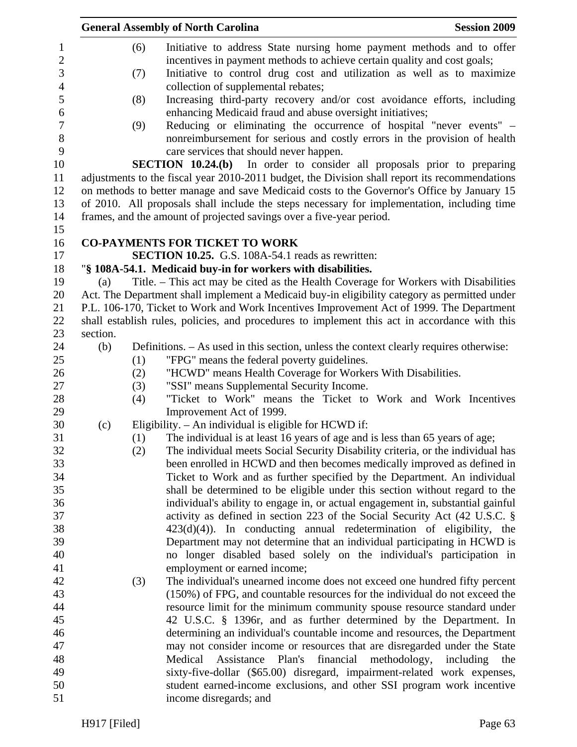|                                 |          |            | <b>General Assembly of North Carolina</b>                                                                                                                                                                                   | <b>Session 2009</b>           |
|---------------------------------|----------|------------|-----------------------------------------------------------------------------------------------------------------------------------------------------------------------------------------------------------------------------|-------------------------------|
| $\mathbf{1}$<br>$\sqrt{2}$<br>3 |          | (6)<br>(7) | Initiative to address State nursing home payment methods and to offer<br>incentives in payment methods to achieve certain quality and cost goals;<br>Initiative to control drug cost and utilization as well as to maximize |                               |
| $\overline{4}$                  |          |            | collection of supplemental rebates;                                                                                                                                                                                         |                               |
| 5                               |          | (8)        | Increasing third-party recovery and/or cost avoidance efforts, including                                                                                                                                                    |                               |
| 6                               |          |            | enhancing Medicaid fraud and abuse oversight initiatives;                                                                                                                                                                   |                               |
| $\tau$<br>$\,8\,$               |          | (9)        | Reducing or eliminating the occurrence of hospital "never events" –<br>nonreimbursement for serious and costly errors in the provision of health                                                                            |                               |
| 9                               |          |            | care services that should never happen.                                                                                                                                                                                     |                               |
| 10                              |          |            | <b>SECTION 10.24.(b)</b> In order to consider all proposals prior to preparing                                                                                                                                              |                               |
| 11                              |          |            | adjustments to the fiscal year 2010-2011 budget, the Division shall report its recommendations                                                                                                                              |                               |
| 12                              |          |            | on methods to better manage and save Medicaid costs to the Governor's Office by January 15                                                                                                                                  |                               |
| 13                              |          |            | of 2010. All proposals shall include the steps necessary for implementation, including time                                                                                                                                 |                               |
| 14                              |          |            | frames, and the amount of projected savings over a five-year period.                                                                                                                                                        |                               |
| 15                              |          |            | <b>CO-PAYMENTS FOR TICKET TO WORK</b>                                                                                                                                                                                       |                               |
| 16<br>17                        |          |            | <b>SECTION 10.25.</b> G.S. 108A-54.1 reads as rewritten:                                                                                                                                                                    |                               |
| 18                              |          |            | "§ 108A-54.1. Medicaid buy-in for workers with disabilities.                                                                                                                                                                |                               |
| 19                              | (a)      |            | Title. – This act may be cited as the Health Coverage for Workers with Disabilities                                                                                                                                         |                               |
| 20                              |          |            | Act. The Department shall implement a Medicaid buy-in eligibility category as permitted under                                                                                                                               |                               |
| 21                              |          |            | P.L. 106-170, Ticket to Work and Work Incentives Improvement Act of 1999. The Department                                                                                                                                    |                               |
| 22                              |          |            | shall establish rules, policies, and procedures to implement this act in accordance with this                                                                                                                               |                               |
| 23                              | section. |            |                                                                                                                                                                                                                             |                               |
| 24                              | (b)      |            | Definitions. – As used in this section, unless the context clearly requires otherwise:                                                                                                                                      |                               |
| 25                              |          | (1)        | "FPG" means the federal poverty guidelines.                                                                                                                                                                                 |                               |
| 26                              |          | (2)        | "HCWD" means Health Coverage for Workers With Disabilities.                                                                                                                                                                 |                               |
| 27                              |          | (3)        | "SSI" means Supplemental Security Income.                                                                                                                                                                                   |                               |
| 28                              |          | (4)        | "Ticket to Work" means the Ticket to Work and Work Incentives                                                                                                                                                               |                               |
| 29                              |          |            | Improvement Act of 1999.                                                                                                                                                                                                    |                               |
| 30                              | (c)      |            | Eligibility. - An individual is eligible for HCWD if:                                                                                                                                                                       |                               |
| 31                              |          | (1)        | The individual is at least 16 years of age and is less than 65 years of age;                                                                                                                                                |                               |
| 32                              |          | (2)        | The individual meets Social Security Disability criteria, or the individual has                                                                                                                                             |                               |
| 33                              |          |            | been enrolled in HCWD and then becomes medically improved as defined in                                                                                                                                                     |                               |
| 34                              |          |            | Ticket to Work and as further specified by the Department. An individual                                                                                                                                                    |                               |
| 35                              |          |            | shall be determined to be eligible under this section without regard to the                                                                                                                                                 |                               |
| 36<br>37                        |          |            | individual's ability to engage in, or actual engagement in, substantial gainful                                                                                                                                             |                               |
| 38                              |          |            | activity as defined in section 223 of the Social Security Act $(42 \text{ U.S.C. } \S$<br>$423(d)(4)$ ). In conducting annual redetermination of eligibility, the                                                           |                               |
| 39                              |          |            | Department may not determine that an individual participating in HCWD is                                                                                                                                                    |                               |
| 40                              |          |            | no longer disabled based solely on the individual's participation in                                                                                                                                                        |                               |
| 41                              |          |            | employment or earned income;                                                                                                                                                                                                |                               |
| 42                              |          | (3)        | The individual's unearned income does not exceed one hundred fifty percent                                                                                                                                                  |                               |
| 43                              |          |            | (150%) of FPG, and countable resources for the individual do not exceed the                                                                                                                                                 |                               |
| 44                              |          |            | resource limit for the minimum community spouse resource standard under                                                                                                                                                     |                               |
| 45                              |          |            | 42 U.S.C. § 1396r, and as further determined by the Department. In                                                                                                                                                          |                               |
| 46                              |          |            | determining an individual's countable income and resources, the Department                                                                                                                                                  |                               |
| 47                              |          |            | may not consider income or resources that are disregarded under the State                                                                                                                                                   |                               |
| 48                              |          |            | Plan's<br>financial<br>Medical<br>Assistance                                                                                                                                                                                | methodology, including<br>the |
| 49                              |          |            | sixty-five-dollar (\$65.00) disregard, impairment-related work expenses,                                                                                                                                                    |                               |
| 50                              |          |            | student earned-income exclusions, and other SSI program work incentive                                                                                                                                                      |                               |
| 51                              |          |            | income disregards; and                                                                                                                                                                                                      |                               |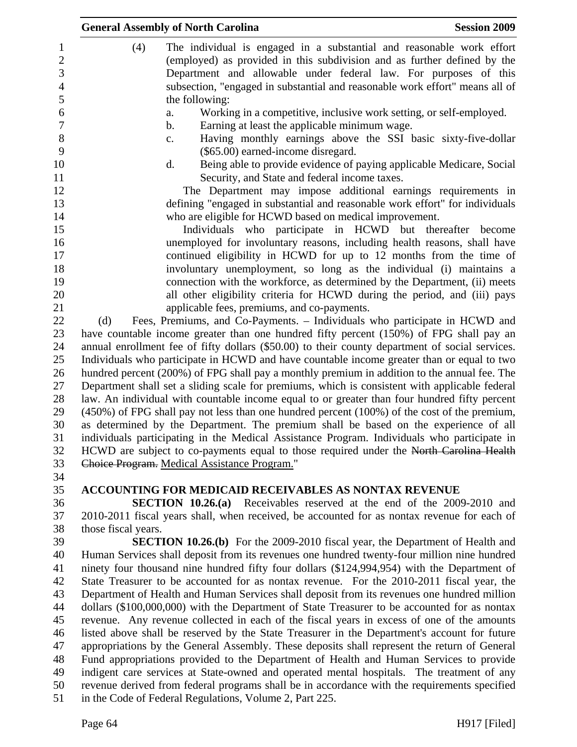|                          | <b>General Assembly of North Carolina</b><br><b>Session 2009</b>                                                                                                                                                             |
|--------------------------|------------------------------------------------------------------------------------------------------------------------------------------------------------------------------------------------------------------------------|
| 1<br>$\overline{c}$<br>3 | (4)<br>The individual is engaged in a substantial and reasonable work effort<br>(employed) as provided in this subdivision and as further defined by the<br>Department and allowable under federal law. For purposes of this |
| $\overline{4}$<br>5      | subsection, "engaged in substantial and reasonable work effort" means all of<br>the following:                                                                                                                               |
| 6<br>$\overline{7}$      | Working in a competitive, inclusive work setting, or self-employed.<br>a.<br>Earning at least the applicable minimum wage.<br>b.                                                                                             |
| $8\,$                    | Having monthly earnings above the SSI basic sixty-five-dollar<br>c.                                                                                                                                                          |
| 9<br>10                  | (\$65.00) earned-income disregard.<br>Being able to provide evidence of paying applicable Medicare, Social<br>d.                                                                                                             |
| 11<br>12                 | Security, and State and federal income taxes.<br>The Department may impose additional earnings requirements in                                                                                                               |
| 13                       | defining "engaged in substantial and reasonable work effort" for individuals                                                                                                                                                 |
| 14<br>15                 | who are eligible for HCWD based on medical improvement.<br>Individuals who participate in HCWD but thereafter become                                                                                                         |
| 16<br>17                 | unemployed for involuntary reasons, including health reasons, shall have<br>continued eligibility in HCWD for up to 12 months from the time of                                                                               |
| 18<br>19                 | involuntary unemployment, so long as the individual (i) maintains a<br>connection with the workforce, as determined by the Department, (ii) meets                                                                            |
| 20<br>21                 | all other eligibility criteria for HCWD during the period, and (iii) pays<br>applicable fees, premiums, and co-payments.                                                                                                     |
| 22                       | Fees, Premiums, and Co-Payments. – Individuals who participate in HCWD and<br>(d)                                                                                                                                            |
| 23<br>24                 | have countable income greater than one hundred fifty percent (150%) of FPG shall pay an<br>annual enrollment fee of fifty dollars (\$50.00) to their county department of social services.                                   |
| 25<br>26                 | Individuals who participate in HCWD and have countable income greater than or equal to two<br>hundred percent (200%) of FPG shall pay a monthly premium in addition to the annual fee. The                                   |
| 27<br>28                 | Department shall set a sliding scale for premiums, which is consistent with applicable federal<br>law. An individual with countable income equal to or greater than four hundred fifty percent                               |
| 29                       | $(450\%)$ of FPG shall pay not less than one hundred percent $(100\%)$ of the cost of the premium,                                                                                                                           |
| 30<br>31                 | as determined by the Department. The premium shall be based on the experience of all<br>individuals participating in the Medical Assistance Program. Individuals who participate in                                          |
| 32<br>33                 | HCWD are subject to co-payments equal to those required under the North Carolina Health<br>Choice Program. Medical Assistance Program."                                                                                      |
| 34<br>35                 | <b>ACCOUNTING FOR MEDICAID RECEIVABLES AS NONTAX REVENUE</b>                                                                                                                                                                 |
| 36                       | <b>SECTION 10.26.(a)</b> Receivables reserved at the end of the 2009-2010 and                                                                                                                                                |
| 37<br>38                 | 2010-2011 fiscal years shall, when received, be accounted for as nontax revenue for each of<br>those fiscal years.                                                                                                           |
| 39                       | <b>SECTION 10.26.(b)</b> For the 2009-2010 fiscal year, the Department of Health and                                                                                                                                         |
| 40<br>41                 | Human Services shall deposit from its revenues one hundred twenty-four million nine hundred<br>ninety four thousand nine hundred fifty four dollars (\$124,994,954) with the Department of                                   |
| 42                       | State Treasurer to be accounted for as nontax revenue. For the 2010-2011 fiscal year, the                                                                                                                                    |
| 43                       | Department of Health and Human Services shall deposit from its revenues one hundred million                                                                                                                                  |
| 44                       | dollars (\$100,000,000) with the Department of State Treasurer to be accounted for as nontax                                                                                                                                 |
| 45                       | revenue. Any revenue collected in each of the fiscal years in excess of one of the amounts                                                                                                                                   |
| 46                       | listed above shall be reserved by the State Treasurer in the Department's account for future                                                                                                                                 |
| 47                       | appropriations by the General Assembly. These deposits shall represent the return of General                                                                                                                                 |
| 48                       | Fund appropriations provided to the Department of Health and Human Services to provide                                                                                                                                       |
| 49                       | indigent care services at State-owned and operated mental hospitals. The treatment of any                                                                                                                                    |
| 50<br>51                 | revenue derived from federal programs shall be in accordance with the requirements specified<br>in the Code of Federal Regulations, Volume 2, Part 225.                                                                      |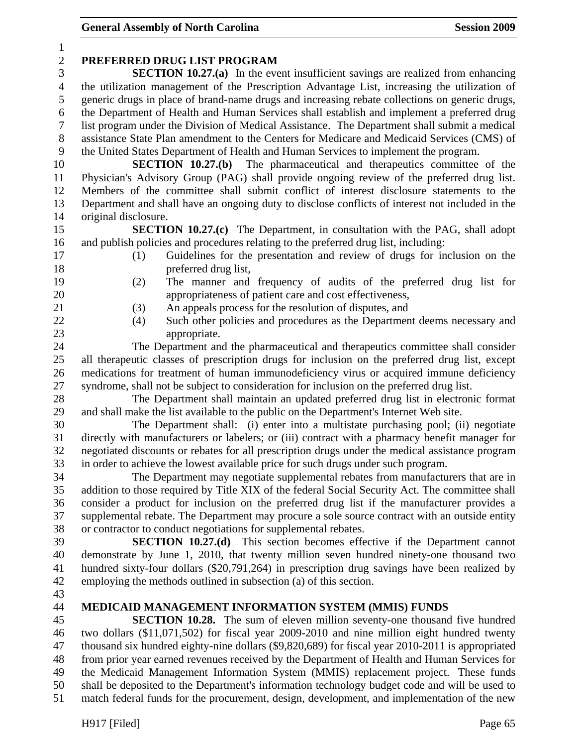| $\mathbf{1}$   |                                                                                                                                                                                      |
|----------------|--------------------------------------------------------------------------------------------------------------------------------------------------------------------------------------|
| $\overline{c}$ | PREFERRED DRUG LIST PROGRAM                                                                                                                                                          |
| 3              | <b>SECTION 10.27.(a)</b> In the event insufficient savings are realized from enhancing                                                                                               |
| $\overline{4}$ | the utilization management of the Prescription Advantage List, increasing the utilization of                                                                                         |
| 5              | generic drugs in place of brand-name drugs and increasing rebate collections on generic drugs,                                                                                       |
| 6              | the Department of Health and Human Services shall establish and implement a preferred drug                                                                                           |
| 7              | list program under the Division of Medical Assistance. The Department shall submit a medical                                                                                         |
| $8\,$          | assistance State Plan amendment to the Centers for Medicare and Medicaid Services (CMS) of                                                                                           |
| 9              | the United States Department of Health and Human Services to implement the program.                                                                                                  |
| 10             | <b>SECTION 10.27.(b)</b> The pharmaceutical and therapeutics committee of the                                                                                                        |
| 11<br>12       | Physician's Advisory Group (PAG) shall provide ongoing review of the preferred drug list.<br>Members of the committee shall submit conflict of interest disclosure statements to the |
| 13             | Department and shall have an ongoing duty to disclose conflicts of interest not included in the                                                                                      |
| 14             | original disclosure.                                                                                                                                                                 |
| 15             | <b>SECTION 10.27.(c)</b> The Department, in consultation with the PAG, shall adopt                                                                                                   |
| 16             | and publish policies and procedures relating to the preferred drug list, including:                                                                                                  |
| 17             | Guidelines for the presentation and review of drugs for inclusion on the<br>(1)                                                                                                      |
| 18             | preferred drug list,                                                                                                                                                                 |
| 19             | (2)<br>The manner and frequency of audits of the preferred drug list for                                                                                                             |
| 20             | appropriateness of patient care and cost effectiveness,                                                                                                                              |
| 21             | An appeals process for the resolution of disputes, and<br>(3)                                                                                                                        |
| 22             | Such other policies and procedures as the Department deems necessary and<br>(4)                                                                                                      |
| 23             | appropriate.                                                                                                                                                                         |
| 24             | The Department and the pharmaceutical and therapeutics committee shall consider                                                                                                      |
| 25             | all therapeutic classes of prescription drugs for inclusion on the preferred drug list, except                                                                                       |
| 26             | medications for treatment of human immunodeficiency virus or acquired immune deficiency                                                                                              |
| 27             | syndrome, shall not be subject to consideration for inclusion on the preferred drug list.                                                                                            |
| 28             | The Department shall maintain an updated preferred drug list in electronic format                                                                                                    |
| 29             | and shall make the list available to the public on the Department's Internet Web site.                                                                                               |
| 30             | The Department shall: (i) enter into a multistate purchasing pool; (ii) negotiate                                                                                                    |
| 31             | directly with manufacturers or labelers; or (iii) contract with a pharmacy benefit manager for                                                                                       |
| 32             | negotiated discounts or rebates for all prescription drugs under the medical assistance program                                                                                      |
| 33             | in order to achieve the lowest available price for such drugs under such program.                                                                                                    |
| 34             | The Department may negotiate supplemental rebates from manufacturers that are in                                                                                                     |
| 35             | addition to those required by Title XIX of the federal Social Security Act. The committee shall                                                                                      |
| 36             | consider a product for inclusion on the preferred drug list if the manufacturer provides a                                                                                           |
| 37<br>38       | supplemental rebate. The Department may procure a sole source contract with an outside entity<br>or contractor to conduct negotiations for supplemental rebates.                     |
| 39             | <b>SECTION 10.27.(d)</b> This section becomes effective if the Department cannot                                                                                                     |
| 40             | demonstrate by June 1, 2010, that twenty million seven hundred ninety-one thousand two                                                                                               |
| 41             | hundred sixty-four dollars (\$20,791,264) in prescription drug savings have been realized by                                                                                         |
| 42             | employing the methods outlined in subsection (a) of this section.                                                                                                                    |
| 43             |                                                                                                                                                                                      |
| 44             | MEDICAID MANAGEMENT INFORMATION SYSTEM (MMIS) FUNDS                                                                                                                                  |
| 45             | <b>SECTION 10.28.</b> The sum of eleven million seventy-one thousand five hundred                                                                                                    |
| 46             | two dollars (\$11,071,502) for fiscal year 2009-2010 and nine million eight hundred twenty                                                                                           |
| 47             | thousand six hundred eighty-nine dollars (\$9,820,689) for fiscal year 2010-2011 is appropriated                                                                                     |
| 48             | from prior year earned revenues received by the Department of Health and Human Services for                                                                                          |
| 49             | the Medicaid Management Information System (MMIS) replacement project. These funds                                                                                                   |
| 50             | shall be deposited to the Department's information technology budget code and will be used to                                                                                        |
| 51             | match federal funds for the procurement, design, development, and implementation of the new                                                                                          |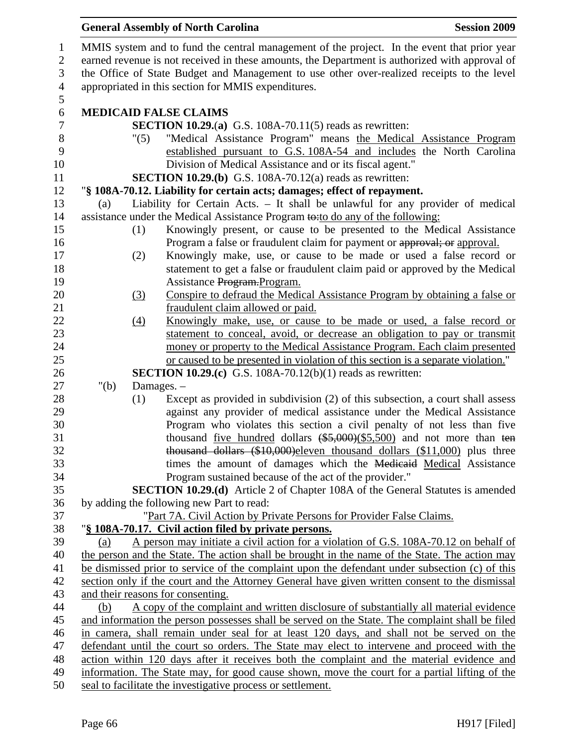|                |                                                                                                                                                              | <b>General Assembly of North Carolina</b><br><b>Session 2009</b>                                                                                   |  |  |
|----------------|--------------------------------------------------------------------------------------------------------------------------------------------------------------|----------------------------------------------------------------------------------------------------------------------------------------------------|--|--|
| $\mathbf{1}$   |                                                                                                                                                              | MMIS system and to fund the central management of the project. In the event that prior year                                                        |  |  |
| $\overline{2}$ | earned revenue is not received in these amounts, the Department is authorized with approval of                                                               |                                                                                                                                                    |  |  |
| 3              |                                                                                                                                                              | the Office of State Budget and Management to use other over-realized receipts to the level                                                         |  |  |
| $\overline{4}$ | appropriated in this section for MMIS expenditures.                                                                                                          |                                                                                                                                                    |  |  |
| $\mathfrak{S}$ |                                                                                                                                                              |                                                                                                                                                    |  |  |
| 6              |                                                                                                                                                              | <b>MEDICAID FALSE CLAIMS</b>                                                                                                                       |  |  |
| $\tau$         |                                                                                                                                                              | <b>SECTION 10.29.(a)</b> G.S. 108A-70.11(5) reads as rewritten:                                                                                    |  |  |
| $8\,$          | "(5)                                                                                                                                                         | "Medical Assistance Program" means the Medical Assistance Program                                                                                  |  |  |
| 9              |                                                                                                                                                              | established pursuant to G.S. 108A-54 and includes the North Carolina                                                                               |  |  |
| 10             |                                                                                                                                                              | Division of Medical Assistance and or its fiscal agent."                                                                                           |  |  |
| 11             |                                                                                                                                                              | <b>SECTION 10.29.(b)</b> G.S. 108A-70.12(a) reads as rewritten:                                                                                    |  |  |
| 12             |                                                                                                                                                              | "§ 108A-70.12. Liability for certain acts; damages; effect of repayment.                                                                           |  |  |
| 13             | (a)                                                                                                                                                          | Liability for Certain Acts. - It shall be unlawful for any provider of medical                                                                     |  |  |
| 14<br>15       |                                                                                                                                                              | assistance under the Medical Assistance Program to:to do any of the following:                                                                     |  |  |
| 16             | (1)                                                                                                                                                          | Knowingly present, or cause to be presented to the Medical Assistance<br>Program a false or fraudulent claim for payment or approval; or approval. |  |  |
| 17             | (2)                                                                                                                                                          | Knowingly make, use, or cause to be made or used a false record or                                                                                 |  |  |
| 18             |                                                                                                                                                              | statement to get a false or fraudulent claim paid or approved by the Medical                                                                       |  |  |
| 19             |                                                                                                                                                              | Assistance Program. Program.                                                                                                                       |  |  |
| 20             | $\left(3\right)$                                                                                                                                             | Conspire to defraud the Medical Assistance Program by obtaining a false or                                                                         |  |  |
| 21             |                                                                                                                                                              | fraudulent claim allowed or paid.                                                                                                                  |  |  |
| 22             | $\left(4\right)$                                                                                                                                             | Knowingly make, use, or cause to be made or used, a false record or                                                                                |  |  |
| 23             |                                                                                                                                                              | statement to conceal, avoid, or decrease an obligation to pay or transmit                                                                          |  |  |
| 24             |                                                                                                                                                              | money or property to the Medical Assistance Program. Each claim presented                                                                          |  |  |
| 25             |                                                                                                                                                              | or caused to be presented in violation of this section is a separate violation."                                                                   |  |  |
| 26             |                                                                                                                                                              | <b>SECTION 10.29.(c)</b> G.S. 108A-70.12(b)(1) reads as rewritten:                                                                                 |  |  |
| 27             | " $(b)$                                                                                                                                                      | Damages. -                                                                                                                                         |  |  |
| 28             | (1)                                                                                                                                                          | Except as provided in subdivision (2) of this subsection, a court shall assess                                                                     |  |  |
| 29             |                                                                                                                                                              | against any provider of medical assistance under the Medical Assistance                                                                            |  |  |
| 30             |                                                                                                                                                              | Program who violates this section a civil penalty of not less than five                                                                            |  |  |
| 31<br>32       |                                                                                                                                                              | thousand <u>five hundred</u> dollars $(*5,000)(\$5,500)$ and not more than ten                                                                     |  |  |
| 33             |                                                                                                                                                              | thousand dollars (\$10,000) eleven thousand dollars (\$11,000) plus three<br>times the amount of damages which the Medicaid Medical Assistance     |  |  |
| 34             |                                                                                                                                                              | Program sustained because of the act of the provider."                                                                                             |  |  |
| 35             |                                                                                                                                                              | <b>SECTION 10.29.(d)</b> Article 2 of Chapter 108A of the General Statutes is amended                                                              |  |  |
| 36             |                                                                                                                                                              | by adding the following new Part to read:                                                                                                          |  |  |
| 37             |                                                                                                                                                              | "Part 7A. Civil Action by Private Persons for Provider False Claims.                                                                               |  |  |
| 38             |                                                                                                                                                              | "§ 108A-70.17. Civil action filed by private persons.                                                                                              |  |  |
| 39             | (a)                                                                                                                                                          | A person may initiate a civil action for a violation of G.S. 108A-70.12 on behalf of                                                               |  |  |
| 40             |                                                                                                                                                              | the person and the State. The action shall be brought in the name of the State. The action may                                                     |  |  |
| 41             |                                                                                                                                                              | be dismissed prior to service of the complaint upon the defendant under subsection (c) of this                                                     |  |  |
| 42             |                                                                                                                                                              | section only if the court and the Attorney General have given written consent to the dismissal                                                     |  |  |
| 43             |                                                                                                                                                              | and their reasons for consenting.                                                                                                                  |  |  |
| 44             | (b)                                                                                                                                                          | A copy of the complaint and written disclosure of substantially all material evidence                                                              |  |  |
| 45             |                                                                                                                                                              | and information the person possesses shall be served on the State. The complaint shall be filed                                                    |  |  |
| 46             |                                                                                                                                                              | in camera, shall remain under seal for at least 120 days, and shall not be served on the                                                           |  |  |
| 47             |                                                                                                                                                              | defendant until the court so orders. The State may elect to intervene and proceed with the                                                         |  |  |
| 48             | action within 120 days after it receives both the complaint and the material evidence and                                                                    |                                                                                                                                                    |  |  |
| 49             | information. The State may, for good cause shown, move the court for a partial lifting of the<br>seal to facilitate the investigative process or settlement. |                                                                                                                                                    |  |  |
| 50             |                                                                                                                                                              |                                                                                                                                                    |  |  |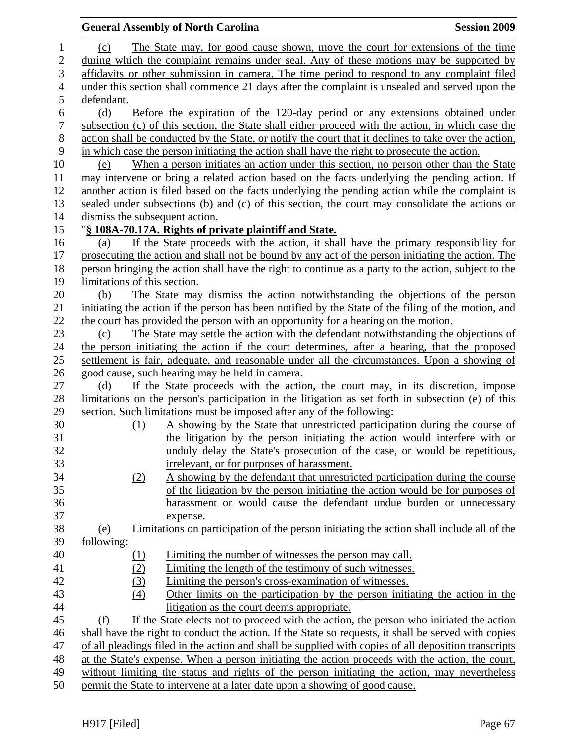|                  |                                | <b>General Assembly of North Carolina</b>                                                             | <b>Session 2009</b> |
|------------------|--------------------------------|-------------------------------------------------------------------------------------------------------|---------------------|
| $\mathbf{1}$     | (c)                            | The State may, for good cause shown, move the court for extensions of the time                        |                     |
| $\overline{2}$   |                                | during which the complaint remains under seal. Any of these motions may be supported by               |                     |
| 3                |                                | affidavits or other submission in camera. The time period to respond to any complaint filed           |                     |
| $\overline{4}$   |                                | under this section shall commence 21 days after the complaint is unsealed and served upon the         |                     |
| 5                | defendant.                     |                                                                                                       |                     |
| $\boldsymbol{6}$ | (d)                            | Before the expiration of the 120-day period or any extensions obtained under                          |                     |
| $\boldsymbol{7}$ |                                | subsection (c) of this section, the State shall either proceed with the action, in which case the     |                     |
| $8\,$            |                                | action shall be conducted by the State, or notify the court that it declines to take over the action, |                     |
| 9                |                                | in which case the person initiating the action shall have the right to prosecute the action.          |                     |
| 10               | (e)                            | When a person initiates an action under this section, no person other than the State                  |                     |
| 11               |                                | may intervene or bring a related action based on the facts underlying the pending action. If          |                     |
| 12               |                                | another action is filed based on the facts underlying the pending action while the complaint is       |                     |
| 13               |                                | sealed under subsections (b) and (c) of this section, the court may consolidate the actions or        |                     |
| 14               | dismiss the subsequent action. |                                                                                                       |                     |
| 15               |                                | "§ 108A-70.17A. Rights of private plaintiff and State.                                                |                     |
| 16               | (a)                            | If the State proceeds with the action, it shall have the primary responsibility for                   |                     |
| 17               |                                | prosecuting the action and shall not be bound by any act of the person initiating the action. The     |                     |
| 18               |                                | person bringing the action shall have the right to continue as a party to the action, subject to the  |                     |
| 19               | limitations of this section.   |                                                                                                       |                     |
| 20               | (b)                            | The State may dismiss the action notwithstanding the objections of the person                         |                     |
| 21               |                                | initiating the action if the person has been notified by the State of the filing of the motion, and   |                     |
| 22               |                                | the court has provided the person with an opportunity for a hearing on the motion.                    |                     |
| 23               | (c)                            | The State may settle the action with the defendant notwithstanding the objections of                  |                     |
| 24               |                                | the person initiating the action if the court determines, after a hearing, that the proposed          |                     |
| 25               |                                | settlement is fair, adequate, and reasonable under all the circumstances. Upon a showing of           |                     |
| 26               |                                | good cause, such hearing may be held in camera.                                                       |                     |
| 27               | (d)                            | If the State proceeds with the action, the court may, in its discretion, impose                       |                     |
| 28               |                                | limitations on the person's participation in the litigation as set forth in subsection (e) of this    |                     |
| 29               |                                | section. Such limitations must be imposed after any of the following:                                 |                     |
| 30               | (1)                            | A showing by the State that unrestricted participation during the course of                           |                     |
| 31               |                                | the litigation by the person initiating the action would interfere with or                            |                     |
| 32               |                                | unduly delay the State's prosecution of the case, or would be repetitious,                            |                     |
| 33               |                                | irrelevant, or for purposes of harassment.                                                            |                     |
| 34               | (2)                            | A showing by the defendant that unrestricted participation during the course                          |                     |
| 35               |                                | of the litigation by the person initiating the action would be for purposes of                        |                     |
| 36               |                                | harassment or would cause the defendant undue burden or unnecessary                                   |                     |
| 37               |                                | expense.                                                                                              |                     |
| 38               | <u>(e)</u>                     | Limitations on participation of the person initiating the action shall include all of the             |                     |
| 39               | <u>following:</u>              |                                                                                                       |                     |
| 40               | <u>(1)</u>                     | Limiting the number of witnesses the person may call.                                                 |                     |
| 41               | (2)                            | Limiting the length of the testimony of such witnesses.                                               |                     |
| 42               | (3)                            | Limiting the person's cross-examination of witnesses.                                                 |                     |
| 43               | (4)                            | Other limits on the participation by the person initiating the action in the                          |                     |
| 44               |                                | litigation as the court deems appropriate.                                                            |                     |
| 45               | (f)                            | If the State elects not to proceed with the action, the person who initiated the action               |                     |
| 46               |                                | shall have the right to conduct the action. If the State so requests, it shall be served with copies  |                     |
| 47               |                                | of all pleadings filed in the action and shall be supplied with copies of all deposition transcripts  |                     |
| 48               |                                | at the State's expense. When a person initiating the action proceeds with the action, the court,      |                     |
| 49               |                                | without limiting the status and rights of the person initiating the action, may nevertheless          |                     |
| 50               |                                | permit the State to intervene at a later date upon a showing of good cause.                           |                     |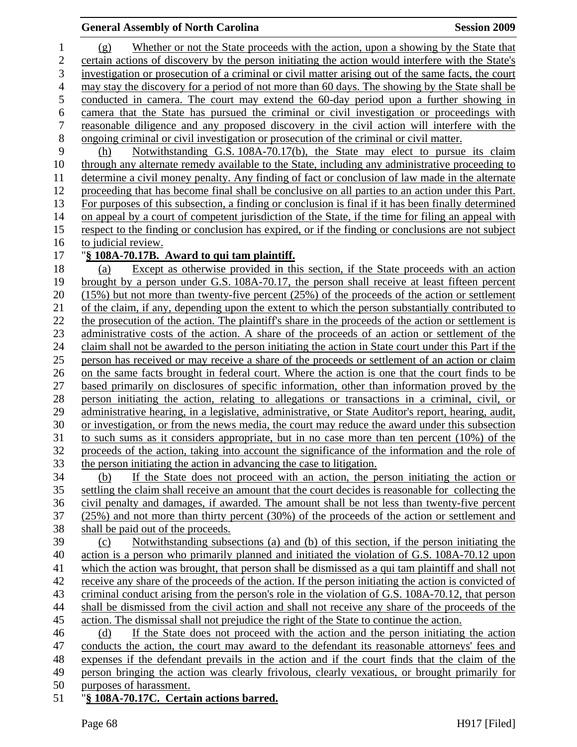#### **General Assembly of North Carolina Session 2009 Session 2009**

1 (g) Whether or not the State proceeds with the action, upon a showing by the State that 2 certain actions of discovery by the person initiating the action would interfere with the State's 3 investigation or prosecution of a criminal or civil matter arising out of the same facts, the court 4 may stay the discovery for a period of not more than 60 days. The showing by the State shall be 5 conducted in camera. The court may extend the 60-day period upon a further showing in 6 camera that the State has pursued the criminal or civil investigation or proceedings with 7 reasonable diligence and any proposed discovery in the civil action will interfere with the 8 ongoing criminal or civil investigation or prosecution of the criminal or civil matter. 9 (h) Notwithstanding G.S. 108A-70.17(b), the State may elect to pursue its claim 10 through any alternate remedy available to the State, including any administrative proceeding to 11 determine a civil money penalty. Any finding of fact or conclusion of law made in the alternate 12 proceeding that has become final shall be conclusive on all parties to an action under this Part. 13 For purposes of this subsection, a finding or conclusion is final if it has been finally determined 14 on appeal by a court of competent jurisdiction of the State, if the time for filing an appeal with 15 respect to the finding or conclusion has expired, or if the finding or conclusions are not subject 16 to judicial review. 17 "**§ 108A-70.17B. Award to qui tam plaintiff.** 18 (a) Except as otherwise provided in this section, if the State proceeds with an action 19 brought by a person under G.S. 108A-70.17, the person shall receive at least fifteen percent 20 (15%) but not more than twenty-five percent (25%) of the proceeds of the action or settlement 21 of the claim, if any, depending upon the extent to which the person substantially contributed to 22 the prosecution of the action. The plaintiff's share in the proceeds of the action or settlement is 23 administrative costs of the action. A share of the proceeds of an action or settlement of the 24 claim shall not be awarded to the person initiating the action in State court under this Part if the 25 person has received or may receive a share of the proceeds or settlement of an action or claim 26 on the same facts brought in federal court. Where the action is one that the court finds to be 27 based primarily on disclosures of specific information, other than information proved by the 28 person initiating the action, relating to allegations or transactions in a criminal, civil, or 29 administrative hearing, in a legislative, administrative, or State Auditor's report, hearing, audit, 30 or investigation, or from the news media, the court may reduce the award under this subsection 31 to such sums as it considers appropriate, but in no case more than ten percent (10%) of the 32 proceeds of the action, taking into account the significance of the information and the role of 33 the person initiating the action in advancing the case to litigation. 34 (b) If the State does not proceed with an action, the person initiating the action or 35 settling the claim shall receive an amount that the court decides is reasonable for collecting the 36 civil penalty and damages, if awarded. The amount shall be not less than twenty-five percent 37 (25%) and not more than thirty percent (30%) of the proceeds of the action or settlement and 38 shall be paid out of the proceeds. 39 (c) Notwithstanding subsections (a) and (b) of this section, if the person initiating the 40 action is a person who primarily planned and initiated the violation of G.S. 108A-70.12 upon 41 which the action was brought, that person shall be dismissed as a qui tam plaintiff and shall not 42 receive any share of the proceeds of the action. If the person initiating the action is convicted of 43 criminal conduct arising from the person's role in the violation of G.S. 108A-70.12, that person 44 shall be dismissed from the civil action and shall not receive any share of the proceeds of the 45 action. The dismissal shall not prejudice the right of the State to continue the action. 46 (d) If the State does not proceed with the action and the person initiating the action 47 conducts the action, the court may award to the defendant its reasonable attorneys' fees and 48 expenses if the defendant prevails in the action and if the court finds that the claim of the 49 person bringing the action was clearly frivolous, clearly vexatious, or brought primarily for 50 purposes of harassment.

51 "**§ 108A-70.17C. Certain actions barred.**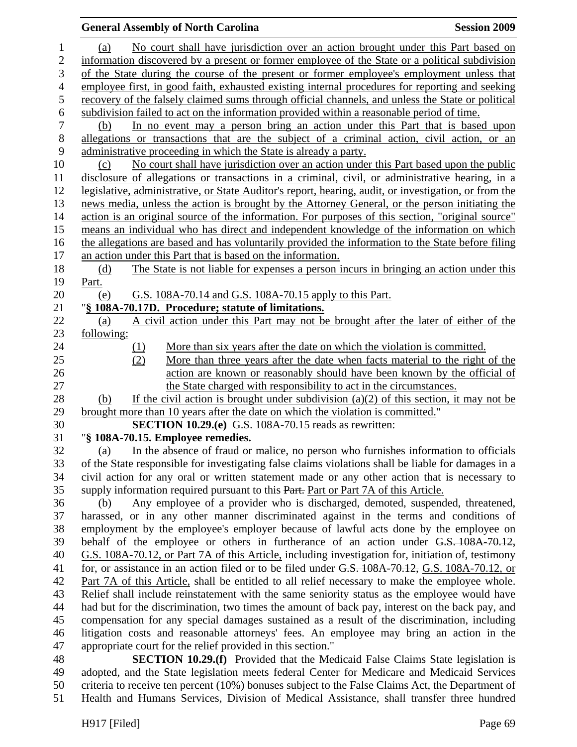## **General Assembly of North Carolina**  Session 2009 **Session 2009** 1 (a) No court shall have jurisdiction over an action brought under this Part based on 2 information discovered by a present or former employee of the State or a political subdivision 3 of the State during the course of the present or former employee's employment unless that 4 employee first, in good faith, exhausted existing internal procedures for reporting and seeking 5 recovery of the falsely claimed sums through official channels, and unless the State or political 6 subdivision failed to act on the information provided within a reasonable period of time. 7 (b) In no event may a person bring an action under this Part that is based upon 8 allegations or transactions that are the subject of a criminal action, civil action, or an 9 administrative proceeding in which the State is already a party. 10 (c) No court shall have jurisdiction over an action under this Part based upon the public 11 disclosure of allegations or transactions in a criminal, civil, or administrative hearing, in a 12 legislative, administrative, or State Auditor's report, hearing, audit, or investigation, or from the 13 news media, unless the action is brought by the Attorney General, or the person initiating the 14 action is an original source of the information. For purposes of this section, "original source" 15 means an individual who has direct and independent knowledge of the information on which 16 the allegations are based and has voluntarily provided the information to the State before filing 17 an action under this Part that is based on the information. 18 (d) The State is not liable for expenses a person incurs in bringing an action under this 19 Part. 20 (e) G.S. 108A-70.14 and G.S. 108A-70.15 apply to this Part. 21 "**§ 108A-70.17D. Procedure; statute of limitations.** 22 (a) A civil action under this Part may not be brought after the later of either of the 23 following: 24 (1) More than six years after the date on which the violation is committed. 25 (2) More than three years after the date when facts material to the right of the 26 action are known or reasonably should have been known by the official of 27 the State charged with responsibility to act in the circumstances. 28 (b) If the civil action is brought under subdivision (a)(2) of this section, it may not be 29 brought more than 10 years after the date on which the violation is committed." 30 **SECTION 10.29.(e)** G.S. 108A-70.15 reads as rewritten: 31 "**§ 108A-70.15. Employee remedies.**  32 (a) In the absence of fraud or malice, no person who furnishes information to officials 33 of the State responsible for investigating false claims violations shall be liable for damages in a 34 civil action for any oral or written statement made or any other action that is necessary to 35 supply information required pursuant to this Part. Part or Part 7A of this Article. 36 (b) Any employee of a provider who is discharged, demoted, suspended, threatened, 37 harassed, or in any other manner discriminated against in the terms and conditions of 38 employment by the employee's employer because of lawful acts done by the employee on 39 behalf of the employee or others in furtherance of an action under G.S. 108A-70.12, 40 G.S. 108A-70.12, or Part 7A of this Article, including investigation for, initiation of, testimony 41 for, or assistance in an action filed or to be filed under G.S. 108A-70.12, G.S. 108A-70.12, or 42 Part 7A of this Article, shall be entitled to all relief necessary to make the employee whole. 43 Relief shall include reinstatement with the same seniority status as the employee would have 44 had but for the discrimination, two times the amount of back pay, interest on the back pay, and 45 compensation for any special damages sustained as a result of the discrimination, including 46 litigation costs and reasonable attorneys' fees. An employee may bring an action in the 47 appropriate court for the relief provided in this section."

48 **SECTION 10.29.(f)** Provided that the Medicaid False Claims State legislation is 49 adopted, and the State legislation meets federal Center for Medicare and Medicaid Services 50 criteria to receive ten percent (10%) bonuses subject to the False Claims Act, the Department of 51 Health and Humans Services, Division of Medical Assistance, shall transfer three hundred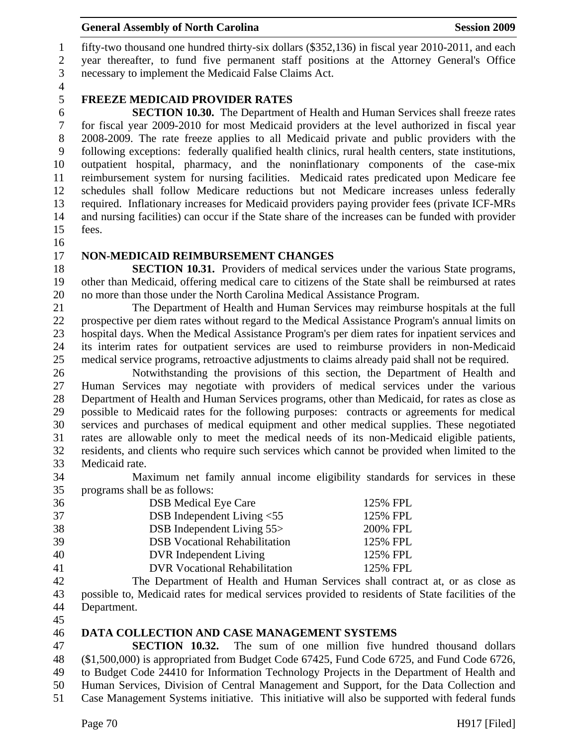## General Assembly of North Carolina **Session 2009**

1 fifty-two thousand one hundred thirty-six dollars (\$352,136) in fiscal year 2010-2011, and each 2 year thereafter, to fund five permanent staff positions at the Attorney General's Office 3 necessary to implement the Medicaid False Claims Act.

4

# 5 **FREEZE MEDICAID PROVIDER RATES**

6 **SECTION 10.30.** The Department of Health and Human Services shall freeze rates 7 for fiscal year 2009-2010 for most Medicaid providers at the level authorized in fiscal year 8 2008-2009. The rate freeze applies to all Medicaid private and public providers with the 9 following exceptions: federally qualified health clinics, rural health centers, state institutions, 10 outpatient hospital, pharmacy, and the noninflationary components of the case-mix 11 reimbursement system for nursing facilities. Medicaid rates predicated upon Medicare fee 12 schedules shall follow Medicare reductions but not Medicare increases unless federally 13 required. Inflationary increases for Medicaid providers paying provider fees (private ICF-MRs 14 and nursing facilities) can occur if the State share of the increases can be funded with provider 15 fees.

16

#### 17 **NON-MEDICAID REIMBURSEMENT CHANGES**

18 **SECTION 10.31.** Providers of medical services under the various State programs, 19 other than Medicaid, offering medical care to citizens of the State shall be reimbursed at rates 20 no more than those under the North Carolina Medical Assistance Program.

21 The Department of Health and Human Services may reimburse hospitals at the full 22 prospective per diem rates without regard to the Medical Assistance Program's annual limits on 23 hospital days. When the Medical Assistance Program's per diem rates for inpatient services and 24 its interim rates for outpatient services are used to reimburse providers in non-Medicaid 25 medical service programs, retroactive adjustments to claims already paid shall not be required.

26 Notwithstanding the provisions of this section, the Department of Health and 27 Human Services may negotiate with providers of medical services under the various 28 Department of Health and Human Services programs, other than Medicaid, for rates as close as 29 possible to Medicaid rates for the following purposes: contracts or agreements for medical 30 services and purchases of medical equipment and other medical supplies. These negotiated 31 rates are allowable only to meet the medical needs of its non-Medicaid eligible patients, 32 residents, and clients who require such services which cannot be provided when limited to the 33 Medicaid rate.

34 Maximum net family annual income eligibility standards for services in these 35 programs shall be as follows:

| 36 | <b>DSB</b> Medical Eye Care          | 125% FPL |
|----|--------------------------------------|----------|
| 37 | DSB Independent Living $< 55$        | 125% FPL |
| 38 | <b>DSB</b> Independent Living 55>    | 200% FPL |
| 39 | <b>DSB</b> Vocational Rehabilitation | 125% FPL |
| 40 | DVR Independent Living               | 125% FPL |
| 41 | <b>DVR Vocational Rehabilitation</b> | 125% FPL |

42 The Department of Health and Human Services shall contract at, or as close as 43 possible to, Medicaid rates for medical services provided to residents of State facilities of the 44 Department.

45

## 46 **DATA COLLECTION AND CASE MANAGEMENT SYSTEMS**

47 **SECTION 10.32.** The sum of one million five hundred thousand dollars 48 (\$1,500,000) is appropriated from Budget Code 67425, Fund Code 6725, and Fund Code 6726, 49 to Budget Code 24410 for Information Technology Projects in the Department of Health and 50 Human Services, Division of Central Management and Support, for the Data Collection and 51 Case Management Systems initiative. This initiative will also be supported with federal funds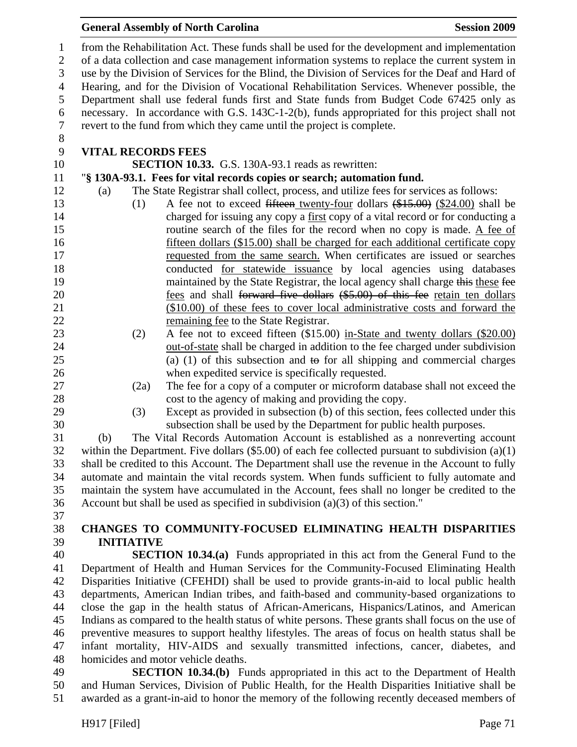#### **General Assembly of North Carolina**  Session 2009 **Session 2009**

1 from the Rehabilitation Act. These funds shall be used for the development and implementation 2 of a data collection and case management information systems to replace the current system in 3 use by the Division of Services for the Blind, the Division of Services for the Deaf and Hard of 4 Hearing, and for the Division of Vocational Rehabilitation Services. Whenever possible, the 5 Department shall use federal funds first and State funds from Budget Code 67425 only as 6 necessary. In accordance with G.S. 143C-1-2(b), funds appropriated for this project shall not 7 revert to the fund from which they came until the project is complete. 8

## 9 **VITAL RECORDS FEES**

10 **SECTION 10.33.** G.S. 130A-93.1 reads as rewritten:

# 11 "**§ 130A-93.1. Fees for vital records copies or search; automation fund.**

- 12 (a) The State Registrar shall collect, process, and utilize fees for services as follows:
- 13 (1) A fee not to exceed fifteen twenty-four dollars (\$15.00) (\$24.00) shall be 14 charged for issuing any copy a first copy of a vital record or for conducting a 15 routine search of the files for the record when no copy is made. A fee of 16 fifteen dollars (\$15.00) shall be charged for each additional certificate copy 17 requested from the same search. When certificates are issued or searches 18 conducted for statewide issuance by local agencies using databases 19 maintained by the State Registrar, the local agency shall charge this these fee 20 **fees and shall <del>forward five dollars</del>** (\$5.00) of this fee retain ten dollars 21 (\$10.00) of these fees to cover local administrative costs and forward the 22 remaining fee to the State Registrar.
- 23 (2) A fee not to exceed fifteen (\$15.00) in-State and twenty dollars (\$20.00) 24 out-of-state shall be charged in addition to the fee charged under subdivision 25 (a) (1) of this subsection and to for all shipping and commercial charges 26 when expedited service is specifically requested.
- 27 (2a) The fee for a copy of a computer or microform database shall not exceed the
- 
- 28 cost to the agency of making and providing the copy. 29 (3) Except as provided in subsection (b) of this section, fees collected under this

30 subsection shall be used by the Department for public health purposes.

31 (b) The Vital Records Automation Account is established as a nonreverting account 32 within the Department. Five dollars (\$5.00) of each fee collected pursuant to subdivision (a)(1) 33 shall be credited to this Account. The Department shall use the revenue in the Account to fully 34 automate and maintain the vital records system. When funds sufficient to fully automate and 35 maintain the system have accumulated in the Account, fees shall no longer be credited to the 36 Account but shall be used as specified in subdivision (a)(3) of this section."

37

# 38 **CHANGES TO COMMUNITY-FOCUSED ELIMINATING HEALTH DISPARITIES**  39 **INITIATIVE**

40 **SECTION 10.34.(a)** Funds appropriated in this act from the General Fund to the 41 Department of Health and Human Services for the Community-Focused Eliminating Health 42 Disparities Initiative (CFEHDI) shall be used to provide grants-in-aid to local public health 43 departments, American Indian tribes, and faith-based and community-based organizations to 44 close the gap in the health status of African-Americans, Hispanics/Latinos, and American 45 Indians as compared to the health status of white persons. These grants shall focus on the use of 46 preventive measures to support healthy lifestyles. The areas of focus on health status shall be 47 infant mortality, HIV-AIDS and sexually transmitted infections, cancer, diabetes, and 48 homicides and motor vehicle deaths.

49 **SECTION 10.34.(b)** Funds appropriated in this act to the Department of Health 50 and Human Services, Division of Public Health, for the Health Disparities Initiative shall be 51 awarded as a grant-in-aid to honor the memory of the following recently deceased members of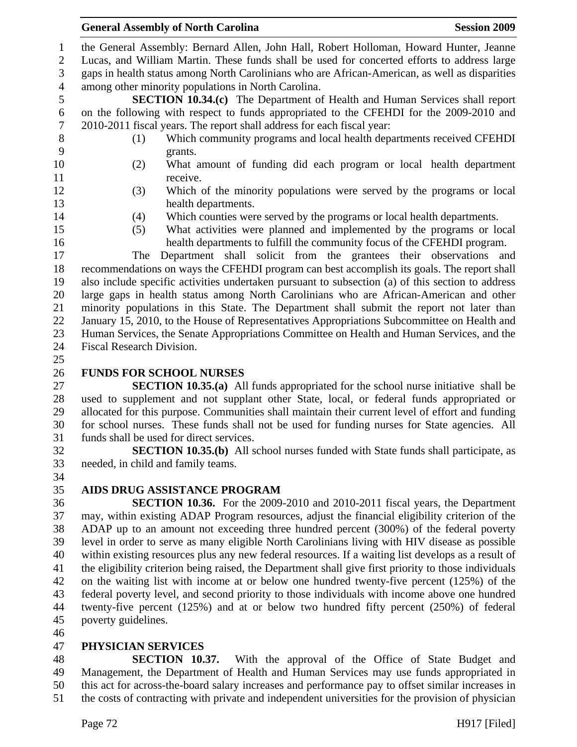1 the General Assembly: Bernard Allen, John Hall, Robert Holloman, Howard Hunter, Jeanne

2 Lucas, and William Martin. These funds shall be used for concerted efforts to address large 3 gaps in health status among North Carolinians who are African-American, as well as disparities

4 among other minority populations in North Carolina.

5 **SECTION 10.34.(c)** The Department of Health and Human Services shall report 6 on the following with respect to funds appropriated to the CFEHDI for the 2009-2010 and 7 2010-2011 fiscal years. The report shall address for each fiscal year:

- 8 (1) Which community programs and local health departments received CFEHDI 9 grants.
- 10 (2) What amount of funding did each program or local health department 11 receive.
- 
- 12 (3) Which of the minority populations were served by the programs or local 13 health departments.
- -
	- 14 (4) Which counties were served by the programs or local health departments.
	- 15 (5) What activities were planned and implemented by the programs or local 16 health departments to fulfill the community focus of the CFEHDI program.

17 The Department shall solicit from the grantees their observations and 18 recommendations on ways the CFEHDI program can best accomplish its goals. The report shall 19 also include specific activities undertaken pursuant to subsection (a) of this section to address 20 large gaps in health status among North Carolinians who are African-American and other 21 minority populations in this State. The Department shall submit the report not later than 22 January 15, 2010, to the House of Representatives Appropriations Subcommittee on Health and 23 Human Services, the Senate Appropriations Committee on Health and Human Services, and the 24 Fiscal Research Division.

25

# 26 **FUNDS FOR SCHOOL NURSES**

27 **SECTION 10.35.(a)** All funds appropriated for the school nurse initiative shall be 28 used to supplement and not supplant other State, local, or federal funds appropriated or 29 allocated for this purpose. Communities shall maintain their current level of effort and funding 30 for school nurses. These funds shall not be used for funding nurses for State agencies. All 31 funds shall be used for direct services.

32 **SECTION 10.35.(b)** All school nurses funded with State funds shall participate, as 33 needed, in child and family teams. 34

# 35 **AIDS DRUG ASSISTANCE PROGRAM**

36 **SECTION 10.36.** For the 2009-2010 and 2010-2011 fiscal years, the Department 37 may, within existing ADAP Program resources, adjust the financial eligibility criterion of the 38 ADAP up to an amount not exceeding three hundred percent (300%) of the federal poverty 39 level in order to serve as many eligible North Carolinians living with HIV disease as possible 40 within existing resources plus any new federal resources. If a waiting list develops as a result of 41 the eligibility criterion being raised, the Department shall give first priority to those individuals 42 on the waiting list with income at or below one hundred twenty-five percent (125%) of the 43 federal poverty level, and second priority to those individuals with income above one hundred 44 twenty-five percent (125%) and at or below two hundred fifty percent (250%) of federal 45 poverty guidelines.

46

# 47 **PHYSICIAN SERVICES**

48 **SECTION 10.37.** With the approval of the Office of State Budget and 49 Management, the Department of Health and Human Services may use funds appropriated in 50 this act for across-the-board salary increases and performance pay to offset similar increases in 51 the costs of contracting with private and independent universities for the provision of physician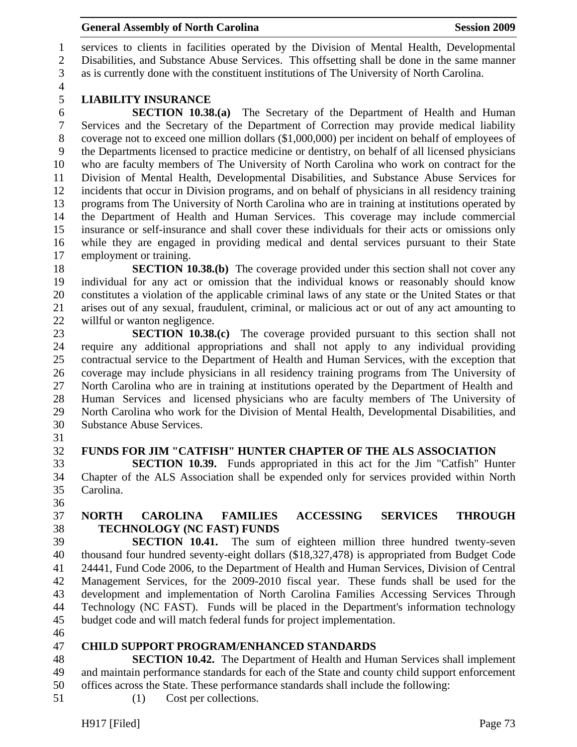1 services to clients in facilities operated by the Division of Mental Health, Developmental 2 Disabilities, and Substance Abuse Services. This offsetting shall be done in the same manner 3 as is currently done with the constituent institutions of The University of North Carolina.

4

# 5 **LIABILITY INSURANCE**

6 **SECTION 10.38.(a)** The Secretary of the Department of Health and Human 7 Services and the Secretary of the Department of Correction may provide medical liability 8 coverage not to exceed one million dollars (\$1,000,000) per incident on behalf of employees of 9 the Departments licensed to practice medicine or dentistry, on behalf of all licensed physicians 10 who are faculty members of The University of North Carolina who work on contract for the 11 Division of Mental Health, Developmental Disabilities, and Substance Abuse Services for 12 incidents that occur in Division programs, and on behalf of physicians in all residency training 13 programs from The University of North Carolina who are in training at institutions operated by 14 the Department of Health and Human Services. This coverage may include commercial 15 insurance or self-insurance and shall cover these individuals for their acts or omissions only 16 while they are engaged in providing medical and dental services pursuant to their State 17 employment or training.

18 **SECTION 10.38.(b)** The coverage provided under this section shall not cover any 19 individual for any act or omission that the individual knows or reasonably should know 20 constitutes a violation of the applicable criminal laws of any state or the United States or that 21 arises out of any sexual, fraudulent, criminal, or malicious act or out of any act amounting to 22 willful or wanton negligence.

23 **SECTION 10.38.(c)** The coverage provided pursuant to this section shall not 24 require any additional appropriations and shall not apply to any individual providing 25 contractual service to the Department of Health and Human Services, with the exception that 26 coverage may include physicians in all residency training programs from The University of 27 North Carolina who are in training at institutions operated by the Department of Health and 28 Human Services and licensed physicians who are faculty members of The University of 29 North Carolina who work for the Division of Mental Health, Developmental Disabilities, and 30 Substance Abuse Services.

31

### 32 **FUNDS FOR JIM "CATFISH" HUNTER CHAPTER OF THE ALS ASSOCIATION**

33 **SECTION 10.39.** Funds appropriated in this act for the Jim "Catfish" Hunter 34 Chapter of the ALS Association shall be expended only for services provided within North 35 Carolina.

36

# 37 **NORTH CAROLINA FAMILIES ACCESSING SERVICES THROUGH**  38 **TECHNOLOGY (NC FAST) FUNDS**

39 **SECTION 10.41.** The sum of eighteen million three hundred twenty-seven 40 thousand four hundred seventy-eight dollars (\$18,327,478) is appropriated from Budget Code 41 24441, Fund Code 2006, to the Department of Health and Human Services, Division of Central 42 Management Services, for the 2009-2010 fiscal year. These funds shall be used for the 43 development and implementation of North Carolina Families Accessing Services Through 44 Technology (NC FAST). Funds will be placed in the Department's information technology 45 budget code and will match federal funds for project implementation.

46

# 47 **CHILD SUPPORT PROGRAM/ENHANCED STANDARDS**

48 **SECTION 10.42.** The Department of Health and Human Services shall implement 49 and maintain performance standards for each of the State and county child support enforcement 50 offices across the State. These performance standards shall include the following:

- 51 (1) Cost per collections.
	- H917 [Filed] Page 73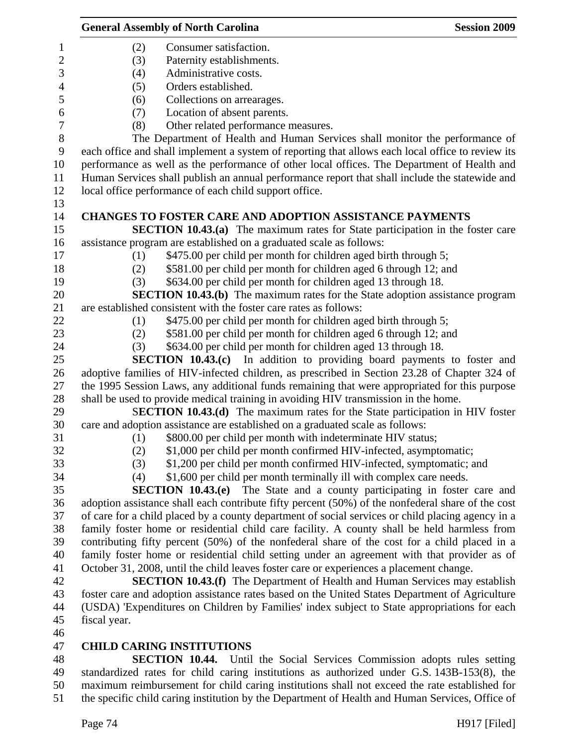|                  | <b>General Assembly of North Carolina</b>                                                         | <b>Session 2009</b> |
|------------------|---------------------------------------------------------------------------------------------------|---------------------|
| 1                | Consumer satisfaction.<br>(2)                                                                     |                     |
| $\overline{c}$   | (3)<br>Paternity establishments.                                                                  |                     |
| 3                | Administrative costs.<br>(4)                                                                      |                     |
| $\overline{4}$   | Orders established.<br>(5)                                                                        |                     |
| 5                | Collections on arrearages.<br>(6)                                                                 |                     |
| 6                | Location of absent parents.<br>(7)                                                                |                     |
| $\boldsymbol{7}$ | Other related performance measures.<br>(8)                                                        |                     |
| $8\,$            | The Department of Health and Human Services shall monitor the performance of                      |                     |
| $\boldsymbol{9}$ | each office and shall implement a system of reporting that allows each local office to review its |                     |
| 10               | performance as well as the performance of other local offices. The Department of Health and       |                     |
| 11               | Human Services shall publish an annual performance report that shall include the statewide and    |                     |
| 12               | local office performance of each child support office.                                            |                     |
| 13               |                                                                                                   |                     |
| 14               | <b>CHANGES TO FOSTER CARE AND ADOPTION ASSISTANCE PAYMENTS</b>                                    |                     |
| 15               | <b>SECTION 10.43.(a)</b> The maximum rates for State participation in the foster care             |                     |
| 16               | assistance program are established on a graduated scale as follows:                               |                     |
| 17               | \$475.00 per child per month for children aged birth through 5;<br>(1)                            |                     |
| 18               | \$581.00 per child per month for children aged 6 through 12; and<br>(2)                           |                     |
| 19               | \$634.00 per child per month for children aged 13 through 18.<br>(3)                              |                     |
| 20               | <b>SECTION 10.43.(b)</b> The maximum rates for the State adoption assistance program              |                     |
| 21               | are established consistent with the foster care rates as follows:                                 |                     |
| 22               | \$475.00 per child per month for children aged birth through 5;<br>(1)                            |                     |
| 23               | \$581.00 per child per month for children aged 6 through 12; and<br>(2)                           |                     |
| 24               | \$634.00 per child per month for children aged 13 through 18.<br>(3)                              |                     |
| 25               | <b>SECTION 10.43.(c)</b> In addition to providing board payments to foster and                    |                     |
| 26               | adoptive families of HIV-infected children, as prescribed in Section 23.28 of Chapter 324 of      |                     |
| 27               | the 1995 Session Laws, any additional funds remaining that were appropriated for this purpose     |                     |
| 28               | shall be used to provide medical training in avoiding HIV transmission in the home.               |                     |
| 29               | SECTION 10.43.(d) The maximum rates for the State participation in HIV foster                     |                     |
| 30               | care and adoption assistance are established on a graduated scale as follows:                     |                     |
| 31               | \$800.00 per child per month with indeterminate HIV status;<br>(1)                                |                     |
| 32               | \$1,000 per child per month confirmed HIV-infected, asymptomatic;<br>(2)                          |                     |
| 33               | \$1,200 per child per month confirmed HIV-infected, symptomatic; and<br>(3)                       |                     |
| 34               | \$1,600 per child per month terminally ill with complex care needs.<br>(4)                        |                     |
| 35               | SECTION $10.43(e)$<br>The State and a county participating in foster care and                     |                     |
| 36               | adoption assistance shall each contribute fifty percent (50%) of the nonfederal share of the cost |                     |
| 37               | of care for a child placed by a county department of social services or child placing agency in a |                     |
| 38               | family foster home or residential child care facility. A county shall be held harmless from       |                     |
| 39               | contributing fifty percent (50%) of the nonfederal share of the cost for a child placed in a      |                     |
| 40               | family foster home or residential child setting under an agreement with that provider as of       |                     |
| 41               | October 31, 2008, until the child leaves foster care or experiences a placement change.           |                     |
| 42               | <b>SECTION 10.43.(f)</b> The Department of Health and Human Services may establish                |                     |
| 43               | foster care and adoption assistance rates based on the United States Department of Agriculture    |                     |
| 44               | (USDA) 'Expenditures on Children by Families' index subject to State appropriations for each      |                     |
| 45               | fiscal year.                                                                                      |                     |
| 46               |                                                                                                   |                     |
| 47               | <b>CHILD CARING INSTITUTIONS</b>                                                                  |                     |
| 48               | <b>SECTION 10.44.</b> Until the Social Services Commission adopts rules setting                   |                     |
| 49               | standardized rates for child caring institutions as authorized under G.S. 143B-153(8), the        |                     |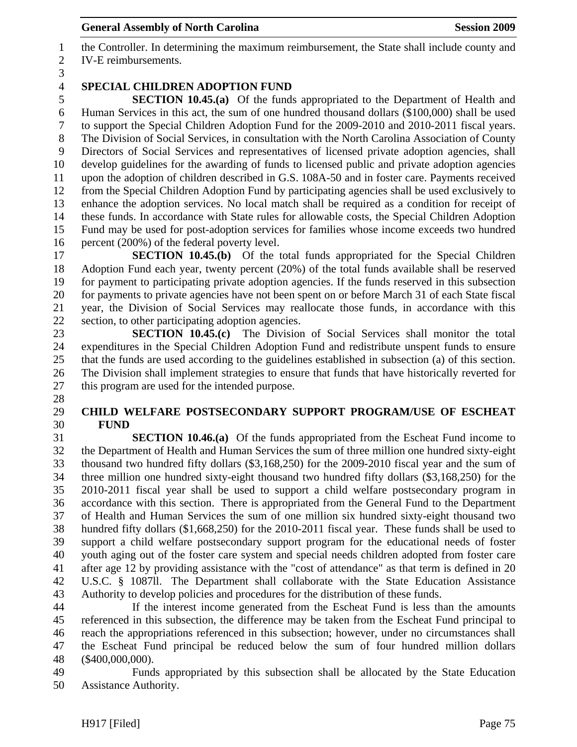1 the Controller. In determining the maximum reimbursement, the State shall include county and 2 IV-E reimbursements.

3

28

# 4 **SPECIAL CHILDREN ADOPTION FUND**

5 **SECTION 10.45.(a)** Of the funds appropriated to the Department of Health and 6 Human Services in this act, the sum of one hundred thousand dollars (\$100,000) shall be used 7 to support the Special Children Adoption Fund for the 2009-2010 and 2010-2011 fiscal years. 8 The Division of Social Services, in consultation with the North Carolina Association of County 9 Directors of Social Services and representatives of licensed private adoption agencies, shall 10 develop guidelines for the awarding of funds to licensed public and private adoption agencies 11 upon the adoption of children described in G.S. 108A-50 and in foster care. Payments received 12 from the Special Children Adoption Fund by participating agencies shall be used exclusively to 13 enhance the adoption services. No local match shall be required as a condition for receipt of 14 these funds. In accordance with State rules for allowable costs, the Special Children Adoption 15 Fund may be used for post-adoption services for families whose income exceeds two hundred 16 percent (200%) of the federal poverty level.

17 **SECTION 10.45.(b)** Of the total funds appropriated for the Special Children 18 Adoption Fund each year, twenty percent (20%) of the total funds available shall be reserved 19 for payment to participating private adoption agencies. If the funds reserved in this subsection 20 for payments to private agencies have not been spent on or before March 31 of each State fiscal 21 year, the Division of Social Services may reallocate those funds, in accordance with this 22 section, to other participating adoption agencies.

23 **SECTION 10.45.(c)** The Division of Social Services shall monitor the total 24 expenditures in the Special Children Adoption Fund and redistribute unspent funds to ensure 25 that the funds are used according to the guidelines established in subsection (a) of this section. 26 The Division shall implement strategies to ensure that funds that have historically reverted for 27 this program are used for the intended purpose.

### 29 **CHILD WELFARE POSTSECONDARY SUPPORT PROGRAM/USE OF ESCHEAT**  30 **FUND**

31 **SECTION 10.46.(a)** Of the funds appropriated from the Escheat Fund income to 32 the Department of Health and Human Services the sum of three million one hundred sixty-eight 33 thousand two hundred fifty dollars (\$3,168,250) for the 2009-2010 fiscal year and the sum of 34 three million one hundred sixty-eight thousand two hundred fifty dollars (\$3,168,250) for the 35 2010-2011 fiscal year shall be used to support a child welfare postsecondary program in 36 accordance with this section. There is appropriated from the General Fund to the Department 37 of Health and Human Services the sum of one million six hundred sixty-eight thousand two 38 hundred fifty dollars (\$1,668,250) for the 2010-2011 fiscal year. These funds shall be used to 39 support a child welfare postsecondary support program for the educational needs of foster 40 youth aging out of the foster care system and special needs children adopted from foster care 41 after age 12 by providing assistance with the "cost of attendance" as that term is defined in 20 42 U.S.C. § 1087ll. The Department shall collaborate with the State Education Assistance 43 Authority to develop policies and procedures for the distribution of these funds.

44 If the interest income generated from the Escheat Fund is less than the amounts 45 referenced in this subsection, the difference may be taken from the Escheat Fund principal to 46 reach the appropriations referenced in this subsection; however, under no circumstances shall 47 the Escheat Fund principal be reduced below the sum of four hundred million dollars 48 (\$400,000,000).

49 Funds appropriated by this subsection shall be allocated by the State Education 50 Assistance Authority.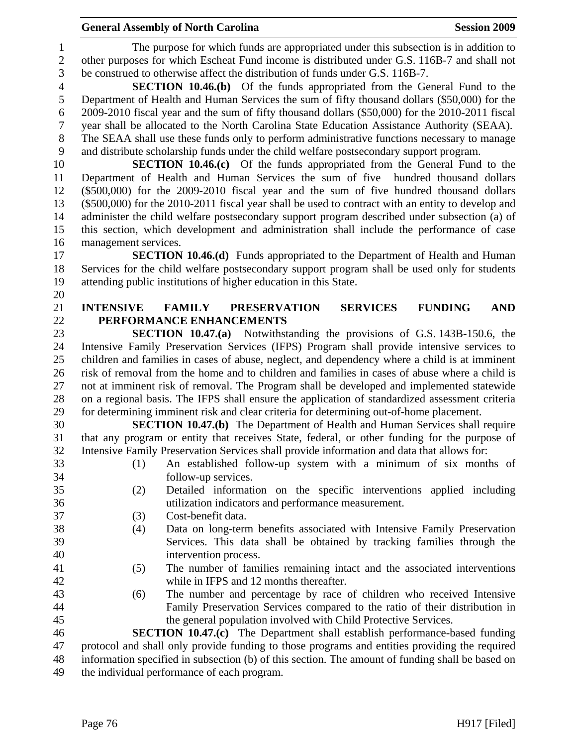1 The purpose for which funds are appropriated under this subsection is in addition to 2 other purposes for which Escheat Fund income is distributed under G.S. 116B-7 and shall not 3 be construed to otherwise affect the distribution of funds under G.S. 116B-7.

4 **SECTION 10.46.(b)** Of the funds appropriated from the General Fund to the 5 Department of Health and Human Services the sum of fifty thousand dollars (\$50,000) for the 6 2009-2010 fiscal year and the sum of fifty thousand dollars (\$50,000) for the 2010-2011 fiscal 7 year shall be allocated to the North Carolina State Education Assistance Authority (SEAA). 8 The SEAA shall use these funds only to perform administrative functions necessary to manage

9 and distribute scholarship funds under the child welfare postsecondary support program.

10 **SECTION 10.46.(c)** Of the funds appropriated from the General Fund to the 11 Department of Health and Human Services the sum of five hundred thousand dollars 12 (\$500,000) for the 2009-2010 fiscal year and the sum of five hundred thousand dollars 13 (\$500,000) for the 2010-2011 fiscal year shall be used to contract with an entity to develop and 14 administer the child welfare postsecondary support program described under subsection (a) of 15 this section, which development and administration shall include the performance of case 16 management services.

17 **SECTION 10.46.(d)** Funds appropriated to the Department of Health and Human 18 Services for the child welfare postsecondary support program shall be used only for students 19 attending public institutions of higher education in this State.

### 21 **INTENSIVE FAMILY PRESERVATION SERVICES FUNDING AND**  22 **PERFORMANCE ENHANCEMENTS**

23 **SECTION 10.47.(a)** Notwithstanding the provisions of G.S. 143B-150.6, the 24 Intensive Family Preservation Services (IFPS) Program shall provide intensive services to 25 children and families in cases of abuse, neglect, and dependency where a child is at imminent 26 risk of removal from the home and to children and families in cases of abuse where a child is 27 not at imminent risk of removal. The Program shall be developed and implemented statewide 28 on a regional basis. The IFPS shall ensure the application of standardized assessment criteria 29 for determining imminent risk and clear criteria for determining out-of-home placement.

30 **SECTION 10.47.(b)** The Department of Health and Human Services shall require 31 that any program or entity that receives State, federal, or other funding for the purpose of 32 Intensive Family Preservation Services shall provide information and data that allows for:

- 33 (1) An established follow-up system with a minimum of six months of 34 follow-up services.
- 35 (2) Detailed information on the specific interventions applied including 36 utilization indicators and performance measurement.
- 37 (3) Cost-benefit data.
- 38 (4) Data on long-term benefits associated with Intensive Family Preservation 39 Services. This data shall be obtained by tracking families through the 40 intervention process.
- 41 (5) The number of families remaining intact and the associated interventions 42 while in IFPS and 12 months thereafter.
- 43 (6) The number and percentage by race of children who received Intensive 44 Family Preservation Services compared to the ratio of their distribution in 45 the general population involved with Child Protective Services.

46 **SECTION 10.47.(c)** The Department shall establish performance-based funding 47 protocol and shall only provide funding to those programs and entities providing the required 48 information specified in subsection (b) of this section. The amount of funding shall be based on 49 the individual performance of each program.

20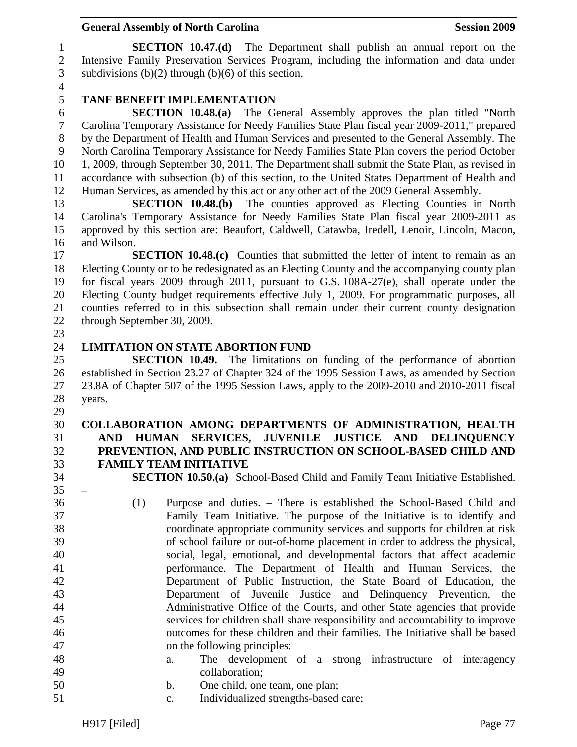1 **SECTION 10.47.(d)** The Department shall publish an annual report on the 2 Intensive Family Preservation Services Program, including the information and data under 3 subdivisions  $(b)(2)$  through  $(b)(6)$  of this section.

4

# 5 **TANF BENEFIT IMPLEMENTATION**

6 **SECTION 10.48.(a)** The General Assembly approves the plan titled "North 7 Carolina Temporary Assistance for Needy Families State Plan fiscal year 2009-2011," prepared 8 by the Department of Health and Human Services and presented to the General Assembly. The 9 North Carolina Temporary Assistance for Needy Families State Plan covers the period October 10 1, 2009, through September 30, 2011. The Department shall submit the State Plan, as revised in 11 accordance with subsection (b) of this section, to the United States Department of Health and 12 Human Services, as amended by this act or any other act of the 2009 General Assembly.

13 **SECTION 10.48.(b)** The counties approved as Electing Counties in North 14 Carolina's Temporary Assistance for Needy Families State Plan fiscal year 2009-2011 as 15 approved by this section are: Beaufort, Caldwell, Catawba, Iredell, Lenoir, Lincoln, Macon, 16 and Wilson.

17 **SECTION 10.48.(c)** Counties that submitted the letter of intent to remain as an 18 Electing County or to be redesignated as an Electing County and the accompanying county plan 19 for fiscal years 2009 through 2011, pursuant to G.S. 108A-27(e), shall operate under the 20 Electing County budget requirements effective July 1, 2009. For programmatic purposes, all 21 counties referred to in this subsection shall remain under their current county designation 22 through September 30, 2009.

23

 $35 -$ 

#### 24 **LIMITATION ON STATE ABORTION FUND**

25 **SECTION 10.49.** The limitations on funding of the performance of abortion 26 established in Section 23.27 of Chapter 324 of the 1995 Session Laws, as amended by Section 27 23.8A of Chapter 507 of the 1995 Session Laws, apply to the 2009-2010 and 2010-2011 fiscal 28 years.

- 29 30 **COLLABORATION AMONG DEPARTMENTS OF ADMINISTRATION, HEALTH**  31 **AND HUMAN SERVICES, JUVENILE JUSTICE AND DELINQUENCY**  32 **PREVENTION, AND PUBLIC INSTRUCTION ON SCHOOL-BASED CHILD AND**  33 **FAMILY TEAM INITIATIVE**
- 34 **SECTION 10.50.(a)** School-Based Child and Family Team Initiative Established.
- 36 (1) Purpose and duties. There is established the School-Based Child and 37 Family Team Initiative. The purpose of the Initiative is to identify and 38 coordinate appropriate community services and supports for children at risk 39 of school failure or out-of-home placement in order to address the physical, 40 social, legal, emotional, and developmental factors that affect academic 41 performance. The Department of Health and Human Services, the 42 Department of Public Instruction, the State Board of Education, the 43 Department of Juvenile Justice and Delinquency Prevention, the 44 Administrative Office of the Courts, and other State agencies that provide 45 services for children shall share responsibility and accountability to improve 46 outcomes for these children and their families. The Initiative shall be based 47 on the following principles:
- 48 a. The development of a strong infrastructure of interagency 49 collaboration;
- 50 b. One child, one team, one plan;
- 51 c. Individualized strengths-based care;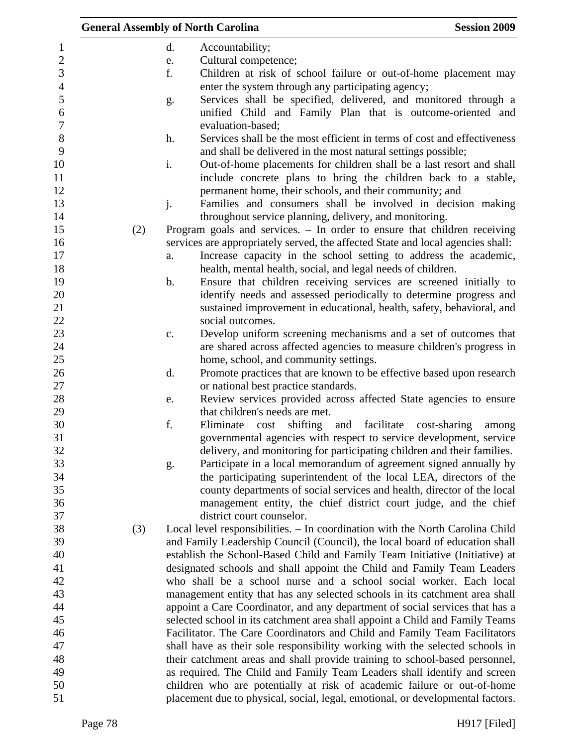|     |               | <b>General Assembly of North Carolina</b>                                       | <b>Session 2009</b>   |
|-----|---------------|---------------------------------------------------------------------------------|-----------------------|
|     | d.            | Accountability;                                                                 |                       |
|     | e.            | Cultural competence;                                                            |                       |
|     | f.            | Children at risk of school failure or out-of-home placement may                 |                       |
|     |               | enter the system through any participating agency;                              |                       |
|     | g.            | Services shall be specified, delivered, and monitored through a                 |                       |
|     |               | unified Child and Family Plan that is outcome-oriented and                      |                       |
|     |               | evaluation-based;                                                               |                       |
|     | h.            | Services shall be the most efficient in terms of cost and effectiveness         |                       |
|     |               | and shall be delivered in the most natural settings possible;                   |                       |
|     | i.            | Out-of-home placements for children shall be a last resort and shall            |                       |
|     |               | include concrete plans to bring the children back to a stable,                  |                       |
|     |               | permanent home, their schools, and their community; and                         |                       |
|     | j.            | Families and consumers shall be involved in decision making                     |                       |
|     |               | throughout service planning, delivery, and monitoring.                          |                       |
| (2) |               | Program goals and services. - In order to ensure that children receiving        |                       |
|     |               | services are appropriately served, the affected State and local agencies shall: |                       |
|     | a.            | Increase capacity in the school setting to address the academic,                |                       |
|     |               | health, mental health, social, and legal needs of children.                     |                       |
|     | $\mathbf b$ . | Ensure that children receiving services are screened initially to               |                       |
|     |               | identify needs and assessed periodically to determine progress and              |                       |
|     |               | sustained improvement in educational, health, safety, behavioral, and           |                       |
|     |               | social outcomes.                                                                |                       |
|     | c.            | Develop uniform screening mechanisms and a set of outcomes that                 |                       |
|     |               | are shared across affected agencies to measure children's progress in           |                       |
|     |               | home, school, and community settings.                                           |                       |
|     | d.            | Promote practices that are known to be effective based upon research            |                       |
|     |               | or national best practice standards.                                            |                       |
|     | e.            | Review services provided across affected State agencies to ensure               |                       |
|     |               | that children's needs are met.                                                  |                       |
|     | f.            | Eliminate<br>shifting and<br>facilitate<br>cost                                 | cost-sharing<br>among |
|     |               | governmental agencies with respect to service development, service              |                       |
|     |               | delivery, and monitoring for participating children and their families.         |                       |
|     | g.            | Participate in a local memorandum of agreement signed annually by               |                       |
|     |               | the participating superintendent of the local LEA, directors of the             |                       |
|     |               | county departments of social services and health, director of the local         |                       |
|     |               | management entity, the chief district court judge, and the chief                |                       |
|     |               | district court counselor.                                                       |                       |
| (3) |               | Local level responsibilities. - In coordination with the North Carolina Child   |                       |
|     |               | and Family Leadership Council (Council), the local board of education shall     |                       |
|     |               | establish the School-Based Child and Family Team Initiative (Initiative) at     |                       |
|     |               | designated schools and shall appoint the Child and Family Team Leaders          |                       |
|     |               | who shall be a school nurse and a school social worker. Each local              |                       |
|     |               | management entity that has any selected schools in its catchment area shall     |                       |
|     |               | appoint a Care Coordinator, and any department of social services that has a    |                       |
|     |               | selected school in its catchment area shall appoint a Child and Family Teams    |                       |
|     |               | Facilitator. The Care Coordinators and Child and Family Team Facilitators       |                       |
|     |               | shall have as their sole responsibility working with the selected schools in    |                       |
|     |               | their catchment areas and shall provide training to school-based personnel,     |                       |
|     |               | as required. The Child and Family Team Leaders shall identify and screen        |                       |
|     |               | children who are potentially at risk of academic failure or out-of-home         |                       |
|     |               | placement due to physical, social, legal, emotional, or developmental factors.  |                       |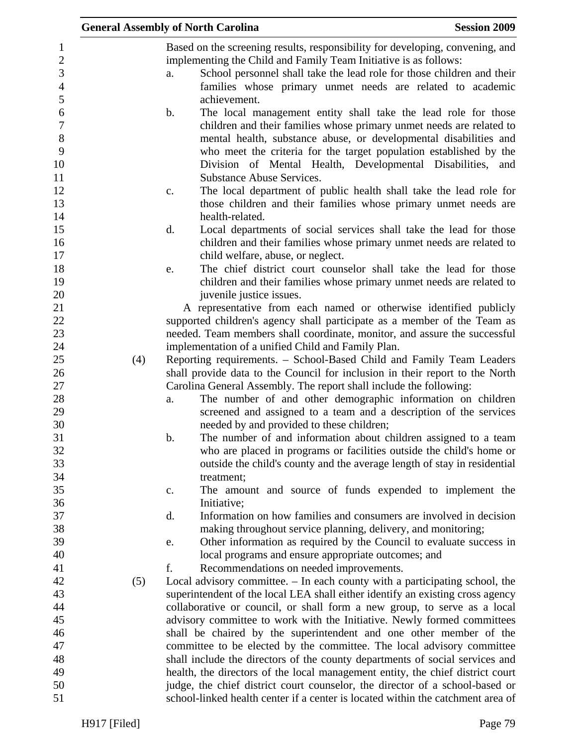|     | <b>General Assembly of North Carolina</b>                                                                                                                                                                                                                                                                                                             | <b>Session 2009</b> |
|-----|-------------------------------------------------------------------------------------------------------------------------------------------------------------------------------------------------------------------------------------------------------------------------------------------------------------------------------------------------------|---------------------|
|     | Based on the screening results, responsibility for developing, convening, and<br>implementing the Child and Family Team Initiative is as follows:<br>School personnel shall take the lead role for those children and their<br>a.                                                                                                                     |                     |
|     | families whose primary unmet needs are related to academic<br>achievement.                                                                                                                                                                                                                                                                            |                     |
|     | The local management entity shall take the lead role for those<br>b.<br>children and their families whose primary unmet needs are related to<br>mental health, substance abuse, or developmental disabilities and<br>who meet the criteria for the target population established by the<br>Division of Mental Health, Developmental Disabilities, and |                     |
|     | <b>Substance Abuse Services.</b><br>The local department of public health shall take the lead role for<br>c.<br>those children and their families whose primary unmet needs are<br>health-related.                                                                                                                                                    |                     |
|     | d.<br>Local departments of social services shall take the lead for those<br>children and their families whose primary unmet needs are related to<br>child welfare, abuse, or neglect.                                                                                                                                                                 |                     |
|     | The chief district court counselor shall take the lead for those<br>e.<br>children and their families whose primary unmet needs are related to<br>juvenile justice issues.                                                                                                                                                                            |                     |
|     | A representative from each named or otherwise identified publicly<br>supported children's agency shall participate as a member of the Team as                                                                                                                                                                                                         |                     |
|     | needed. Team members shall coordinate, monitor, and assure the successful<br>implementation of a unified Child and Family Plan.                                                                                                                                                                                                                       |                     |
| (4) | Reporting requirements. - School-Based Child and Family Team Leaders<br>shall provide data to the Council for inclusion in their report to the North                                                                                                                                                                                                  |                     |
|     | Carolina General Assembly. The report shall include the following:<br>The number of and other demographic information on children<br>a.<br>screened and assigned to a team and a description of the services<br>needed by and provided to these children;                                                                                             |                     |
|     | The number of and information about children assigned to a team<br>b.<br>who are placed in programs or facilities outside the child's home or<br>outside the child's county and the average length of stay in residential                                                                                                                             |                     |
|     | treatment;<br>The amount and source of funds expended to implement the<br>c.                                                                                                                                                                                                                                                                          |                     |
|     | Initiative;<br>Information on how families and consumers are involved in decision<br>d.                                                                                                                                                                                                                                                               |                     |
|     | making throughout service planning, delivery, and monitoring;<br>Other information as required by the Council to evaluate success in<br>e.<br>local programs and ensure appropriate outcomes; and                                                                                                                                                     |                     |
| (5) | f.<br>Recommendations on needed improvements.<br>Local advisory committee. – In each county with a participating school, the                                                                                                                                                                                                                          |                     |
|     | superintendent of the local LEA shall either identify an existing cross agency<br>collaborative or council, or shall form a new group, to serve as a local<br>advisory committee to work with the Initiative. Newly formed committees                                                                                                                 |                     |
|     | shall be chaired by the superintendent and one other member of the<br>committee to be elected by the committee. The local advisory committee                                                                                                                                                                                                          |                     |
|     | shall include the directors of the county departments of social services and<br>health, the directors of the local management entity, the chief district court                                                                                                                                                                                        |                     |
|     | judge, the chief district court counselor, the director of a school-based or<br>school-linked health center if a center is located within the catchment area of                                                                                                                                                                                       |                     |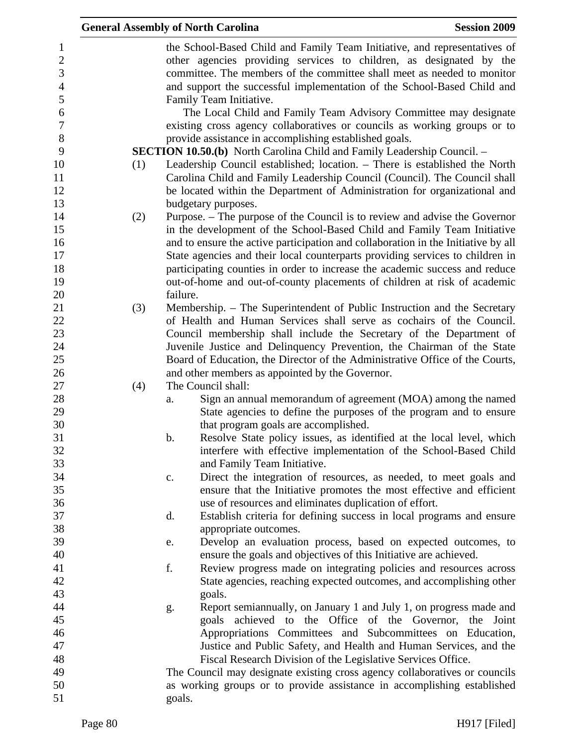|     |          | <b>General Assembly of North Carolina</b>                                                                                                                                                                                                                                                              | <b>Session 2009</b> |
|-----|----------|--------------------------------------------------------------------------------------------------------------------------------------------------------------------------------------------------------------------------------------------------------------------------------------------------------|---------------------|
|     |          | the School-Based Child and Family Team Initiative, and representatives of<br>other agencies providing services to children, as designated by the<br>committee. The members of the committee shall meet as needed to monitor<br>and support the successful implementation of the School-Based Child and |                     |
|     |          | Family Team Initiative.<br>The Local Child and Family Team Advisory Committee may designate                                                                                                                                                                                                            |                     |
|     |          | existing cross agency collaboratives or councils as working groups or to                                                                                                                                                                                                                               |                     |
|     |          | provide assistance in accomplishing established goals.<br><b>SECTION 10.50.(b)</b> North Carolina Child and Family Leadership Council. -                                                                                                                                                               |                     |
| (1) |          | Leadership Council established; location. - There is established the North<br>Carolina Child and Family Leadership Council (Council). The Council shall<br>be located within the Department of Administration for organizational and                                                                   |                     |
|     |          | budgetary purposes.                                                                                                                                                                                                                                                                                    |                     |
| (2) |          | Purpose. – The purpose of the Council is to review and advise the Governor<br>in the development of the School-Based Child and Family Team Initiative                                                                                                                                                  |                     |
|     |          | and to ensure the active participation and collaboration in the Initiative by all                                                                                                                                                                                                                      |                     |
|     |          | State agencies and their local counterparts providing services to children in                                                                                                                                                                                                                          |                     |
|     |          | participating counties in order to increase the academic success and reduce                                                                                                                                                                                                                            |                     |
|     | failure. | out-of-home and out-of-county placements of children at risk of academic                                                                                                                                                                                                                               |                     |
|     |          |                                                                                                                                                                                                                                                                                                        |                     |
| (3) |          | Membership. – The Superintendent of Public Instruction and the Secretary<br>of Health and Human Services shall serve as cochairs of the Council.                                                                                                                                                       |                     |
|     |          | Council membership shall include the Secretary of the Department of                                                                                                                                                                                                                                    |                     |
|     |          | Juvenile Justice and Delinquency Prevention, the Chairman of the State                                                                                                                                                                                                                                 |                     |
|     |          | Board of Education, the Director of the Administrative Office of the Courts,                                                                                                                                                                                                                           |                     |
|     |          | and other members as appointed by the Governor.                                                                                                                                                                                                                                                        |                     |
| (4) |          | The Council shall:                                                                                                                                                                                                                                                                                     |                     |
|     | a.       | Sign an annual memorandum of agreement (MOA) among the named                                                                                                                                                                                                                                           |                     |
|     |          | State agencies to define the purposes of the program and to ensure                                                                                                                                                                                                                                     |                     |
|     |          | that program goals are accomplished.                                                                                                                                                                                                                                                                   |                     |
|     | b.       | Resolve State policy issues, as identified at the local level, which                                                                                                                                                                                                                                   |                     |
|     |          | interfere with effective implementation of the School-Based Child                                                                                                                                                                                                                                      |                     |
|     |          | and Family Team Initiative.                                                                                                                                                                                                                                                                            |                     |
|     | c.       | Direct the integration of resources, as needed, to meet goals and                                                                                                                                                                                                                                      |                     |
|     |          | ensure that the Initiative promotes the most effective and efficient                                                                                                                                                                                                                                   |                     |
|     |          | use of resources and eliminates duplication of effort.                                                                                                                                                                                                                                                 |                     |
|     | d.       | Establish criteria for defining success in local programs and ensure                                                                                                                                                                                                                                   |                     |
|     |          | appropriate outcomes.                                                                                                                                                                                                                                                                                  |                     |
|     | e.       | Develop an evaluation process, based on expected outcomes, to                                                                                                                                                                                                                                          |                     |
|     |          | ensure the goals and objectives of this Initiative are achieved.                                                                                                                                                                                                                                       |                     |
|     | f.       | Review progress made on integrating policies and resources across                                                                                                                                                                                                                                      |                     |
|     |          | State agencies, reaching expected outcomes, and accomplishing other                                                                                                                                                                                                                                    |                     |
|     |          | goals.                                                                                                                                                                                                                                                                                                 |                     |
|     | g.       | Report semiannually, on January 1 and July 1, on progress made and<br>goals achieved to the Office of the Governor, the Joint                                                                                                                                                                          |                     |
|     |          | Appropriations Committees and Subcommittees on Education,                                                                                                                                                                                                                                              |                     |
|     |          | Justice and Public Safety, and Health and Human Services, and the                                                                                                                                                                                                                                      |                     |
|     |          | Fiscal Research Division of the Legislative Services Office.                                                                                                                                                                                                                                           |                     |
|     |          | The Council may designate existing cross agency collaboratives or councils                                                                                                                                                                                                                             |                     |
|     |          | as working groups or to provide assistance in accomplishing established                                                                                                                                                                                                                                |                     |
|     | goals.   |                                                                                                                                                                                                                                                                                                        |                     |
|     |          |                                                                                                                                                                                                                                                                                                        |                     |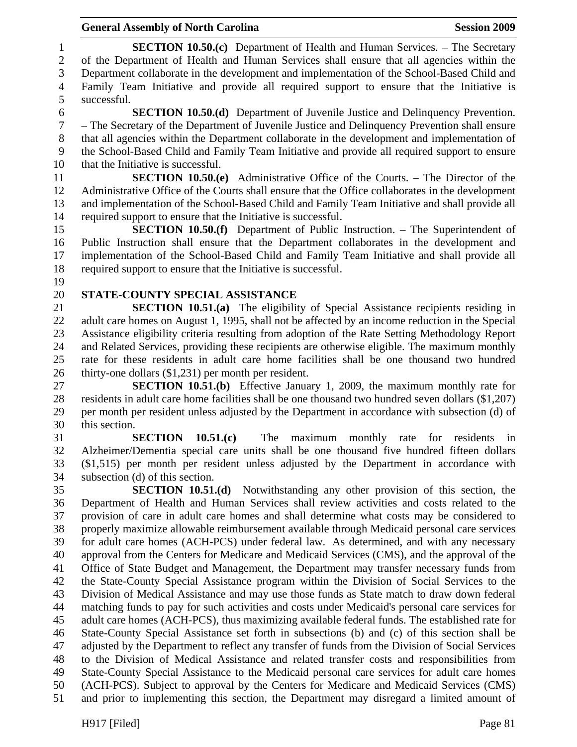#### General Assembly of North Carolina **Session 2009**

1 **SECTION 10.50.(c)** Department of Health and Human Services. – The Secretary 2 of the Department of Health and Human Services shall ensure that all agencies within the 3 Department collaborate in the development and implementation of the School-Based Child and 4 Family Team Initiative and provide all required support to ensure that the Initiative is 5 successful. 6 **SECTION 10.50.(d)** Department of Juvenile Justice and Delinquency Prevention. 7 – The Secretary of the Department of Juvenile Justice and Delinquency Prevention shall ensure 8 that all agencies within the Department collaborate in the development and implementation of 9 the School-Based Child and Family Team Initiative and provide all required support to ensure 10 that the Initiative is successful. 11 **SECTION 10.50.(e)** Administrative Office of the Courts. – The Director of the 12 Administrative Office of the Courts shall ensure that the Office collaborates in the development 13 and implementation of the School-Based Child and Family Team Initiative and shall provide all 14 required support to ensure that the Initiative is successful. 15 **SECTION 10.50.(f)** Department of Public Instruction. – The Superintendent of 16 Public Instruction shall ensure that the Department collaborates in the development and 17 implementation of the School-Based Child and Family Team Initiative and shall provide all 18 required support to ensure that the Initiative is successful. 19 20 **STATE-COUNTY SPECIAL ASSISTANCE**  21 **SECTION 10.51.(a)** The eligibility of Special Assistance recipients residing in 22 adult care homes on August 1, 1995, shall not be affected by an income reduction in the Special 23 Assistance eligibility criteria resulting from adoption of the Rate Setting Methodology Report 24 and Related Services, providing these recipients are otherwise eligible. The maximum monthly 25 rate for these residents in adult care home facilities shall be one thousand two hundred 26 thirty-one dollars (\$1,231) per month per resident. 27 **SECTION 10.51.(b)** Effective January 1, 2009, the maximum monthly rate for 28 residents in adult care home facilities shall be one thousand two hundred seven dollars (\$1,207) 29 per month per resident unless adjusted by the Department in accordance with subsection (d) of 30 this section. 31 **SECTION 10.51.(c)** The maximum monthly rate for residents in 32 Alzheimer/Dementia special care units shall be one thousand five hundred fifteen dollars 33 (\$1,515) per month per resident unless adjusted by the Department in accordance with 34 subsection (d) of this section. 35 **SECTION 10.51.(d)** Notwithstanding any other provision of this section, the 36 Department of Health and Human Services shall review activities and costs related to the 37 provision of care in adult care homes and shall determine what costs may be considered to 38 properly maximize allowable reimbursement available through Medicaid personal care services 39 for adult care homes (ACH-PCS) under federal law. As determined, and with any necessary 40 approval from the Centers for Medicare and Medicaid Services (CMS), and the approval of the 41 Office of State Budget and Management, the Department may transfer necessary funds from 42 the State-County Special Assistance program within the Division of Social Services to the 43 Division of Medical Assistance and may use those funds as State match to draw down federal 44 matching funds to pay for such activities and costs under Medicaid's personal care services for 45 adult care homes (ACH-PCS), thus maximizing available federal funds. The established rate for 46 State-County Special Assistance set forth in subsections (b) and (c) of this section shall be 47 adjusted by the Department to reflect any transfer of funds from the Division of Social Services 48 to the Division of Medical Assistance and related transfer costs and responsibilities from 49 State-County Special Assistance to the Medicaid personal care services for adult care homes 50 (ACH-PCS). Subject to approval by the Centers for Medicare and Medicaid Services (CMS) 51 and prior to implementing this section, the Department may disregard a limited amount of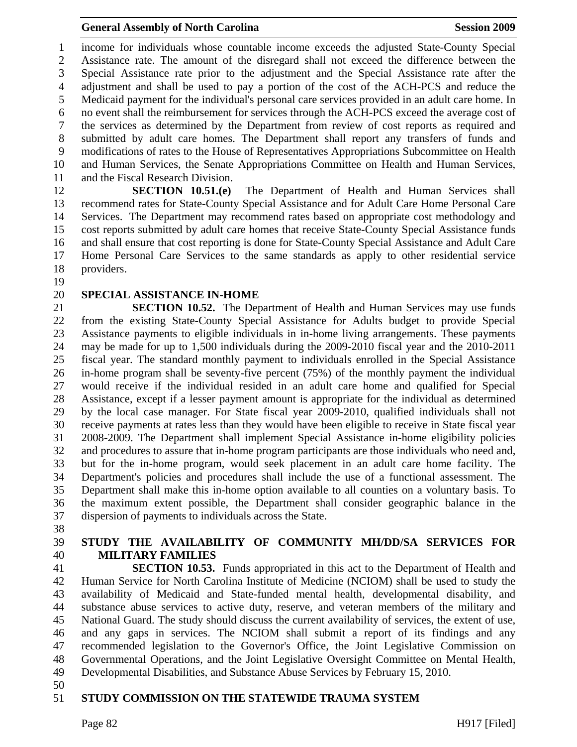1 income for individuals whose countable income exceeds the adjusted State-County Special 2 Assistance rate. The amount of the disregard shall not exceed the difference between the 3 Special Assistance rate prior to the adjustment and the Special Assistance rate after the 4 adjustment and shall be used to pay a portion of the cost of the ACH-PCS and reduce the 5 Medicaid payment for the individual's personal care services provided in an adult care home. In 6 no event shall the reimbursement for services through the ACH-PCS exceed the average cost of 7 the services as determined by the Department from review of cost reports as required and 8 submitted by adult care homes. The Department shall report any transfers of funds and 9 modifications of rates to the House of Representatives Appropriations Subcommittee on Health 10 and Human Services, the Senate Appropriations Committee on Health and Human Services, 11 and the Fiscal Research Division.

12 **SECTION 10.51.(e)** The Department of Health and Human Services shall 13 recommend rates for State-County Special Assistance and for Adult Care Home Personal Care 14 Services. The Department may recommend rates based on appropriate cost methodology and 15 cost reports submitted by adult care homes that receive State-County Special Assistance funds 16 and shall ensure that cost reporting is done for State-County Special Assistance and Adult Care 17 Home Personal Care Services to the same standards as apply to other residential service 18 providers.

19

#### 20 **SPECIAL ASSISTANCE IN-HOME**

21 **SECTION 10.52.** The Department of Health and Human Services may use funds 22 from the existing State-County Special Assistance for Adults budget to provide Special 23 Assistance payments to eligible individuals in in-home living arrangements. These payments 24 may be made for up to 1,500 individuals during the 2009-2010 fiscal year and the 2010-2011 25 fiscal year. The standard monthly payment to individuals enrolled in the Special Assistance 26 in-home program shall be seventy-five percent (75%) of the monthly payment the individual 27 would receive if the individual resided in an adult care home and qualified for Special 28 Assistance, except if a lesser payment amount is appropriate for the individual as determined 29 by the local case manager. For State fiscal year 2009-2010, qualified individuals shall not 30 receive payments at rates less than they would have been eligible to receive in State fiscal year 31 2008-2009. The Department shall implement Special Assistance in-home eligibility policies 32 and procedures to assure that in-home program participants are those individuals who need and, 33 but for the in-home program, would seek placement in an adult care home facility. The 34 Department's policies and procedures shall include the use of a functional assessment. The 35 Department shall make this in-home option available to all counties on a voluntary basis. To 36 the maximum extent possible, the Department shall consider geographic balance in the 37 dispersion of payments to individuals across the State.

38

# 39 **STUDY THE AVAILABILITY OF COMMUNITY MH/DD/SA SERVICES FOR**  40 **MILITARY FAMILIES**

41 **SECTION 10.53.** Funds appropriated in this act to the Department of Health and 42 Human Service for North Carolina Institute of Medicine (NCIOM) shall be used to study the 43 availability of Medicaid and State-funded mental health, developmental disability, and 44 substance abuse services to active duty, reserve, and veteran members of the military and 45 National Guard. The study should discuss the current availability of services, the extent of use, 46 and any gaps in services. The NCIOM shall submit a report of its findings and any 47 recommended legislation to the Governor's Office, the Joint Legislative Commission on 48 Governmental Operations, and the Joint Legislative Oversight Committee on Mental Health, 49 Developmental Disabilities, and Substance Abuse Services by February 15, 2010.

50

### 51 **STUDY COMMISSION ON THE STATEWIDE TRAUMA SYSTEM**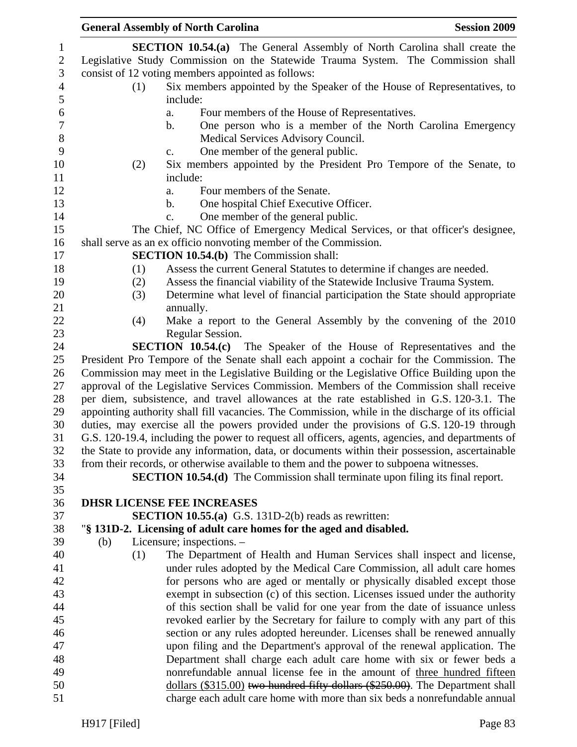|     |     | <b>General Assembly of North Carolina</b>                                                         | <b>Session 2009</b> |
|-----|-----|---------------------------------------------------------------------------------------------------|---------------------|
|     |     | <b>SECTION 10.54.(a)</b> The General Assembly of North Carolina shall create the                  |                     |
|     |     | Legislative Study Commission on the Statewide Trauma System. The Commission shall                 |                     |
|     |     | consist of 12 voting members appointed as follows:                                                |                     |
|     | (1) | Six members appointed by the Speaker of the House of Representatives, to                          |                     |
|     |     | include:                                                                                          |                     |
|     |     | Four members of the House of Representatives.<br>a.                                               |                     |
|     |     | One person who is a member of the North Carolina Emergency<br>b.                                  |                     |
|     |     | Medical Services Advisory Council.                                                                |                     |
|     |     | One member of the general public.<br>$C_{\bullet}$                                                |                     |
|     | (2) | Six members appointed by the President Pro Tempore of the Senate, to                              |                     |
|     |     | include:                                                                                          |                     |
|     |     | Four members of the Senate.<br>a.                                                                 |                     |
|     |     | One hospital Chief Executive Officer.<br>b.                                                       |                     |
|     |     | One member of the general public.<br>c.                                                           |                     |
|     |     | The Chief, NC Office of Emergency Medical Services, or that officer's designee,                   |                     |
|     |     | shall serve as an ex officio nonvoting member of the Commission.                                  |                     |
|     |     | <b>SECTION 10.54.(b)</b> The Commission shall:                                                    |                     |
|     | (1) | Assess the current General Statutes to determine if changes are needed.                           |                     |
|     | (2) | Assess the financial viability of the Statewide Inclusive Trauma System.                          |                     |
|     | (3) | Determine what level of financial participation the State should appropriate                      |                     |
|     |     | annually.                                                                                         |                     |
|     | (4) | Make a report to the General Assembly by the convening of the 2010                                |                     |
|     |     | Regular Session.                                                                                  |                     |
|     |     | <b>SECTION 10.54.(c)</b> The Speaker of the House of Representatives and the                      |                     |
|     |     | President Pro Tempore of the Senate shall each appoint a cochair for the Commission. The          |                     |
|     |     | Commission may meet in the Legislative Building or the Legislative Office Building upon the       |                     |
|     |     | approval of the Legislative Services Commission. Members of the Commission shall receive          |                     |
|     |     | per diem, subsistence, and travel allowances at the rate established in G.S. 120-3.1. The         |                     |
|     |     | appointing authority shall fill vacancies. The Commission, while in the discharge of its official |                     |
|     |     | duties, may exercise all the powers provided under the provisions of G.S. 120-19 through          |                     |
|     |     | G.S. 120-19.4, including the power to request all officers, agents, agencies, and departments of  |                     |
|     |     | the State to provide any information, data, or documents within their possession, ascertainable   |                     |
|     |     | from their records, or otherwise available to them and the power to subpoena witnesses.           |                     |
|     |     | <b>SECTION 10.54.(d)</b> The Commission shall terminate upon filing its final report.             |                     |
|     |     |                                                                                                   |                     |
|     |     | <b>DHSR LICENSE FEE INCREASES</b>                                                                 |                     |
|     |     | <b>SECTION 10.55.(a)</b> G.S. 131D-2(b) reads as rewritten:                                       |                     |
|     |     | "§ 131D-2. Licensing of adult care homes for the aged and disabled.                               |                     |
| (b) |     | Licensure; inspections. -                                                                         |                     |
|     | (1) | The Department of Health and Human Services shall inspect and license,                            |                     |
|     |     | under rules adopted by the Medical Care Commission, all adult care homes                          |                     |
|     |     | for persons who are aged or mentally or physically disabled except those                          |                     |
|     |     | exempt in subsection (c) of this section. Licenses issued under the authority                     |                     |
|     |     | of this section shall be valid for one year from the date of issuance unless                      |                     |
|     |     | revoked earlier by the Secretary for failure to comply with any part of this                      |                     |
|     |     | section or any rules adopted hereunder. Licenses shall be renewed annually                        |                     |
|     |     | upon filing and the Department's approval of the renewal application. The                         |                     |
|     |     | Department shall charge each adult care home with six or fewer beds a                             |                     |
|     |     | nonrefundable annual license fee in the amount of three hundred fifteen                           |                     |
|     |     | dollars (\$315.00) two hundred fifty dollars (\$250.00). The Department shall                     |                     |
|     |     | charge each adult care home with more than six beds a nonrefundable annual                        |                     |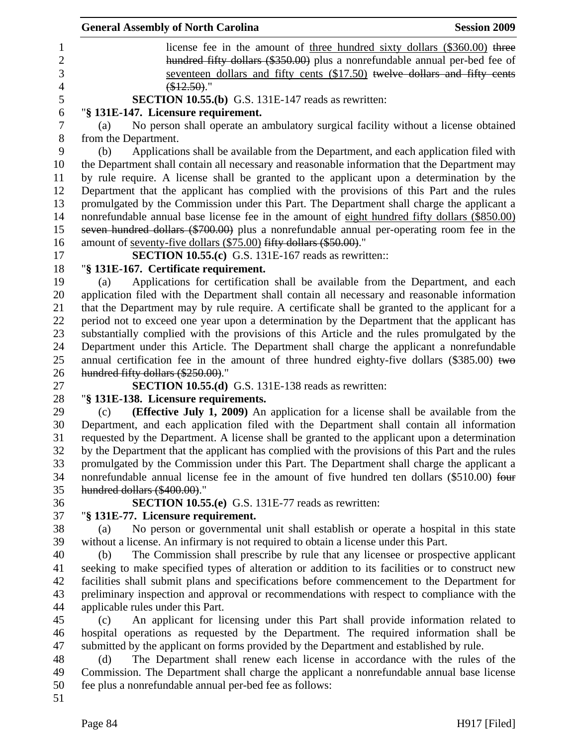|                | <b>General Assembly of North Carolina</b><br><b>Session 2009</b>                                                                                                                     |
|----------------|--------------------------------------------------------------------------------------------------------------------------------------------------------------------------------------|
| 1              | license fee in the amount of <u>three hundred sixty dollars (\$360.00</u> ) three                                                                                                    |
| $\overline{2}$ | hundred fifty dollars (\$350.00) plus a nonrefundable annual per-bed fee of                                                                                                          |
| 3              | seventeen dollars and fifty cents (\$17.50) twelve dollars and fifty cents                                                                                                           |
| $\overline{4}$ | (\$12.50).                                                                                                                                                                           |
| 5              | <b>SECTION 10.55.(b)</b> G.S. 131E-147 reads as rewritten:                                                                                                                           |
| 6              | "§ 131E-147. Licensure requirement.                                                                                                                                                  |
| $\tau$         | No person shall operate an ambulatory surgical facility without a license obtained<br>(a)                                                                                            |
| $8\,$          | from the Department.                                                                                                                                                                 |
| 9              | Applications shall be available from the Department, and each application filed with<br>(b)                                                                                          |
| 10             | the Department shall contain all necessary and reasonable information that the Department may                                                                                        |
| 11             | by rule require. A license shall be granted to the applicant upon a determination by the                                                                                             |
| 12             | Department that the applicant has complied with the provisions of this Part and the rules                                                                                            |
| 13             | promulgated by the Commission under this Part. The Department shall charge the applicant a                                                                                           |
| 14             | nonrefundable annual base license fee in the amount of eight hundred fifty dollars (\$850.00)                                                                                        |
| 15             | seven hundred dollars (\$700.00) plus a nonrefundable annual per-operating room fee in the                                                                                           |
| 16             | amount of <u>seventy-five dollars</u> (\$75.00) fifty dollars (\$50.00)."                                                                                                            |
| 17             | <b>SECTION 10.55.(c)</b> G.S. 131E-167 reads as rewritten::                                                                                                                          |
| 18             | "§ 131E-167. Certificate requirement.                                                                                                                                                |
| 19             | Applications for certification shall be available from the Department, and each<br>(a)                                                                                               |
| 20             | application filed with the Department shall contain all necessary and reasonable information                                                                                         |
| 21             | that the Department may by rule require. A certificate shall be granted to the applicant for a                                                                                       |
| 22             | period not to exceed one year upon a determination by the Department that the applicant has                                                                                          |
| 23             | substantially complied with the provisions of this Article and the rules promulgated by the                                                                                          |
| 24             | Department under this Article. The Department shall charge the applicant a nonrefundable                                                                                             |
| 25             | annual certification fee in the amount of three hundred eighty-five dollars $(\$385.00)$ two                                                                                         |
| 26             | hundred fifty dollars (\$250.00)."                                                                                                                                                   |
| 27             | <b>SECTION 10.55.(d)</b> G.S. 131E-138 reads as rewritten:                                                                                                                           |
| 28             | "§ 131E-138. Licensure requirements.                                                                                                                                                 |
| 29<br>30       | (Effective July 1, 2009) An application for a license shall be available from the<br>(c)<br>Department, and each application filed with the Department shall contain all information |
| 31             | requested by the Department. A license shall be granted to the applicant upon a determination                                                                                        |
| 32             | by the Department that the applicant has complied with the provisions of this Part and the rules                                                                                     |
| 33             | promulgated by the Commission under this Part. The Department shall charge the applicant a                                                                                           |
| 34             | nonrefundable annual license fee in the amount of five hundred ten dollars (\$510.00) four                                                                                           |
| 35             | hundred dollars (\$400.00)."                                                                                                                                                         |
| 36             | <b>SECTION 10.55.(e)</b> G.S. 131E-77 reads as rewritten:                                                                                                                            |
| 37             | "§ 131E-77. Licensure requirement.                                                                                                                                                   |
| 38             | No person or governmental unit shall establish or operate a hospital in this state<br>(a)                                                                                            |
| 39             | without a license. An infirmary is not required to obtain a license under this Part.                                                                                                 |
| 40             | The Commission shall prescribe by rule that any licensee or prospective applicant<br>(b)                                                                                             |
| 41             | seeking to make specified types of alteration or addition to its facilities or to construct new                                                                                      |
| 42             | facilities shall submit plans and specifications before commencement to the Department for                                                                                           |
| 43             | preliminary inspection and approval or recommendations with respect to compliance with the                                                                                           |
| 44             | applicable rules under this Part.                                                                                                                                                    |
| 45             | An applicant for licensing under this Part shall provide information related to<br>(c)                                                                                               |
| 46             | hospital operations as requested by the Department. The required information shall be                                                                                                |
| 47             | submitted by the applicant on forms provided by the Department and established by rule.                                                                                              |
| 48             | The Department shall renew each license in accordance with the rules of the<br>(d)                                                                                                   |
| 49             | Commission. The Department shall charge the applicant a nonrefundable annual base license                                                                                            |
| 50             | fee plus a nonrefundable annual per-bed fee as follows:                                                                                                                              |
| 51             |                                                                                                                                                                                      |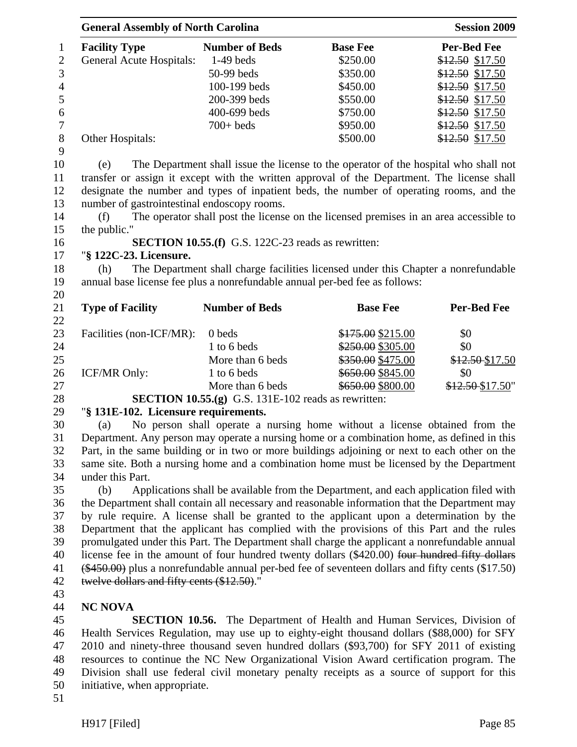|                | <b>General Assembly of North Carolina</b> |                       |                 | <b>Session 2009</b> |  |
|----------------|-------------------------------------------|-----------------------|-----------------|---------------------|--|
| $\mathbf{1}$   | <b>Facility Type</b>                      | <b>Number of Beds</b> | <b>Base Fee</b> | <b>Per-Bed Fee</b>  |  |
| 2              | <b>General Acute Hospitals:</b>           | $1-49$ beds           | \$250.00        | $$12.50$ \$17.50    |  |
| 3              |                                           | $50-99$ beds          | \$350.00        | $$12.50$ \$17.50    |  |
| $\overline{4}$ |                                           | $100-199$ beds        | \$450.00        | $$12.50$ \$17.50    |  |
| 5              |                                           | 200-399 beds          | \$550.00        | $$12.50$ \$17.50    |  |
| 6              |                                           | 400-699 beds          | \$750.00        | \$12.50 \$17.50     |  |
| 7              |                                           | $700+$ beds           | \$950.00        | $$12.50$ \$17.50    |  |
| 8              | Other Hospitals:                          |                       | \$500.00        | \$12.50 \$17.50     |  |
| 9              |                                           |                       |                 |                     |  |

10 (e) The Department shall issue the license to the operator of the hospital who shall not 11 transfer or assign it except with the written approval of the Department. The license shall 12 designate the number and types of inpatient beds, the number of operating rooms, and the 13 number of gastrointestinal endoscopy rooms.

14 (f) The operator shall post the license on the licensed premises in an area accessible to 15 the public."

### 16 **SECTION 10.55.(f)** G.S. 122C-23 reads as rewritten:

### 17 "**§ 122C-23. Licensure.**

18 (h) The Department shall charge facilities licensed under this Chapter a nonrefundable 19 annual base license fee plus a nonrefundable annual per-bed fee as follows:

21 **Type of Facility Number of Beds Base Fee Per-Bed Fee** 22 23 Facilities (non-ICF/MR): 0 beds \$175.00 \$215.00 \$0 24 1 to 6 beds \$250.00 \$0 25 More than 6 beds \$350.00 \$475.00 \$12.50 \$17.50 26 ICF/MR Only: 1 to 6 beds \$650.00 \$845.00 \$0 27 More than 6 beds \$650.00 \$800.00 \$12.50 \$17.50"

28 **SECTION 10.55.(g)** G.S. 131E-102 reads as rewritten:

# 29 "**§ 131E-102. Licensure requirements.**

30 (a) No person shall operate a nursing home without a license obtained from the 31 Department. Any person may operate a nursing home or a combination home, as defined in this 32 Part, in the same building or in two or more buildings adjoining or next to each other on the 33 same site. Both a nursing home and a combination home must be licensed by the Department 34 under this Part.

35 (b) Applications shall be available from the Department, and each application filed with 36 the Department shall contain all necessary and reasonable information that the Department may 37 by rule require. A license shall be granted to the applicant upon a determination by the 38 Department that the applicant has complied with the provisions of this Part and the rules 39 promulgated under this Part. The Department shall charge the applicant a nonrefundable annual 40 license fee in the amount of four hundred twenty dollars (\$420.00) four hundred fifty dollars 41 (\$450.00) plus a nonrefundable annual per-bed fee of seventeen dollars and fifty cents (\$17.50) 42 twelve dollars and fifty cents (\$12.50)."

43

20

# 44 **NC NOVA**

45 **SECTION 10.56.** The Department of Health and Human Services, Division of 46 Health Services Regulation, may use up to eighty-eight thousand dollars (\$88,000) for SFY 47 2010 and ninety-three thousand seven hundred dollars (\$93,700) for SFY 2011 of existing 48 resources to continue the NC New Organizational Vision Award certification program. The 49 Division shall use federal civil monetary penalty receipts as a source of support for this 50 initiative, when appropriate.

51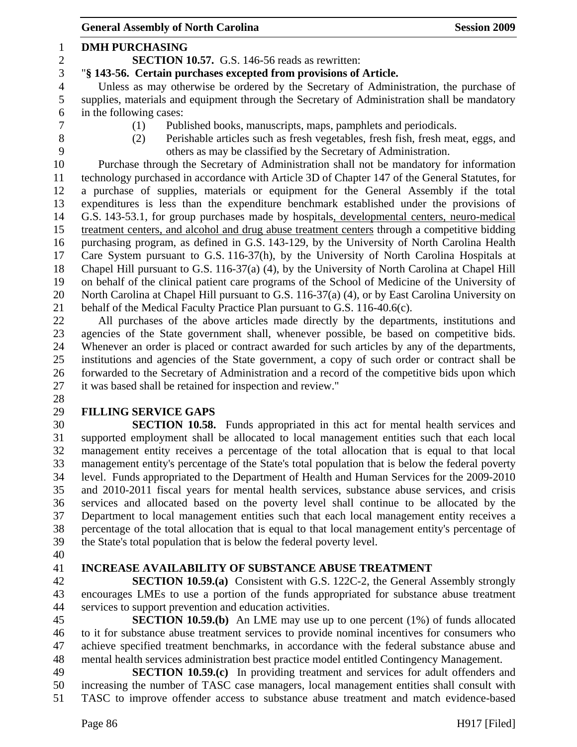General Assembly of North Carolina **Session 2009** 1 **DMH PURCHASING**  2 **SECTION 10.57.** G.S. 146-56 reads as rewritten: 3 "**§ 143-56. Certain purchases excepted from provisions of Article.**  4 Unless as may otherwise be ordered by the Secretary of Administration, the purchase of 5 supplies, materials and equipment through the Secretary of Administration shall be mandatory 6 in the following cases: 7 (1) Published books, manuscripts, maps, pamphlets and periodicals. 8 (2) Perishable articles such as fresh vegetables, fresh fish, fresh meat, eggs, and 9 others as may be classified by the Secretary of Administration. 10 Purchase through the Secretary of Administration shall not be mandatory for information 11 technology purchased in accordance with Article 3D of Chapter 147 of the General Statutes, for 12 a purchase of supplies, materials or equipment for the General Assembly if the total 13 expenditures is less than the expenditure benchmark established under the provisions of 14 G.S. 143-53.1, for group purchases made by hospitals, developmental centers, neuro-medical 15 treatment centers, and alcohol and drug abuse treatment centers through a competitive bidding 16 purchasing program, as defined in G.S. 143-129, by the University of North Carolina Health 17 Care System pursuant to G.S. 116-37(h), by the University of North Carolina Hospitals at 18 Chapel Hill pursuant to G.S. 116-37(a) (4), by the University of North Carolina at Chapel Hill 19 on behalf of the clinical patient care programs of the School of Medicine of the University of 20 North Carolina at Chapel Hill pursuant to G.S. 116-37(a) (4), or by East Carolina University on 21 behalf of the Medical Faculty Practice Plan pursuant to G.S. 116-40.6(c). 22 All purchases of the above articles made directly by the departments, institutions and 23 agencies of the State government shall, whenever possible, be based on competitive bids. 24 Whenever an order is placed or contract awarded for such articles by any of the departments, 25 institutions and agencies of the State government, a copy of such order or contract shall be 26 forwarded to the Secretary of Administration and a record of the competitive bids upon which 27 it was based shall be retained for inspection and review." 28 29 **FILLING SERVICE GAPS**  30 **SECTION 10.58.** Funds appropriated in this act for mental health services and 31 supported employment shall be allocated to local management entities such that each local 32 management entity receives a percentage of the total allocation that is equal to that local 33 management entity's percentage of the State's total population that is below the federal poverty 34 level. Funds appropriated to the Department of Health and Human Services for the 2009-2010

35 and 2010-2011 fiscal years for mental health services, substance abuse services, and crisis 36 services and allocated based on the poverty level shall continue to be allocated by the 37 Department to local management entities such that each local management entity receives a 38 percentage of the total allocation that is equal to that local management entity's percentage of 39 the State's total population that is below the federal poverty level.

40

#### 41 **INCREASE AVAILABILITY OF SUBSTANCE ABUSE TREATMENT**

42 **SECTION 10.59.(a)** Consistent with G.S. 122C-2, the General Assembly strongly 43 encourages LMEs to use a portion of the funds appropriated for substance abuse treatment 44 services to support prevention and education activities.

45 **SECTION 10.59.(b)** An LME may use up to one percent (1%) of funds allocated 46 to it for substance abuse treatment services to provide nominal incentives for consumers who 47 achieve specified treatment benchmarks, in accordance with the federal substance abuse and 48 mental health services administration best practice model entitled Contingency Management.

49 **SECTION 10.59.(c)** In providing treatment and services for adult offenders and 50 increasing the number of TASC case managers, local management entities shall consult with 51 TASC to improve offender access to substance abuse treatment and match evidence-based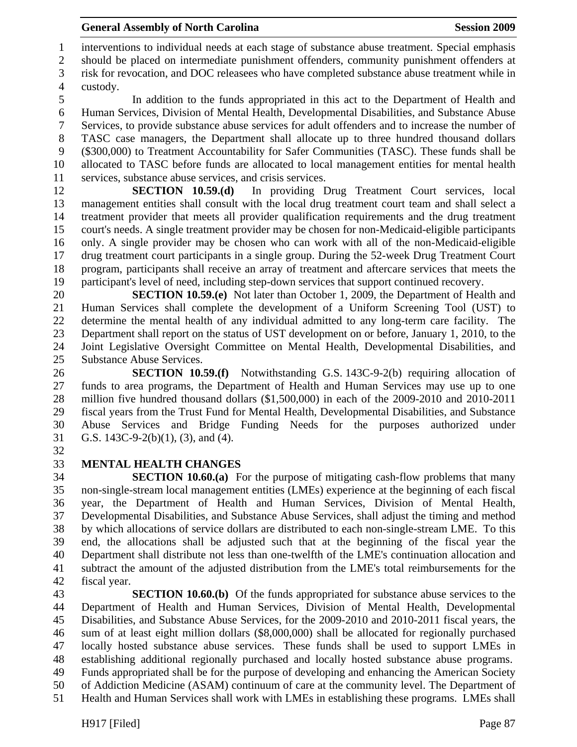1 interventions to individual needs at each stage of substance abuse treatment. Special emphasis 2 should be placed on intermediate punishment offenders, community punishment offenders at

3 risk for revocation, and DOC releasees who have completed substance abuse treatment while in 4 custody.

5 In addition to the funds appropriated in this act to the Department of Health and 6 Human Services, Division of Mental Health, Developmental Disabilities, and Substance Abuse 7 Services, to provide substance abuse services for adult offenders and to increase the number of 8 TASC case managers, the Department shall allocate up to three hundred thousand dollars 9 (\$300,000) to Treatment Accountability for Safer Communities (TASC). These funds shall be 10 allocated to TASC before funds are allocated to local management entities for mental health 11 services, substance abuse services, and crisis services.

12 **SECTION 10.59.(d)** In providing Drug Treatment Court services, local 13 management entities shall consult with the local drug treatment court team and shall select a 14 treatment provider that meets all provider qualification requirements and the drug treatment 15 court's needs. A single treatment provider may be chosen for non-Medicaid-eligible participants 16 only. A single provider may be chosen who can work with all of the non-Medicaid-eligible 17 drug treatment court participants in a single group. During the 52-week Drug Treatment Court 18 program, participants shall receive an array of treatment and aftercare services that meets the 19 participant's level of need, including step-down services that support continued recovery.

20 **SECTION 10.59.(e)** Not later than October 1, 2009, the Department of Health and 21 Human Services shall complete the development of a Uniform Screening Tool (UST) to 22 determine the mental health of any individual admitted to any long-term care facility. The 23 Department shall report on the status of UST development on or before, January 1, 2010, to the 24 Joint Legislative Oversight Committee on Mental Health, Developmental Disabilities, and 25 Substance Abuse Services.

26 **SECTION 10.59.(f)** Notwithstanding G.S. 143C-9-2(b) requiring allocation of 27 funds to area programs, the Department of Health and Human Services may use up to one 28 million five hundred thousand dollars (\$1,500,000) in each of the 2009-2010 and 2010-2011 29 fiscal years from the Trust Fund for Mental Health, Developmental Disabilities, and Substance 30 Abuse Services and Bridge Funding Needs for the purposes authorized under 31 G.S. 143C-9-2(b)(1), (3), and (4).

32

# 33 **MENTAL HEALTH CHANGES**

34 **SECTION 10.60.(a)** For the purpose of mitigating cash-flow problems that many 35 non-single-stream local management entities (LMEs) experience at the beginning of each fiscal 36 year, the Department of Health and Human Services, Division of Mental Health, 37 Developmental Disabilities, and Substance Abuse Services, shall adjust the timing and method 38 by which allocations of service dollars are distributed to each non-single-stream LME. To this 39 end, the allocations shall be adjusted such that at the beginning of the fiscal year the 40 Department shall distribute not less than one-twelfth of the LME's continuation allocation and 41 subtract the amount of the adjusted distribution from the LME's total reimbursements for the 42 fiscal year.

43 **SECTION 10.60.(b)** Of the funds appropriated for substance abuse services to the 44 Department of Health and Human Services, Division of Mental Health, Developmental 45 Disabilities, and Substance Abuse Services, for the 2009-2010 and 2010-2011 fiscal years, the 46 sum of at least eight million dollars (\$8,000,000) shall be allocated for regionally purchased 47 locally hosted substance abuse services. These funds shall be used to support LMEs in 48 establishing additional regionally purchased and locally hosted substance abuse programs. 49 Funds appropriated shall be for the purpose of developing and enhancing the American Society

50 of Addiction Medicine (ASAM) continuum of care at the community level. The Department of

51 Health and Human Services shall work with LMEs in establishing these programs. LMEs shall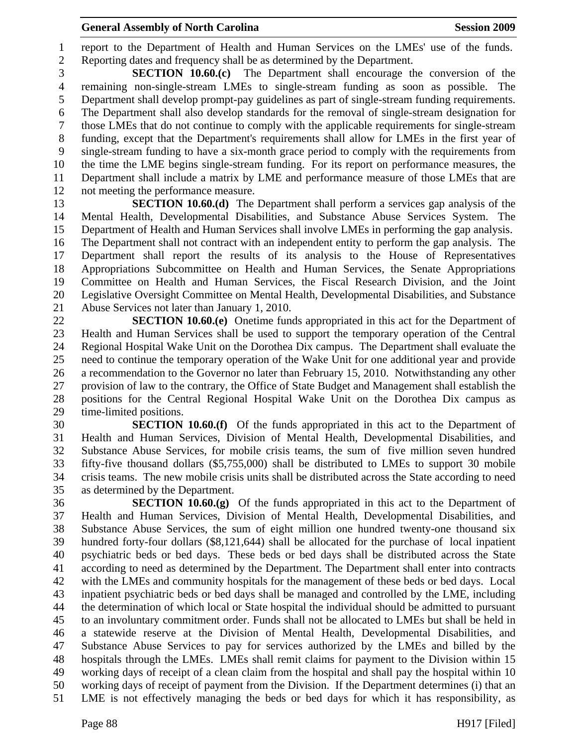1 report to the Department of Health and Human Services on the LMEs' use of the funds. 2 Reporting dates and frequency shall be as determined by the Department.

3 **SECTION 10.60.(c)** The Department shall encourage the conversion of the 4 remaining non-single-stream LMEs to single-stream funding as soon as possible. The 5 Department shall develop prompt-pay guidelines as part of single-stream funding requirements. 6 The Department shall also develop standards for the removal of single-stream designation for 7 those LMEs that do not continue to comply with the applicable requirements for single-stream 8 funding, except that the Department's requirements shall allow for LMEs in the first year of 9 single-stream funding to have a six-month grace period to comply with the requirements from 10 the time the LME begins single-stream funding. For its report on performance measures, the 11 Department shall include a matrix by LME and performance measure of those LMEs that are 12 not meeting the performance measure.

13 **SECTION 10.60.(d)** The Department shall perform a services gap analysis of the 14 Mental Health, Developmental Disabilities, and Substance Abuse Services System. The 15 Department of Health and Human Services shall involve LMEs in performing the gap analysis. 16 The Department shall not contract with an independent entity to perform the gap analysis. The 17 Department shall report the results of its analysis to the House of Representatives 18 Appropriations Subcommittee on Health and Human Services, the Senate Appropriations 19 Committee on Health and Human Services, the Fiscal Research Division, and the Joint 20 Legislative Oversight Committee on Mental Health, Developmental Disabilities, and Substance 21 Abuse Services not later than January 1, 2010.

22 **SECTION 10.60.(e)** Onetime funds appropriated in this act for the Department of 23 Health and Human Services shall be used to support the temporary operation of the Central 24 Regional Hospital Wake Unit on the Dorothea Dix campus. The Department shall evaluate the 25 need to continue the temporary operation of the Wake Unit for one additional year and provide 26 a recommendation to the Governor no later than February 15, 2010. Notwithstanding any other 27 provision of law to the contrary, the Office of State Budget and Management shall establish the 28 positions for the Central Regional Hospital Wake Unit on the Dorothea Dix campus as 29 time-limited positions.

30 **SECTION 10.60.(f)** Of the funds appropriated in this act to the Department of 31 Health and Human Services, Division of Mental Health, Developmental Disabilities, and 32 Substance Abuse Services, for mobile crisis teams, the sum of five million seven hundred 33 fifty-five thousand dollars (\$5,755,000) shall be distributed to LMEs to support 30 mobile 34 crisis teams. The new mobile crisis units shall be distributed across the State according to need 35 as determined by the Department.

36 **SECTION 10.60.(g)** Of the funds appropriated in this act to the Department of 37 Health and Human Services, Division of Mental Health, Developmental Disabilities, and 38 Substance Abuse Services, the sum of eight million one hundred twenty-one thousand six 39 hundred forty-four dollars (\$8,121,644) shall be allocated for the purchase of local inpatient 40 psychiatric beds or bed days. These beds or bed days shall be distributed across the State 41 according to need as determined by the Department. The Department shall enter into contracts 42 with the LMEs and community hospitals for the management of these beds or bed days. Local 43 inpatient psychiatric beds or bed days shall be managed and controlled by the LME, including 44 the determination of which local or State hospital the individual should be admitted to pursuant 45 to an involuntary commitment order. Funds shall not be allocated to LMEs but shall be held in 46 a statewide reserve at the Division of Mental Health, Developmental Disabilities, and 47 Substance Abuse Services to pay for services authorized by the LMEs and billed by the 48 hospitals through the LMEs. LMEs shall remit claims for payment to the Division within 15 49 working days of receipt of a clean claim from the hospital and shall pay the hospital within 10 50 working days of receipt of payment from the Division. If the Department determines (i) that an 51 LME is not effectively managing the beds or bed days for which it has responsibility, as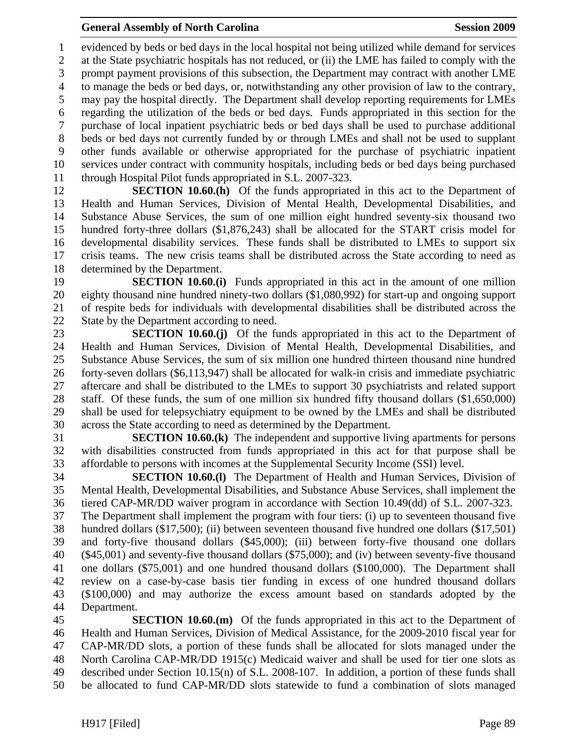1 evidenced by beds or bed days in the local hospital not being utilized while demand for services 2 at the State psychiatric hospitals has not reduced, or (ii) the LME has failed to comply with the 3 prompt payment provisions of this subsection, the Department may contract with another LME 4 to manage the beds or bed days, or, notwithstanding any other provision of law to the contrary, 5 may pay the hospital directly. The Department shall develop reporting requirements for LMEs 6 regarding the utilization of the beds or bed days. Funds appropriated in this section for the 7 purchase of local inpatient psychiatric beds or bed days shall be used to purchase additional 8 beds or bed days not currently funded by or through LMEs and shall not be used to supplant 9 other funds available or otherwise appropriated for the purchase of psychiatric inpatient 10 services under contract with community hospitals, including beds or bed days being purchased 11 through Hospital Pilot funds appropriated in S.L. 2007-323.

12 **SECTION 10.60.(h)** Of the funds appropriated in this act to the Department of 13 Health and Human Services, Division of Mental Health, Developmental Disabilities, and 14 Substance Abuse Services, the sum of one million eight hundred seventy-six thousand two 15 hundred forty-three dollars (\$1,876,243) shall be allocated for the START crisis model for 16 developmental disability services. These funds shall be distributed to LMEs to support six 17 crisis teams. The new crisis teams shall be distributed across the State according to need as 18 determined by the Department.

19 **SECTION 10.60.(i)** Funds appropriated in this act in the amount of one million 20 eighty thousand nine hundred ninety-two dollars (\$1,080,992) for start-up and ongoing support 21 of respite beds for individuals with developmental disabilities shall be distributed across the 22 State by the Department according to need.

23 **SECTION 10.60.(j)** Of the funds appropriated in this act to the Department of 24 Health and Human Services, Division of Mental Health, Developmental Disabilities, and 25 Substance Abuse Services, the sum of six million one hundred thirteen thousand nine hundred 26 forty-seven dollars (\$6,113,947) shall be allocated for walk-in crisis and immediate psychiatric 27 aftercare and shall be distributed to the LMEs to support 30 psychiatrists and related support 28 staff. Of these funds, the sum of one million six hundred fifty thousand dollars (\$1,650,000) 29 shall be used for telepsychiatry equipment to be owned by the LMEs and shall be distributed 30 across the State according to need as determined by the Department.

31 **SECTION 10.60.(k)** The independent and supportive living apartments for persons 32 with disabilities constructed from funds appropriated in this act for that purpose shall be 33 affordable to persons with incomes at the Supplemental Security Income (SSI) level.

34 **SECTION 10.60.(l)** The Department of Health and Human Services, Division of 35 Mental Health, Developmental Disabilities, and Substance Abuse Services, shall implement the 36 tiered CAP-MR/DD waiver program in accordance with Section 10.49(dd) of S.L. 2007-323. 37 The Department shall implement the program with four tiers: (i) up to seventeen thousand five 38 hundred dollars (\$17,500); (ii) between seventeen thousand five hundred one dollars (\$17,501) 39 and forty-five thousand dollars (\$45,000); (iii) between forty-five thousand one dollars 40 (\$45,001) and seventy-five thousand dollars (\$75,000); and (iv) between seventy-five thousand 41 one dollars (\$75,001) and one hundred thousand dollars (\$100,000). The Department shall 42 review on a case-by-case basis tier funding in excess of one hundred thousand dollars 43 (\$100,000) and may authorize the excess amount based on standards adopted by the 44 Department.

45 **SECTION 10.60.(m)** Of the funds appropriated in this act to the Department of 46 Health and Human Services, Division of Medical Assistance, for the 2009-2010 fiscal year for 47 CAP-MR/DD slots, a portion of these funds shall be allocated for slots managed under the 48 North Carolina CAP-MR/DD 1915(c) Medicaid waiver and shall be used for tier one slots as 49 described under Section 10.15(n) of S.L. 2008-107. In addition, a portion of these funds shall 50 be allocated to fund CAP-MR/DD slots statewide to fund a combination of slots managed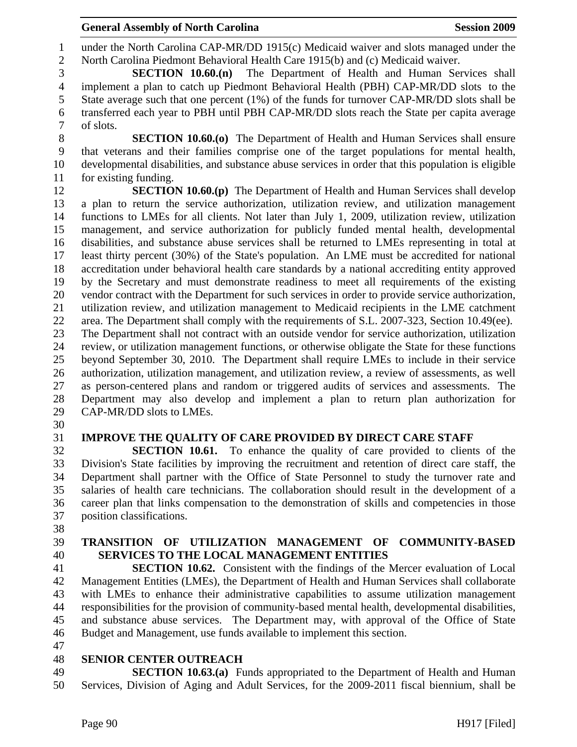1 under the North Carolina CAP-MR/DD 1915(c) Medicaid waiver and slots managed under the 2 North Carolina Piedmont Behavioral Health Care 1915(b) and (c) Medicaid waiver.

3 **SECTION 10.60.(n)** The Department of Health and Human Services shall 4 implement a plan to catch up Piedmont Behavioral Health (PBH) CAP-MR/DD slots to the 5 State average such that one percent (1%) of the funds for turnover CAP-MR/DD slots shall be 6 transferred each year to PBH until PBH CAP-MR/DD slots reach the State per capita average 7 of slots.

8 **SECTION 10.60.(o)** The Department of Health and Human Services shall ensure 9 that veterans and their families comprise one of the target populations for mental health, 10 developmental disabilities, and substance abuse services in order that this population is eligible 11 for existing funding.

12 **SECTION 10.60.(p)** The Department of Health and Human Services shall develop 13 a plan to return the service authorization, utilization review, and utilization management 14 functions to LMEs for all clients. Not later than July 1, 2009, utilization review, utilization 15 management, and service authorization for publicly funded mental health, developmental 16 disabilities, and substance abuse services shall be returned to LMEs representing in total at 17 least thirty percent (30%) of the State's population. An LME must be accredited for national 18 accreditation under behavioral health care standards by a national accrediting entity approved 19 by the Secretary and must demonstrate readiness to meet all requirements of the existing 20 vendor contract with the Department for such services in order to provide service authorization, 21 utilization review, and utilization management to Medicaid recipients in the LME catchment 22 area. The Department shall comply with the requirements of S.L. 2007-323, Section 10.49(ee). 23 The Department shall not contract with an outside vendor for service authorization, utilization 24 review, or utilization management functions, or otherwise obligate the State for these functions 25 beyond September 30, 2010. The Department shall require LMEs to include in their service 26 authorization, utilization management, and utilization review, a review of assessments, as well 27 as person-centered plans and random or triggered audits of services and assessments. The 28 Department may also develop and implement a plan to return plan authorization for 29 CAP-MR/DD slots to LMEs.

30

# 31 **IMPROVE THE QUALITY OF CARE PROVIDED BY DIRECT CARE STAFF**

32 **SECTION 10.61.** To enhance the quality of care provided to clients of the 33 Division's State facilities by improving the recruitment and retention of direct care staff, the 34 Department shall partner with the Office of State Personnel to study the turnover rate and 35 salaries of health care technicians. The collaboration should result in the development of a 36 career plan that links compensation to the demonstration of skills and competencies in those 37 position classifications.

38

# 39 **TRANSITION OF UTILIZATION MANAGEMENT OF COMMUNITY-BASED**  40 **SERVICES TO THE LOCAL MANAGEMENT ENTITIES**

41 **SECTION 10.62.** Consistent with the findings of the Mercer evaluation of Local 42 Management Entities (LMEs), the Department of Health and Human Services shall collaborate 43 with LMEs to enhance their administrative capabilities to assume utilization management 44 responsibilities for the provision of community-based mental health, developmental disabilities, 45 and substance abuse services. The Department may, with approval of the Office of State 46 Budget and Management, use funds available to implement this section.

47

# 48 **SENIOR CENTER OUTREACH**

49 **SECTION 10.63.(a)** Funds appropriated to the Department of Health and Human 50 Services, Division of Aging and Adult Services, for the 2009-2011 fiscal biennium, shall be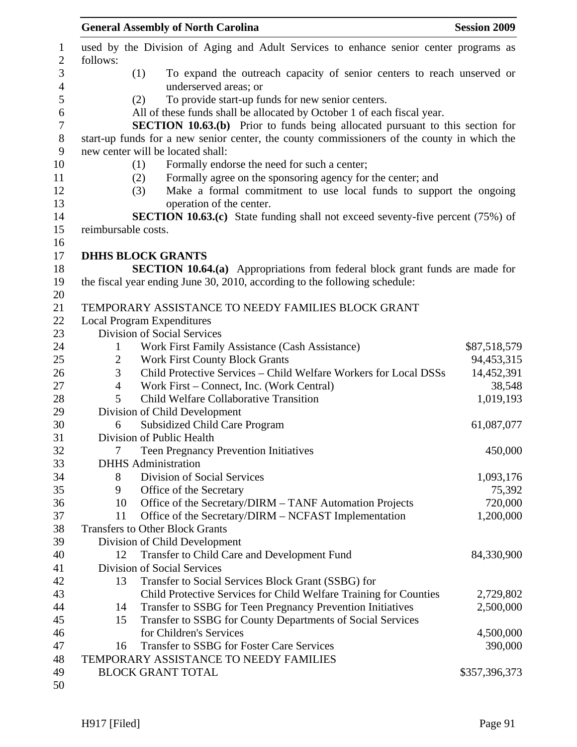|                | <b>General Assembly of North Carolina</b>                                                   | <b>Session 2009</b> |
|----------------|---------------------------------------------------------------------------------------------|---------------------|
| follows:       | used by the Division of Aging and Adult Services to enhance senior center programs as       |                     |
|                | To expand the outreach capacity of senior centers to reach unserved or<br>(1)               |                     |
|                | underserved areas; or                                                                       |                     |
|                | To provide start-up funds for new senior centers.<br>(2)                                    |                     |
|                | All of these funds shall be allocated by October 1 of each fiscal year.                     |                     |
|                | <b>SECTION 10.63.(b)</b> Prior to funds being allocated pursuant to this section for        |                     |
|                | start-up funds for a new senior center, the county commissioners of the county in which the |                     |
|                | new center will be located shall:                                                           |                     |
|                | Formally endorse the need for such a center;<br>(1)                                         |                     |
|                | Formally agree on the sponsoring agency for the center; and<br>(2)                          |                     |
|                | Make a formal commitment to use local funds to support the ongoing<br>(3)                   |                     |
|                | operation of the center.                                                                    |                     |
|                | <b>SECTION 10.63.(c)</b> State funding shall not exceed seventy-five percent (75%) of       |                     |
|                | reimbursable costs.                                                                         |                     |
|                |                                                                                             |                     |
|                | <b>DHHS BLOCK GRANTS</b>                                                                    |                     |
|                | <b>SECTION 10.64.(a)</b> Appropriations from federal block grant funds are made for         |                     |
|                | the fiscal year ending June 30, 2010, according to the following schedule:                  |                     |
|                |                                                                                             |                     |
|                | TEMPORARY ASSISTANCE TO NEEDY FAMILIES BLOCK GRANT                                          |                     |
|                | <b>Local Program Expenditures</b>                                                           |                     |
|                | Division of Social Services                                                                 |                     |
| $\mathbf{1}$   | Work First Family Assistance (Cash Assistance)                                              | \$87,518,579        |
| $\overline{2}$ | <b>Work First County Block Grants</b>                                                       | 94,453,315          |
| 3              | Child Protective Services - Child Welfare Workers for Local DSSs                            | 14,452,391          |
| 4              | Work First – Connect, Inc. (Work Central)                                                   | 38,548              |
| 5              | Child Welfare Collaborative Transition                                                      | 1,019,193           |
|                | Division of Child Development                                                               |                     |
| 6              | <b>Subsidized Child Care Program</b>                                                        | 61,087,077          |
|                | Division of Public Health                                                                   |                     |
| 7              | <b>Teen Pregnancy Prevention Initiatives</b>                                                | 450,000             |
|                | <b>DHHS</b> Administration                                                                  |                     |
| 8              | Division of Social Services                                                                 | 1,093,176           |
| 9              | Office of the Secretary<br>Office of the Secretary/DIRM - TANF Automation Projects<br>10    | 75,392<br>720,000   |
| 11             | Office of the Secretary/DIRM – NCFAST Implementation                                        | 1,200,000           |
|                | <b>Transfers to Other Block Grants</b>                                                      |                     |
|                | Division of Child Development                                                               |                     |
| 12             | Transfer to Child Care and Development Fund                                                 | 84,330,900          |
|                | <b>Division of Social Services</b>                                                          |                     |
|                | Transfer to Social Services Block Grant (SSBG) for<br>13                                    |                     |
|                | Child Protective Services for Child Welfare Training for Counties                           | 2,729,802           |
|                | Transfer to SSBG for Teen Pregnancy Prevention Initiatives<br>14                            | 2,500,000           |
|                | Transfer to SSBG for County Departments of Social Services<br>15                            |                     |
|                | for Children's Services                                                                     | 4,500,000           |
|                | Transfer to SSBG for Foster Care Services<br>16                                             | 390,000             |
|                | TEMPORARY ASSISTANCE TO NEEDY FAMILIES                                                      |                     |
|                | <b>BLOCK GRANT TOTAL</b>                                                                    | \$357,396,373       |
|                |                                                                                             |                     |
|                |                                                                                             |                     |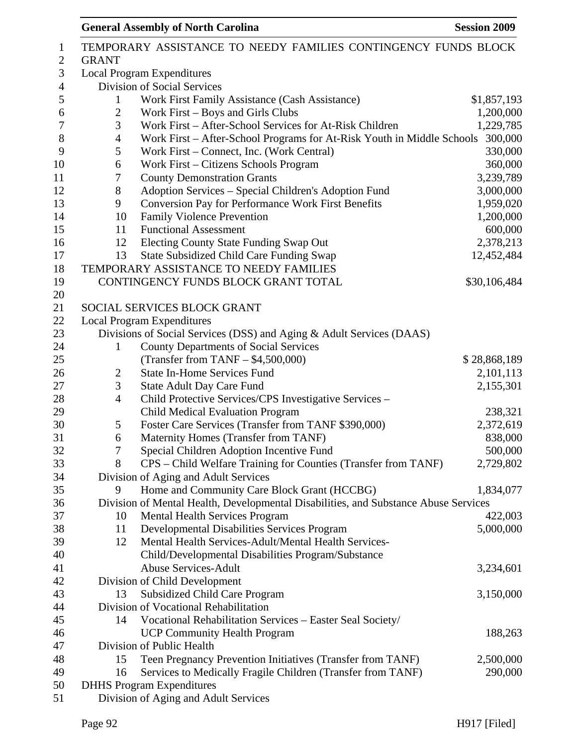|    |                                                                                                                                                      | \$1,857,193                                                                                                                                                                                                                                                                                                                                                                                                                                                                                                                                                                                                                                                                                                                                                                                                                                                                                                                                                                                                                                                                                                                                                                                                                                                                                                                                                                                                                                                                                                                                                                                                                                                                                                                                                                                                                                                        |
|----|------------------------------------------------------------------------------------------------------------------------------------------------------|--------------------------------------------------------------------------------------------------------------------------------------------------------------------------------------------------------------------------------------------------------------------------------------------------------------------------------------------------------------------------------------------------------------------------------------------------------------------------------------------------------------------------------------------------------------------------------------------------------------------------------------------------------------------------------------------------------------------------------------------------------------------------------------------------------------------------------------------------------------------------------------------------------------------------------------------------------------------------------------------------------------------------------------------------------------------------------------------------------------------------------------------------------------------------------------------------------------------------------------------------------------------------------------------------------------------------------------------------------------------------------------------------------------------------------------------------------------------------------------------------------------------------------------------------------------------------------------------------------------------------------------------------------------------------------------------------------------------------------------------------------------------------------------------------------------------------------------------------------------------|
|    |                                                                                                                                                      | 1,200,000                                                                                                                                                                                                                                                                                                                                                                                                                                                                                                                                                                                                                                                                                                                                                                                                                                                                                                                                                                                                                                                                                                                                                                                                                                                                                                                                                                                                                                                                                                                                                                                                                                                                                                                                                                                                                                                          |
|    |                                                                                                                                                      | 1,229,785                                                                                                                                                                                                                                                                                                                                                                                                                                                                                                                                                                                                                                                                                                                                                                                                                                                                                                                                                                                                                                                                                                                                                                                                                                                                                                                                                                                                                                                                                                                                                                                                                                                                                                                                                                                                                                                          |
|    |                                                                                                                                                      | 300,000                                                                                                                                                                                                                                                                                                                                                                                                                                                                                                                                                                                                                                                                                                                                                                                                                                                                                                                                                                                                                                                                                                                                                                                                                                                                                                                                                                                                                                                                                                                                                                                                                                                                                                                                                                                                                                                            |
|    |                                                                                                                                                      | 330,000                                                                                                                                                                                                                                                                                                                                                                                                                                                                                                                                                                                                                                                                                                                                                                                                                                                                                                                                                                                                                                                                                                                                                                                                                                                                                                                                                                                                                                                                                                                                                                                                                                                                                                                                                                                                                                                            |
|    |                                                                                                                                                      | 360,000                                                                                                                                                                                                                                                                                                                                                                                                                                                                                                                                                                                                                                                                                                                                                                                                                                                                                                                                                                                                                                                                                                                                                                                                                                                                                                                                                                                                                                                                                                                                                                                                                                                                                                                                                                                                                                                            |
|    |                                                                                                                                                      | 3,239,789                                                                                                                                                                                                                                                                                                                                                                                                                                                                                                                                                                                                                                                                                                                                                                                                                                                                                                                                                                                                                                                                                                                                                                                                                                                                                                                                                                                                                                                                                                                                                                                                                                                                                                                                                                                                                                                          |
|    |                                                                                                                                                      | 3,000,000                                                                                                                                                                                                                                                                                                                                                                                                                                                                                                                                                                                                                                                                                                                                                                                                                                                                                                                                                                                                                                                                                                                                                                                                                                                                                                                                                                                                                                                                                                                                                                                                                                                                                                                                                                                                                                                          |
| 9  |                                                                                                                                                      | 1,959,020                                                                                                                                                                                                                                                                                                                                                                                                                                                                                                                                                                                                                                                                                                                                                                                                                                                                                                                                                                                                                                                                                                                                                                                                                                                                                                                                                                                                                                                                                                                                                                                                                                                                                                                                                                                                                                                          |
| 10 | <b>Family Violence Prevention</b>                                                                                                                    | 1,200,000                                                                                                                                                                                                                                                                                                                                                                                                                                                                                                                                                                                                                                                                                                                                                                                                                                                                                                                                                                                                                                                                                                                                                                                                                                                                                                                                                                                                                                                                                                                                                                                                                                                                                                                                                                                                                                                          |
| 11 | <b>Functional Assessment</b>                                                                                                                         | 600,000                                                                                                                                                                                                                                                                                                                                                                                                                                                                                                                                                                                                                                                                                                                                                                                                                                                                                                                                                                                                                                                                                                                                                                                                                                                                                                                                                                                                                                                                                                                                                                                                                                                                                                                                                                                                                                                            |
| 12 | Electing County State Funding Swap Out                                                                                                               | 2,378,213                                                                                                                                                                                                                                                                                                                                                                                                                                                                                                                                                                                                                                                                                                                                                                                                                                                                                                                                                                                                                                                                                                                                                                                                                                                                                                                                                                                                                                                                                                                                                                                                                                                                                                                                                                                                                                                          |
| 13 | <b>State Subsidized Child Care Funding Swap</b>                                                                                                      | 12,452,484                                                                                                                                                                                                                                                                                                                                                                                                                                                                                                                                                                                                                                                                                                                                                                                                                                                                                                                                                                                                                                                                                                                                                                                                                                                                                                                                                                                                                                                                                                                                                                                                                                                                                                                                                                                                                                                         |
|    |                                                                                                                                                      |                                                                                                                                                                                                                                                                                                                                                                                                                                                                                                                                                                                                                                                                                                                                                                                                                                                                                                                                                                                                                                                                                                                                                                                                                                                                                                                                                                                                                                                                                                                                                                                                                                                                                                                                                                                                                                                                    |
|    |                                                                                                                                                      | \$30,106,484                                                                                                                                                                                                                                                                                                                                                                                                                                                                                                                                                                                                                                                                                                                                                                                                                                                                                                                                                                                                                                                                                                                                                                                                                                                                                                                                                                                                                                                                                                                                                                                                                                                                                                                                                                                                                                                       |
|    |                                                                                                                                                      |                                                                                                                                                                                                                                                                                                                                                                                                                                                                                                                                                                                                                                                                                                                                                                                                                                                                                                                                                                                                                                                                                                                                                                                                                                                                                                                                                                                                                                                                                                                                                                                                                                                                                                                                                                                                                                                                    |
|    |                                                                                                                                                      |                                                                                                                                                                                                                                                                                                                                                                                                                                                                                                                                                                                                                                                                                                                                                                                                                                                                                                                                                                                                                                                                                                                                                                                                                                                                                                                                                                                                                                                                                                                                                                                                                                                                                                                                                                                                                                                                    |
|    |                                                                                                                                                      |                                                                                                                                                                                                                                                                                                                                                                                                                                                                                                                                                                                                                                                                                                                                                                                                                                                                                                                                                                                                                                                                                                                                                                                                                                                                                                                                                                                                                                                                                                                                                                                                                                                                                                                                                                                                                                                                    |
|    |                                                                                                                                                      |                                                                                                                                                                                                                                                                                                                                                                                                                                                                                                                                                                                                                                                                                                                                                                                                                                                                                                                                                                                                                                                                                                                                                                                                                                                                                                                                                                                                                                                                                                                                                                                                                                                                                                                                                                                                                                                                    |
|    |                                                                                                                                                      |                                                                                                                                                                                                                                                                                                                                                                                                                                                                                                                                                                                                                                                                                                                                                                                                                                                                                                                                                                                                                                                                                                                                                                                                                                                                                                                                                                                                                                                                                                                                                                                                                                                                                                                                                                                                                                                                    |
|    |                                                                                                                                                      | \$28,868,189                                                                                                                                                                                                                                                                                                                                                                                                                                                                                                                                                                                                                                                                                                                                                                                                                                                                                                                                                                                                                                                                                                                                                                                                                                                                                                                                                                                                                                                                                                                                                                                                                                                                                                                                                                                                                                                       |
|    |                                                                                                                                                      | 2,101,113                                                                                                                                                                                                                                                                                                                                                                                                                                                                                                                                                                                                                                                                                                                                                                                                                                                                                                                                                                                                                                                                                                                                                                                                                                                                                                                                                                                                                                                                                                                                                                                                                                                                                                                                                                                                                                                          |
|    |                                                                                                                                                      | 2,155,301                                                                                                                                                                                                                                                                                                                                                                                                                                                                                                                                                                                                                                                                                                                                                                                                                                                                                                                                                                                                                                                                                                                                                                                                                                                                                                                                                                                                                                                                                                                                                                                                                                                                                                                                                                                                                                                          |
|    |                                                                                                                                                      |                                                                                                                                                                                                                                                                                                                                                                                                                                                                                                                                                                                                                                                                                                                                                                                                                                                                                                                                                                                                                                                                                                                                                                                                                                                                                                                                                                                                                                                                                                                                                                                                                                                                                                                                                                                                                                                                    |
|    |                                                                                                                                                      |                                                                                                                                                                                                                                                                                                                                                                                                                                                                                                                                                                                                                                                                                                                                                                                                                                                                                                                                                                                                                                                                                                                                                                                                                                                                                                                                                                                                                                                                                                                                                                                                                                                                                                                                                                                                                                                                    |
|    |                                                                                                                                                      | 238,321                                                                                                                                                                                                                                                                                                                                                                                                                                                                                                                                                                                                                                                                                                                                                                                                                                                                                                                                                                                                                                                                                                                                                                                                                                                                                                                                                                                                                                                                                                                                                                                                                                                                                                                                                                                                                                                            |
|    |                                                                                                                                                      | 2,372,619                                                                                                                                                                                                                                                                                                                                                                                                                                                                                                                                                                                                                                                                                                                                                                                                                                                                                                                                                                                                                                                                                                                                                                                                                                                                                                                                                                                                                                                                                                                                                                                                                                                                                                                                                                                                                                                          |
|    |                                                                                                                                                      | 838,000                                                                                                                                                                                                                                                                                                                                                                                                                                                                                                                                                                                                                                                                                                                                                                                                                                                                                                                                                                                                                                                                                                                                                                                                                                                                                                                                                                                                                                                                                                                                                                                                                                                                                                                                                                                                                                                            |
|    |                                                                                                                                                      | 500,000                                                                                                                                                                                                                                                                                                                                                                                                                                                                                                                                                                                                                                                                                                                                                                                                                                                                                                                                                                                                                                                                                                                                                                                                                                                                                                                                                                                                                                                                                                                                                                                                                                                                                                                                                                                                                                                            |
|    |                                                                                                                                                      | 2,729,802                                                                                                                                                                                                                                                                                                                                                                                                                                                                                                                                                                                                                                                                                                                                                                                                                                                                                                                                                                                                                                                                                                                                                                                                                                                                                                                                                                                                                                                                                                                                                                                                                                                                                                                                                                                                                                                          |
|    |                                                                                                                                                      |                                                                                                                                                                                                                                                                                                                                                                                                                                                                                                                                                                                                                                                                                                                                                                                                                                                                                                                                                                                                                                                                                                                                                                                                                                                                                                                                                                                                                                                                                                                                                                                                                                                                                                                                                                                                                                                                    |
|    |                                                                                                                                                      | 1,834,077                                                                                                                                                                                                                                                                                                                                                                                                                                                                                                                                                                                                                                                                                                                                                                                                                                                                                                                                                                                                                                                                                                                                                                                                                                                                                                                                                                                                                                                                                                                                                                                                                                                                                                                                                                                                                                                          |
|    |                                                                                                                                                      |                                                                                                                                                                                                                                                                                                                                                                                                                                                                                                                                                                                                                                                                                                                                                                                                                                                                                                                                                                                                                                                                                                                                                                                                                                                                                                                                                                                                                                                                                                                                                                                                                                                                                                                                                                                                                                                                    |
|    |                                                                                                                                                      | 422,003                                                                                                                                                                                                                                                                                                                                                                                                                                                                                                                                                                                                                                                                                                                                                                                                                                                                                                                                                                                                                                                                                                                                                                                                                                                                                                                                                                                                                                                                                                                                                                                                                                                                                                                                                                                                                                                            |
|    |                                                                                                                                                      | 5,000,000                                                                                                                                                                                                                                                                                                                                                                                                                                                                                                                                                                                                                                                                                                                                                                                                                                                                                                                                                                                                                                                                                                                                                                                                                                                                                                                                                                                                                                                                                                                                                                                                                                                                                                                                                                                                                                                          |
| 12 |                                                                                                                                                      |                                                                                                                                                                                                                                                                                                                                                                                                                                                                                                                                                                                                                                                                                                                                                                                                                                                                                                                                                                                                                                                                                                                                                                                                                                                                                                                                                                                                                                                                                                                                                                                                                                                                                                                                                                                                                                                                    |
|    | Child/Developmental Disabilities Program/Substance                                                                                                   |                                                                                                                                                                                                                                                                                                                                                                                                                                                                                                                                                                                                                                                                                                                                                                                                                                                                                                                                                                                                                                                                                                                                                                                                                                                                                                                                                                                                                                                                                                                                                                                                                                                                                                                                                                                                                                                                    |
|    | <b>Abuse Services-Adult</b>                                                                                                                          | 3,234,601                                                                                                                                                                                                                                                                                                                                                                                                                                                                                                                                                                                                                                                                                                                                                                                                                                                                                                                                                                                                                                                                                                                                                                                                                                                                                                                                                                                                                                                                                                                                                                                                                                                                                                                                                                                                                                                          |
|    |                                                                                                                                                      |                                                                                                                                                                                                                                                                                                                                                                                                                                                                                                                                                                                                                                                                                                                                                                                                                                                                                                                                                                                                                                                                                                                                                                                                                                                                                                                                                                                                                                                                                                                                                                                                                                                                                                                                                                                                                                                                    |
| 13 | <b>Subsidized Child Care Program</b>                                                                                                                 | 3,150,000                                                                                                                                                                                                                                                                                                                                                                                                                                                                                                                                                                                                                                                                                                                                                                                                                                                                                                                                                                                                                                                                                                                                                                                                                                                                                                                                                                                                                                                                                                                                                                                                                                                                                                                                                                                                                                                          |
|    |                                                                                                                                                      |                                                                                                                                                                                                                                                                                                                                                                                                                                                                                                                                                                                                                                                                                                                                                                                                                                                                                                                                                                                                                                                                                                                                                                                                                                                                                                                                                                                                                                                                                                                                                                                                                                                                                                                                                                                                                                                                    |
| 14 |                                                                                                                                                      |                                                                                                                                                                                                                                                                                                                                                                                                                                                                                                                                                                                                                                                                                                                                                                                                                                                                                                                                                                                                                                                                                                                                                                                                                                                                                                                                                                                                                                                                                                                                                                                                                                                                                                                                                                                                                                                                    |
|    |                                                                                                                                                      | 188,263                                                                                                                                                                                                                                                                                                                                                                                                                                                                                                                                                                                                                                                                                                                                                                                                                                                                                                                                                                                                                                                                                                                                                                                                                                                                                                                                                                                                                                                                                                                                                                                                                                                                                                                                                                                                                                                            |
|    |                                                                                                                                                      |                                                                                                                                                                                                                                                                                                                                                                                                                                                                                                                                                                                                                                                                                                                                                                                                                                                                                                                                                                                                                                                                                                                                                                                                                                                                                                                                                                                                                                                                                                                                                                                                                                                                                                                                                                                                                                                                    |
|    |                                                                                                                                                      |                                                                                                                                                                                                                                                                                                                                                                                                                                                                                                                                                                                                                                                                                                                                                                                                                                                                                                                                                                                                                                                                                                                                                                                                                                                                                                                                                                                                                                                                                                                                                                                                                                                                                                                                                                                                                                                                    |
|    |                                                                                                                                                      |                                                                                                                                                                                                                                                                                                                                                                                                                                                                                                                                                                                                                                                                                                                                                                                                                                                                                                                                                                                                                                                                                                                                                                                                                                                                                                                                                                                                                                                                                                                                                                                                                                                                                                                                                                                                                                                                    |
| 15 | Teen Pregnancy Prevention Initiatives (Transfer from TANF)                                                                                           | 2,500,000                                                                                                                                                                                                                                                                                                                                                                                                                                                                                                                                                                                                                                                                                                                                                                                                                                                                                                                                                                                                                                                                                                                                                                                                                                                                                                                                                                                                                                                                                                                                                                                                                                                                                                                                                                                                                                                          |
| 16 | Services to Medically Fragile Children (Transfer from TANF)<br><b>DHHS</b> Program Expenditures                                                      | 290,000                                                                                                                                                                                                                                                                                                                                                                                                                                                                                                                                                                                                                                                                                                                                                                                                                                                                                                                                                                                                                                                                                                                                                                                                                                                                                                                                                                                                                                                                                                                                                                                                                                                                                                                                                                                                                                                            |
|    | <b>GRANT</b><br>1<br>$\overline{c}$<br>3<br>4<br>5<br>6<br>7<br>8<br>1<br>$\overline{c}$<br>3<br>$\overline{4}$<br>5<br>6<br>7<br>8<br>9<br>10<br>11 | TEMPORARY ASSISTANCE TO NEEDY FAMILIES CONTINGENCY FUNDS BLOCK<br><b>Local Program Expenditures</b><br><b>Division of Social Services</b><br>Work First Family Assistance (Cash Assistance)<br>Work First – Boys and Girls Clubs<br>Work First - After-School Services for At-Risk Children<br>Work First – After-School Programs for At-Risk Youth in Middle Schools<br>Work First – Connect, Inc. (Work Central)<br>Work First – Citizens Schools Program<br><b>County Demonstration Grants</b><br>Adoption Services - Special Children's Adoption Fund<br>Conversion Pay for Performance Work First Benefits<br>TEMPORARY ASSISTANCE TO NEEDY FAMILIES<br>CONTINGENCY FUNDS BLOCK GRANT TOTAL<br>SOCIAL SERVICES BLOCK GRANT<br><b>Local Program Expenditures</b><br>Divisions of Social Services (DSS) and Aging & Adult Services (DAAS)<br><b>County Departments of Social Services</b><br>(Transfer from TANF $-$ \$4,500,000)<br><b>State In-Home Services Fund</b><br><b>State Adult Day Care Fund</b><br>Child Protective Services/CPS Investigative Services -<br>Child Medical Evaluation Program<br>Foster Care Services (Transfer from TANF \$390,000)<br>Maternity Homes (Transfer from TANF)<br>Special Children Adoption Incentive Fund<br>CPS - Child Welfare Training for Counties (Transfer from TANF)<br>Division of Aging and Adult Services<br>Home and Community Care Block Grant (HCCBG)<br>Division of Mental Health, Developmental Disabilities, and Substance Abuse Services<br><b>Mental Health Services Program</b><br>Developmental Disabilities Services Program<br>Mental Health Services-Adult/Mental Health Services-<br>Division of Child Development<br>Division of Vocational Rehabilitation<br>Vocational Rehabilitation Services - Easter Seal Society/<br><b>UCP Community Health Program</b><br>Division of Public Health |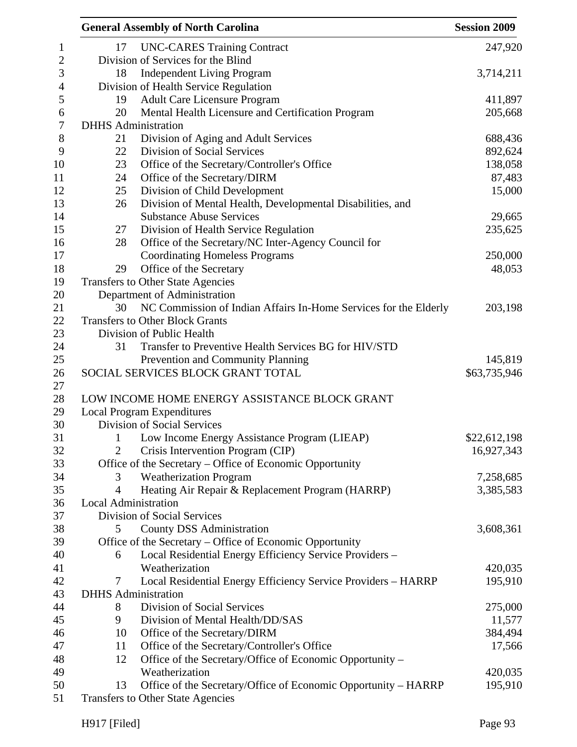|    | <b>General Assembly of North Carolina</b>                        | <b>Session 2009</b> |
|----|------------------------------------------------------------------|---------------------|
| 17 | <b>UNC-CARES Training Contract</b>                               | 247,920             |
|    | Division of Services for the Blind                               |                     |
| 18 | <b>Independent Living Program</b>                                | 3,714,211           |
|    | Division of Health Service Regulation                            |                     |
| 19 | <b>Adult Care Licensure Program</b>                              | 411,897             |
| 20 | Mental Health Licensure and Certification Program                | 205,668             |
|    | <b>DHHS</b> Administration                                       |                     |
| 21 | Division of Aging and Adult Services                             | 688,436             |
| 22 | <b>Division of Social Services</b>                               | 892,624             |
| 23 | Office of the Secretary/Controller's Office                      | 138,058             |
| 24 | Office of the Secretary/DIRM                                     | 87,483              |
| 25 | Division of Child Development                                    | 15,000              |
| 26 | Division of Mental Health, Developmental Disabilities, and       |                     |
|    | <b>Substance Abuse Services</b>                                  | 29,665              |
| 27 | Division of Health Service Regulation                            | 235,625             |
| 28 | Office of the Secretary/NC Inter-Agency Council for              |                     |
|    | <b>Coordinating Homeless Programs</b>                            | 250,000             |
| 29 | Office of the Secretary                                          | 48,053              |
|    | Transfers to Other State Agencies                                |                     |
|    | Department of Administration                                     |                     |
| 30 | NC Commission of Indian Affairs In-Home Services for the Elderly | 203,198             |
|    | <b>Transfers to Other Block Grants</b>                           |                     |
|    | Division of Public Health                                        |                     |
| 31 | Transfer to Preventive Health Services BG for HIV/STD            |                     |
|    | Prevention and Community Planning                                | 145,819             |
|    | SOCIAL SERVICES BLOCK GRANT TOTAL                                | \$63,735,946        |
|    |                                                                  |                     |
|    | LOW INCOME HOME ENERGY ASSISTANCE BLOCK GRANT                    |                     |
|    | <b>Local Program Expenditures</b>                                |                     |
|    | Division of Social Services                                      |                     |
| 1  | Low Income Energy Assistance Program (LIEAP)                     | \$22,612,198        |
| 2  | Crisis Intervention Program (CIP)                                | 16,927,343          |
|    | Office of the Secretary - Office of Economic Opportunity         |                     |
| 3  | <b>Weatherization Program</b>                                    | 7,258,685           |
| 4  | Heating Air Repair & Replacement Program (HARRP)                 | 3,385,583           |
|    | Local Administration                                             |                     |
|    | <b>Division of Social Services</b>                               |                     |
| 5  | <b>County DSS Administration</b>                                 | 3,608,361           |
|    | Office of the Secretary – Office of Economic Opportunity         |                     |
| 6  | Local Residential Energy Efficiency Service Providers -          |                     |
|    | Weatherization                                                   | 420,035             |
| 7  | Local Residential Energy Efficiency Service Providers - HARRP    | 195,910             |
|    | <b>DHHS</b> Administration                                       |                     |
| 8  | Division of Social Services                                      | 275,000             |
| 9  | Division of Mental Health/DD/SAS                                 | 11,577              |
| 10 | Office of the Secretary/DIRM                                     | 384,494             |
| 11 | Office of the Secretary/Controller's Office                      | 17,566              |
| 12 | Office of the Secretary/Office of Economic Opportunity –         |                     |
|    | Weatherization                                                   | 420,035             |
| 13 | Office of the Secretary/Office of Economic Opportunity – HARRP   | 195,910             |
|    | Transfers to Other State Agencies                                |                     |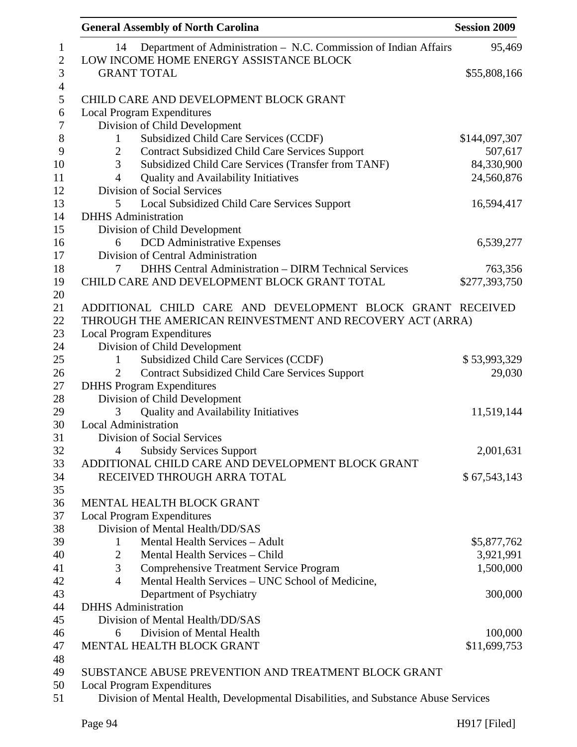| <b>General Assembly of North Carolina</b>                                                                         | <b>Session 2009</b> |
|-------------------------------------------------------------------------------------------------------------------|---------------------|
| Department of Administration - N.C. Commission of Indian Affairs<br>14<br>LOW INCOME HOME ENERGY ASSISTANCE BLOCK | 95,469              |
| <b>GRANT TOTAL</b>                                                                                                | \$55,808,166        |
| CHILD CARE AND DEVELOPMENT BLOCK GRANT                                                                            |                     |
|                                                                                                                   |                     |
| <b>Local Program Expenditures</b>                                                                                 |                     |
| Division of Child Development                                                                                     |                     |
| Subsidized Child Care Services (CCDF)<br>$\mathbf{1}$                                                             | \$144,097,307       |
| <b>Contract Subsidized Child Care Services Support</b><br>$\overline{2}$                                          | 507,617             |
| 3<br>Subsidized Child Care Services (Transfer from TANF)                                                          | 84,330,900          |
| <b>Quality and Availability Initiatives</b><br>4                                                                  | 24,560,876          |
| Division of Social Services                                                                                       |                     |
| 5<br>Local Subsidized Child Care Services Support                                                                 | 16,594,417          |
| <b>DHHS</b> Administration                                                                                        |                     |
| Division of Child Development                                                                                     |                     |
| <b>DCD</b> Administrative Expenses<br>6                                                                           | 6,539,277           |
| Division of Central Administration                                                                                |                     |
| <b>DHHS Central Administration - DIRM Technical Services</b><br>7                                                 | 763,356             |
| CHILD CARE AND DEVELOPMENT BLOCK GRANT TOTAL                                                                      | \$277,393,750       |
|                                                                                                                   |                     |
| ADDITIONAL CHILD CARE AND DEVELOPMENT BLOCK GRANT RECEIVED                                                        |                     |
| THROUGH THE AMERICAN REINVESTMENT AND RECOVERY ACT (ARRA)                                                         |                     |
| <b>Local Program Expenditures</b>                                                                                 |                     |
| Division of Child Development                                                                                     |                     |
| Subsidized Child Care Services (CCDF)<br>1                                                                        | \$53,993,329        |
| <b>Contract Subsidized Child Care Services Support</b>                                                            | 29,030              |
| <b>DHHS</b> Program Expenditures                                                                                  |                     |
| Division of Child Development                                                                                     |                     |
| Quality and Availability Initiatives<br>3                                                                         | 11,519,144          |
| <b>Local Administration</b>                                                                                       |                     |
| Division of Social Services                                                                                       |                     |
| <b>Subsidy Services Support</b><br>4                                                                              | 2,001,631           |
| ADDITIONAL CHILD CARE AND DEVELOPMENT BLOCK GRANT                                                                 |                     |
| RECEIVED THROUGH ARRA TOTAL                                                                                       | \$67,543,143        |
|                                                                                                                   |                     |
| MENTAL HEALTH BLOCK GRANT                                                                                         |                     |
| <b>Local Program Expenditures</b>                                                                                 |                     |
| Division of Mental Health/DD/SAS                                                                                  |                     |
| Mental Health Services - Adult<br>$\mathbf{1}$                                                                    | \$5,877,762         |
| Mental Health Services - Child<br>$\overline{2}$                                                                  | 3,921,991           |
| 3<br><b>Comprehensive Treatment Service Program</b>                                                               | 1,500,000           |
| Mental Health Services - UNC School of Medicine,<br>$\overline{4}$                                                |                     |
| Department of Psychiatry                                                                                          | 300,000             |
| <b>DHHS</b> Administration                                                                                        |                     |
| Division of Mental Health/DD/SAS                                                                                  |                     |
| Division of Mental Health<br>6                                                                                    | 100,000             |
| MENTAL HEALTH BLOCK GRANT                                                                                         | \$11,699,753        |
|                                                                                                                   |                     |
| SUBSTANCE ABUSE PREVENTION AND TREATMENT BLOCK GRANT                                                              |                     |
| <b>Local Program Expenditures</b>                                                                                 |                     |
| Division of Mental Health, Developmental Disabilities, and Substance Abuse Services                               |                     |
|                                                                                                                   |                     |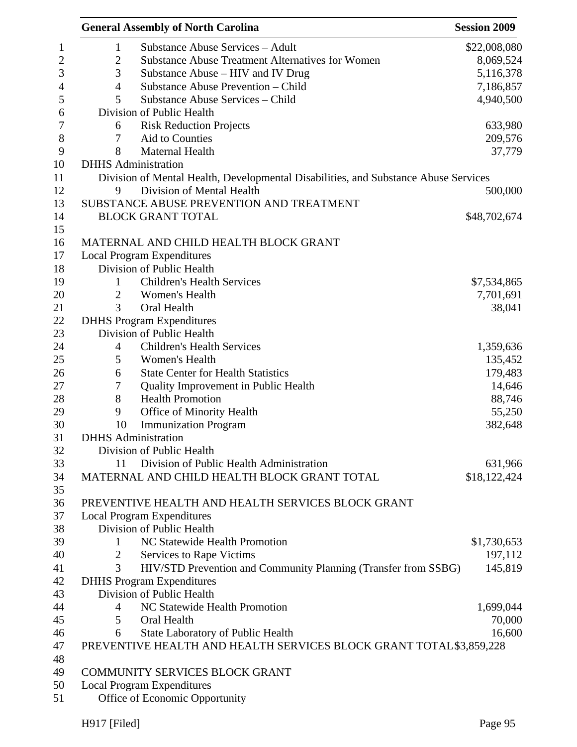|                | <b>General Assembly of North Carolina</b>                                           | <b>Session 2009</b> |
|----------------|-------------------------------------------------------------------------------------|---------------------|
| $\mathbf{1}$   | <b>Substance Abuse Services - Adult</b>                                             | \$22,008,080        |
| $\mathfrak{2}$ | <b>Substance Abuse Treatment Alternatives for Women</b>                             | 8,069,524           |
| 3              | Substance Abuse – HIV and IV Drug                                                   | 5,116,378           |
| $\overline{4}$ | Substance Abuse Prevention - Child                                                  | 7,186,857           |
| 5              | Substance Abuse Services - Child                                                    | 4,940,500           |
|                | Division of Public Health                                                           |                     |
| 6              | <b>Risk Reduction Projects</b>                                                      | 633,980             |
| 7              | Aid to Counties                                                                     | 209,576             |
| 8              | Maternal Health                                                                     | 37,779              |
|                | <b>DHHS</b> Administration                                                          |                     |
|                | Division of Mental Health, Developmental Disabilities, and Substance Abuse Services |                     |
| 9              | Division of Mental Health                                                           | 500,000             |
|                | SUBSTANCE ABUSE PREVENTION AND TREATMENT                                            |                     |
|                | <b>BLOCK GRANT TOTAL</b>                                                            | \$48,702,674        |
|                |                                                                                     |                     |
|                | MATERNAL AND CHILD HEALTH BLOCK GRANT                                               |                     |
|                | <b>Local Program Expenditures</b>                                                   |                     |
|                | Division of Public Health                                                           |                     |
|                | <b>Children's Health Services</b>                                                   |                     |
| 1              |                                                                                     | \$7,534,865         |
| $\overline{2}$ | Women's Health                                                                      | 7,701,691           |
| 3              | Oral Health                                                                         | 38,041              |
|                | <b>DHHS Program Expenditures</b>                                                    |                     |
|                | Division of Public Health                                                           |                     |
| $\overline{4}$ | <b>Children's Health Services</b>                                                   | 1,359,636           |
| 5              | Women's Health                                                                      | 135,452             |
| 6              | <b>State Center for Health Statistics</b>                                           | 179,483             |
| 7              | Quality Improvement in Public Health                                                | 14,646              |
| 8              | <b>Health Promotion</b>                                                             | 88,746              |
| 9              | Office of Minority Health                                                           | 55,250              |
| 10             | <b>Immunization Program</b>                                                         | 382,648             |
|                | <b>DHHS</b> Administration                                                          |                     |
|                | Division of Public Health                                                           |                     |
| 11             | Division of Public Health Administration                                            | 631,966             |
|                | MATERNAL AND CHILD HEALTH BLOCK GRANT TOTAL                                         | \$18,122,424        |
|                |                                                                                     |                     |
|                | PREVENTIVE HEALTH AND HEALTH SERVICES BLOCK GRANT                                   |                     |
|                | <b>Local Program Expenditures</b>                                                   |                     |
|                | Division of Public Health                                                           |                     |
| 1              | NC Statewide Health Promotion                                                       | \$1,730,653         |
| 2              | Services to Rape Victims                                                            | 197,112             |
| 3              | HIV/STD Prevention and Community Planning (Transfer from SSBG)                      | 145,819             |
|                | <b>DHHS Program Expenditures</b>                                                    |                     |
|                | Division of Public Health                                                           |                     |
| 4              | NC Statewide Health Promotion                                                       | 1,699,044           |
| 5              | Oral Health                                                                         | 70,000              |
| 6              | <b>State Laboratory of Public Health</b>                                            | 16,600              |
|                | PREVENTIVE HEALTH AND HEALTH SERVICES BLOCK GRANT TOTAL \$3,859,228                 |                     |
|                |                                                                                     |                     |
|                | COMMUNITY SERVICES BLOCK GRANT                                                      |                     |
|                | <b>Local Program Expenditures</b>                                                   |                     |
|                | Office of Economic Opportunity                                                      |                     |
|                |                                                                                     |                     |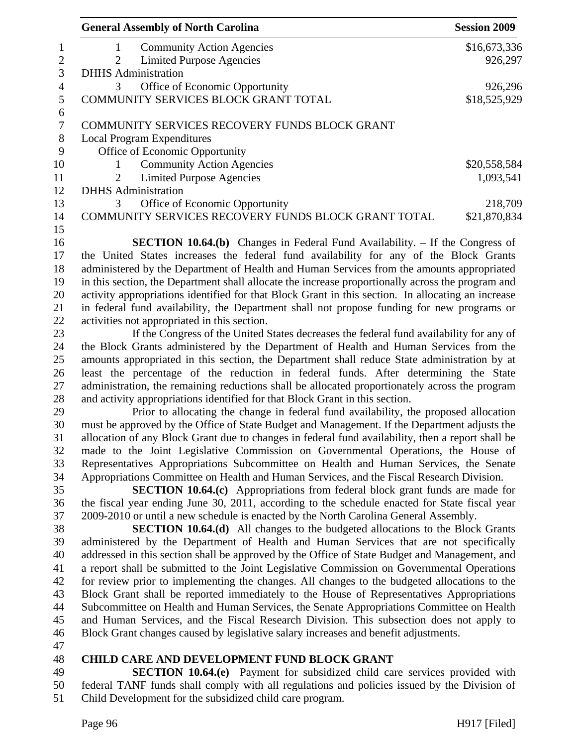| <b>General Assembly of North Carolina</b>                                                                                                                                              | <b>Session 2009</b> |
|----------------------------------------------------------------------------------------------------------------------------------------------------------------------------------------|---------------------|
| <b>Community Action Agencies</b><br>1                                                                                                                                                  | \$16,673,336        |
| <b>Limited Purpose Agencies</b><br>2                                                                                                                                                   | 926,297             |
| <b>DHHS</b> Administration                                                                                                                                                             |                     |
| Office of Economic Opportunity<br>3                                                                                                                                                    | 926,296             |
| COMMUNITY SERVICES BLOCK GRANT TOTAL                                                                                                                                                   | \$18,525,929        |
| COMMUNITY SERVICES RECOVERY FUNDS BLOCK GRANT                                                                                                                                          |                     |
| <b>Local Program Expenditures</b>                                                                                                                                                      |                     |
| Office of Economic Opportunity                                                                                                                                                         |                     |
| <b>Community Action Agencies</b><br>1                                                                                                                                                  | \$20,558,584        |
| <b>Limited Purpose Agencies</b><br>2                                                                                                                                                   | 1,093,541           |
| <b>DHHS</b> Administration                                                                                                                                                             |                     |
| Office of Economic Opportunity<br>3                                                                                                                                                    | 218,709             |
| COMMUNITY SERVICES RECOVERY FUNDS BLOCK GRANT TOTAL                                                                                                                                    | \$21,870,834        |
|                                                                                                                                                                                        |                     |
| <b>SECTION 10.64.(b)</b> Changes in Federal Fund Availability. – If the Congress of                                                                                                    |                     |
| the United States increases the federal fund availability for any of the Block Grants                                                                                                  |                     |
| administered by the Department of Health and Human Services from the amounts appropriated                                                                                              |                     |
| in this section, the Department shall allocate the increase proportionally across the program and                                                                                      |                     |
| activity appropriations identified for that Block Grant in this section. In allocating an increase                                                                                     |                     |
| in federal fund availability, the Department shall not propose funding for new programs or                                                                                             |                     |
| activities not appropriated in this section.                                                                                                                                           |                     |
| If the Congress of the United States decreases the federal fund availability for any of                                                                                                |                     |
| the Block Grants administered by the Department of Health and Human Services from the                                                                                                  |                     |
| amounts appropriated in this section, the Department shall reduce State administration by at                                                                                           |                     |
| least the percentage of the reduction in federal funds. After determining the State                                                                                                    |                     |
| administration, the remaining reductions shall be allocated proportionately across the program                                                                                         |                     |
| and activity appropriations identified for that Block Grant in this section.                                                                                                           |                     |
| Prior to allocating the change in federal fund availability, the proposed allocation                                                                                                   |                     |
| must be approved by the Office of State Budget and Management. If the Department adjusts the                                                                                           |                     |
| allocation of any Block Grant due to changes in federal fund availability, then a report shall be<br>made to the Joint Legislative Commission on Governmental Operations, the House of |                     |
| Representatives Appropriations Subcommittee on Health and Human Services, the Senate                                                                                                   |                     |
| Appropriations Committee on Health and Human Services, and the Fiscal Research Division.                                                                                               |                     |
| <b>SECTION 10.64.(c)</b> Appropriations from federal block grant funds are made for                                                                                                    |                     |
| the fiscal year ending June 30, 2011, according to the schedule enacted for State fiscal year                                                                                          |                     |
| 2009-2010 or until a new schedule is enacted by the North Carolina General Assembly.                                                                                                   |                     |
| <b>SECTION 10.64.(d)</b> All changes to the budgeted allocations to the Block Grants                                                                                                   |                     |
| administered by the Department of Health and Human Services that are not specifically                                                                                                  |                     |
| addressed in this section shall be approved by the Office of State Budget and Management, and                                                                                          |                     |
| a report shall be submitted to the Joint Legislative Commission on Governmental Operations                                                                                             |                     |
| for review prior to implementing the changes. All changes to the budgeted allocations to the                                                                                           |                     |
| Block Grant shall be reported immediately to the House of Representatives Appropriations                                                                                               |                     |
| Subcommittee on Health and Human Services, the Senate Appropriations Committee on Health                                                                                               |                     |
| and Human Services, and the Fiscal Research Division. This subsection does not apply to                                                                                                |                     |
| Block Grant changes caused by legislative salary increases and benefit adjustments.                                                                                                    |                     |
|                                                                                                                                                                                        |                     |
| <b>CHILD CARE AND DEVELOPMENT FUND BLOCK GRANT</b>                                                                                                                                     |                     |
| <b>SECTION 10.64.(e)</b> Payment for subsidized child care services provided with                                                                                                      |                     |
| federal TANF funds shall comply with all regulations and policies issued by the Division of                                                                                            |                     |
| Child Development for the subsidized child care program.                                                                                                                               |                     |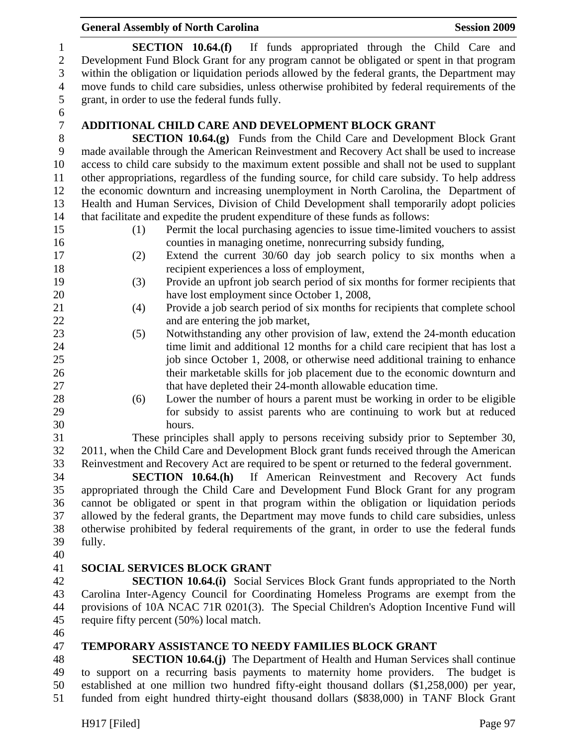|                                                        | <b>General Assembly of North Carolina</b><br><b>Session 2009</b>                                                                                                                                                                                                                                                                                                                                                         |  |
|--------------------------------------------------------|--------------------------------------------------------------------------------------------------------------------------------------------------------------------------------------------------------------------------------------------------------------------------------------------------------------------------------------------------------------------------------------------------------------------------|--|
| $\mathbf{1}$<br>$\sqrt{2}$<br>3<br>$\overline{4}$<br>5 | SECTION 10.64(f)<br>If funds appropriated through the Child Care and<br>Development Fund Block Grant for any program cannot be obligated or spent in that program<br>within the obligation or liquidation periods allowed by the federal grants, the Department may<br>move funds to child care subsidies, unless otherwise prohibited by federal requirements of the<br>grant, in order to use the federal funds fully. |  |
| 6                                                      |                                                                                                                                                                                                                                                                                                                                                                                                                          |  |
| $\boldsymbol{7}$                                       | <b>ADDITIONAL CHILD CARE AND DEVELOPMENT BLOCK GRANT</b>                                                                                                                                                                                                                                                                                                                                                                 |  |
| $8\,$                                                  | <b>SECTION 10.64.(g)</b> Funds from the Child Care and Development Block Grant                                                                                                                                                                                                                                                                                                                                           |  |
| 9                                                      | made available through the American Reinvestment and Recovery Act shall be used to increase                                                                                                                                                                                                                                                                                                                              |  |
| 10                                                     | access to child care subsidy to the maximum extent possible and shall not be used to supplant                                                                                                                                                                                                                                                                                                                            |  |
| 11                                                     | other appropriations, regardless of the funding source, for child care subsidy. To help address                                                                                                                                                                                                                                                                                                                          |  |
| 12                                                     | the economic downturn and increasing unemployment in North Carolina, the Department of                                                                                                                                                                                                                                                                                                                                   |  |
| 13                                                     | Health and Human Services, Division of Child Development shall temporarily adopt policies                                                                                                                                                                                                                                                                                                                                |  |
| 14                                                     | that facilitate and expedite the prudent expenditure of these funds as follows:                                                                                                                                                                                                                                                                                                                                          |  |
| 15                                                     | Permit the local purchasing agencies to issue time-limited vouchers to assist<br>(1)                                                                                                                                                                                                                                                                                                                                     |  |
| 16                                                     | counties in managing onetime, nonrecurring subsidy funding,                                                                                                                                                                                                                                                                                                                                                              |  |
| 17                                                     | Extend the current 30/60 day job search policy to six months when a<br>(2)                                                                                                                                                                                                                                                                                                                                               |  |
| 18                                                     | recipient experiences a loss of employment,                                                                                                                                                                                                                                                                                                                                                                              |  |
| 19                                                     | (3)<br>Provide an upfront job search period of six months for former recipients that                                                                                                                                                                                                                                                                                                                                     |  |
| 20                                                     | have lost employment since October 1, 2008,                                                                                                                                                                                                                                                                                                                                                                              |  |
| 21<br>22                                               | Provide a job search period of six months for recipients that complete school<br>(4)<br>and are entering the job market,                                                                                                                                                                                                                                                                                                 |  |
| 23                                                     | Notwithstanding any other provision of law, extend the 24-month education<br>(5)                                                                                                                                                                                                                                                                                                                                         |  |
| 24                                                     | time limit and additional 12 months for a child care recipient that has lost a                                                                                                                                                                                                                                                                                                                                           |  |
| 25                                                     | job since October 1, 2008, or otherwise need additional training to enhance                                                                                                                                                                                                                                                                                                                                              |  |
| 26                                                     | their marketable skills for job placement due to the economic downturn and                                                                                                                                                                                                                                                                                                                                               |  |
| 27                                                     | that have depleted their 24-month allowable education time.                                                                                                                                                                                                                                                                                                                                                              |  |
| 28                                                     | Lower the number of hours a parent must be working in order to be eligible<br>(6)                                                                                                                                                                                                                                                                                                                                        |  |
| 29                                                     | for subsidy to assist parents who are continuing to work but at reduced                                                                                                                                                                                                                                                                                                                                                  |  |
| 30                                                     | hours.                                                                                                                                                                                                                                                                                                                                                                                                                   |  |
| 31                                                     | These principles shall apply to persons receiving subsidy prior to September 30,                                                                                                                                                                                                                                                                                                                                         |  |
| 32                                                     | 2011, when the Child Care and Development Block grant funds received through the American                                                                                                                                                                                                                                                                                                                                |  |
| 33                                                     | Reinvestment and Recovery Act are required to be spent or returned to the federal government.                                                                                                                                                                                                                                                                                                                            |  |
| 34                                                     | <b>SECTION 10.64.(h)</b> If American Reinvestment and Recovery Act funds                                                                                                                                                                                                                                                                                                                                                 |  |
| 35                                                     | appropriated through the Child Care and Development Fund Block Grant for any program                                                                                                                                                                                                                                                                                                                                     |  |
| 36                                                     | cannot be obligated or spent in that program within the obligation or liquidation periods                                                                                                                                                                                                                                                                                                                                |  |
| 37                                                     | allowed by the federal grants, the Department may move funds to child care subsidies, unless                                                                                                                                                                                                                                                                                                                             |  |
| 38                                                     | otherwise prohibited by federal requirements of the grant, in order to use the federal funds                                                                                                                                                                                                                                                                                                                             |  |
| 39                                                     | fully.                                                                                                                                                                                                                                                                                                                                                                                                                   |  |
| 40                                                     |                                                                                                                                                                                                                                                                                                                                                                                                                          |  |
| 41                                                     | <b>SOCIAL SERVICES BLOCK GRANT</b>                                                                                                                                                                                                                                                                                                                                                                                       |  |
| 42                                                     | <b>SECTION 10.64.(i)</b> Social Services Block Grant funds appropriated to the North                                                                                                                                                                                                                                                                                                                                     |  |
| 43                                                     | Carolina Inter-Agency Council for Coordinating Homeless Programs are exempt from the                                                                                                                                                                                                                                                                                                                                     |  |
| 44<br>45                                               | provisions of 10A NCAC 71R 0201(3). The Special Children's Adoption Incentive Fund will<br>require fifty percent (50%) local match.                                                                                                                                                                                                                                                                                      |  |
| 46                                                     |                                                                                                                                                                                                                                                                                                                                                                                                                          |  |
| 47                                                     | <b>TEMPORARY ASSISTANCE TO NEEDY FAMILIES BLOCK GRANT</b>                                                                                                                                                                                                                                                                                                                                                                |  |
| 48                                                     | <b>SECTION 10.64.(i)</b> The Department of Health and Human Services shall continue                                                                                                                                                                                                                                                                                                                                      |  |

48 **SECTION 10.64.(j)** The Department of Health and Human Services shall continue 49 to support on a recurring basis payments to maternity home providers. The budget is 50 established at one million two hundred fifty-eight thousand dollars (\$1,258,000) per year, 51 funded from eight hundred thirty-eight thousand dollars (\$838,000) in TANF Block Grant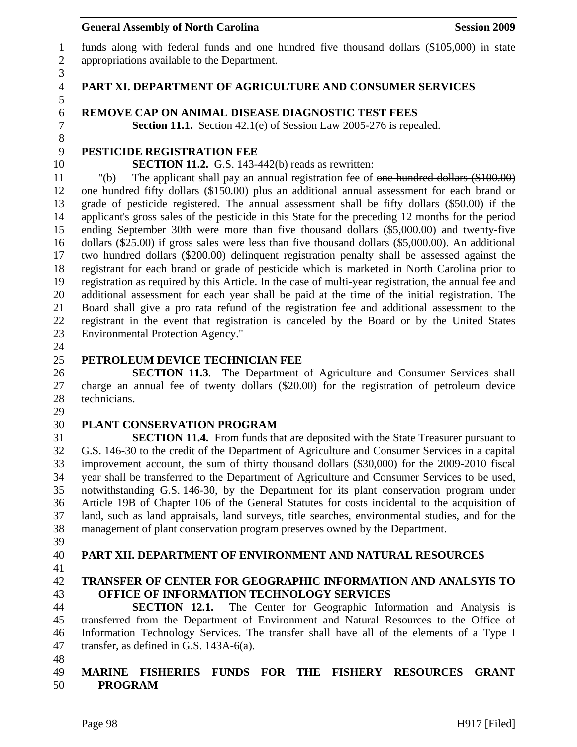1 funds along with federal funds and one hundred five thousand dollars (\$105,000) in state 2 appropriations available to the Department.

#### 4 **PART XI. DEPARTMENT OF AGRICULTURE AND CONSUMER SERVICES**

#### 6 **REMOVE CAP ON ANIMAL DISEASE DIAGNOSTIC TEST FEES**

7 **Section 11.1.** Section 42.1(e) of Session Law 2005-276 is repealed.

# 9 **PESTICIDE REGISTRATION FEE**

10 **SECTION 11.2.** G.S. 143-442(b) reads as rewritten:

11 "(b) The applicant shall pay an annual registration fee of one hundred dollars (\$100.00) 12 one hundred fifty dollars (\$150.00) plus an additional annual assessment for each brand or 13 grade of pesticide registered. The annual assessment shall be fifty dollars (\$50.00) if the 14 applicant's gross sales of the pesticide in this State for the preceding 12 months for the period 15 ending September 30th were more than five thousand dollars (\$5,000.00) and twenty-five 16 dollars (\$25.00) if gross sales were less than five thousand dollars (\$5,000.00). An additional 17 two hundred dollars (\$200.00) delinquent registration penalty shall be assessed against the 18 registrant for each brand or grade of pesticide which is marketed in North Carolina prior to 19 registration as required by this Article. In the case of multi-year registration, the annual fee and 20 additional assessment for each year shall be paid at the time of the initial registration. The 21 Board shall give a pro rata refund of the registration fee and additional assessment to the 22 registrant in the event that registration is canceled by the Board or by the United States 23 Environmental Protection Agency."

24

3

5

8

### 25 **PETROLEUM DEVICE TECHNICIAN FEE**

26 **SECTION 11.3**. The Department of Agriculture and Consumer Services shall 27 charge an annual fee of twenty dollars (\$20.00) for the registration of petroleum device 28 technicians.

29

### 30 **PLANT CONSERVATION PROGRAM**

31 **SECTION 11.4.** From funds that are deposited with the State Treasurer pursuant to 32 G.S. 146-30 to the credit of the Department of Agriculture and Consumer Services in a capital 33 improvement account, the sum of thirty thousand dollars (\$30,000) for the 2009-2010 fiscal 34 year shall be transferred to the Department of Agriculture and Consumer Services to be used, 35 notwithstanding G.S. 146-30, by the Department for its plant conservation program under 36 Article 19B of Chapter 106 of the General Statutes for costs incidental to the acquisition of 37 land, such as land appraisals, land surveys, title searches, environmental studies, and for the 38 management of plant conservation program preserves owned by the Department.

39

# 40 **PART XII. DEPARTMENT OF ENVIRONMENT AND NATURAL RESOURCES**

41

# 42 **TRANSFER OF CENTER FOR GEOGRAPHIC INFORMATION AND ANALSYIS TO**  43 **OFFICE OF INFORMATION TECHNOLOGY SERVICES**

44 **SECTION 12.1.** The Center for Geographic Information and Analysis is 45 transferred from the Department of Environment and Natural Resources to the Office of 46 Information Technology Services. The transfer shall have all of the elements of a Type I 47 transfer, as defined in G.S. 143A-6(a).

48

### 49 **MARINE FISHERIES FUNDS FOR THE FISHERY RESOURCES GRANT**  50 **PROGRAM**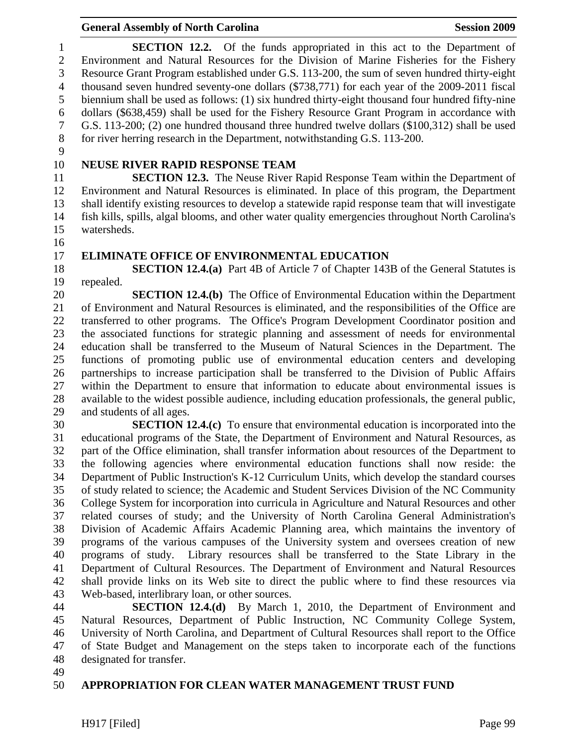1 **SECTION 12.2.** Of the funds appropriated in this act to the Department of 2 Environment and Natural Resources for the Division of Marine Fisheries for the Fishery 3 Resource Grant Program established under G.S. 113-200, the sum of seven hundred thirty-eight 4 thousand seven hundred seventy-one dollars (\$738,771) for each year of the 2009-2011 fiscal 5 biennium shall be used as follows: (1) six hundred thirty-eight thousand four hundred fifty-nine 6 dollars (\$638,459) shall be used for the Fishery Resource Grant Program in accordance with 7 G.S. 113-200; (2) one hundred thousand three hundred twelve dollars (\$100,312) shall be used 8 for river herring research in the Department, notwithstanding G.S. 113-200.

9

# 10 **NEUSE RIVER RAPID RESPONSE TEAM**

11 **SECTION 12.3.** The Neuse River Rapid Response Team within the Department of 12 Environment and Natural Resources is eliminated. In place of this program, the Department 13 shall identify existing resources to develop a statewide rapid response team that will investigate 14 fish kills, spills, algal blooms, and other water quality emergencies throughout North Carolina's 15 watersheds.

16

#### 17 **ELIMINATE OFFICE OF ENVIRONMENTAL EDUCATION**

18 **SECTION 12.4.(a)** Part 4B of Article 7 of Chapter 143B of the General Statutes is 19 repealed.

20 **SECTION 12.4.(b)** The Office of Environmental Education within the Department 21 of Environment and Natural Resources is eliminated, and the responsibilities of the Office are 22 transferred to other programs. The Office's Program Development Coordinator position and 23 the associated functions for strategic planning and assessment of needs for environmental 24 education shall be transferred to the Museum of Natural Sciences in the Department. The 25 functions of promoting public use of environmental education centers and developing 26 partnerships to increase participation shall be transferred to the Division of Public Affairs 27 within the Department to ensure that information to educate about environmental issues is 28 available to the widest possible audience, including education professionals, the general public, 29 and students of all ages.

30 **SECTION 12.4.(c)** To ensure that environmental education is incorporated into the 31 educational programs of the State, the Department of Environment and Natural Resources, as 32 part of the Office elimination, shall transfer information about resources of the Department to 33 the following agencies where environmental education functions shall now reside: the 34 Department of Public Instruction's K-12 Curriculum Units, which develop the standard courses 35 of study related to science; the Academic and Student Services Division of the NC Community 36 College System for incorporation into curricula in Agriculture and Natural Resources and other 37 related courses of study; and the University of North Carolina General Administration's 38 Division of Academic Affairs Academic Planning area, which maintains the inventory of 39 programs of the various campuses of the University system and oversees creation of new 40 programs of study. Library resources shall be transferred to the State Library in the 41 Department of Cultural Resources. The Department of Environment and Natural Resources 42 shall provide links on its Web site to direct the public where to find these resources via 43 Web-based, interlibrary loan, or other sources.

44 **SECTION 12.4.(d)** By March 1, 2010, the Department of Environment and 45 Natural Resources, Department of Public Instruction, NC Community College System, 46 University of North Carolina, and Department of Cultural Resources shall report to the Office 47 of State Budget and Management on the steps taken to incorporate each of the functions 48 designated for transfer.

49

### 50 **APPROPRIATION FOR CLEAN WATER MANAGEMENT TRUST FUND**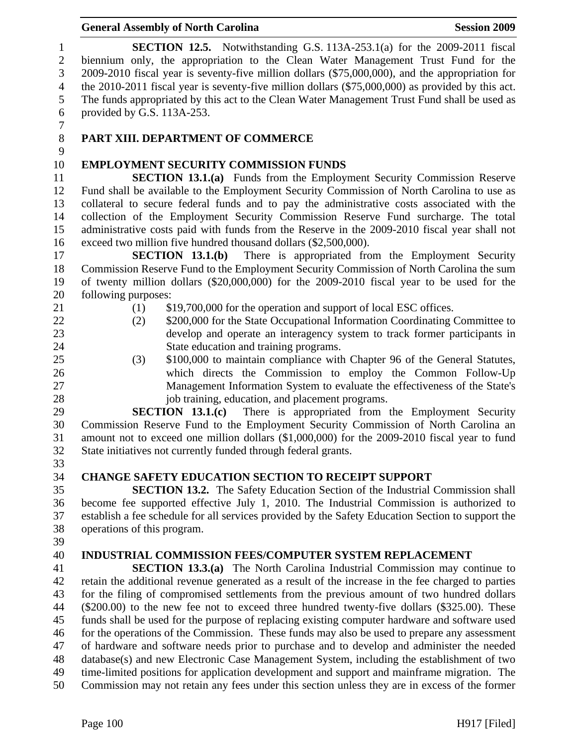| 10 | <b>EMPLOYMENT SECURITY COMMISSION FUNDS</b>                                                       |
|----|---------------------------------------------------------------------------------------------------|
| 11 | <b>SECTION 13.1.(a)</b> Funds from the Employment Security Commission Reserve                     |
| 12 | Fund shall be available to the Employment Security Commission of North Carolina to use as         |
| 13 | collateral to secure federal funds and to pay the administrative costs associated with the        |
| 14 | collection of the Employment Security Commission Reserve Fund surcharge. The total                |
| 15 | administrative costs paid with funds from the Reserve in the 2009-2010 fiscal year shall not      |
| 16 | exceed two million five hundred thousand dollars (\$2,500,000).                                   |
| 17 | SECTION 13.1(b)<br>There is appropriated from the Employment Security                             |
| 18 | Commission Reserve Fund to the Employment Security Commission of North Carolina the sum           |
| 19 | of twenty million dollars (\$20,000,000) for the 2009-2010 fiscal year to be used for the         |
| 20 | following purposes:                                                                               |
| 21 | \$19,700,000 for the operation and support of local ESC offices.<br>(1)                           |
| 22 | \$200,000 for the State Occupational Information Coordinating Committee to<br>(2)                 |
| 23 | develop and operate an interagency system to track former participants in                         |
| 24 | State education and training programs.                                                            |
| 25 | \$100,000 to maintain compliance with Chapter 96 of the General Statutes,<br>(3)                  |
| 26 | which directs the Commission to employ the Common Follow-Up                                       |
| 27 | Management Information System to evaluate the effectiveness of the State's                        |
| 28 | job training, education, and placement programs.                                                  |
| 29 | There is appropriated from the Employment Security<br>SECTION 13.1(c)                             |
| 30 | Commission Reserve Fund to the Employment Security Commission of North Carolina an                |
| 31 | amount not to exceed one million dollars (\$1,000,000) for the 2009-2010 fiscal year to fund      |
| 32 | State initiatives not currently funded through federal grants.                                    |
| 33 |                                                                                                   |
| 34 | <b>CHANGE SAFETY EDUCATION SECTION TO RECEIPT SUPPORT</b>                                         |
| 35 | <b>SECTION 13.2.</b> The Safety Education Section of the Industrial Commission shall              |
| 36 | become fee supported effective July 1, 2010. The Industrial Commission is authorized to           |
| 37 | establish a fee schedule for all services provided by the Safety Education Section to support the |
| 38 | operations of this program.                                                                       |
| 39 |                                                                                                   |
| 40 | INDUSTRIAL COMMISSION FEES/COMPUTER SYSTEM REPLACEMENT                                            |
| 41 | <b>SECTION 13.3.(a)</b> The North Carolina Industrial Commission may continue to                  |
| 42 | retain the additional revenue generated as a result of the increase in the fee charged to parties |
| 43 | for the filing of compromised settlements from the previous amount of two hundred dollars         |
| 44 | (\$200.00) to the new fee not to exceed three hundred twenty-five dollars (\$325.00). These       |
| 45 | funds shall be used for the purpose of replacing existing computer hardware and software used     |
| 46 | for the operations of the Commission. These funds may also be used to prepare any assessment      |
| 47 | of hardware and software needs prior to purchase and to develop and administer the needed         |
| 48 | database(s) and new Electronic Case Management System, including the establishment of two         |
| 49 | time-limited positions for application development and support and mainframe migration. The       |
| 50 | Commission may not retain any fees under this section unless they are in excess of the former     |
|    | Page 100<br>$H917$ [Filed]                                                                        |

# General Assembly of North Carolina **Session 2009**

1 **SECTION 12.5.** Notwithstanding G.S. 113A-253.1(a) for the 2009-2011 fiscal biennium only, the appropriation to the Clean Water Management Trust Fund for the biennium only, the appropriation to the Clean Water Management Trust Fund for the 3 2009-2010 fiscal year is seventy-five million dollars (\$75,000,000), and the appropriation for the 2010-2011 fiscal year is seventy-five million dollars (\$75,000,000) as provided by this act. the 2010-2011 fiscal year is seventy-five million dollars (\$75,000,000) as provided by this act. 5 The funds appropriated by this act to the Clean Water Management Trust Fund shall be used as provided by G.S. 113A-253. provided by G.S. 113A-253.

 $\begin{array}{c} 7 \\ 8 \end{array}$ 

9

# 8 **PART XIII. DEPARTMENT OF COMMERCE**

# 10 **EMPLOYMENT SECURITY COMMISSION FUNDS**

- -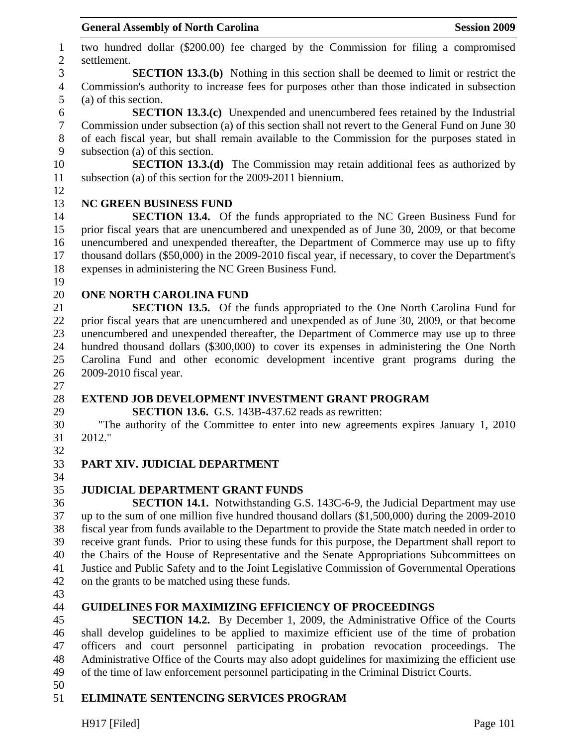1 two hundred dollar (\$200.00) fee charged by the Commission for filing a compromised 2 settlement. 3 **SECTION 13.3.(b)** Nothing in this section shall be deemed to limit or restrict the 4 Commission's authority to increase fees for purposes other than those indicated in subsection 5 (a) of this section. 6 **SECTION 13.3.(c)** Unexpended and unencumbered fees retained by the Industrial 7 Commission under subsection (a) of this section shall not revert to the General Fund on June 30 8 of each fiscal year, but shall remain available to the Commission for the purposes stated in 9 subsection (a) of this section. 10 **SECTION 13.3.(d)** The Commission may retain additional fees as authorized by 11 subsection (a) of this section for the 2009-2011 biennium. 12 13 **NC GREEN BUSINESS FUND**  14 **SECTION 13.4.** Of the funds appropriated to the NC Green Business Fund for 15 prior fiscal years that are unencumbered and unexpended as of June 30, 2009, or that become 16 unencumbered and unexpended thereafter, the Department of Commerce may use up to fifty 17 thousand dollars (\$50,000) in the 2009-2010 fiscal year, if necessary, to cover the Department's 18 expenses in administering the NC Green Business Fund. 19 20 **ONE NORTH CAROLINA FUND**  21 **SECTION 13.5.** Of the funds appropriated to the One North Carolina Fund for 22 prior fiscal years that are unencumbered and unexpended as of June 30, 2009, or that become 23 unencumbered and unexpended thereafter, the Department of Commerce may use up to three 24 hundred thousand dollars (\$300,000) to cover its expenses in administering the One North 25 Carolina Fund and other economic development incentive grant programs during the 26 2009-2010 fiscal year. 27 28 **EXTEND JOB DEVELOPMENT INVESTMENT GRANT PROGRAM**  29 **SECTION 13.6.** G.S. 143B-437.62 reads as rewritten: 30 "The authority of the Committee to enter into new agreements expires January 1, 2010 31 2012." 32 33 **PART XIV. JUDICIAL DEPARTMENT**  34 35 **JUDICIAL DEPARTMENT GRANT FUNDS**  36 **SECTION 14.1.** Notwithstanding G.S. 143C-6-9, the Judicial Department may use 37 up to the sum of one million five hundred thousand dollars (\$1,500,000) during the 2009-2010 38 fiscal year from funds available to the Department to provide the State match needed in order to 39 receive grant funds. Prior to using these funds for this purpose, the Department shall report to 40 the Chairs of the House of Representative and the Senate Appropriations Subcommittees on 41 Justice and Public Safety and to the Joint Legislative Commission of Governmental Operations 42 on the grants to be matched using these funds. 43 44 **GUIDELINES FOR MAXIMIZING EFFICIENCY OF PROCEEDINGS**  45 **SECTION 14.2.** By December 1, 2009, the Administrative Office of the Courts 46 shall develop guidelines to be applied to maximize efficient use of the time of probation 47 officers and court personnel participating in probation revocation proceedings. The 48 Administrative Office of the Courts may also adopt guidelines for maximizing the efficient use 49 of the time of law enforcement personnel participating in the Criminal District Courts. 50

# 51 **ELIMINATE SENTENCING SERVICES PROGRAM**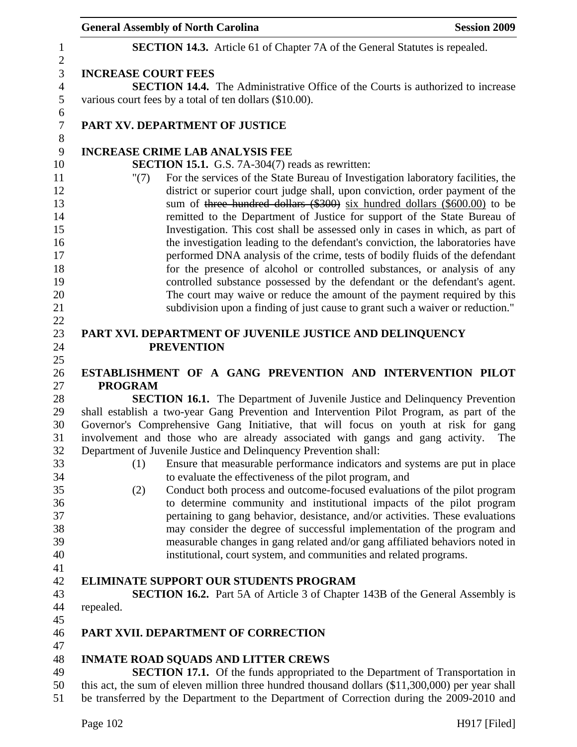|                            | <b>General Assembly of North Carolina</b>                                                                                                                                                                                                                                                                                  | <b>Session 2009</b> |
|----------------------------|----------------------------------------------------------------------------------------------------------------------------------------------------------------------------------------------------------------------------------------------------------------------------------------------------------------------------|---------------------|
|                            | <b>SECTION 14.3.</b> Article 61 of Chapter 7A of the General Statutes is repealed.                                                                                                                                                                                                                                         |                     |
| <b>INCREASE COURT FEES</b> |                                                                                                                                                                                                                                                                                                                            |                     |
|                            | <b>SECTION 14.4.</b> The Administrative Office of the Courts is authorized to increase                                                                                                                                                                                                                                     |                     |
|                            | various court fees by a total of ten dollars (\$10.00).                                                                                                                                                                                                                                                                    |                     |
|                            | PART XV. DEPARTMENT OF JUSTICE                                                                                                                                                                                                                                                                                             |                     |
|                            | <b>INCREASE CRIME LAB ANALYSIS FEE</b>                                                                                                                                                                                                                                                                                     |                     |
|                            | <b>SECTION 15.1.</b> G.S. 7A-304(7) reads as rewritten:                                                                                                                                                                                                                                                                    |                     |
| " $(7)$                    | For the services of the State Bureau of Investigation laboratory facilities, the<br>district or superior court judge shall, upon conviction, order payment of the<br>sum of three hundred dollars (\$300) six hundred dollars (\$600.00) to be<br>remitted to the Department of Justice for support of the State Bureau of |                     |
|                            | Investigation. This cost shall be assessed only in cases in which, as part of<br>the investigation leading to the defendant's conviction, the laboratories have                                                                                                                                                            |                     |
|                            | performed DNA analysis of the crime, tests of bodily fluids of the defendant                                                                                                                                                                                                                                               |                     |
|                            | for the presence of alcohol or controlled substances, or analysis of any                                                                                                                                                                                                                                                   |                     |
|                            | controlled substance possessed by the defendant or the defendant's agent.                                                                                                                                                                                                                                                  |                     |
|                            | The court may waive or reduce the amount of the payment required by this                                                                                                                                                                                                                                                   |                     |
|                            | subdivision upon a finding of just cause to grant such a waiver or reduction."                                                                                                                                                                                                                                             |                     |
|                            |                                                                                                                                                                                                                                                                                                                            |                     |
|                            | PART XVI. DEPARTMENT OF JUVENILE JUSTICE AND DELINQUENCY                                                                                                                                                                                                                                                                   |                     |
|                            | <b>PREVENTION</b>                                                                                                                                                                                                                                                                                                          |                     |
|                            | ESTABLISHMENT OF A GANG PREVENTION AND INTERVENTION PILOT                                                                                                                                                                                                                                                                  |                     |
| <b>PROGRAM</b>             |                                                                                                                                                                                                                                                                                                                            |                     |
|                            | <b>SECTION 16.1.</b> The Department of Juvenile Justice and Delinquency Prevention                                                                                                                                                                                                                                         |                     |
|                            | shall establish a two-year Gang Prevention and Intervention Pilot Program, as part of the                                                                                                                                                                                                                                  |                     |
|                            | Governor's Comprehensive Gang Initiative, that will focus on youth at risk for gang                                                                                                                                                                                                                                        |                     |
|                            | involvement and those who are already associated with gangs and gang activity.                                                                                                                                                                                                                                             | The                 |
|                            | Department of Juvenile Justice and Delinquency Prevention shall:                                                                                                                                                                                                                                                           |                     |
| (1)                        | Ensure that measurable performance indicators and systems are put in place                                                                                                                                                                                                                                                 |                     |
|                            | to evaluate the effectiveness of the pilot program, and                                                                                                                                                                                                                                                                    |                     |
| (2)                        | Conduct both process and outcome-focused evaluations of the pilot program                                                                                                                                                                                                                                                  |                     |
|                            | to determine community and institutional impacts of the pilot program                                                                                                                                                                                                                                                      |                     |
|                            | pertaining to gang behavior, desistance, and/or activities. These evaluations                                                                                                                                                                                                                                              |                     |
|                            | may consider the degree of successful implementation of the program and                                                                                                                                                                                                                                                    |                     |
|                            | measurable changes in gang related and/or gang affiliated behaviors noted in                                                                                                                                                                                                                                               |                     |
|                            | institutional, court system, and communities and related programs.                                                                                                                                                                                                                                                         |                     |
|                            |                                                                                                                                                                                                                                                                                                                            |                     |
|                            | <b>ELIMINATE SUPPORT OUR STUDENTS PROGRAM</b>                                                                                                                                                                                                                                                                              |                     |
|                            | <b>SECTION 16.2.</b> Part 5A of Article 3 of Chapter 143B of the General Assembly is                                                                                                                                                                                                                                       |                     |
| repealed.                  |                                                                                                                                                                                                                                                                                                                            |                     |
|                            |                                                                                                                                                                                                                                                                                                                            |                     |
|                            | PART XVII. DEPARTMENT OF CORRECTION                                                                                                                                                                                                                                                                                        |                     |
|                            |                                                                                                                                                                                                                                                                                                                            |                     |
|                            | <b>INMATE ROAD SQUADS AND LITTER CREWS</b>                                                                                                                                                                                                                                                                                 |                     |
|                            | <b>SECTION 17.1.</b> Of the funds appropriated to the Department of Transportation in<br>this act, the sum of eleven million three hundred thousand dollars (\$11,300,000) per year shall                                                                                                                                  |                     |
|                            | be transferred by the Department to the Department of Correction during the 2009-2010 and                                                                                                                                                                                                                                  |                     |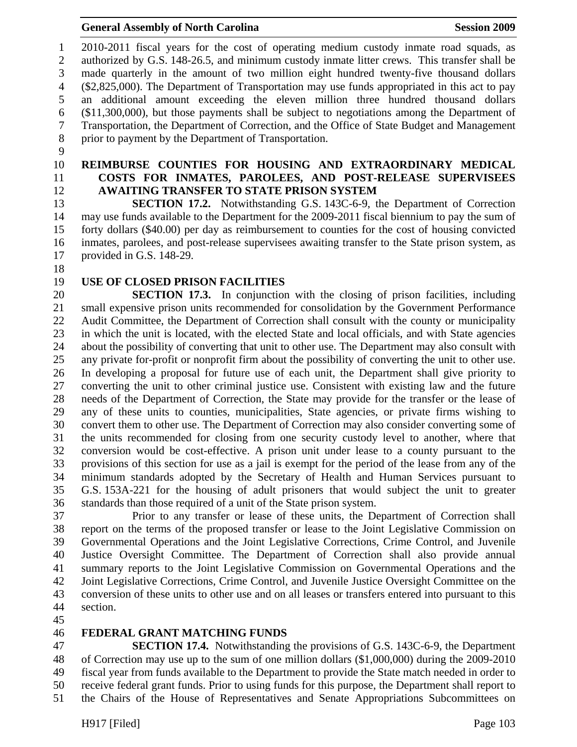1 2010-2011 fiscal years for the cost of operating medium custody inmate road squads, as 2 authorized by G.S. 148-26.5, and minimum custody inmate litter crews. This transfer shall be 3 made quarterly in the amount of two million eight hundred twenty-five thousand dollars 4 (\$2,825,000). The Department of Transportation may use funds appropriated in this act to pay 5 an additional amount exceeding the eleven million three hundred thousand dollars 6 (\$11,300,000), but those payments shall be subject to negotiations among the Department of 7 Transportation, the Department of Correction, and the Office of State Budget and Management 8 prior to payment by the Department of Transportation.

- 9
- 
- 

#### 10 **REIMBURSE COUNTIES FOR HOUSING AND EXTRAORDINARY MEDICAL**  11 **COSTS FOR INMATES, PAROLEES, AND POST-RELEASE SUPERVISEES**  12 **AWAITING TRANSFER TO STATE PRISON SYSTEM**

13 **SECTION 17.2.** Notwithstanding G.S. 143C-6-9, the Department of Correction 14 may use funds available to the Department for the 2009-2011 fiscal biennium to pay the sum of 15 forty dollars (\$40.00) per day as reimbursement to counties for the cost of housing convicted 16 inmates, parolees, and post-release supervisees awaiting transfer to the State prison system, as 17 provided in G.S. 148-29.

- 18
- 

# 19 **USE OF CLOSED PRISON FACILITIES**

20 **SECTION 17.3.** In conjunction with the closing of prison facilities, including 21 small expensive prison units recommended for consolidation by the Government Performance 22 Audit Committee, the Department of Correction shall consult with the county or municipality 23 in which the unit is located, with the elected State and local officials, and with State agencies 24 about the possibility of converting that unit to other use. The Department may also consult with 25 any private for-profit or nonprofit firm about the possibility of converting the unit to other use. 26 In developing a proposal for future use of each unit, the Department shall give priority to 27 converting the unit to other criminal justice use. Consistent with existing law and the future 28 needs of the Department of Correction, the State may provide for the transfer or the lease of 29 any of these units to counties, municipalities, State agencies, or private firms wishing to 30 convert them to other use. The Department of Correction may also consider converting some of 31 the units recommended for closing from one security custody level to another, where that 32 conversion would be cost-effective. A prison unit under lease to a county pursuant to the 33 provisions of this section for use as a jail is exempt for the period of the lease from any of the 34 minimum standards adopted by the Secretary of Health and Human Services pursuant to 35 G.S. 153A-221 for the housing of adult prisoners that would subject the unit to greater 36 standards than those required of a unit of the State prison system.

37 Prior to any transfer or lease of these units, the Department of Correction shall 38 report on the terms of the proposed transfer or lease to the Joint Legislative Commission on 39 Governmental Operations and the Joint Legislative Corrections, Crime Control, and Juvenile 40 Justice Oversight Committee. The Department of Correction shall also provide annual 41 summary reports to the Joint Legislative Commission on Governmental Operations and the 42 Joint Legislative Corrections, Crime Control, and Juvenile Justice Oversight Committee on the 43 conversion of these units to other use and on all leases or transfers entered into pursuant to this 44 section.

45

### 46 **FEDERAL GRANT MATCHING FUNDS**

47 **SECTION 17.4.** Notwithstanding the provisions of G.S. 143C-6-9, the Department 48 of Correction may use up to the sum of one million dollars (\$1,000,000) during the 2009-2010 49 fiscal year from funds available to the Department to provide the State match needed in order to 50 receive federal grant funds. Prior to using funds for this purpose, the Department shall report to 51 the Chairs of the House of Representatives and Senate Appropriations Subcommittees on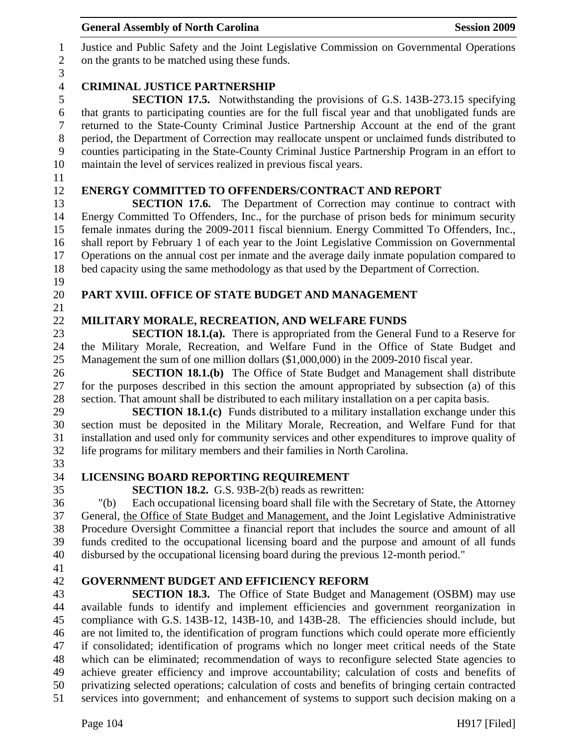| $\overline{7}$ | returned to the State-County Criminal Justice Partnership Account at the end of the grant         |
|----------------|---------------------------------------------------------------------------------------------------|
| $8\,$          | period, the Department of Correction may reallocate unspent or unclaimed funds distributed to     |
| 9              | counties participating in the State-County Criminal Justice Partnership Program in an effort to   |
| 10             | maintain the level of services realized in previous fiscal years.                                 |
| 11             |                                                                                                   |
| 12             | <b>ENERGY COMMITTED TO OFFENDERS/CONTRACT AND REPORT</b>                                          |
| 13             | <b>SECTION 17.6.</b> The Department of Correction may continue to contract with                   |
| 14             | Energy Committed To Offenders, Inc., for the purchase of prison beds for minimum security         |
| 15             | female inmates during the 2009-2011 fiscal biennium. Energy Committed To Offenders, Inc.,         |
| 16             | shall report by February 1 of each year to the Joint Legislative Commission on Governmental       |
| 17             | Operations on the annual cost per inmate and the average daily inmate population compared to      |
| 18             | bed capacity using the same methodology as that used by the Department of Correction.             |
| 19             |                                                                                                   |
| 20             | PART XVIII. OFFICE OF STATE BUDGET AND MANAGEMENT                                                 |
| 21             |                                                                                                   |
| 22             | MILITARY MORALE, RECREATION, AND WELFARE FUNDS                                                    |
| 23             | <b>SECTION 18.1.(a).</b> There is appropriated from the General Fund to a Reserve for             |
| 24             | the Military Morale, Recreation, and Welfare Fund in the Office of State Budget and               |
| 25             | Management the sum of one million dollars (\$1,000,000) in the 2009-2010 fiscal year.             |
| 26             | <b>SECTION 18.1.(b)</b> The Office of State Budget and Management shall distribute                |
| 27             | for the purposes described in this section the amount appropriated by subsection (a) of this      |
| 28             | section. That amount shall be distributed to each military installation on a per capita basis.    |
| 29             | <b>SECTION 18.1.(c)</b> Funds distributed to a military installation exchange under this          |
| 30             | section must be deposited in the Military Morale, Recreation, and Welfare Fund for that           |
| 31             | installation and used only for community services and other expenditures to improve quality of    |
| 32             | life programs for military members and their families in North Carolina.                          |
| 33             |                                                                                                   |
| 34             | LICENSING BOARD REPORTING REQUIREMENT                                                             |
| 35             | <b>SECTION 18.2.</b> G.S. 93B-2(b) reads as rewritten:                                            |
| 36             | Each occupational licensing board shall file with the Secretary of State, the Attorney<br>" $(b)$ |
| 37             | General, the Office of State Budget and Management, and the Joint Legislative Administrative      |
| 38             | Procedure Oversight Committee a financial report that includes the source and amount of all       |
| 39             | funds credited to the occupational licensing board and the purpose and amount of all funds        |
| 40             | disbursed by the occupational licensing board during the previous 12-month period."               |
| 41             |                                                                                                   |
| 42             | <b>GOVERNMENT BUDGET AND EFFICIENCY REFORM</b>                                                    |
| 43             | <b>SECTION 18.3.</b> The Office of State Budget and Management (OSBM) may use                     |
| 44             | available funds to identify and implement efficiencies and government reorganization in           |
| 45             | compliance with G.S. 143B-12, 143B-10, and 143B-28. The efficiencies should include, but          |
| 46             | are not limited to, the identification of program functions which could operate more efficiently  |
| 47             | if consolidated; identification of programs which no longer meet critical needs of the State      |
| 48             | which can be eliminated; recommendation of ways to reconfigure selected State agencies to         |
| 49             | achieve greater efficiency and improve accountability; calculation of costs and benefits of       |
| 50             | privatizing selected operations; calculation of costs and benefits of bringing certain contracted |
| 51             | services into government; and enhancement of systems to support such decision making on a         |
|                |                                                                                                   |
|                | Page 104<br>$H917$ [Filed]                                                                        |
|                |                                                                                                   |
|                |                                                                                                   |

# General Assembly of North Carolina **Session 2009**

1 Justice and Public Safety and the Joint Legislative Commission on Governmental Operations on the grants to be matched using these funds.

# $\frac{3}{4}$ 4 **CRIMINAL JUSTICE PARTNERSHIP**<br>5 **SECTION 17.5.** Notwithstand

5 **SECTION 17.5.** Notwithstanding the provisions of G.S. 143B-273.15 specifying that grants to participating counties are for the full fiscal year and that unobligated funds are that grants to participating counties are for the full fiscal year and that unobligated funds are 7 returned to the State-County Criminal Justice Partnership Account at the end of the grant 8 period, the Department of Correction may reallocate unspent or unclaimed funds distributed to 9 counties participating in the State-County Criminal Justice Partnership Program in an effort to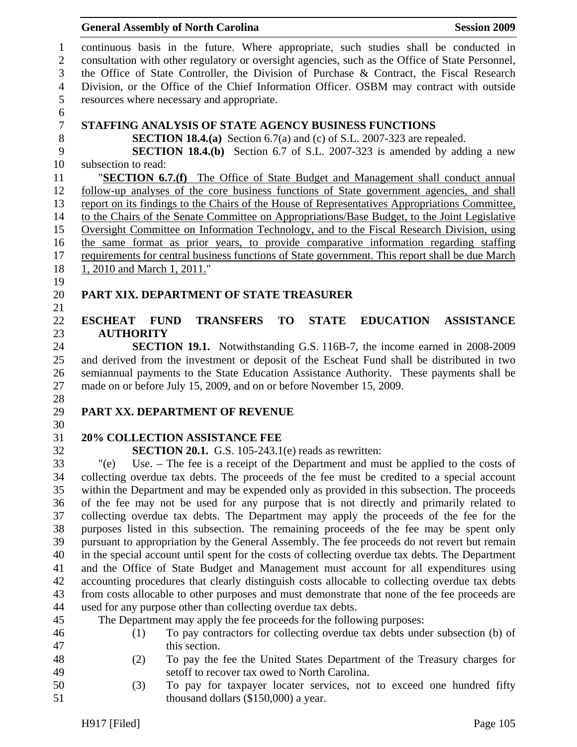#### General Assembly of North Carolina **Session 2009**

1 continuous basis in the future. Where appropriate, such studies shall be conducted in 2 consultation with other regulatory or oversight agencies, such as the Office of State Personnel, 3 the Office of State Controller, the Division of Purchase & Contract, the Fiscal Research 4 Division, or the Office of the Chief Information Officer. OSBM may contract with outside 5 resources where necessary and appropriate. 6 7 **STAFFING ANALYSIS OF STATE AGENCY BUSINESS FUNCTIONS**  8 **SECTION 18.4.(a)** Section 6.7(a) and (c) of S.L. 2007-323 are repealed. 9 **SECTION 18.4.(b)** Section 6.7 of S.L. 2007-323 is amended by adding a new 10 subsection to read: 11 "**SECTION 6.7.(f)** The Office of State Budget and Management shall conduct annual 12 follow-up analyses of the core business functions of State government agencies, and shall 13 report on its findings to the Chairs of the House of Representatives Appropriations Committee, 14 to the Chairs of the Senate Committee on Appropriations/Base Budget, to the Joint Legislative 15 Oversight Committee on Information Technology, and to the Fiscal Research Division, using 16 the same format as prior years, to provide comparative information regarding staffing 17 requirements for central business functions of State government. This report shall be due March 18 1, 2010 and March 1, 2011." 19 20 **PART XIX. DEPARTMENT OF STATE TREASURER**  21 22 **ESCHEAT FUND TRANSFERS TO STATE EDUCATION ASSISTANCE**  23 **AUTHORITY**  24 **SECTION 19.1.** Notwithstanding G.S. 116B-7, the income earned in 2008-2009 25 and derived from the investment or deposit of the Escheat Fund shall be distributed in two 26 semiannual payments to the State Education Assistance Authority. These payments shall be 27 made on or before July 15, 2009, and on or before November 15, 2009. 28 29 **PART XX. DEPARTMENT OF REVENUE**  30 31 **20% COLLECTION ASSISTANCE FEE**  32 **SECTION 20.1.** G.S. 105-243.1(e) reads as rewritten: 33 "(e) Use. – The fee is a receipt of the Department and must be applied to the costs of 34 collecting overdue tax debts. The proceeds of the fee must be credited to a special account 35 within the Department and may be expended only as provided in this subsection. The proceeds 36 of the fee may not be used for any purpose that is not directly and primarily related to 37 collecting overdue tax debts. The Department may apply the proceeds of the fee for the 38 purposes listed in this subsection. The remaining proceeds of the fee may be spent only 39 pursuant to appropriation by the General Assembly. The fee proceeds do not revert but remain 40 in the special account until spent for the costs of collecting overdue tax debts. The Department 41 and the Office of State Budget and Management must account for all expenditures using 42 accounting procedures that clearly distinguish costs allocable to collecting overdue tax debts 43 from costs allocable to other purposes and must demonstrate that none of the fee proceeds are 44 used for any purpose other than collecting overdue tax debts. 45 The Department may apply the fee proceeds for the following purposes: 46 (1) To pay contractors for collecting overdue tax debts under subsection (b) of 47 this section. 48 (2) To pay the fee the United States Department of the Treasury charges for 49 setoff to recover tax owed to North Carolina.

50 (3) To pay for taxpayer locater services, not to exceed one hundred fifty 51 thousand dollars (\$150,000) a year.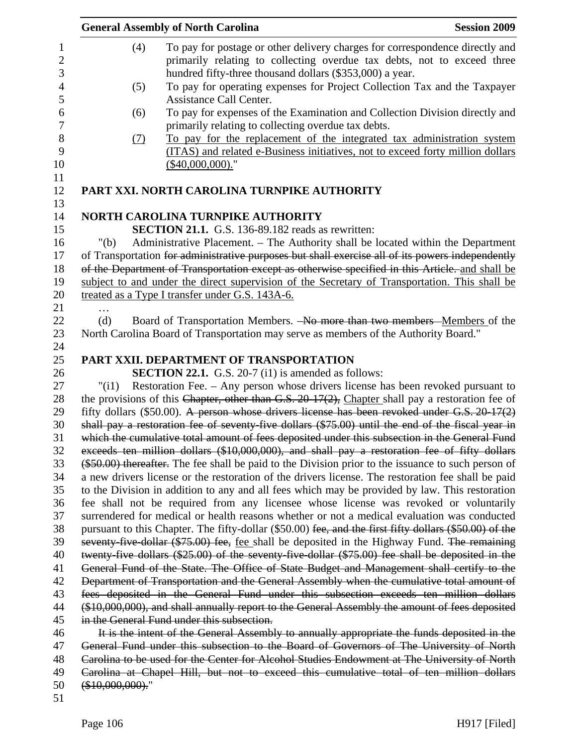|                  |                   | <b>General Assembly of North Carolina</b>                                                                                                                                           | <b>Session 2009</b> |
|------------------|-------------------|-------------------------------------------------------------------------------------------------------------------------------------------------------------------------------------|---------------------|
| 1                | (4)               | To pay for postage or other delivery charges for correspondence directly and                                                                                                        |                     |
| $\overline{c}$   |                   | primarily relating to collecting overdue tax debts, not to exceed three                                                                                                             |                     |
| 3                |                   | hundred fifty-three thousand dollars (\$353,000) a year.                                                                                                                            |                     |
| $\overline{4}$   | (5)               | To pay for operating expenses for Project Collection Tax and the Taxpayer                                                                                                           |                     |
| 5                |                   | Assistance Call Center.                                                                                                                                                             |                     |
| $\boldsymbol{6}$ | (6)               | To pay for expenses of the Examination and Collection Division directly and                                                                                                         |                     |
| $\overline{7}$   |                   | primarily relating to collecting overdue tax debts.                                                                                                                                 |                     |
| $8\,$            | (7)               | To pay for the replacement of the integrated tax administration system                                                                                                              |                     |
| 9                |                   | (ITAS) and related e-Business initiatives, not to exceed forty million dollars                                                                                                      |                     |
| 10               |                   | $(\$40,000,000).$ "                                                                                                                                                                 |                     |
| 11<br>12         |                   | PART XXI. NORTH CAROLINA TURNPIKE AUTHORITY                                                                                                                                         |                     |
| 13               |                   |                                                                                                                                                                                     |                     |
| 14               |                   | <b>NORTH CAROLINA TURNPIKE AUTHORITY</b>                                                                                                                                            |                     |
| 15               |                   | <b>SECTION 21.1.</b> G.S. 136-89.182 reads as rewritten:                                                                                                                            |                     |
| 16               | " $(b)$           | Administrative Placement. - The Authority shall be located within the Department                                                                                                    |                     |
| 17               |                   | of Transportation for administrative purposes but shall exercise all of its powers independently                                                                                    |                     |
| 18               |                   | of the Department of Transportation except as otherwise specified in this Article, and shall be                                                                                     |                     |
| 19               |                   | subject to and under the direct supervision of the Secretary of Transportation. This shall be                                                                                       |                     |
| 20               |                   | treated as a Type I transfer under G.S. 143A-6.                                                                                                                                     |                     |
| 21               | $\ddotsc$         |                                                                                                                                                                                     |                     |
| 22               | (d)               | Board of Transportation Members. -No more than two members -Members of the                                                                                                          |                     |
| 23               |                   | North Carolina Board of Transportation may serve as members of the Authority Board."                                                                                                |                     |
| 24               |                   |                                                                                                                                                                                     |                     |
| 25               |                   | PART XXII. DEPARTMENT OF TRANSPORTATION                                                                                                                                             |                     |
| 26               |                   | <b>SECTION 22.1.</b> G.S. 20-7 (i1) is amended as follows:                                                                                                                          |                     |
| 27               | "(i1)             | Restoration Fee. – Any person whose drivers license has been revoked pursuant to                                                                                                    |                     |
| 28               |                   | the provisions of this Chapter, other than G.S. 20-17(2), Chapter shall pay a restoration fee of                                                                                    |                     |
| 29               |                   | fifty dollars (\$50.00). A person whose drivers license has been revoked under G.S. 20-17(2)                                                                                        |                     |
| 30               |                   | shall pay a restoration fee of seventy-five dollars (\$75.00) until the end of the fiscal year in                                                                                   |                     |
| 31               |                   | which the cumulative total amount of fees deposited under this subsection in the General Fund                                                                                       |                     |
| 32               |                   | exceeds ten million dollars (\$10,000,000), and shall pay a restoration fee of fifty dollars                                                                                        |                     |
| 33               |                   | (\$50.00) thereafter. The fee shall be paid to the Division prior to the issuance to such person of                                                                                 |                     |
| 34               |                   | a new drivers license or the restoration of the drivers license. The restoration fee shall be paid                                                                                  |                     |
| 35<br>36         |                   | to the Division in addition to any and all fees which may be provided by law. This restoration                                                                                      |                     |
| 37               |                   | fee shall not be required from any licensee whose license was revoked or voluntarily<br>surrendered for medical or health reasons whether or not a medical evaluation was conducted |                     |
| 38               |                   | pursuant to this Chapter. The fifty-dollar (\$50.00) fee, and the first fifty dollars (\$50.00) of the                                                                              |                     |
| 39               |                   | seventy-five-dollar (\$75.00) fee, fee shall be deposited in the Highway Fund. The remaining                                                                                        |                     |
| 40               |                   | twenty-five dollars (\$25.00) of the seventy-five-dollar (\$75.00) fee shall be deposited in the                                                                                    |                     |
| 41               |                   | General Fund of the State. The Office of State Budget and Management shall certify to the                                                                                           |                     |
| 42               |                   | Department of Transportation and the General Assembly when the cumulative total amount of                                                                                           |                     |
| 43               |                   | fees deposited in the General Fund under this subsection exceeds ten million dollars                                                                                                |                     |
| 44               |                   | (\$10,000,000), and shall annually report to the General Assembly the amount of fees deposited                                                                                      |                     |
| 45               |                   | in the General Fund under this subsection.                                                                                                                                          |                     |
| 46               |                   | It is the intent of the General Assembly to annually appropriate the funds deposited in the                                                                                         |                     |
| 47               |                   | General Fund under this subsection to the Board of Governors of The University of North                                                                                             |                     |
| 48               |                   | Carolina to be used for the Center for Alcohol Studies Endowment at The University of North                                                                                         |                     |
| 49               |                   | Carolina at Chapel Hill, but not to exceed this cumulative total of ten million dollars                                                                                             |                     |
| 50               | $(*10,000,000)$ . |                                                                                                                                                                                     |                     |
| 51               |                   |                                                                                                                                                                                     |                     |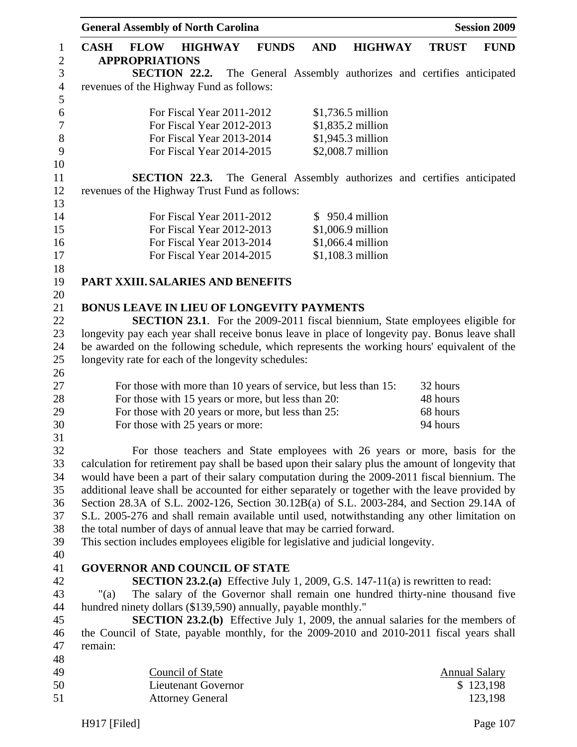|                              |             | <b>General Assembly of North Carolina</b>                      |                            |              |            |                                                                                                   |              | <b>Session 2009</b>  |
|------------------------------|-------------|----------------------------------------------------------------|----------------------------|--------------|------------|---------------------------------------------------------------------------------------------------|--------------|----------------------|
| $\mathbf{1}$<br>$\mathbf{2}$ | <b>CASH</b> | <b>FLOW</b><br><b>APPROPRIATIONS</b>                           | <b>HIGHWAY</b>             | <b>FUNDS</b> | <b>AND</b> | <b>HIGHWAY</b>                                                                                    | <b>TRUST</b> | <b>FUND</b>          |
| $\mathfrak{Z}$               |             |                                                                | <b>SECTION 22.2.</b>       |              |            | The General Assembly authorizes and certifies anticipated                                         |              |                      |
| $\overline{4}$               |             | revenues of the Highway Fund as follows:                       |                            |              |            |                                                                                                   |              |                      |
| 5                            |             |                                                                |                            |              |            |                                                                                                   |              |                      |
| 6                            |             |                                                                | For Fiscal Year 2011-2012  |              |            | \$1,736.5 million                                                                                 |              |                      |
| $\boldsymbol{7}$             |             |                                                                | For Fiscal Year 2012-2013  |              |            | \$1,835.2 million                                                                                 |              |                      |
| $8\,$                        |             |                                                                | For Fiscal Year 2013-2014  |              |            | \$1,945.3 million                                                                                 |              |                      |
| 9                            |             |                                                                | For Fiscal Year 2014-2015  |              |            | \$2,008.7 million                                                                                 |              |                      |
| 10                           |             |                                                                |                            |              |            |                                                                                                   |              |                      |
| 11                           |             |                                                                | SECTION 22.3.              |              |            | The General Assembly authorizes and certifies anticipated                                         |              |                      |
| 12                           |             | revenues of the Highway Trust Fund as follows:                 |                            |              |            |                                                                                                   |              |                      |
| 13                           |             |                                                                |                            |              |            |                                                                                                   |              |                      |
| 14                           |             |                                                                | For Fiscal Year 2011-2012  |              |            | $$950.4$ million                                                                                  |              |                      |
| 15                           |             |                                                                | For Fiscal Year 2012-2013  |              |            | \$1,006.9 million                                                                                 |              |                      |
| 16                           |             |                                                                | For Fiscal Year 2013-2014  |              |            | \$1,066.4 million                                                                                 |              |                      |
| 17                           |             |                                                                | For Fiscal Year 2014-2015  |              |            | \$1,108.3 million                                                                                 |              |                      |
| 18                           |             |                                                                |                            |              |            |                                                                                                   |              |                      |
| 19                           |             | PART XXIII. SALARIES AND BENEFITS                              |                            |              |            |                                                                                                   |              |                      |
| 20                           |             |                                                                |                            |              |            |                                                                                                   |              |                      |
| 21                           |             | <b>BONUS LEAVE IN LIEU OF LONGEVITY PAYMENTS</b>               |                            |              |            |                                                                                                   |              |                      |
| 22                           |             |                                                                |                            |              |            | <b>SECTION 23.1.</b> For the 2009-2011 fiscal biennium, State employees eligible for              |              |                      |
| 23                           |             |                                                                |                            |              |            | longevity pay each year shall receive bonus leave in place of longevity pay. Bonus leave shall    |              |                      |
| 24                           |             |                                                                |                            |              |            | be awarded on the following schedule, which represents the working hours' equivalent of the       |              |                      |
| 25                           |             | longevity rate for each of the longevity schedules:            |                            |              |            |                                                                                                   |              |                      |
| 26                           |             |                                                                |                            |              |            |                                                                                                   |              |                      |
| 27                           |             |                                                                |                            |              |            | For those with more than 10 years of service, but less than 15:                                   | 32 hours     |                      |
| 28                           |             | For those with 15 years or more, but less than 20:             |                            |              |            |                                                                                                   | 48 hours     |                      |
| 29                           |             | For those with 20 years or more, but less than 25:             |                            |              |            |                                                                                                   | 68 hours     |                      |
| 30                           |             | For those with 25 years or more:                               |                            |              |            |                                                                                                   | 94 hours     |                      |
| 31                           |             |                                                                |                            |              |            |                                                                                                   |              |                      |
| 32                           |             |                                                                |                            |              |            | For those teachers and State employees with 26 years or more, basis for the                       |              |                      |
| 33                           |             |                                                                |                            |              |            | calculation for retirement pay shall be based upon their salary plus the amount of longevity that |              |                      |
| 34                           |             |                                                                |                            |              |            | would have been a part of their salary computation during the 2009-2011 fiscal biennium. The      |              |                      |
| 35                           |             |                                                                |                            |              |            | additional leave shall be accounted for either separately or together with the leave provided by  |              |                      |
| 36                           |             |                                                                |                            |              |            | Section 28.3A of S.L. 2002-126, Section 30.12B(a) of S.L. 2003-284, and Section 29.14A of         |              |                      |
| 37                           |             |                                                                |                            |              |            | S.L. 2005-276 and shall remain available until used, notwithstanding any other limitation on      |              |                      |
| 38                           |             |                                                                |                            |              |            | the total number of days of annual leave that may be carried forward.                             |              |                      |
| 39                           |             |                                                                |                            |              |            | This section includes employees eligible for legislative and judicial longevity.                  |              |                      |
| 40                           |             | <b>GOVERNOR AND COUNCIL OF STATE</b>                           |                            |              |            |                                                                                                   |              |                      |
| 41<br>42                     |             |                                                                |                            |              |            | <b>SECTION 23.2.(a)</b> Effective July 1, 2009, G.S. 147-11(a) is rewritten to read:              |              |                      |
| 43                           | " $(a)$     |                                                                |                            |              |            | The salary of the Governor shall remain one hundred thirty-nine thousand five                     |              |                      |
| 44                           |             | hundred ninety dollars (\$139,590) annually, payable monthly." |                            |              |            |                                                                                                   |              |                      |
| 45                           |             |                                                                |                            |              |            | <b>SECTION 23.2.(b)</b> Effective July 1, 2009, the annual salaries for the members of            |              |                      |
| 46                           |             |                                                                |                            |              |            | the Council of State, payable monthly, for the 2009-2010 and 2010-2011 fiscal years shall         |              |                      |
| 47                           | remain:     |                                                                |                            |              |            |                                                                                                   |              |                      |
| 48                           |             |                                                                |                            |              |            |                                                                                                   |              |                      |
| 49                           |             |                                                                | <b>Council of State</b>    |              |            |                                                                                                   |              | <b>Annual Salary</b> |
| 50                           |             |                                                                | <b>Lieutenant Governor</b> |              |            |                                                                                                   |              | \$123,198            |
| 51                           |             |                                                                | <b>Attorney General</b>    |              |            |                                                                                                   |              | 123,198              |
|                              |             |                                                                |                            |              |            |                                                                                                   |              |                      |

H917 [Filed] Page 107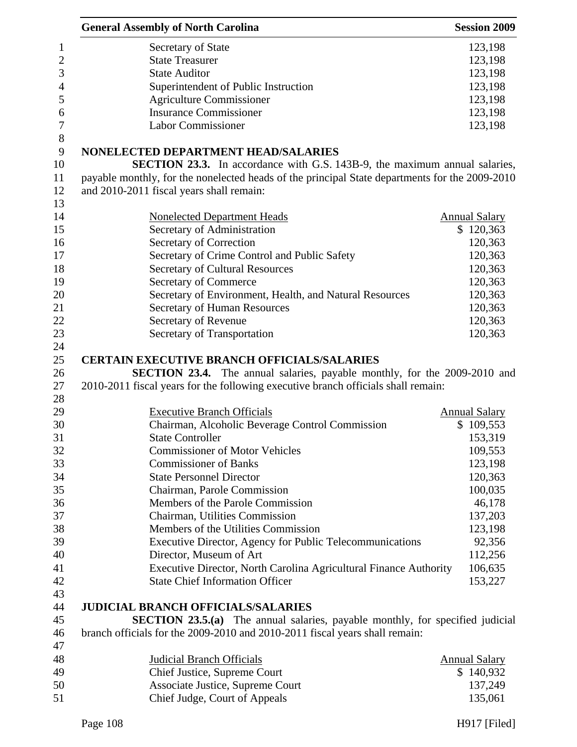| <b>General Assembly of North Carolina</b>                                                                                                                           | <b>Session 2009</b>  |
|---------------------------------------------------------------------------------------------------------------------------------------------------------------------|----------------------|
| Secretary of State                                                                                                                                                  | 123,198              |
| <b>State Treasurer</b>                                                                                                                                              | 123,198              |
| <b>State Auditor</b>                                                                                                                                                | 123,198              |
| Superintendent of Public Instruction                                                                                                                                | 123,198              |
| <b>Agriculture Commissioner</b>                                                                                                                                     | 123,198              |
| <b>Insurance Commissioner</b>                                                                                                                                       | 123,198              |
| <b>Labor Commissioner</b>                                                                                                                                           | 123,198              |
| NONELECTED DEPARTMENT HEAD/SALARIES                                                                                                                                 |                      |
| <b>SECTION 23.3.</b> In accordance with G.S. 143B-9, the maximum annual salaries,                                                                                   |                      |
| payable monthly, for the nonelected heads of the principal State departments for the 2009-2010                                                                      |                      |
| and 2010-2011 fiscal years shall remain:                                                                                                                            |                      |
| <b>Nonelected Department Heads</b>                                                                                                                                  | <b>Annual Salary</b> |
| Secretary of Administration                                                                                                                                         | \$120,363            |
| Secretary of Correction                                                                                                                                             | 120,363              |
| Secretary of Crime Control and Public Safety                                                                                                                        | 120,363              |
| <b>Secretary of Cultural Resources</b>                                                                                                                              | 120,363              |
| Secretary of Commerce                                                                                                                                               | 120,363              |
| Secretary of Environment, Health, and Natural Resources                                                                                                             | 120,363              |
| <b>Secretary of Human Resources</b>                                                                                                                                 | 120,363              |
| Secretary of Revenue                                                                                                                                                | 120,363              |
| Secretary of Transportation                                                                                                                                         | 120,363              |
|                                                                                                                                                                     |                      |
| <b>CERTAIN EXECUTIVE BRANCH OFFICIALS/SALARIES</b>                                                                                                                  |                      |
| <b>SECTION 23.4.</b> The annual salaries, payable monthly, for the 2009-2010 and                                                                                    |                      |
| 2010-2011 fiscal years for the following executive branch officials shall remain:                                                                                   |                      |
|                                                                                                                                                                     |                      |
| <b>Executive Branch Officials</b>                                                                                                                                   | <b>Annual Salary</b> |
|                                                                                                                                                                     | \$109,553            |
| Chairman, Alcoholic Beverage Control Commission<br><b>State Controller</b>                                                                                          | 153,319              |
| <b>Commissioner of Motor Vehicles</b>                                                                                                                               | 109,553              |
| <b>Commissioner of Banks</b>                                                                                                                                        | 123,198              |
| <b>State Personnel Director</b>                                                                                                                                     | 120,363              |
| Chairman, Parole Commission                                                                                                                                         | 100,035              |
| Members of the Parole Commission                                                                                                                                    | 46,178               |
| Chairman, Utilities Commission                                                                                                                                      | 137,203              |
| Members of the Utilities Commission                                                                                                                                 | 123,198              |
|                                                                                                                                                                     |                      |
| Executive Director, Agency for Public Telecommunications<br>Director, Museum of Art                                                                                 | 92,356               |
|                                                                                                                                                                     | 112,256              |
| Executive Director, North Carolina Agricultural Finance Authority<br><b>State Chief Information Officer</b>                                                         | 106,635<br>153,227   |
|                                                                                                                                                                     |                      |
| <b>JUDICIAL BRANCH OFFICIALS/SALARIES</b>                                                                                                                           |                      |
| <b>SECTION 23.5.(a)</b> The annual salaries, payable monthly, for specified judicial<br>branch officials for the 2009-2010 and 2010-2011 fiscal years shall remain: |                      |
|                                                                                                                                                                     |                      |
| <b>Judicial Branch Officials</b>                                                                                                                                    | <b>Annual Salary</b> |
| Chief Justice, Supreme Court<br>Associate Justice, Supreme Court                                                                                                    | \$140,932<br>137,249 |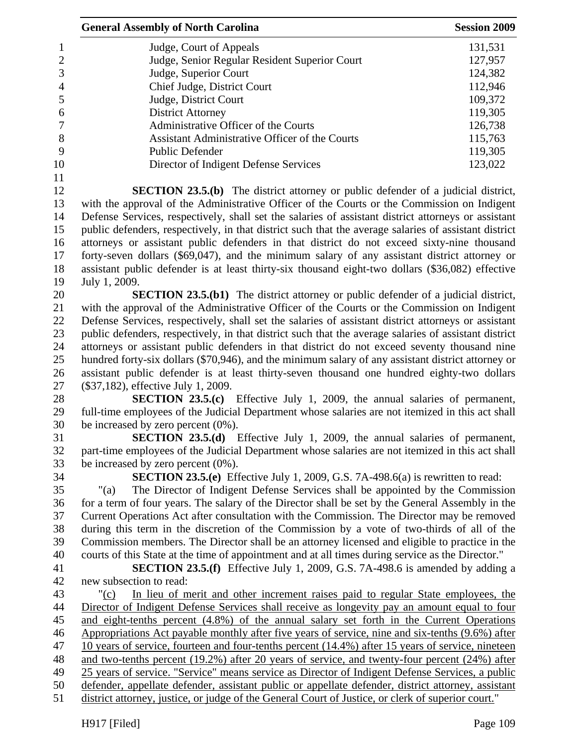| <b>General Assembly of North Carolina</b>                                                                         | <b>Session 2009</b> |
|-------------------------------------------------------------------------------------------------------------------|---------------------|
| Judge, Court of Appeals                                                                                           | 131,531             |
| Judge, Senior Regular Resident Superior Court                                                                     | 127,957             |
| Judge, Superior Court                                                                                             | 124,382             |
| Chief Judge, District Court                                                                                       | 112,946             |
| Judge, District Court                                                                                             | 109,372             |
| <b>District Attorney</b>                                                                                          | 119,305             |
| Administrative Officer of the Courts                                                                              | 126,738             |
| Assistant Administrative Officer of the Courts                                                                    | 115,763             |
| <b>Public Defender</b>                                                                                            | 119,305             |
| Director of Indigent Defense Services                                                                             | 123,022             |
|                                                                                                                   |                     |
| <b>SECTION 23.5.(b)</b> The district attorney or public defender of a judicial district,                          |                     |
| with the approval of the Administrative Officer of the Courts or the Commission on Indigent                       |                     |
| Defense Services, respectively, shall set the salaries of assistant district attorneys or assistant               |                     |
| public defenders, respectively, in that district such that the average salaries of assistant district             |                     |
| attorneys or assistant public defenders in that district do not exceed sixty-nine thousand                        |                     |
| forty-seven dollars (\$69,047), and the minimum salary of any assistant district attorney or                      |                     |
| assistant public defender is at least thirty-six thousand eight-two dollars (\$36,082) effective<br>July 1, 2009. |                     |
| <b>SECTION 23.5.(b1)</b> The district attorney or public defender of a judicial district,                         |                     |
| with the approval of the Administrative Officer of the Courts or the Commission on Indigent                       |                     |
| Defense Services, respectively, shall set the salaries of assistant district attorneys or assistant               |                     |
| public defenders, respectively, in that district such that the average salaries of assistant district             |                     |
| attorneys or assistant public defenders in that district do not exceed seventy thousand nine                      |                     |
| hundred forty-six dollars (\$70,946), and the minimum salary of any assistant district attorney or                |                     |
| assistant public defender is at least thirty-seven thousand one hundred eighty-two dollars                        |                     |
| (\$37,182), effective July 1, 2009.                                                                               |                     |
| <b>SECTION 23.5.(c)</b> Effective July 1, 2009, the annual salaries of permanent,                                 |                     |
| full-time employees of the Judicial Department whose salaries are not itemized in this act shall                  |                     |
| be increased by zero percent $(0\%)$ .                                                                            |                     |
| <b>SECTION 23.5.(d)</b> Effective July 1, 2009, the annual salaries of permanent,                                 |                     |
| part-time employees of the Judicial Department whose salaries are not itemized in this act shall                  |                     |
| be increased by zero percent $(0\%)$ .                                                                            |                     |
| <b>SECTION 23.5.(e)</b> Effective July 1, 2009, G.S. 7A-498.6(a) is rewritten to read:                            |                     |
| The Director of Indigent Defense Services shall be appointed by the Commission<br>"(a)                            |                     |
| for a term of four years. The salary of the Director shall be set by the General Assembly in the                  |                     |
| Current Operations Act after consultation with the Commission. The Director may be removed                        |                     |
| during this term in the discretion of the Commission by a vote of two-thirds of all of the                        |                     |
| Commission members. The Director shall be an attorney licensed and eligible to practice in the                    |                     |
| courts of this State at the time of appointment and at all times during service as the Director."                 |                     |
| <b>SECTION 23.5.(f)</b> Effective July 1, 2009, G.S. 7A-498.6 is amended by adding a                              |                     |
| new subsection to read:                                                                                           |                     |
| In lieu of merit and other increment raises paid to regular State employees, the<br>"(c)                          |                     |
| Director of Indigent Defense Services shall receive as longevity pay an amount equal to four                      |                     |
| and eight-tenths percent (4.8%) of the annual salary set forth in the Current Operations                          |                     |
| Appropriations Act payable monthly after five years of service, nine and six-tenths (9.6%) after                  |                     |
| 10 years of service, fourteen and four-tenths percent (14.4%) after 15 years of service, nineteen                 |                     |
| and two-tenths percent (19.2%) after 20 years of service, and twenty-four percent (24%) after                     |                     |
| 25 years of service. "Service" means service as Director of Indigent Defense Services, a public                   |                     |
| defender, appellate defender, assistant public or appellate defender, district attorney, assistant                |                     |
| district attorney, justice, or judge of the General Court of Justice, or clerk of superior court."                |                     |
|                                                                                                                   |                     |
| H917 [Filed]                                                                                                      | Page 109            |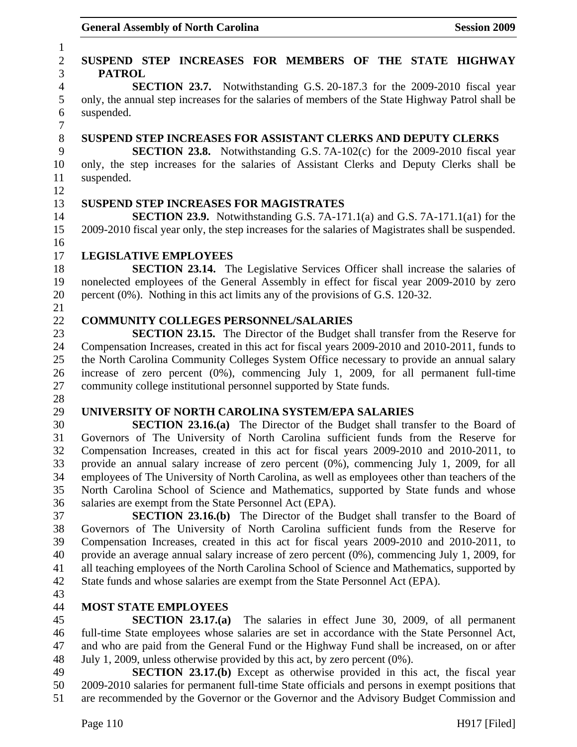### 1 2 **SUSPEND STEP INCREASES FOR MEMBERS OF THE STATE HIGHWAY**  3 **PATROL**  4 **SECTION 23.7.** Notwithstanding G.S. 20-187.3 for the 2009-2010 fiscal year 5 only, the annual step increases for the salaries of members of the State Highway Patrol shall be 6 suspended. 7 8 **SUSPEND STEP INCREASES FOR ASSISTANT CLERKS AND DEPUTY CLERKS**  9 **SECTION 23.8.** Notwithstanding G.S. 7A-102(c) for the 2009-2010 fiscal year 10 only, the step increases for the salaries of Assistant Clerks and Deputy Clerks shall be 11 suspended. 12 13 **SUSPEND STEP INCREASES FOR MAGISTRATES**  14 **SECTION 23.9.** Notwithstanding G.S. 7A-171.1(a) and G.S. 7A-171.1(a1) for the 15 2009-2010 fiscal year only, the step increases for the salaries of Magistrates shall be suspended. 16 17 **LEGISLATIVE EMPLOYEES**  18 **SECTION 23.14.** The Legislative Services Officer shall increase the salaries of 19 nonelected employees of the General Assembly in effect for fiscal year 2009-2010 by zero 20 percent (0%). Nothing in this act limits any of the provisions of G.S. 120-32. 21 22 **COMMUNITY COLLEGES PERSONNEL/SALARIES**  23 **SECTION 23.15.** The Director of the Budget shall transfer from the Reserve for 24 Compensation Increases, created in this act for fiscal years 2009-2010 and 2010-2011, funds to 25 the North Carolina Community Colleges System Office necessary to provide an annual salary 26 increase of zero percent (0%), commencing July 1, 2009, for all permanent full-time 27 community college institutional personnel supported by State funds. 28 29 **UNIVERSITY OF NORTH CAROLINA SYSTEM/EPA SALARIES**  30 **SECTION 23.16.(a)** The Director of the Budget shall transfer to the Board of 31 Governors of The University of North Carolina sufficient funds from the Reserve for 32 Compensation Increases, created in this act for fiscal years 2009-2010 and 2010-2011, to 33 provide an annual salary increase of zero percent (0%), commencing July 1, 2009, for all 34 employees of The University of North Carolina, as well as employees other than teachers of the 35 North Carolina School of Science and Mathematics, supported by State funds and whose 36 salaries are exempt from the State Personnel Act (EPA). 37 **SECTION 23.16.(b)** The Director of the Budget shall transfer to the Board of 38 Governors of The University of North Carolina sufficient funds from the Reserve for 39 Compensation Increases, created in this act for fiscal years 2009-2010 and 2010-2011, to 40 provide an average annual salary increase of zero percent (0%), commencing July 1, 2009, for 41 all teaching employees of the North Carolina School of Science and Mathematics, supported by 42 State funds and whose salaries are exempt from the State Personnel Act (EPA). 43 44 **MOST STATE EMPLOYEES**  45 **SECTION 23.17.(a)** The salaries in effect June 30, 2009, of all permanent 46 full-time State employees whose salaries are set in accordance with the State Personnel Act, 47 and who are paid from the General Fund or the Highway Fund shall be increased, on or after 48 July 1, 2009, unless otherwise provided by this act, by zero percent (0%). 49 **SECTION 23.17.(b)** Except as otherwise provided in this act, the fiscal year 50 2009-2010 salaries for permanent full-time State officials and persons in exempt positions that

51 are recommended by the Governor or the Governor and the Advisory Budget Commission and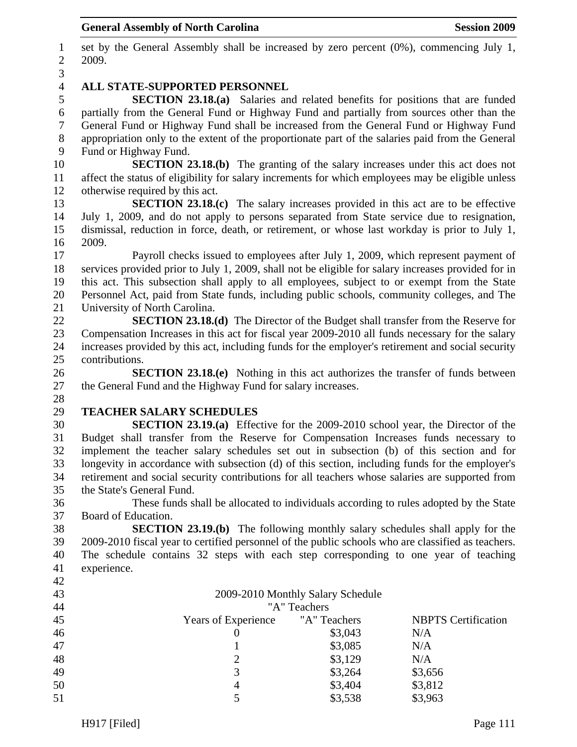1 set by the General Assembly shall be increased by zero percent (0%), commencing July 1, 2 2009. 3 4 **ALL STATE-SUPPORTED PERSONNEL**  5 **SECTION 23.18.(a)** Salaries and related benefits for positions that are funded 6 partially from the General Fund or Highway Fund and partially from sources other than the 7 General Fund or Highway Fund shall be increased from the General Fund or Highway Fund 8 appropriation only to the extent of the proportionate part of the salaries paid from the General 9 Fund or Highway Fund. 10 **SECTION 23.18.(b)** The granting of the salary increases under this act does not 11 affect the status of eligibility for salary increments for which employees may be eligible unless 12 otherwise required by this act. 13 **SECTION 23.18.(c)** The salary increases provided in this act are to be effective 14 July 1, 2009, and do not apply to persons separated from State service due to resignation, 15 dismissal, reduction in force, death, or retirement, or whose last workday is prior to July 1, 16 2009. 17 Payroll checks issued to employees after July 1, 2009, which represent payment of 18 services provided prior to July 1, 2009, shall not be eligible for salary increases provided for in 19 this act. This subsection shall apply to all employees, subject to or exempt from the State 20 Personnel Act, paid from State funds, including public schools, community colleges, and The 21 University of North Carolina. 22 **SECTION 23.18.(d)** The Director of the Budget shall transfer from the Reserve for 23 Compensation Increases in this act for fiscal year 2009-2010 all funds necessary for the salary 24 increases provided by this act, including funds for the employer's retirement and social security 25 contributions. 26 **SECTION 23.18.(e)** Nothing in this act authorizes the transfer of funds between 27 the General Fund and the Highway Fund for salary increases. 28 29 **TEACHER SALARY SCHEDULES**  30 **SECTION 23.19.(a)** Effective for the 2009-2010 school year, the Director of the 31 Budget shall transfer from the Reserve for Compensation Increases funds necessary to 32 implement the teacher salary schedules set out in subsection (b) of this section and for 33 longevity in accordance with subsection (d) of this section, including funds for the employer's 34 retirement and social security contributions for all teachers whose salaries are supported from 35 the State's General Fund. 36 These funds shall be allocated to individuals according to rules adopted by the State 37 Board of Education. 38 **SECTION 23.19.(b)** The following monthly salary schedules shall apply for the 39 2009-2010 fiscal year to certified personnel of the public schools who are classified as teachers. 40 The schedule contains 32 steps with each step corresponding to one year of teaching 41 experience. 42 43 2009-2010 Monthly Salary Schedule 44 "A" Teachers 45 Years of Experience "A" Teachers NBPTS Certification 46 0 \$3,043 N/A 47 1 \$3,085 N/A 48 2 \$3,129 N/A 49  $\qquad$  3  $\qquad$  \$3,264 \$3,656 50 4 \$3,404 \$3,812 5 \$3,538 \$3,963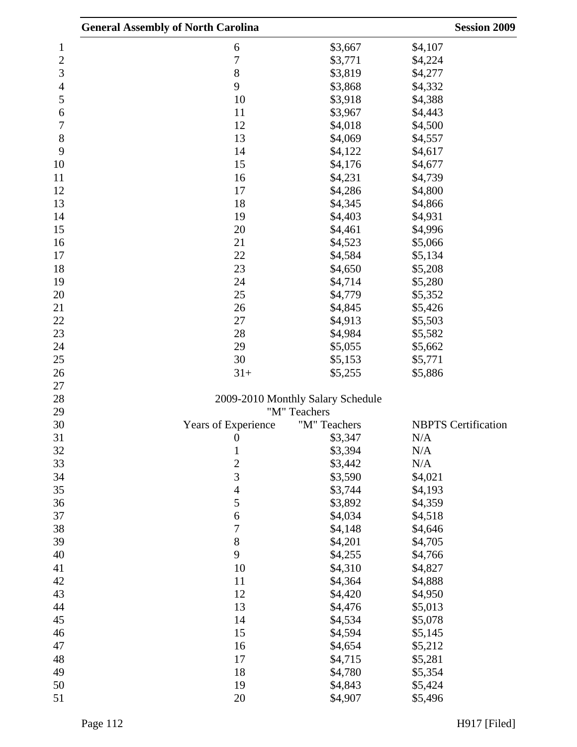|                | <b>General Assembly of North Carolina</b> |                                   | <b>Session 2009</b>        |
|----------------|-------------------------------------------|-----------------------------------|----------------------------|
| 1              | 6                                         | \$3,667                           | \$4,107                    |
| $\overline{c}$ | $\overline{7}$                            | \$3,771                           | \$4,224                    |
| 3              | 8                                         | \$3,819                           | \$4,277                    |
| 4              | 9                                         | \$3,868                           | \$4,332                    |
| 5              | 10                                        | \$3,918                           | \$4,388                    |
| 6              | 11                                        | \$3,967                           | \$4,443                    |
| 7              | 12                                        | \$4,018                           | \$4,500                    |
| 8              | 13                                        | \$4,069                           | \$4,557                    |
| 9              | 14                                        | \$4,122                           | \$4,617                    |
| 10             | 15                                        | \$4,176                           | \$4,677                    |
| 11             | 16                                        | \$4,231                           | \$4,739                    |
| 12             | 17                                        | \$4,286                           | \$4,800                    |
| 13             | 18                                        | \$4,345                           | \$4,866                    |
| 14             | 19                                        | \$4,403                           | \$4,931                    |
| 15             | 20                                        | \$4,461                           | \$4,996                    |
| 16             | 21                                        | \$4,523                           | \$5,066                    |
| 17             | 22                                        | \$4,584                           | \$5,134                    |
| 18             | 23                                        | \$4,650                           | \$5,208                    |
| 19             | 24                                        | \$4,714                           | \$5,280                    |
| 20             | 25                                        | \$4,779                           | \$5,352                    |
| 21             | 26                                        | \$4,845                           | \$5,426                    |
| 22             | 27                                        | \$4,913                           | \$5,503                    |
| 23             | 28                                        | \$4,984                           | \$5,582                    |
| 24             | 29                                        | \$5,055                           | \$5,662                    |
| 25             | 30                                        | \$5,153                           | \$5,771                    |
| 26             | $31+$                                     | \$5,255                           | \$5,886                    |
| 27             |                                           |                                   |                            |
| 28             |                                           | 2009-2010 Monthly Salary Schedule |                            |
| 29             |                                           | "M" Teachers                      |                            |
| 30             | Years of Experience                       | "M" Teachers                      | <b>NBPTS</b> Certification |
| 31             | $\overline{0}$                            | \$3,347                           | N/A                        |
| 32             | $\mathbf{1}$                              | \$3,394                           | N/A                        |
| 33             | $\overline{c}$                            | \$3,442                           | N/A                        |
| 34             | 3                                         | \$3,590                           | \$4,021                    |
| 35             | $\overline{4}$                            | \$3,744                           | \$4,193                    |
| 36             | 5                                         | \$3,892                           | \$4,359                    |
| 37             | 6                                         | \$4,034                           | \$4,518                    |
| 38             | 7                                         | \$4,148                           | \$4,646                    |
| 39             | 8                                         | \$4,201                           | \$4,705                    |
| 40             | 9                                         | \$4,255                           | \$4,766                    |
| 41             | 10                                        | \$4,310                           | \$4,827                    |
| 42             | 11                                        | \$4,364                           | \$4,888                    |
| 43             | 12                                        | \$4,420                           | \$4,950                    |
| 44             | 13                                        | \$4,476                           | \$5,013                    |
| 45             | 14                                        | \$4,534                           | \$5,078                    |
| 46             | 15                                        | \$4,594                           | \$5,145                    |
| 47             | 16                                        | \$4,654                           | \$5,212                    |
| 48             | 17                                        | \$4,715                           | \$5,281                    |
| 49             | 18                                        | \$4,780                           | \$5,354                    |
| 50             | 19                                        | \$4,843                           | \$5,424                    |
| 51             | 20                                        | \$4,907                           | \$5,496                    |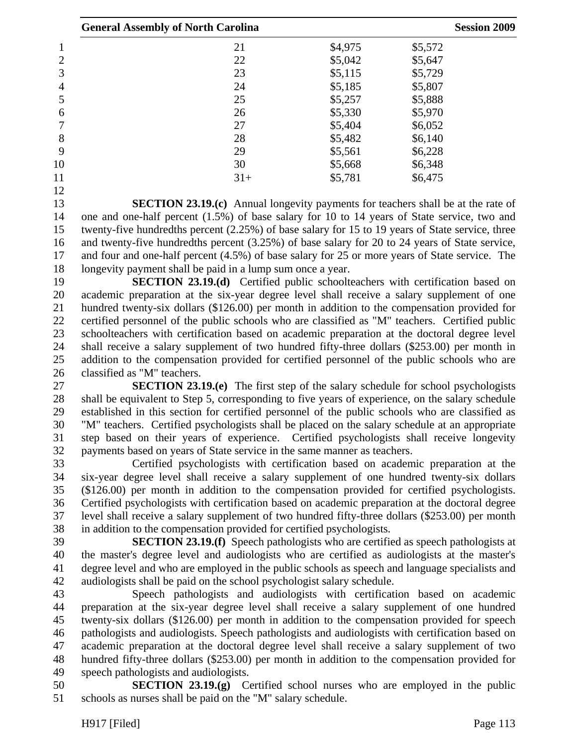|    | <b>General Assembly of North Carolina</b> |         |         |  |
|----|-------------------------------------------|---------|---------|--|
|    | 21                                        | \$4,975 | \$5,572 |  |
| 2  | 22                                        | \$5,042 | \$5,647 |  |
| 3  | 23                                        | \$5,115 | \$5,729 |  |
| 4  | 24                                        | \$5,185 | \$5,807 |  |
| 5  | 25                                        | \$5,257 | \$5,888 |  |
| 6  | 26                                        | \$5,330 | \$5,970 |  |
|    | 27                                        | \$5,404 | \$6,052 |  |
| 8  | 28                                        | \$5,482 | \$6,140 |  |
| 9  | 29                                        | \$5,561 | \$6,228 |  |
| 10 | 30                                        | \$5,668 | \$6,348 |  |
| 11 | $31+$                                     | \$5,781 | \$6,475 |  |
| 12 |                                           |         |         |  |

13 **SECTION 23.19.(c)** Annual longevity payments for teachers shall be at the rate of 14 one and one-half percent (1.5%) of base salary for 10 to 14 years of State service, two and 15 twenty-five hundredths percent (2.25%) of base salary for 15 to 19 years of State service, three 16 and twenty-five hundredths percent (3.25%) of base salary for 20 to 24 years of State service, 17 and four and one-half percent (4.5%) of base salary for 25 or more years of State service. The 18 longevity payment shall be paid in a lump sum once a year.

19 **SECTION 23.19.(d)** Certified public schoolteachers with certification based on 20 academic preparation at the six-year degree level shall receive a salary supplement of one 21 hundred twenty-six dollars (\$126.00) per month in addition to the compensation provided for 22 certified personnel of the public schools who are classified as "M" teachers. Certified public 23 schoolteachers with certification based on academic preparation at the doctoral degree level 24 shall receive a salary supplement of two hundred fifty-three dollars (\$253.00) per month in 25 addition to the compensation provided for certified personnel of the public schools who are 26 classified as "M" teachers.

27 **SECTION 23.19.(e)** The first step of the salary schedule for school psychologists 28 shall be equivalent to Step 5, corresponding to five years of experience, on the salary schedule 29 established in this section for certified personnel of the public schools who are classified as 30 "M" teachers. Certified psychologists shall be placed on the salary schedule at an appropriate 31 step based on their years of experience. Certified psychologists shall receive longevity 32 payments based on years of State service in the same manner as teachers.

33 Certified psychologists with certification based on academic preparation at the 34 six-year degree level shall receive a salary supplement of one hundred twenty-six dollars 35 (\$126.00) per month in addition to the compensation provided for certified psychologists. 36 Certified psychologists with certification based on academic preparation at the doctoral degree 37 level shall receive a salary supplement of two hundred fifty-three dollars (\$253.00) per month 38 in addition to the compensation provided for certified psychologists.

39 **SECTION 23.19.(f)** Speech pathologists who are certified as speech pathologists at 40 the master's degree level and audiologists who are certified as audiologists at the master's 41 degree level and who are employed in the public schools as speech and language specialists and 42 audiologists shall be paid on the school psychologist salary schedule.

43 Speech pathologists and audiologists with certification based on academic 44 preparation at the six-year degree level shall receive a salary supplement of one hundred 45 twenty-six dollars (\$126.00) per month in addition to the compensation provided for speech 46 pathologists and audiologists. Speech pathologists and audiologists with certification based on 47 academic preparation at the doctoral degree level shall receive a salary supplement of two 48 hundred fifty-three dollars (\$253.00) per month in addition to the compensation provided for 49 speech pathologists and audiologists.

50 **SECTION 23.19.(g)** Certified school nurses who are employed in the public 51 schools as nurses shall be paid on the "M" salary schedule.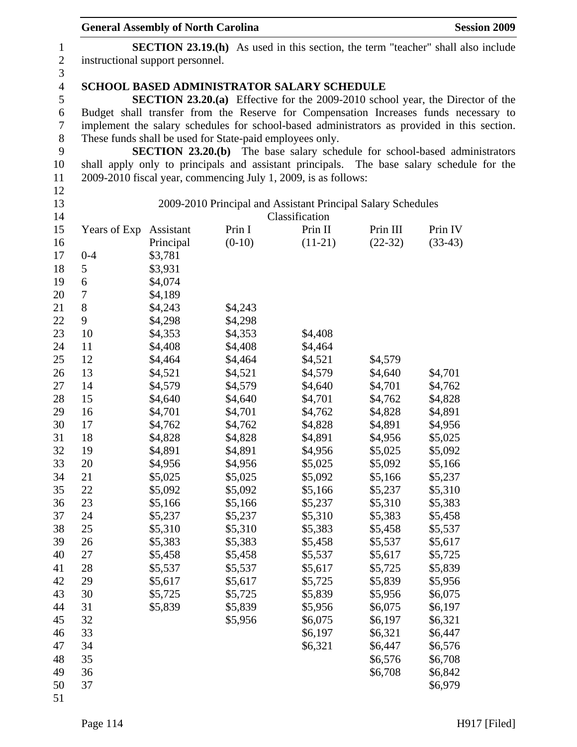|                  | <b>General Assembly of North Carolina</b>                                               |           |                                                                |                |           | <b>Session 2009</b>                                                                         |
|------------------|-----------------------------------------------------------------------------------------|-----------|----------------------------------------------------------------|----------------|-----------|---------------------------------------------------------------------------------------------|
| $\mathbf{1}$     | <b>SECTION 23.19.(h)</b> As used in this section, the term "teacher" shall also include |           |                                                                |                |           |                                                                                             |
| $\boldsymbol{2}$ | instructional support personnel.                                                        |           |                                                                |                |           |                                                                                             |
| $\mathfrak{Z}$   |                                                                                         |           |                                                                |                |           |                                                                                             |
| $\overline{4}$   |                                                                                         |           | <b>SCHOOL BASED ADMINISTRATOR SALARY SCHEDULE</b>              |                |           |                                                                                             |
| 5                |                                                                                         |           |                                                                |                |           | <b>SECTION 23.20.(a)</b> Effective for the 2009-2010 school year, the Director of the       |
| 6                |                                                                                         |           |                                                                |                |           | Budget shall transfer from the Reserve for Compensation Increases funds necessary to        |
| 7                |                                                                                         |           |                                                                |                |           | implement the salary schedules for school-based administrators as provided in this section. |
| $8\,$            |                                                                                         |           | These funds shall be used for State-paid employees only.       |                |           |                                                                                             |
| 9                |                                                                                         |           |                                                                |                |           | <b>SECTION 23.20.(b)</b> The base salary schedule for school-based administrators           |
| 10               |                                                                                         |           |                                                                |                |           | shall apply only to principals and assistant principals. The base salary schedule for the   |
| 11               |                                                                                         |           | 2009-2010 fiscal year, commencing July 1, 2009, is as follows: |                |           |                                                                                             |
| 12               |                                                                                         |           |                                                                |                |           |                                                                                             |
| 13               |                                                                                         |           | 2009-2010 Principal and Assistant Principal Salary Schedules   |                |           |                                                                                             |
| 14               |                                                                                         |           |                                                                | Classification |           |                                                                                             |
| 15               | Years of Exp Assistant                                                                  |           | Prin I                                                         | Prin II        | Prin III  | Prin IV                                                                                     |
| 16               |                                                                                         | Principal | $(0-10)$                                                       | $(11-21)$      | $(22-32)$ | $(33-43)$                                                                                   |
| 17               | $0 - 4$                                                                                 | \$3,781   |                                                                |                |           |                                                                                             |
| 18               | 5                                                                                       | \$3,931   |                                                                |                |           |                                                                                             |
| 19               | 6                                                                                       | \$4,074   |                                                                |                |           |                                                                                             |
| 20               | 7                                                                                       | \$4,189   |                                                                |                |           |                                                                                             |
| 21               | 8                                                                                       | \$4,243   | \$4,243                                                        |                |           |                                                                                             |
| 22               | 9                                                                                       | \$4,298   | \$4,298                                                        |                |           |                                                                                             |
| 23               | 10                                                                                      | \$4,353   | \$4,353                                                        | \$4,408        |           |                                                                                             |
| 24               | 11                                                                                      | \$4,408   | \$4,408                                                        | \$4,464        |           |                                                                                             |
| 25               | 12                                                                                      | \$4,464   | \$4,464                                                        | \$4,521        | \$4,579   |                                                                                             |
| 26               | 13                                                                                      | \$4,521   | \$4,521                                                        | \$4,579        | \$4,640   | \$4,701                                                                                     |
| 27               | 14                                                                                      | \$4,579   | \$4,579                                                        | \$4,640        | \$4,701   | \$4,762                                                                                     |
| 28               | 15                                                                                      | \$4,640   | \$4,640                                                        | \$4,701        | \$4,762   | \$4,828                                                                                     |
| 29               | 16                                                                                      | \$4,701   | \$4,701                                                        | \$4,762        | \$4,828   | \$4,891                                                                                     |
| 30               | 17                                                                                      | \$4,762   | \$4,762                                                        | \$4,828        | \$4,891   | \$4,956                                                                                     |
| 31               | 18                                                                                      | \$4,828   | \$4,828                                                        | \$4,891        | \$4,956   | \$5,025                                                                                     |
| 32               | 19                                                                                      | \$4,891   | \$4,891                                                        | \$4,956        | \$5,025   | \$5,092                                                                                     |
| 33               | 20                                                                                      | \$4,956   | \$4,956                                                        | \$5,025        | \$5,092   | \$5,166                                                                                     |
| 34               | 21                                                                                      | \$5,025   | \$5,025                                                        | \$5,092        | \$5,166   | \$5,237                                                                                     |
| 35               | 22                                                                                      | \$5,092   | \$5,092                                                        | \$5,166        | \$5,237   | \$5,310                                                                                     |
| 36               | 23                                                                                      | \$5,166   | \$5,166                                                        | \$5,237        | \$5,310   | \$5,383                                                                                     |
| 37               | 24                                                                                      | \$5,237   | \$5,237                                                        | \$5,310        | \$5,383   | \$5,458                                                                                     |
| 38               | 25                                                                                      | \$5,310   | \$5,310                                                        | \$5,383        | \$5,458   | \$5,537                                                                                     |
| 39               | 26                                                                                      | \$5,383   | \$5,383                                                        | \$5,458        | \$5,537   | \$5,617                                                                                     |
| 40               | 27                                                                                      | \$5,458   | \$5,458                                                        | \$5,537        | \$5,617   | \$5,725                                                                                     |
| 41               | 28                                                                                      | \$5,537   | \$5,537                                                        | \$5,617        | \$5,725   | \$5,839                                                                                     |
| 42               | 29                                                                                      | \$5,617   | \$5,617                                                        | \$5,725        | \$5,839   | \$5,956                                                                                     |
| 43               | 30                                                                                      | \$5,725   | \$5,725                                                        | \$5,839        | \$5,956   | \$6,075                                                                                     |
| 44               | 31                                                                                      | \$5,839   | \$5,839                                                        | \$5,956        | \$6,075   | \$6,197                                                                                     |
| 45               | 32                                                                                      |           | \$5,956                                                        | \$6,075        | \$6,197   | \$6,321                                                                                     |
| 46               | 33                                                                                      |           |                                                                | \$6,197        | \$6,321   | \$6,447                                                                                     |
| 47               | 34                                                                                      |           |                                                                | \$6,321        | \$6,447   | \$6,576                                                                                     |
| 48               | 35                                                                                      |           |                                                                |                | \$6,576   | \$6,708                                                                                     |
| 49               | 36                                                                                      |           |                                                                |                | \$6,708   | \$6,842                                                                                     |
| 50               | 37                                                                                      |           |                                                                |                |           | \$6,979                                                                                     |
| 51               |                                                                                         |           |                                                                |                |           |                                                                                             |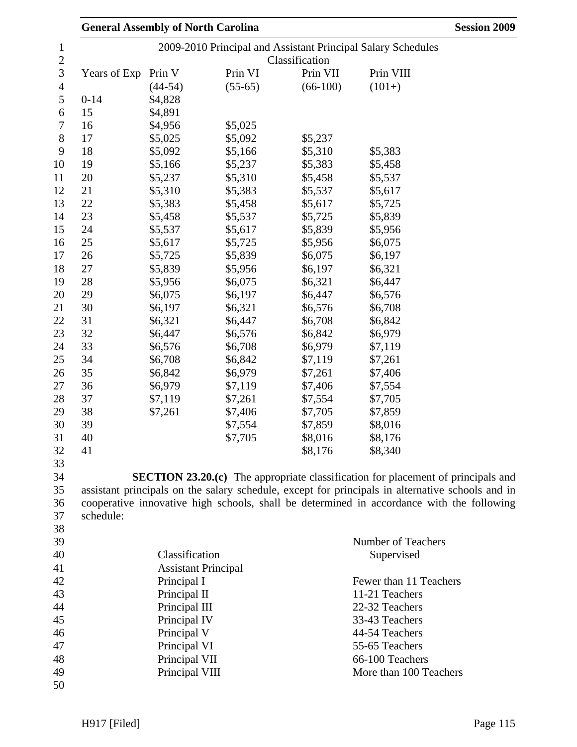|              | <b>General Assembly of North Carolina</b> |           |                | <b>Session 2009</b>                                                                              |
|--------------|-------------------------------------------|-----------|----------------|--------------------------------------------------------------------------------------------------|
|              |                                           |           |                | 2009-2010 Principal and Assistant Principal Salary Schedules                                     |
|              |                                           |           | Classification |                                                                                                  |
| Years of Exp | Prin V                                    | Prin VI   | Prin VII       | Prin VIII                                                                                        |
|              | $(44-54)$                                 | $(55-65)$ | $(66-100)$     | $(101+)$                                                                                         |
| $0 - 14$     | \$4,828                                   |           |                |                                                                                                  |
| 15           | \$4,891                                   |           |                |                                                                                                  |
| 16           | \$4,956                                   | \$5,025   |                |                                                                                                  |
| 17           | \$5,025                                   | \$5,092   | \$5,237        |                                                                                                  |
| 18           | \$5,092                                   | \$5,166   | \$5,310        | \$5,383                                                                                          |
| 19           | \$5,166                                   | \$5,237   | \$5,383        | \$5,458                                                                                          |
| 20           | \$5,237                                   | \$5,310   | \$5,458        | \$5,537                                                                                          |
| 21           | \$5,310                                   | \$5,383   | \$5,537        | \$5,617                                                                                          |
| 22           | \$5,383                                   | \$5,458   | \$5,617        | \$5,725                                                                                          |
| 23           | \$5,458                                   | \$5,537   | \$5,725        | \$5,839                                                                                          |
| 24           | \$5,537                                   | \$5,617   | \$5,839        | \$5,956                                                                                          |
| 25           | \$5,617                                   | \$5,725   | \$5,956        | \$6,075                                                                                          |
| 26           | \$5,725                                   | \$5,839   | \$6,075        | \$6,197                                                                                          |
| 27           | \$5,839                                   | \$5,956   | \$6,197        | \$6,321                                                                                          |
| 28           | \$5,956                                   | \$6,075   | \$6,321        | \$6,447                                                                                          |
| 29           | \$6,075                                   | \$6,197   | \$6,447        | \$6,576                                                                                          |
| 30           | \$6,197                                   | \$6,321   | \$6,576        | \$6,708                                                                                          |
| 31           | \$6,321                                   | \$6,447   | \$6,708        | \$6,842                                                                                          |
| 32           | \$6,447                                   | \$6,576   | \$6,842        | \$6,979                                                                                          |
| 33           | \$6,576                                   | \$6,708   | \$6,979        | \$7,119                                                                                          |
| 34           | \$6,708                                   | \$6,842   | \$7,119        | \$7,261                                                                                          |
| 35           | \$6,842                                   | \$6,979   | \$7,261        | \$7,406                                                                                          |
| 36           | \$6,979                                   | \$7,119   | \$7,406        | \$7,554                                                                                          |
| 37           | \$7,119                                   | \$7,261   | \$7,554        | \$7,705                                                                                          |
| 38           | \$7,261                                   | \$7,406   | \$7,705        | \$7,859                                                                                          |
| 39           |                                           | \$7,554   | \$7,859        | \$8,016                                                                                          |
| 40           |                                           | \$7,705   | \$8,016        | \$8,176                                                                                          |
| 41           |                                           |           | \$8,176        | \$8,340                                                                                          |
|              |                                           |           |                |                                                                                                  |
|              |                                           |           |                | <b>SECTION 23.20.(c)</b> The appropriate classification for placement of principals and          |
|              |                                           |           |                | assistant principals on the salary schedule, except for principals in alternative schools and in |
|              |                                           |           |                | cooperative innovative high schools, shall be determined in accordance with the following        |
| schedule:    |                                           |           |                |                                                                                                  |
|              |                                           |           |                |                                                                                                  |
|              |                                           |           |                | Number of Teachers                                                                               |
|              | Classification                            |           |                | Supervised                                                                                       |
|              | <b>Assistant Principal</b>                |           |                |                                                                                                  |
|              | Principal I                               |           |                | Fewer than 11 Teachers                                                                           |
|              | Principal II                              |           |                | 11-21 Teachers                                                                                   |
|              | Principal III                             |           |                | 22-32 Teachers                                                                                   |
|              | Principal IV                              |           |                | 33-43 Teachers                                                                                   |
|              | Principal V                               |           |                | 44-54 Teachers                                                                                   |
|              | Principal VI                              |           |                | 55-65 Teachers                                                                                   |
|              | Principal VII                             |           |                | 66-100 Teachers                                                                                  |
|              | Principal VIII                            |           |                | More than 100 Teachers                                                                           |
|              |                                           |           |                |                                                                                                  |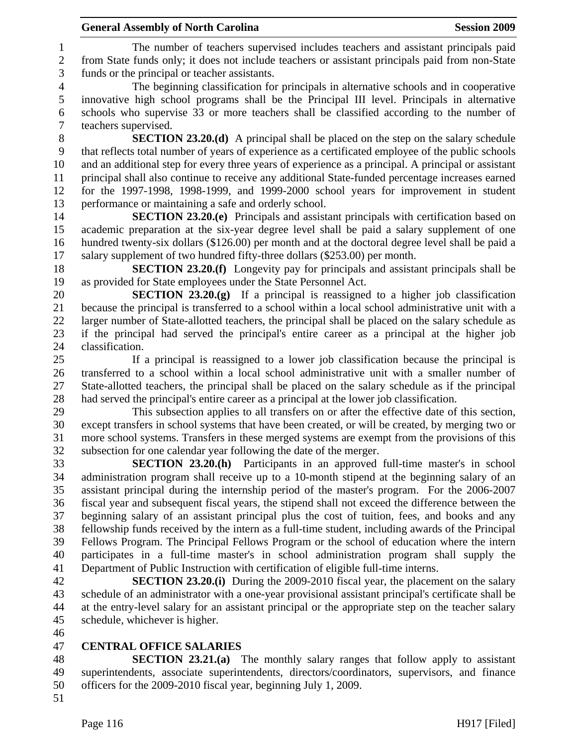1 The number of teachers supervised includes teachers and assistant principals paid 2 from State funds only; it does not include teachers or assistant principals paid from non-State 3 funds or the principal or teacher assistants.

4 The beginning classification for principals in alternative schools and in cooperative 5 innovative high school programs shall be the Principal III level. Principals in alternative 6 schools who supervise 33 or more teachers shall be classified according to the number of 7 teachers supervised.

8 **SECTION 23.20.(d)** A principal shall be placed on the step on the salary schedule 9 that reflects total number of years of experience as a certificated employee of the public schools 10 and an additional step for every three years of experience as a principal. A principal or assistant 11 principal shall also continue to receive any additional State-funded percentage increases earned 12 for the 1997-1998, 1998-1999, and 1999-2000 school years for improvement in student 13 performance or maintaining a safe and orderly school.

14 **SECTION 23.20.(e)** Principals and assistant principals with certification based on 15 academic preparation at the six-year degree level shall be paid a salary supplement of one 16 hundred twenty-six dollars (\$126.00) per month and at the doctoral degree level shall be paid a 17 salary supplement of two hundred fifty-three dollars (\$253.00) per month.

18 **SECTION 23.20.(f)** Longevity pay for principals and assistant principals shall be 19 as provided for State employees under the State Personnel Act.

20 **SECTION 23.20.(g)** If a principal is reassigned to a higher job classification 21 because the principal is transferred to a school within a local school administrative unit with a 22 larger number of State-allotted teachers, the principal shall be placed on the salary schedule as 23 if the principal had served the principal's entire career as a principal at the higher job 24 classification.

25 If a principal is reassigned to a lower job classification because the principal is 26 transferred to a school within a local school administrative unit with a smaller number of 27 State-allotted teachers, the principal shall be placed on the salary schedule as if the principal 28 had served the principal's entire career as a principal at the lower job classification.

29 This subsection applies to all transfers on or after the effective date of this section, 30 except transfers in school systems that have been created, or will be created, by merging two or 31 more school systems. Transfers in these merged systems are exempt from the provisions of this 32 subsection for one calendar year following the date of the merger.

33 **SECTION 23.20.(h)** Participants in an approved full-time master's in school 34 administration program shall receive up to a 10-month stipend at the beginning salary of an 35 assistant principal during the internship period of the master's program. For the 2006-2007 36 fiscal year and subsequent fiscal years, the stipend shall not exceed the difference between the 37 beginning salary of an assistant principal plus the cost of tuition, fees, and books and any 38 fellowship funds received by the intern as a full-time student, including awards of the Principal 39 Fellows Program. The Principal Fellows Program or the school of education where the intern 40 participates in a full-time master's in school administration program shall supply the 41 Department of Public Instruction with certification of eligible full-time interns.

42 **SECTION 23.20.(i)** During the 2009-2010 fiscal year, the placement on the salary 43 schedule of an administrator with a one-year provisional assistant principal's certificate shall be 44 at the entry-level salary for an assistant principal or the appropriate step on the teacher salary 45 schedule, whichever is higher.

46

### 47 **CENTRAL OFFICE SALARIES**

48 **SECTION 23.21.(a)** The monthly salary ranges that follow apply to assistant 49 superintendents, associate superintendents, directors/coordinators, supervisors, and finance 50 officers for the 2009-2010 fiscal year, beginning July 1, 2009.

51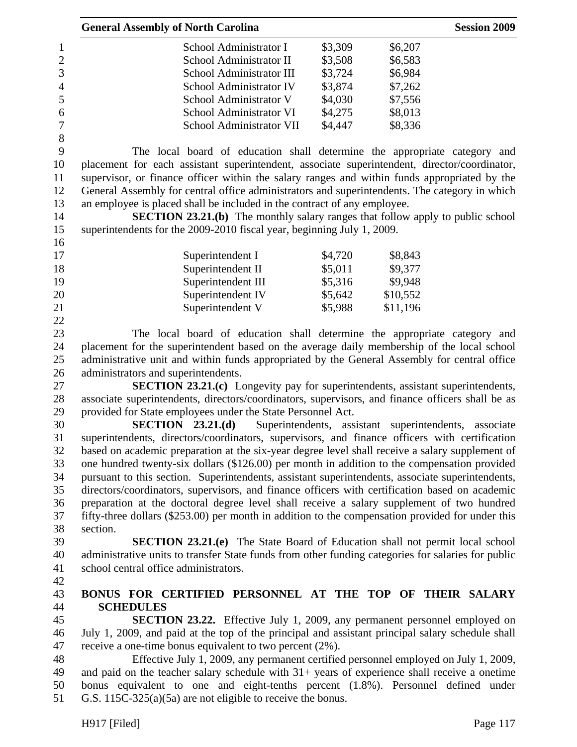|                  | <b>General Assembly of North Carolina</b>                                                          |         |                                             | <b>Session 2009</b> |
|------------------|----------------------------------------------------------------------------------------------------|---------|---------------------------------------------|---------------------|
| $\mathbf{1}$     | School Administrator I                                                                             | \$3,309 | \$6,207                                     |                     |
| $\overline{c}$   | School Administrator II                                                                            | \$3,508 | \$6,583                                     |                     |
| $\overline{3}$   | School Administrator III                                                                           | \$3,724 | \$6,984                                     |                     |
| $\overline{4}$   | School Administrator IV                                                                            | \$3,874 | \$7,262                                     |                     |
| 5                | School Administrator V                                                                             | \$4,030 | \$7,556                                     |                     |
| 6                | School Administrator VI                                                                            | \$4,275 | \$8,013                                     |                     |
| $\boldsymbol{7}$ | School Administrator VII                                                                           | \$4,447 | \$8,336                                     |                     |
| 8                |                                                                                                    |         |                                             |                     |
| 9                | The local board of education shall determine the appropriate category and                          |         |                                             |                     |
| 10               | placement for each assistant superintendent, associate superintendent, director/coordinator,       |         |                                             |                     |
| 11               | supervisor, or finance officer within the salary ranges and within funds appropriated by the       |         |                                             |                     |
| 12               | General Assembly for central office administrators and superintendents. The category in which      |         |                                             |                     |
| 13               | an employee is placed shall be included in the contract of any employee.                           |         |                                             |                     |
| 14               | <b>SECTION 23.21.(b)</b> The monthly salary ranges that follow apply to public school              |         |                                             |                     |
| 15               | superintendents for the 2009-2010 fiscal year, beginning July 1, 2009.                             |         |                                             |                     |
| 16               |                                                                                                    |         |                                             |                     |
| 17               | Superintendent I                                                                                   | \$4,720 | \$8,843                                     |                     |
| 18               | Superintendent II                                                                                  | \$5,011 | \$9,377                                     |                     |
| 19               | Superintendent III                                                                                 | \$5,316 | \$9,948                                     |                     |
| 20               |                                                                                                    | \$5,642 | \$10,552                                    |                     |
|                  | Superintendent IV                                                                                  |         |                                             |                     |
| 21<br>22         | Superintendent V                                                                                   | \$5,988 | \$11,196                                    |                     |
|                  |                                                                                                    |         |                                             |                     |
| 23               | The local board of education shall determine the appropriate category and                          |         |                                             |                     |
| 24               | placement for the superintendent based on the average daily membership of the local school         |         |                                             |                     |
| 25               | administrative unit and within funds appropriated by the General Assembly for central office       |         |                                             |                     |
| 26               | administrators and superintendents.                                                                |         |                                             |                     |
| 27               | <b>SECTION 23.21.(c)</b> Longevity pay for superintendents, assistant superintendents,             |         |                                             |                     |
| 28               | associate superintendents, directors/coordinators, supervisors, and finance officers shall be as   |         |                                             |                     |
| 29               | provided for State employees under the State Personnel Act.                                        |         |                                             |                     |
| 30               | SECTION 23.21(d)                                                                                   |         | Superintendents, assistant superintendents, | associate           |
| 31               | superintendents, directors/coordinators, supervisors, and finance officers with certification      |         |                                             |                     |
| 32               | based on academic preparation at the six-year degree level shall receive a salary supplement of    |         |                                             |                     |
| 33               | one hundred twenty-six dollars (\$126.00) per month in addition to the compensation provided       |         |                                             |                     |
| 34               | pursuant to this section. Superintendents, assistant superintendents, associate superintendents,   |         |                                             |                     |
| 35               | directors/coordinators, supervisors, and finance officers with certification based on academic     |         |                                             |                     |
| 36               | preparation at the doctoral degree level shall receive a salary supplement of two hundred          |         |                                             |                     |
| 37               | fifty-three dollars (\$253.00) per month in addition to the compensation provided for under this   |         |                                             |                     |
| 38               | section.                                                                                           |         |                                             |                     |
| 39               | <b>SECTION 23.21.(e)</b> The State Board of Education shall not permit local school                |         |                                             |                     |
| 40               | administrative units to transfer State funds from other funding categories for salaries for public |         |                                             |                     |
| 41               | school central office administrators.                                                              |         |                                             |                     |
| 42               |                                                                                                    |         |                                             |                     |
| 43               | BONUS FOR CERTIFIED PERSONNEL AT THE TOP OF THEIR SALARY                                           |         |                                             |                     |
| 44               | <b>SCHEDULES</b>                                                                                   |         |                                             |                     |
| 45               | <b>SECTION 23.22.</b> Effective July 1, 2009, any permanent personnel employed on                  |         |                                             |                     |
| 46               | July 1, 2009, and paid at the top of the principal and assistant principal salary schedule shall   |         |                                             |                     |
| 47               | receive a one-time bonus equivalent to two percent (2%).                                           |         |                                             |                     |
| 48               | Effective July 1, 2009, any permanent certified personnel employed on July 1, 2009,                |         |                                             |                     |
| 49               | and paid on the teacher salary schedule with $31+$ years of experience shall receive a onetime     |         |                                             |                     |
| 50               | bonus equivalent to one and eight-tenths percent (1.8%). Personnel defined under                   |         |                                             |                     |
| 51               | G.S. $115C-325(a)(5a)$ are not eligible to receive the bonus.                                      |         |                                             |                     |
|                  |                                                                                                    |         |                                             |                     |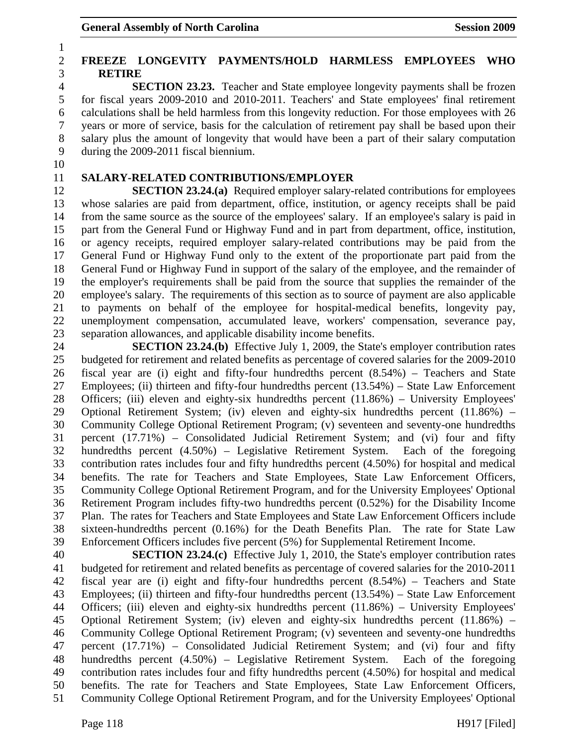## 2 **FREEZE LONGEVITY PAYMENTS/HOLD HARMLESS EMPLOYEES WHO**  3 **RETIRE**

4 **SECTION 23.23.** Teacher and State employee longevity payments shall be frozen 5 for fiscal years 2009-2010 and 2010-2011. Teachers' and State employees' final retirement 6 calculations shall be held harmless from this longevity reduction. For those employees with 26 7 years or more of service, basis for the calculation of retirement pay shall be based upon their 8 salary plus the amount of longevity that would have been a part of their salary computation 9 during the 2009-2011 fiscal biennium.

10

1

## 11 **SALARY-RELATED CONTRIBUTIONS/EMPLOYER**

12 **SECTION 23.24.(a)** Required employer salary-related contributions for employees 13 whose salaries are paid from department, office, institution, or agency receipts shall be paid 14 from the same source as the source of the employees' salary. If an employee's salary is paid in 15 part from the General Fund or Highway Fund and in part from department, office, institution, 16 or agency receipts, required employer salary-related contributions may be paid from the 17 General Fund or Highway Fund only to the extent of the proportionate part paid from the 18 General Fund or Highway Fund in support of the salary of the employee, and the remainder of 19 the employer's requirements shall be paid from the source that supplies the remainder of the 20 employee's salary. The requirements of this section as to source of payment are also applicable 21 to payments on behalf of the employee for hospital-medical benefits, longevity pay, 22 unemployment compensation, accumulated leave, workers' compensation, severance pay, 23 separation allowances, and applicable disability income benefits.

24 **SECTION 23.24.(b)** Effective July 1, 2009, the State's employer contribution rates 25 budgeted for retirement and related benefits as percentage of covered salaries for the 2009-2010 26 fiscal year are (i) eight and fifty-four hundredths percent (8.54%) – Teachers and State 27 Employees; (ii) thirteen and fifty-four hundredths percent (13.54%) – State Law Enforcement 28 Officers; (iii) eleven and eighty-six hundredths percent (11.86%) – University Employees' 29 Optional Retirement System; (iv) eleven and eighty-six hundredths percent (11.86%) – 30 Community College Optional Retirement Program; (v) seventeen and seventy-one hundredths 31 percent (17.71%) – Consolidated Judicial Retirement System; and (vi) four and fifty 32 hundredths percent (4.50%) – Legislative Retirement System. Each of the foregoing 33 contribution rates includes four and fifty hundredths percent (4.50%) for hospital and medical 34 benefits. The rate for Teachers and State Employees, State Law Enforcement Officers, 35 Community College Optional Retirement Program, and for the University Employees' Optional 36 Retirement Program includes fifty-two hundredths percent (0.52%) for the Disability Income 37 Plan. The rates for Teachers and State Employees and State Law Enforcement Officers include 38 sixteen-hundredths percent (0.16%) for the Death Benefits Plan. The rate for State Law 39 Enforcement Officers includes five percent (5%) for Supplemental Retirement Income.

40 **SECTION 23.24.(c)** Effective July 1, 2010, the State's employer contribution rates 41 budgeted for retirement and related benefits as percentage of covered salaries for the 2010-2011 42 fiscal year are (i) eight and fifty-four hundredths percent (8.54%) – Teachers and State 43 Employees; (ii) thirteen and fifty-four hundredths percent (13.54%) – State Law Enforcement 44 Officers; (iii) eleven and eighty-six hundredths percent (11.86%) – University Employees' 45 Optional Retirement System; (iv) eleven and eighty-six hundredths percent (11.86%) – 46 Community College Optional Retirement Program; (v) seventeen and seventy-one hundredths 47 percent (17.71%) – Consolidated Judicial Retirement System; and (vi) four and fifty 48 hundredths percent (4.50%) – Legislative Retirement System. Each of the foregoing 49 contribution rates includes four and fifty hundredths percent (4.50%) for hospital and medical 50 benefits. The rate for Teachers and State Employees, State Law Enforcement Officers, 51 Community College Optional Retirement Program, and for the University Employees' Optional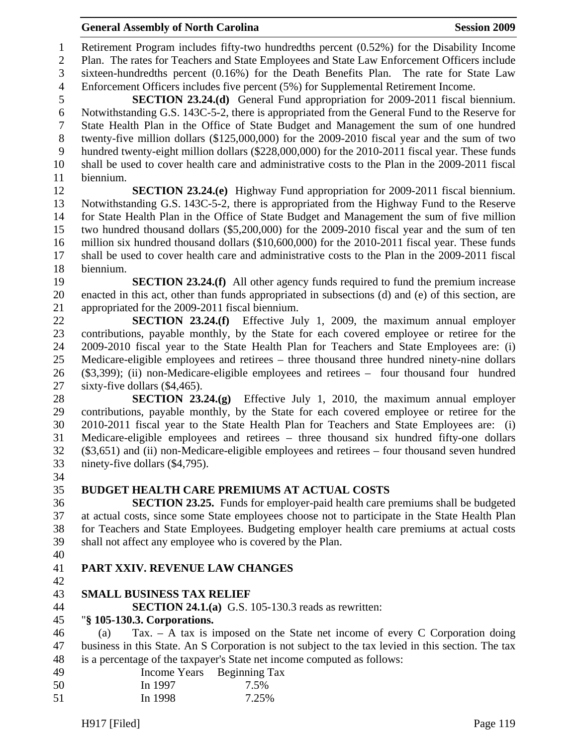- 49 Income Years Beginning Tax 50 In 1997 7.5%
- 51 In 1998 7.25%

## General Assembly of North Carolina **Session 2009**

1 Retirement Program includes fifty-two hundredths percent (0.52%) for the Disability Income 2 Plan. The rates for Teachers and State Employees and State Law Enforcement Officers include 3 sixteen-hundredths percent (0.16%) for the Death Benefits Plan. The rate for State Law 4 Enforcement Officers includes five percent (5%) for Supplemental Retirement Income.

5 **SECTION 23.24.(d)** General Fund appropriation for 2009-2011 fiscal biennium. 6 Notwithstanding G.S. 143C-5-2, there is appropriated from the General Fund to the Reserve for 7 State Health Plan in the Office of State Budget and Management the sum of one hundred 8 twenty-five million dollars (\$125,000,000) for the 2009-2010 fiscal year and the sum of two 9 hundred twenty-eight million dollars (\$228,000,000) for the 2010-2011 fiscal year. These funds 10 shall be used to cover health care and administrative costs to the Plan in the 2009-2011 fiscal 11 biennium.

12 **SECTION 23.24.(e)** Highway Fund appropriation for 2009-2011 fiscal biennium. 13 Notwithstanding G.S. 143C-5-2, there is appropriated from the Highway Fund to the Reserve 14 for State Health Plan in the Office of State Budget and Management the sum of five million 15 two hundred thousand dollars (\$5,200,000) for the 2009-2010 fiscal year and the sum of ten 16 million six hundred thousand dollars (\$10,600,000) for the 2010-2011 fiscal year. These funds 17 shall be used to cover health care and administrative costs to the Plan in the 2009-2011 fiscal 18 biennium.

19 **SECTION 23.24.(f)** All other agency funds required to fund the premium increase 20 enacted in this act, other than funds appropriated in subsections (d) and (e) of this section, are 21 appropriated for the 2009-2011 fiscal biennium.

22 **SECTION 23.24.(f)** Effective July 1, 2009, the maximum annual employer 23 contributions, payable monthly, by the State for each covered employee or retiree for the 24 2009-2010 fiscal year to the State Health Plan for Teachers and State Employees are: (i) 25 Medicare-eligible employees and retirees – three thousand three hundred ninety-nine dollars 26 (\$3,399); (ii) non-Medicare-eligible employees and retirees – four thousand four hundred 27 sixty-five dollars (\$4,465).

28 **SECTION 23.24.(g)** Effective July 1, 2010, the maximum annual employer 29 contributions, payable monthly, by the State for each covered employee or retiree for the 30 2010-2011 fiscal year to the State Health Plan for Teachers and State Employees are: (i) 31 Medicare-eligible employees and retirees – three thousand six hundred fifty-one dollars 32 (\$3,651) and (ii) non-Medicare-eligible employees and retirees – four thousand seven hundred 33 ninety-five dollars (\$4,795).

- 34
- 

## 35 **BUDGET HEALTH CARE PREMIUMS AT ACTUAL COSTS**

36 **SECTION 23.25.** Funds for employer-paid health care premiums shall be budgeted 37 at actual costs, since some State employees choose not to participate in the State Health Plan 38 for Teachers and State Employees. Budgeting employer health care premiums at actual costs 39 shall not affect any employee who is covered by the Plan.

40

## 41 **PART XXIV. REVENUE LAW CHANGES**

42

# 43 **SMALL BUSINESS TAX RELIEF**

44 **SECTION 24.1.(a)** G.S. 105-130.3 reads as rewritten:

## 45 "**§ 105-130.3. Corporations.**

46 (a) Tax. – A tax is imposed on the State net income of every C Corporation doing 47 business in this State. An S Corporation is not subject to the tax levied in this section. The tax 48 is a percentage of the taxpayer's State net income computed as follows: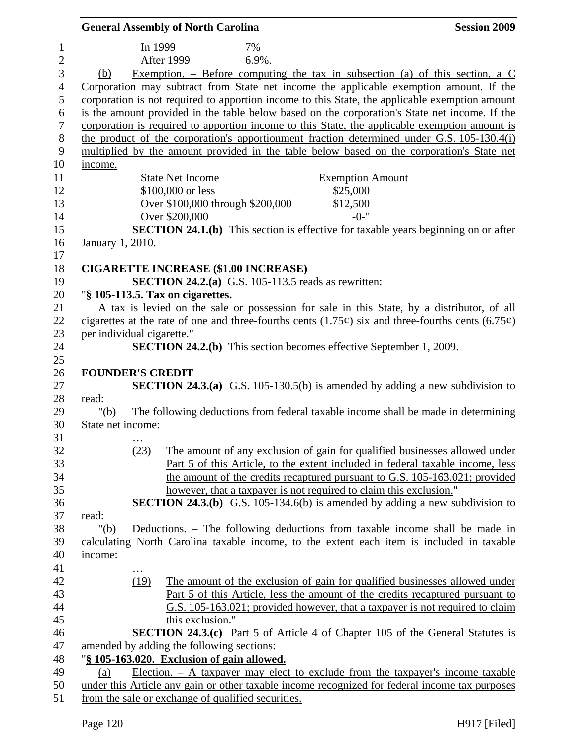|                |                            |         | <b>General Assembly of North Carolina</b> |                                                                                                           | <b>Session 2009</b>                                                                                                                                                                |
|----------------|----------------------------|---------|-------------------------------------------|-----------------------------------------------------------------------------------------------------------|------------------------------------------------------------------------------------------------------------------------------------------------------------------------------------|
| $\mathbf{1}$   |                            | In 1999 |                                           | 7%                                                                                                        |                                                                                                                                                                                    |
| $\overline{2}$ |                            |         | <b>After 1999</b>                         | 6.9%.                                                                                                     |                                                                                                                                                                                    |
| $\mathfrak{Z}$ | (b)                        |         |                                           |                                                                                                           | Exemption. – Before computing the tax in subsection (a) of this section, a $C$                                                                                                     |
| $\overline{4}$ |                            |         |                                           |                                                                                                           | Corporation may subtract from State net income the applicable exemption amount. If the                                                                                             |
| 5              |                            |         |                                           |                                                                                                           | corporation is not required to apportion income to this State, the applicable exemption amount                                                                                     |
|                |                            |         |                                           |                                                                                                           | is the amount provided in the table below based on the corporation's State net income. If the                                                                                      |
|                |                            |         |                                           |                                                                                                           | corporation is required to apportion income to this State, the applicable exemption amount is                                                                                      |
|                |                            |         |                                           |                                                                                                           | the product of the corporation's apportionment fraction determined under G.S. 105-130.4(i)                                                                                         |
|                |                            |         |                                           |                                                                                                           | multiplied by the amount provided in the table below based on the corporation's State net                                                                                          |
|                | income.                    |         |                                           |                                                                                                           |                                                                                                                                                                                    |
|                |                            |         | <b>State Net Income</b>                   |                                                                                                           | <b>Exemption Amount</b>                                                                                                                                                            |
|                |                            |         | \$100,000 or less                         |                                                                                                           | \$25,000                                                                                                                                                                           |
|                |                            |         |                                           | Over \$100,000 through \$200,000                                                                          | \$12,500                                                                                                                                                                           |
|                |                            |         | Over \$200,000                            |                                                                                                           | $-0-$ "                                                                                                                                                                            |
|                |                            |         |                                           |                                                                                                           | <b>SECTION 24.1.(b)</b> This section is effective for taxable years beginning on or after                                                                                          |
|                | January 1, 2010.           |         |                                           |                                                                                                           |                                                                                                                                                                                    |
|                |                            |         |                                           |                                                                                                           |                                                                                                                                                                                    |
|                |                            |         |                                           | <b>CIGARETTE INCREASE (\$1.00 INCREASE)</b><br><b>SECTION 24.2.(a)</b> G.S. 105-113.5 reads as rewritten: |                                                                                                                                                                                    |
|                |                            |         | "§ 105-113.5. Tax on cigarettes.          |                                                                                                           |                                                                                                                                                                                    |
|                |                            |         |                                           |                                                                                                           | A tax is levied on the sale or possession for sale in this State, by a distributor, of all                                                                                         |
|                |                            |         |                                           |                                                                                                           | cigarettes at the rate of <del>one and three fourths cents (1.75¢)</del> six and three-fourths cents (6.75¢)                                                                       |
|                | per individual cigarette." |         |                                           |                                                                                                           |                                                                                                                                                                                    |
|                |                            |         |                                           |                                                                                                           | <b>SECTION 24.2.(b)</b> This section becomes effective September 1, 2009.                                                                                                          |
|                |                            |         |                                           |                                                                                                           |                                                                                                                                                                                    |
|                | <b>FOUNDER'S CREDIT</b>    |         |                                           |                                                                                                           |                                                                                                                                                                                    |
|                |                            |         |                                           |                                                                                                           | <b>SECTION 24.3.(a)</b> G.S. 105-130.5(b) is amended by adding a new subdivision to                                                                                                |
|                | read:                      |         |                                           |                                                                                                           |                                                                                                                                                                                    |
|                | " $(b)$                    |         |                                           |                                                                                                           | The following deductions from federal taxable income shall be made in determining                                                                                                  |
|                | State net income:          |         |                                           |                                                                                                           |                                                                                                                                                                                    |
|                |                            |         |                                           |                                                                                                           |                                                                                                                                                                                    |
|                |                            | (23)    |                                           |                                                                                                           | The amount of any exclusion of gain for qualified businesses allowed under                                                                                                         |
|                |                            |         |                                           |                                                                                                           | Part 5 of this Article, to the extent included in federal taxable income, less                                                                                                     |
|                |                            |         |                                           |                                                                                                           | the amount of the credits recaptured pursuant to G.S. 105-163.021; provided                                                                                                        |
|                |                            |         |                                           |                                                                                                           | however, that a taxpayer is not required to claim this exclusion."                                                                                                                 |
|                |                            |         |                                           |                                                                                                           | <b>SECTION 24.3.(b)</b> G.S. 105-134.6(b) is amended by adding a new subdivision to                                                                                                |
|                | read:                      |         |                                           |                                                                                                           |                                                                                                                                                                                    |
|                | " $(b)$                    |         |                                           |                                                                                                           | Deductions. - The following deductions from taxable income shall be made in                                                                                                        |
|                |                            |         |                                           |                                                                                                           | calculating North Carolina taxable income, to the extent each item is included in taxable                                                                                          |
|                | income:                    |         |                                           |                                                                                                           |                                                                                                                                                                                    |
|                |                            |         |                                           |                                                                                                           |                                                                                                                                                                                    |
|                |                            | (19)    |                                           |                                                                                                           | The amount of the exclusion of gain for qualified businesses allowed under                                                                                                         |
|                |                            |         |                                           |                                                                                                           | Part 5 of this Article, less the amount of the credits recaptured pursuant to                                                                                                      |
|                |                            |         |                                           |                                                                                                           | G.S. 105-163.021; provided however, that a taxpayer is not required to claim                                                                                                       |
|                |                            |         | this exclusion."                          |                                                                                                           |                                                                                                                                                                                    |
|                |                            |         |                                           |                                                                                                           | <b>SECTION 24.3.(c)</b> Part 5 of Article 4 of Chapter 105 of the General Statutes is                                                                                              |
|                |                            |         | amended by adding the following sections: |                                                                                                           |                                                                                                                                                                                    |
|                |                            |         |                                           | "§ 105-163.020. Exclusion of gain allowed.                                                                |                                                                                                                                                                                    |
|                | (a)                        |         |                                           |                                                                                                           | Election. $-$ A taxpayer may elect to exclude from the taxpayer's income taxable<br>under this Article any gain or other taxable income recognized for federal income tax purposes |
|                |                            |         |                                           | from the sale or exchange of qualified securities.                                                        |                                                                                                                                                                                    |
|                |                            |         |                                           |                                                                                                           |                                                                                                                                                                                    |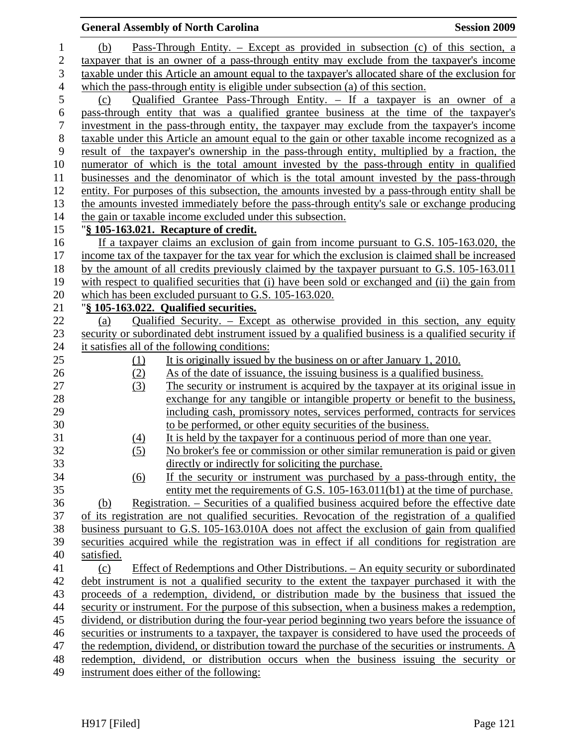|                  |            | <b>General Assembly of North Carolina</b>                                                                                                                                                      | <b>Session 2009</b> |
|------------------|------------|------------------------------------------------------------------------------------------------------------------------------------------------------------------------------------------------|---------------------|
| $\mathbf{1}$     | (b)        | <u>Pass-Through Entity. – Except as provided in subsection (c) of this section, a</u>                                                                                                          |                     |
| $\overline{c}$   |            | taxpayer that is an owner of a pass-through entity may exclude from the taxpayer's income                                                                                                      |                     |
| 3                |            | taxable under this Article an amount equal to the taxpayer's allocated share of the exclusion for                                                                                              |                     |
| $\overline{4}$   |            | which the pass-through entity is eligible under subsection (a) of this section.                                                                                                                |                     |
| 5                | (c)        | <u>Qualified Grantee Pass-Through Entity. – If a taxpayer is an owner of a</u>                                                                                                                 |                     |
| $\boldsymbol{6}$ |            | pass-through entity that was a qualified grantee business at the time of the taxpayer's                                                                                                        |                     |
| $\tau$           |            | investment in the pass-through entity, the taxpayer may exclude from the taxpayer's income                                                                                                     |                     |
| $8\,$            |            | taxable under this Article an amount equal to the gain or other taxable income recognized as a                                                                                                 |                     |
| 9                |            | result of the taxpayer's ownership in the pass-through entity, multiplied by a fraction, the                                                                                                   |                     |
| 10               |            | numerator of which is the total amount invested by the pass-through entity in qualified                                                                                                        |                     |
| 11               |            | businesses and the denominator of which is the total amount invested by the pass-through                                                                                                       |                     |
| 12               |            | entity. For purposes of this subsection, the amounts invested by a pass-through entity shall be                                                                                                |                     |
| 13               |            | the amounts invested immediately before the pass-through entity's sale or exchange producing                                                                                                   |                     |
| 14               |            | the gain or taxable income excluded under this subsection.                                                                                                                                     |                     |
| 15               |            | "§ 105-163.021. Recapture of credit.                                                                                                                                                           |                     |
| 16               |            | If a taxpayer claims an exclusion of gain from income pursuant to G.S. 105-163.020, the                                                                                                        |                     |
| 17               |            | income tax of the taxpayer for the tax year for which the exclusion is claimed shall be increased                                                                                              |                     |
| 18               |            | by the amount of all credits previously claimed by the taxpayer pursuant to G.S. 105-163.011                                                                                                   |                     |
| 19               |            | with respect to qualified securities that (i) have been sold or exchanged and (ii) the gain from                                                                                               |                     |
| 20               |            | which has been excluded pursuant to G.S. 105-163.020.                                                                                                                                          |                     |
| 21               |            | "§ 105-163.022. Qualified securities.                                                                                                                                                          |                     |
| 22               | (a)        | Qualified Security. – Except as otherwise provided in this section, any equity                                                                                                                 |                     |
| 23               |            | security or subordinated debt instrument issued by a qualified business is a qualified security if                                                                                             |                     |
| 24               |            | it satisfies all of the following conditions:                                                                                                                                                  |                     |
| 25               | $\Omega$   | It is originally issued by the business on or after January 1, 2010.                                                                                                                           |                     |
| 26               | (2)        | As of the date of issuance, the issuing business is a qualified business.                                                                                                                      |                     |
| 27               | (3)        | The security or instrument is acquired by the taxpayer at its original issue in                                                                                                                |                     |
| 28               |            | exchange for any tangible or intangible property or benefit to the business,                                                                                                                   |                     |
| 29               |            | including cash, promissory notes, services performed, contracts for services                                                                                                                   |                     |
| 30               |            | to be performed, or other equity securities of the business.                                                                                                                                   |                     |
| 31               | (4)        | It is held by the taxpayer for a continuous period of more than one year.                                                                                                                      |                     |
| 32               | (5)        | No broker's fee or commission or other similar remuneration is paid or given                                                                                                                   |                     |
| 33               |            | directly or indirectly for soliciting the purchase.                                                                                                                                            |                     |
| 34               | <u>(6)</u> | If the security or instrument was purchased by a pass-through entity, the                                                                                                                      |                     |
| 35               |            | entity met the requirements of G.S. 105-163.011(b1) at the time of purchase.                                                                                                                   |                     |
| 36<br>37         | (b)        | Registration. – Securities of a qualified business acquired before the effective date                                                                                                          |                     |
|                  |            | of its registration are not qualified securities. Revocation of the registration of a qualified                                                                                                |                     |
| 38<br>39         |            | business pursuant to G.S. 105-163.010A does not affect the exclusion of gain from qualified<br>securities acquired while the registration was in effect if all conditions for registration are |                     |
| 40               | satisfied. |                                                                                                                                                                                                |                     |
| 41               | (c)        | Effect of Redemptions and Other Distributions. – An equity security or subordinated                                                                                                            |                     |
|                  |            | debt instrument is not a qualified security to the extent the taxpayer purchased it with the                                                                                                   |                     |
| 42<br>43         |            | proceeds of a redemption, dividend, or distribution made by the business that issued the                                                                                                       |                     |
| 44               |            | security or instrument. For the purpose of this subsection, when a business makes a redemption,                                                                                                |                     |
| 45               |            | dividend, or distribution during the four-year period beginning two years before the issuance of                                                                                               |                     |
| 46               |            | securities or instruments to a taxpayer, the taxpayer is considered to have used the proceeds of                                                                                               |                     |
| 47               |            | the redemption, dividend, or distribution toward the purchase of the securities or instruments. A                                                                                              |                     |
| 48               |            | redemption, dividend, or distribution occurs when the business issuing the security or                                                                                                         |                     |
| 49               |            | instrument does either of the following:                                                                                                                                                       |                     |
|                  |            |                                                                                                                                                                                                |                     |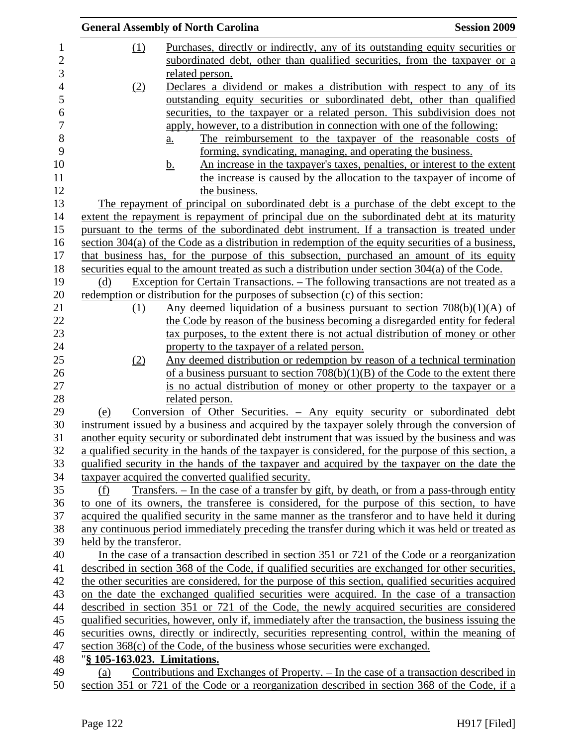|                         | <b>General Assembly of North Carolina</b>                                                            | <b>Session 2009</b> |
|-------------------------|------------------------------------------------------------------------------------------------------|---------------------|
| (1)                     | Purchases, directly or indirectly, any of its outstanding equity securities or                       |                     |
|                         | subordinated debt, other than qualified securities, from the taxpayer or a                           |                     |
|                         | related person.                                                                                      |                     |
| (2)                     | Declares a dividend or makes a distribution with respect to any of its                               |                     |
|                         | outstanding equity securities or subordinated debt, other than qualified                             |                     |
|                         | securities, to the taxpayer or a related person. This subdivision does not                           |                     |
|                         | apply, however, to a distribution in connection with one of the following:                           |                     |
|                         | The reimbursement to the taxpayer of the reasonable costs of<br><u>a.</u>                            |                     |
|                         | forming, syndicating, managing, and operating the business.                                          |                     |
|                         | An increase in the taxpayer's taxes, penalties, or interest to the extent<br><u>b.</u>               |                     |
|                         | the increase is caused by the allocation to the taxpayer of income of                                |                     |
|                         | the business.                                                                                        |                     |
|                         | The repayment of principal on subordinated debt is a purchase of the debt except to the              |                     |
|                         | extent the repayment is repayment of principal due on the subordinated debt at its maturity          |                     |
|                         | pursuant to the terms of the subordinated debt instrument. If a transaction is treated under         |                     |
|                         | section $304(a)$ of the Code as a distribution in redemption of the equity securities of a business, |                     |
|                         | that business has, for the purpose of this subsection, purchased an amount of its equity             |                     |
|                         | securities equal to the amount treated as such a distribution under section 304(a) of the Code.      |                     |
| (d)                     | Exception for Certain Transactions. – The following transactions are not treated as a                |                     |
|                         | redemption or distribution for the purposes of subsection (c) of this section:                       |                     |
| (1)                     | Any deemed liquidation of a business pursuant to section $708(b)(1)(A)$ of                           |                     |
|                         | the Code by reason of the business becoming a disregarded entity for federal                         |                     |
|                         | tax purposes, to the extent there is not actual distribution of money or other                       |                     |
|                         | property to the taxpayer of a related person.                                                        |                     |
| (2)                     | Any deemed distribution or redemption by reason of a technical termination                           |                     |
|                         | of a business pursuant to section $708(b)(1)(B)$ of the Code to the extent there                     |                     |
|                         | is no actual distribution of money or other property to the taxpayer or a                            |                     |
|                         | related person.                                                                                      |                     |
| (e)                     | Conversion of Other Securities. - Any equity security or subordinated debt                           |                     |
|                         | instrument issued by a business and acquired by the taxpayer solely through the conversion of        |                     |
|                         | another equity security or subordinated debt instrument that was issued by the business and was      |                     |
|                         | a qualified security in the hands of the taxpayer is considered, for the purpose of this section, a  |                     |
|                         | qualified security in the hands of the taxpayer and acquired by the taxpayer on the date the         |                     |
|                         | taxpayer acquired the converted qualified security.                                                  |                     |
| (f)                     | <u>Transfers. – In the case of a transfer by gift, by death, or from a pass-through entity</u>       |                     |
|                         | to one of its owners, the transferee is considered, for the purpose of this section, to have         |                     |
|                         | acquired the qualified security in the same manner as the transferor and to have held it during      |                     |
|                         | any continuous period immediately preceding the transfer during which it was held or treated as      |                     |
| held by the transferor. |                                                                                                      |                     |
|                         | In the case of a transaction described in section 351 or 721 of the Code or a reorganization         |                     |
|                         | described in section 368 of the Code, if qualified securities are exchanged for other securities,    |                     |
|                         | the other securities are considered, for the purpose of this section, qualified securities acquired  |                     |
|                         | on the date the exchanged qualified securities were acquired. In the case of a transaction           |                     |
|                         | described in section 351 or 721 of the Code, the newly acquired securities are considered            |                     |
|                         | qualified securities, however, only if, immediately after the transaction, the business issuing the  |                     |
|                         | securities owns, directly or indirectly, securities representing control, within the meaning of      |                     |
|                         | section $368(c)$ of the Code, of the business whose securities were exchanged.                       |                     |
|                         | "§ 105-163.023. Limitations.                                                                         |                     |
| (a)                     | Contributions and Exchanges of Property. - In the case of a transaction described in                 |                     |
|                         |                                                                                                      |                     |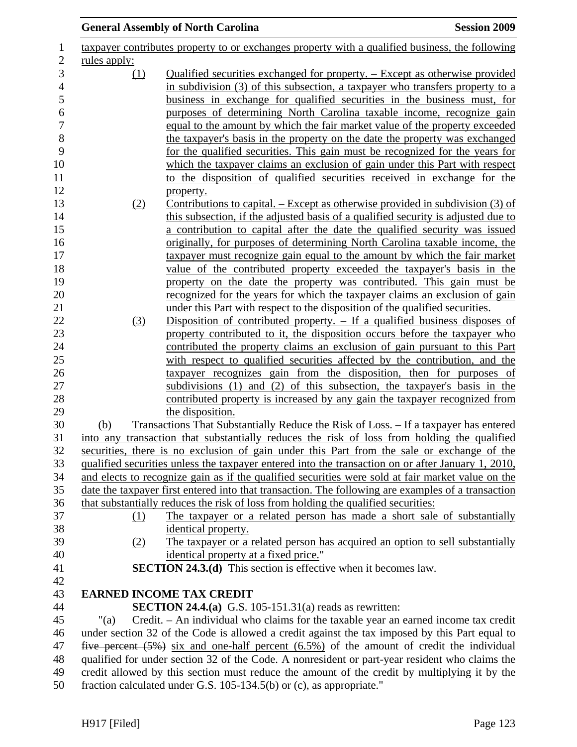|                     | <b>General Assembly of North Carolina</b>                                                                       | <b>Session 2009</b> |
|---------------------|-----------------------------------------------------------------------------------------------------------------|---------------------|
|                     | taxpayer contributes property to or exchanges property with a qualified business, the following                 |                     |
| <u>rules</u> apply: |                                                                                                                 |                     |
| <u>(1)</u>          | Qualified securities exchanged for property. – Except as otherwise provided                                     |                     |
|                     | in subdivision (3) of this subsection, a taxpayer who transfers property to a                                   |                     |
|                     | business in exchange for qualified securities in the business must, for                                         |                     |
|                     | purposes of determining North Carolina taxable income, recognize gain                                           |                     |
|                     | equal to the amount by which the fair market value of the property exceeded                                     |                     |
|                     | the taxpayer's basis in the property on the date the property was exchanged                                     |                     |
|                     | for the qualified securities. This gain must be recognized for the years for                                    |                     |
|                     | which the taxpayer claims an exclusion of gain under this Part with respect                                     |                     |
|                     | to the disposition of qualified securities received in exchange for the                                         |                     |
|                     | property.<br>Contributions to capital. – Except as otherwise provided in subdivision (3) of                     |                     |
| (2)                 | this subsection, if the adjusted basis of a qualified security is adjusted due to                               |                     |
|                     | a contribution to capital after the date the qualified security was issued                                      |                     |
|                     | originally, for purposes of determining North Carolina taxable income, the                                      |                     |
|                     | taxpayer must recognize gain equal to the amount by which the fair market                                       |                     |
|                     | value of the contributed property exceeded the taxpayer's basis in the                                          |                     |
|                     | property on the date the property was contributed. This gain must be                                            |                     |
|                     | recognized for the years for which the taxpayer claims an exclusion of gain                                     |                     |
|                     | under this Part with respect to the disposition of the qualified securities.                                    |                     |
| (3)                 | Disposition of contributed property. $-$ If a qualified business disposes of                                    |                     |
|                     | property contributed to it, the disposition occurs before the taxpayer who                                      |                     |
|                     | contributed the property claims an exclusion of gain pursuant to this Part                                      |                     |
|                     | with respect to qualified securities affected by the contribution, and the                                      |                     |
|                     | taxpayer recognizes gain from the disposition, then for purposes of                                             |                     |
|                     | subdivisions (1) and (2) of this subsection, the taxpayer's basis in the                                        |                     |
|                     | contributed property is increased by any gain the taxpayer recognized from<br>the disposition.                  |                     |
| (b)                 | Transactions That Substantially Reduce the Risk of Loss. – If a taxpayer has entered                            |                     |
|                     | into any transaction that substantially reduces the risk of loss from holding the qualified                     |                     |
|                     | securities, there is no exclusion of gain under this Part from the sale or exchange of the                      |                     |
|                     | qualified securities unless the taxpayer entered into the transaction on or after January 1, 2010,              |                     |
|                     | and elects to recognize gain as if the qualified securities were sold at fair market value on the               |                     |
|                     | date the taxpayer first entered into that transaction. The following are examples of a transaction              |                     |
|                     | that substantially reduces the risk of loss from holding the qualified securities:                              |                     |
| (1)                 | The taxpayer or a related person has made a short sale of substantially                                         |                     |
|                     | identical property.                                                                                             |                     |
| (2)                 | The taxpayer or a related person has acquired an option to sell substantially                                   |                     |
|                     | identical property at a fixed price."<br><b>SECTION 24.3.(d)</b> This section is effective when it becomes law. |                     |
|                     |                                                                                                                 |                     |
|                     | <b>EARNED INCOME TAX CREDIT</b>                                                                                 |                     |
|                     | <b>SECTION 24.4.(a)</b> G.S. 105-151.31(a) reads as rewritten:                                                  |                     |
| "(a)                | Credit. – An individual who claims for the taxable year an earned income tax credit                             |                     |
|                     | under section 32 of the Code is allowed a credit against the tax imposed by this Part equal to                  |                     |
|                     | five percent $(5\%)$ six and one-half percent $(6.5\%)$ of the amount of credit the individual                  |                     |
|                     | qualified for under section 32 of the Code. A nonresident or part-year resident who claims the                  |                     |
|                     | credit allowed by this section must reduce the amount of the credit by multiplying it by the                    |                     |
|                     | fraction calculated under G.S. 105-134.5(b) or (c), as appropriate."                                            |                     |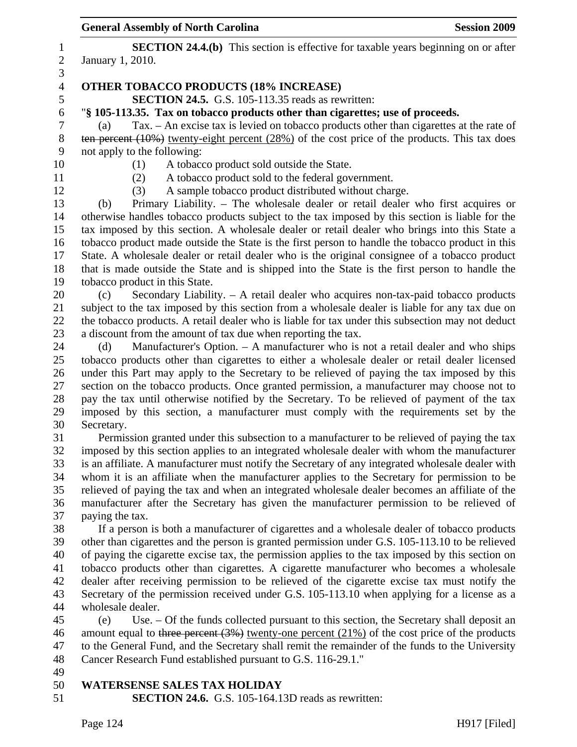|                  | <b>General Assembly of North Carolina</b>                                                                                                                                                         | <b>Session 2009</b> |
|------------------|---------------------------------------------------------------------------------------------------------------------------------------------------------------------------------------------------|---------------------|
| $\mathbf{1}$     | <b>SECTION 24.4.(b)</b> This section is effective for taxable years beginning on or after                                                                                                         |                     |
| $\overline{c}$   | January 1, 2010.                                                                                                                                                                                  |                     |
| 3                |                                                                                                                                                                                                   |                     |
| $\overline{4}$   | <b>OTHER TOBACCO PRODUCTS (18% INCREASE)</b>                                                                                                                                                      |                     |
| 5                | SECTION 24.5. G.S. 105-113.35 reads as rewritten:                                                                                                                                                 |                     |
| $\boldsymbol{6}$ | "§ 105-113.35. Tax on tobacco products other than cigarettes; use of proceeds.                                                                                                                    |                     |
| $\boldsymbol{7}$ | Tax. - An excise tax is levied on tobacco products other than cigarettes at the rate of<br>(a)                                                                                                    |                     |
| $8\,$            | ten percent $(10\%)$ twenty-eight percent $(28\%)$ of the cost price of the products. This tax does                                                                                               |                     |
| 9                | not apply to the following:                                                                                                                                                                       |                     |
| 10               | (1)<br>A tobacco product sold outside the State.                                                                                                                                                  |                     |
| 11               | A tobacco product sold to the federal government.<br>(2)                                                                                                                                          |                     |
| 12               | A sample tobacco product distributed without charge.<br>(3)                                                                                                                                       |                     |
| 13               | Primary Liability. – The wholesale dealer or retail dealer who first acquires or<br>(b)                                                                                                           |                     |
| 14               | otherwise handles tobacco products subject to the tax imposed by this section is liable for the                                                                                                   |                     |
| 15               | tax imposed by this section. A wholesale dealer or retail dealer who brings into this State a                                                                                                     |                     |
| 16<br>17         | tobacco product made outside the State is the first person to handle the tobacco product in this<br>State. A wholesale dealer or retail dealer who is the original consignee of a tobacco product |                     |
| 18               | that is made outside the State and is shipped into the State is the first person to handle the                                                                                                    |                     |
| 19               | tobacco product in this State.                                                                                                                                                                    |                     |
| 20               | Secondary Liability. - A retail dealer who acquires non-tax-paid tobacco products<br>(c)                                                                                                          |                     |
| 21               | subject to the tax imposed by this section from a wholesale dealer is liable for any tax due on                                                                                                   |                     |
| 22               | the tobacco products. A retail dealer who is liable for tax under this subsection may not deduct                                                                                                  |                     |
| 23               | a discount from the amount of tax due when reporting the tax.                                                                                                                                     |                     |
| 24               | Manufacturer's Option. - A manufacturer who is not a retail dealer and who ships<br>(d)                                                                                                           |                     |
| 25               | tobacco products other than cigarettes to either a wholesale dealer or retail dealer licensed                                                                                                     |                     |
| 26               | under this Part may apply to the Secretary to be relieved of paying the tax imposed by this                                                                                                       |                     |
| 27               | section on the tobacco products. Once granted permission, a manufacturer may choose not to                                                                                                        |                     |
| 28               | pay the tax until otherwise notified by the Secretary. To be relieved of payment of the tax                                                                                                       |                     |
| 29               | imposed by this section, a manufacturer must comply with the requirements set by the                                                                                                              |                     |
| 30               | Secretary.                                                                                                                                                                                        |                     |
| 31               | Permission granted under this subsection to a manufacturer to be relieved of paying the tax                                                                                                       |                     |
| 32               | imposed by this section applies to an integrated wholesale dealer with whom the manufacturer                                                                                                      |                     |
| 33               | is an affiliate. A manufacturer must notify the Secretary of any integrated wholesale dealer with                                                                                                 |                     |
| 34               | whom it is an affiliate when the manufacturer applies to the Secretary for permission to be                                                                                                       |                     |
| 35               | relieved of paying the tax and when an integrated wholesale dealer becomes an affiliate of the                                                                                                    |                     |
| 36<br>37         | manufacturer after the Secretary has given the manufacturer permission to be relieved of<br>paying the tax.                                                                                       |                     |
| 38               | If a person is both a manufacturer of cigarettes and a wholesale dealer of tobacco products                                                                                                       |                     |
| 39               | other than cigarettes and the person is granted permission under G.S. 105-113.10 to be relieved                                                                                                   |                     |
| 40               | of paying the cigarette excise tax, the permission applies to the tax imposed by this section on                                                                                                  |                     |
| 41               | tobacco products other than cigarettes. A cigarette manufacturer who becomes a wholesale                                                                                                          |                     |
| 42               | dealer after receiving permission to be relieved of the cigarette excise tax must notify the                                                                                                      |                     |
| 43               | Secretary of the permission received under G.S. 105-113.10 when applying for a license as a                                                                                                       |                     |
| 44               | wholesale dealer.                                                                                                                                                                                 |                     |
| 45               | Use. – Of the funds collected pursuant to this section, the Secretary shall deposit an<br>(e)                                                                                                     |                     |
| 46               | amount equal to three percent $(3%)$ twenty-one percent $(21%)$ of the cost price of the products                                                                                                 |                     |
| 47               | to the General Fund, and the Secretary shall remit the remainder of the funds to the University                                                                                                   |                     |
| 48               | Cancer Research Fund established pursuant to G.S. 116-29.1."                                                                                                                                      |                     |
| 49               |                                                                                                                                                                                                   |                     |
| 50               | <b>WATERSENSE SALES TAX HOLIDAY</b>                                                                                                                                                               |                     |
| 51               | <b>SECTION 24.6.</b> G.S. 105-164.13D reads as rewritten:                                                                                                                                         |                     |
|                  |                                                                                                                                                                                                   |                     |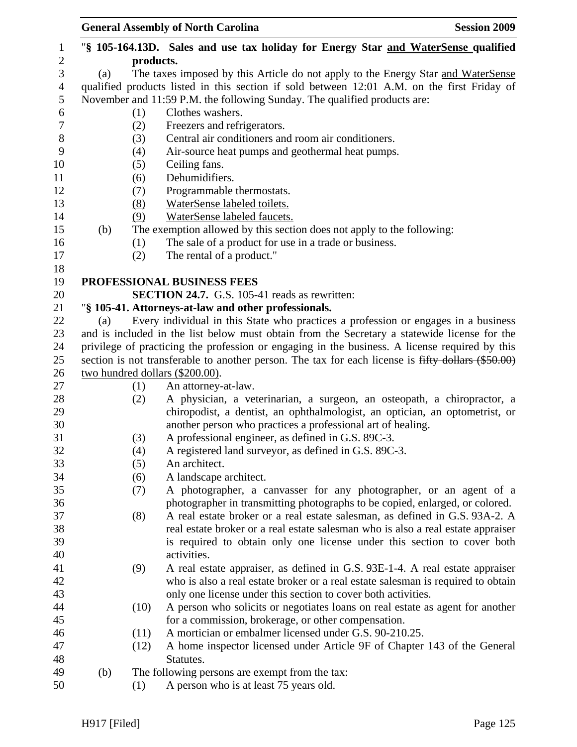|     |                   | <b>General Assembly of North Carolina</b><br><b>Session 2009</b>                                                                                                                           |
|-----|-------------------|--------------------------------------------------------------------------------------------------------------------------------------------------------------------------------------------|
|     |                   | "\\$ 105-164.13D. Sales and use tax holiday for Energy Star and WaterSense qualified                                                                                                       |
|     |                   |                                                                                                                                                                                            |
|     |                   | The taxes imposed by this Article do not apply to the Energy Star and WaterSense                                                                                                           |
|     |                   | qualified products listed in this section if sold between 12:01 A.M. on the first Friday of                                                                                                |
|     |                   | November and 11:59 P.M. the following Sunday. The qualified products are:                                                                                                                  |
|     |                   | Clothes washers.                                                                                                                                                                           |
|     |                   | Freezers and refrigerators.                                                                                                                                                                |
|     |                   | Central air conditioners and room air conditioners.                                                                                                                                        |
|     |                   | Air-source heat pumps and geothermal heat pumps.                                                                                                                                           |
|     |                   | Ceiling fans.<br>Dehumidifiers.                                                                                                                                                            |
|     |                   | Programmable thermostats.                                                                                                                                                                  |
|     |                   | WaterSense labeled toilets.                                                                                                                                                                |
|     |                   | WaterSense labeled faucets.                                                                                                                                                                |
|     |                   | The exemption allowed by this section does not apply to the following:                                                                                                                     |
|     |                   | The sale of a product for use in a trade or business.                                                                                                                                      |
|     |                   | The rental of a product."                                                                                                                                                                  |
|     |                   |                                                                                                                                                                                            |
|     |                   | PROFESSIONAL BUSINESS FEES                                                                                                                                                                 |
|     |                   | <b>SECTION 24.7.</b> G.S. 105-41 reads as rewritten:                                                                                                                                       |
|     |                   | "§ 105-41. Attorneys-at-law and other professionals.                                                                                                                                       |
|     |                   | Every individual in this State who practices a profession or engages in a business                                                                                                         |
|     |                   | and is included in the list below must obtain from the Secretary a statewide license for the                                                                                               |
|     |                   | privilege of practicing the profession or engaging in the business. A license required by this                                                                                             |
|     |                   | section is not transferable to another person. The tax for each license is fifty dollars (\$50.00)                                                                                         |
|     |                   |                                                                                                                                                                                            |
|     | (1)               | An attorney-at-law.                                                                                                                                                                        |
|     | (2)               | A physician, a veterinarian, a surgeon, an osteopath, a chiropractor, a                                                                                                                    |
|     |                   | chiropodist, a dentist, an ophthalmologist, an optician, an optometrist, or                                                                                                                |
|     |                   | another person who practices a professional art of healing.                                                                                                                                |
|     |                   | A professional engineer, as defined in G.S. 89C-3.                                                                                                                                         |
|     |                   | A registered land surveyor, as defined in G.S. 89C-3.                                                                                                                                      |
|     |                   | An architect.                                                                                                                                                                              |
|     |                   | A landscape architect.                                                                                                                                                                     |
|     |                   | A photographer, a canvasser for any photographer, or an agent of a                                                                                                                         |
|     |                   | photographer in transmitting photographs to be copied, enlarged, or colored.                                                                                                               |
|     |                   | A real estate broker or a real estate salesman, as defined in G.S. 93A-2. A                                                                                                                |
|     |                   | real estate broker or a real estate salesman who is also a real estate appraiser                                                                                                           |
|     |                   | is required to obtain only one license under this section to cover both                                                                                                                    |
|     |                   | activities.                                                                                                                                                                                |
|     |                   | A real estate appraiser, as defined in G.S. 93E-1-4. A real estate appraiser                                                                                                               |
|     |                   | who is also a real estate broker or a real estate salesman is required to obtain<br>only one license under this section to cover both activities.                                          |
|     |                   | A person who solicits or negotiates loans on real estate as agent for another                                                                                                              |
|     |                   | for a commission, brokerage, or other compensation.                                                                                                                                        |
|     |                   | A mortician or embalmer licensed under G.S. 90-210.25.                                                                                                                                     |
|     | (12)              | A home inspector licensed under Article 9F of Chapter 143 of the General                                                                                                                   |
|     |                   |                                                                                                                                                                                            |
|     |                   |                                                                                                                                                                                            |
| (b) |                   | Statutes.<br>The following persons are exempt from the tax:                                                                                                                                |
|     | (a)<br>(b)<br>(a) | products.<br>(1)<br>(2)<br>(3)<br>(4)<br>(5)<br>(6)<br>(7)<br>(8)<br>(9)<br>(1)<br>(2)<br>two hundred dollars (\$200.00).<br>(3)<br>(4)<br>(5)<br>(6)<br>(7)<br>(8)<br>(9)<br>(10)<br>(11) |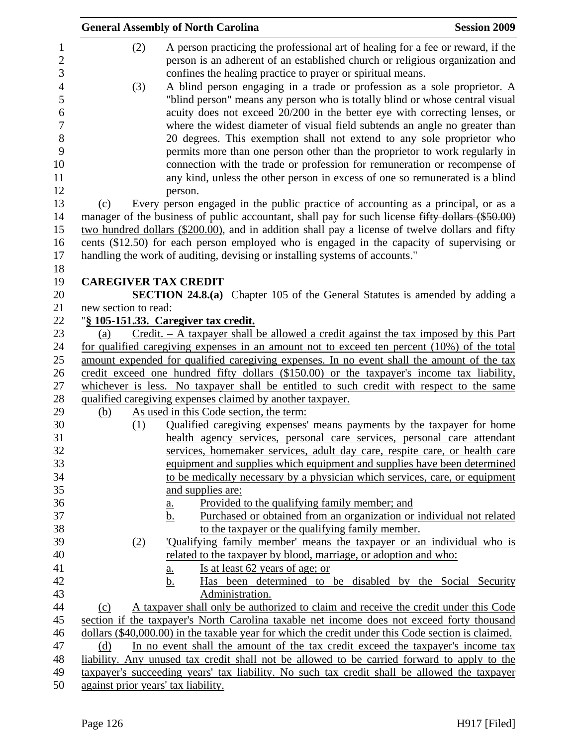| <b>General Assembly of North Carolina</b>                                                                                                                                                                                                                                                                          | <b>Session 2009</b> |
|--------------------------------------------------------------------------------------------------------------------------------------------------------------------------------------------------------------------------------------------------------------------------------------------------------------------|---------------------|
| A person practicing the professional art of healing for a fee or reward, if the<br>(2)<br>person is an adherent of an established church or religious organization and<br>confines the healing practice to prayer or spiritual means.                                                                              |                     |
| A blind person engaging in a trade or profession as a sole proprietor. A<br>(3)<br>"blind person" means any person who is totally blind or whose central visual<br>acuity does not exceed 20/200 in the better eye with correcting lenses, or                                                                      |                     |
| where the widest diameter of visual field subtends an angle no greater than                                                                                                                                                                                                                                        |                     |
| 20 degrees. This exemption shall not extend to any sole proprietor who<br>permits more than one person other than the proprietor to work regularly in<br>connection with the trade or profession for remuneration or recompense of<br>any kind, unless the other person in excess of one so remunerated is a blind |                     |
| person.                                                                                                                                                                                                                                                                                                            |                     |
| Every person engaged in the public practice of accounting as a principal, or as a<br>(c)                                                                                                                                                                                                                           |                     |
| manager of the business of public accountant, shall pay for such license fifty dollars (\$50.00)                                                                                                                                                                                                                   |                     |
| two hundred dollars (\$200.00), and in addition shall pay a license of twelve dollars and fifty                                                                                                                                                                                                                    |                     |
| cents (\$12.50) for each person employed who is engaged in the capacity of supervising or                                                                                                                                                                                                                          |                     |
| handling the work of auditing, devising or installing systems of accounts."                                                                                                                                                                                                                                        |                     |
|                                                                                                                                                                                                                                                                                                                    |                     |
| <b>CAREGIVER TAX CREDIT</b>                                                                                                                                                                                                                                                                                        |                     |
| <b>SECTION 24.8.(a)</b> Chapter 105 of the General Statutes is amended by adding a                                                                                                                                                                                                                                 |                     |
| new section to read:                                                                                                                                                                                                                                                                                               |                     |
| "§ 105-151.33. Caregiver tax credit.                                                                                                                                                                                                                                                                               |                     |
| $Credit. - A taxpayer shall be allowed a credit against the tax imposed by this Part$<br>(a)<br>for qualified caregiving expenses in an amount not to exceed ten percent (10%) of the total                                                                                                                        |                     |
| amount expended for qualified caregiving expenses. In no event shall the amount of the tax                                                                                                                                                                                                                         |                     |
| credit exceed one hundred fifty dollars (\$150.00) or the taxpayer's income tax liability,                                                                                                                                                                                                                         |                     |
| whichever is less. No taxpayer shall be entitled to such credit with respect to the same                                                                                                                                                                                                                           |                     |
| qualified caregiving expenses claimed by another taxpayer.                                                                                                                                                                                                                                                         |                     |
| As used in this Code section, the term:<br>(b)                                                                                                                                                                                                                                                                     |                     |
| <u>Qualified caregiving expenses' means payments by the taxpayer for home</u><br>(1)                                                                                                                                                                                                                               |                     |
| health agency services, personal care services, personal care attendant                                                                                                                                                                                                                                            |                     |
| services, homemaker services, adult day care, respite care, or health care                                                                                                                                                                                                                                         |                     |
| equipment and supplies which equipment and supplies have been determined                                                                                                                                                                                                                                           |                     |
| to be medically necessary by a physician which services, care, or equipment                                                                                                                                                                                                                                        |                     |
| and supplies are:                                                                                                                                                                                                                                                                                                  |                     |
| Provided to the qualifying family member; and<br><u>a.</u>                                                                                                                                                                                                                                                         |                     |
| Purchased or obtained from an organization or individual not related<br>b.                                                                                                                                                                                                                                         |                     |
| to the taxpayer or the qualifying family member.                                                                                                                                                                                                                                                                   |                     |
| 'Qualifying family member' means the taxpayer or an individual who is<br>(2)                                                                                                                                                                                                                                       |                     |
| related to the taxpayer by blood, marriage, or adoption and who:                                                                                                                                                                                                                                                   |                     |
| Is at <u>least 62 years of age; or</u><br><u>a.</u>                                                                                                                                                                                                                                                                |                     |
| b.<br>Has been determined to be disabled by the Social Security                                                                                                                                                                                                                                                    |                     |
| Administration.                                                                                                                                                                                                                                                                                                    |                     |
| A taxpayer shall only be authorized to claim and receive the credit under this Code<br>(c)<br>section if the taxpayer's North Carolina taxable net income does not exceed forty thousand                                                                                                                           |                     |
| dollars (\$40,000.00) in the taxable year for which the credit under this Code section is claimed.                                                                                                                                                                                                                 |                     |
| In no event shall the amount of the tax credit exceed the taxpayer's income tax<br>(d)                                                                                                                                                                                                                             |                     |
| liability. Any unused tax credit shall not be allowed to be carried forward to apply to the                                                                                                                                                                                                                        |                     |
| taxpayer's succeeding years' tax liability. No such tax credit shall be allowed the taxpayer                                                                                                                                                                                                                       |                     |
| against prior years' tax liability.                                                                                                                                                                                                                                                                                |                     |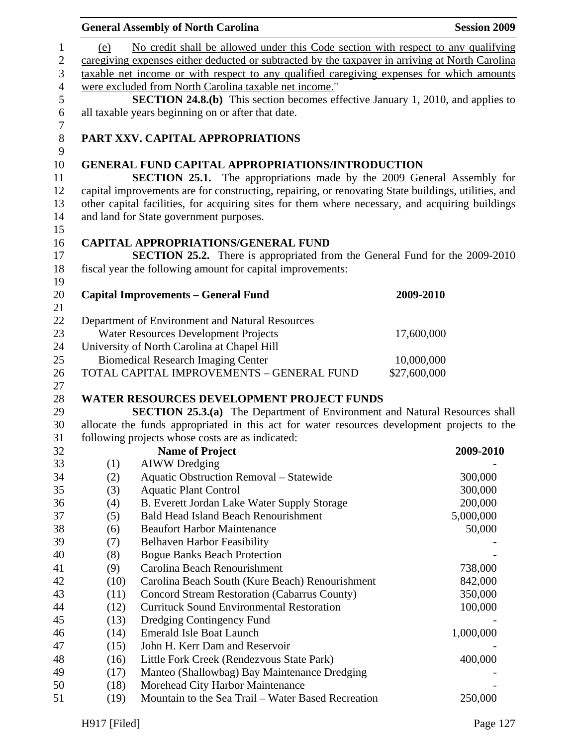| No credit shall be allowed under this Code section with respect to any qualifying<br>1<br>(e)<br>$\mathbf{2}$<br>caregiving expenses either deducted or subtracted by the taxpayer in arriving at North Carolina<br>$\mathfrak{Z}$<br>taxable net income or with respect to any qualified caregiving expenses for which amounts<br>$\overline{4}$<br>were excluded from North Carolina taxable net income."<br>$\mathfrak s$<br><b>SECTION 24.8.(b)</b> This section becomes effective January 1, 2010, and applies to<br>$\boldsymbol{6}$<br>all taxable years beginning on or after that date.<br>$\tau$<br>$8\,$<br>PART XXV. CAPITAL APPROPRIATIONS<br>9<br>10<br><b>GENERAL FUND CAPITAL APPROPRIATIONS/INTRODUCTION</b><br><b>SECTION 25.1.</b> The appropriations made by the 2009 General Assembly for<br>11<br>12<br>capital improvements are for constructing, repairing, or renovating State buildings, utilities, and<br>other capital facilities, for acquiring sites for them where necessary, and acquiring buildings<br>13<br>14<br>and land for State government purposes.<br>15<br>16<br><b>CAPITAL APPROPRIATIONS/GENERAL FUND</b><br><b>SECTION 25.2.</b> There is appropriated from the General Fund for the 2009-2010<br>17<br>18<br>fiscal year the following amount for capital improvements:<br>19<br>20<br><b>Capital Improvements - General Fund</b><br>2009-2010 | <b>Session 2009</b> |  |  |
|----------------------------------------------------------------------------------------------------------------------------------------------------------------------------------------------------------------------------------------------------------------------------------------------------------------------------------------------------------------------------------------------------------------------------------------------------------------------------------------------------------------------------------------------------------------------------------------------------------------------------------------------------------------------------------------------------------------------------------------------------------------------------------------------------------------------------------------------------------------------------------------------------------------------------------------------------------------------------------------------------------------------------------------------------------------------------------------------------------------------------------------------------------------------------------------------------------------------------------------------------------------------------------------------------------------------------------------------------------------------------------------------|---------------------|--|--|
|                                                                                                                                                                                                                                                                                                                                                                                                                                                                                                                                                                                                                                                                                                                                                                                                                                                                                                                                                                                                                                                                                                                                                                                                                                                                                                                                                                                              |                     |  |  |
|                                                                                                                                                                                                                                                                                                                                                                                                                                                                                                                                                                                                                                                                                                                                                                                                                                                                                                                                                                                                                                                                                                                                                                                                                                                                                                                                                                                              |                     |  |  |
|                                                                                                                                                                                                                                                                                                                                                                                                                                                                                                                                                                                                                                                                                                                                                                                                                                                                                                                                                                                                                                                                                                                                                                                                                                                                                                                                                                                              |                     |  |  |
|                                                                                                                                                                                                                                                                                                                                                                                                                                                                                                                                                                                                                                                                                                                                                                                                                                                                                                                                                                                                                                                                                                                                                                                                                                                                                                                                                                                              |                     |  |  |
|                                                                                                                                                                                                                                                                                                                                                                                                                                                                                                                                                                                                                                                                                                                                                                                                                                                                                                                                                                                                                                                                                                                                                                                                                                                                                                                                                                                              |                     |  |  |
|                                                                                                                                                                                                                                                                                                                                                                                                                                                                                                                                                                                                                                                                                                                                                                                                                                                                                                                                                                                                                                                                                                                                                                                                                                                                                                                                                                                              |                     |  |  |
|                                                                                                                                                                                                                                                                                                                                                                                                                                                                                                                                                                                                                                                                                                                                                                                                                                                                                                                                                                                                                                                                                                                                                                                                                                                                                                                                                                                              |                     |  |  |
|                                                                                                                                                                                                                                                                                                                                                                                                                                                                                                                                                                                                                                                                                                                                                                                                                                                                                                                                                                                                                                                                                                                                                                                                                                                                                                                                                                                              |                     |  |  |
|                                                                                                                                                                                                                                                                                                                                                                                                                                                                                                                                                                                                                                                                                                                                                                                                                                                                                                                                                                                                                                                                                                                                                                                                                                                                                                                                                                                              |                     |  |  |
| 21                                                                                                                                                                                                                                                                                                                                                                                                                                                                                                                                                                                                                                                                                                                                                                                                                                                                                                                                                                                                                                                                                                                                                                                                                                                                                                                                                                                           |                     |  |  |
| 22<br>Department of Environment and Natural Resources                                                                                                                                                                                                                                                                                                                                                                                                                                                                                                                                                                                                                                                                                                                                                                                                                                                                                                                                                                                                                                                                                                                                                                                                                                                                                                                                        |                     |  |  |
| 23<br>Water Resources Development Projects<br>17,600,000                                                                                                                                                                                                                                                                                                                                                                                                                                                                                                                                                                                                                                                                                                                                                                                                                                                                                                                                                                                                                                                                                                                                                                                                                                                                                                                                     |                     |  |  |
| University of North Carolina at Chapel Hill<br>24                                                                                                                                                                                                                                                                                                                                                                                                                                                                                                                                                                                                                                                                                                                                                                                                                                                                                                                                                                                                                                                                                                                                                                                                                                                                                                                                            |                     |  |  |
| 25<br><b>Biomedical Research Imaging Center</b><br>10,000,000                                                                                                                                                                                                                                                                                                                                                                                                                                                                                                                                                                                                                                                                                                                                                                                                                                                                                                                                                                                                                                                                                                                                                                                                                                                                                                                                |                     |  |  |
| TOTAL CAPITAL IMPROVEMENTS - GENERAL FUND<br>\$27,600,000<br>26<br>27                                                                                                                                                                                                                                                                                                                                                                                                                                                                                                                                                                                                                                                                                                                                                                                                                                                                                                                                                                                                                                                                                                                                                                                                                                                                                                                        |                     |  |  |
| <b>WATER RESOURCES DEVELOPMENT PROJECT FUNDS</b><br>28                                                                                                                                                                                                                                                                                                                                                                                                                                                                                                                                                                                                                                                                                                                                                                                                                                                                                                                                                                                                                                                                                                                                                                                                                                                                                                                                       |                     |  |  |
| SECTION 25.3.(a) The Department of Environment and Natural Resources shall<br>29                                                                                                                                                                                                                                                                                                                                                                                                                                                                                                                                                                                                                                                                                                                                                                                                                                                                                                                                                                                                                                                                                                                                                                                                                                                                                                             |                     |  |  |
| allocate the funds appropriated in this act for water resources development projects to the<br>30                                                                                                                                                                                                                                                                                                                                                                                                                                                                                                                                                                                                                                                                                                                                                                                                                                                                                                                                                                                                                                                                                                                                                                                                                                                                                            |                     |  |  |
| following projects whose costs are as indicated:<br>31                                                                                                                                                                                                                                                                                                                                                                                                                                                                                                                                                                                                                                                                                                                                                                                                                                                                                                                                                                                                                                                                                                                                                                                                                                                                                                                                       |                     |  |  |
| <b>Name of Project</b><br>32                                                                                                                                                                                                                                                                                                                                                                                                                                                                                                                                                                                                                                                                                                                                                                                                                                                                                                                                                                                                                                                                                                                                                                                                                                                                                                                                                                 | 2009-2010           |  |  |
| 33<br>(1)<br><b>AIWW</b> Dredging                                                                                                                                                                                                                                                                                                                                                                                                                                                                                                                                                                                                                                                                                                                                                                                                                                                                                                                                                                                                                                                                                                                                                                                                                                                                                                                                                            |                     |  |  |
| 34<br><b>Aquatic Obstruction Removal - Statewide</b><br>(2)                                                                                                                                                                                                                                                                                                                                                                                                                                                                                                                                                                                                                                                                                                                                                                                                                                                                                                                                                                                                                                                                                                                                                                                                                                                                                                                                  | 300,000             |  |  |
| 35<br><b>Aquatic Plant Control</b><br>(3)                                                                                                                                                                                                                                                                                                                                                                                                                                                                                                                                                                                                                                                                                                                                                                                                                                                                                                                                                                                                                                                                                                                                                                                                                                                                                                                                                    | 300,000             |  |  |
| 36<br>(4)<br>B. Everett Jordan Lake Water Supply Storage                                                                                                                                                                                                                                                                                                                                                                                                                                                                                                                                                                                                                                                                                                                                                                                                                                                                                                                                                                                                                                                                                                                                                                                                                                                                                                                                     | 200,000             |  |  |
| 37<br>(5)<br><b>Bald Head Island Beach Renourishment</b>                                                                                                                                                                                                                                                                                                                                                                                                                                                                                                                                                                                                                                                                                                                                                                                                                                                                                                                                                                                                                                                                                                                                                                                                                                                                                                                                     | 5,000,000           |  |  |
| 38<br><b>Beaufort Harbor Maintenance</b><br>(6)                                                                                                                                                                                                                                                                                                                                                                                                                                                                                                                                                                                                                                                                                                                                                                                                                                                                                                                                                                                                                                                                                                                                                                                                                                                                                                                                              | 50,000              |  |  |
| 39<br>(7)<br><b>Belhaven Harbor Feasibility</b><br>40<br><b>Bogue Banks Beach Protection</b>                                                                                                                                                                                                                                                                                                                                                                                                                                                                                                                                                                                                                                                                                                                                                                                                                                                                                                                                                                                                                                                                                                                                                                                                                                                                                                 |                     |  |  |
| (8)<br>41<br>Carolina Beach Renourishment<br>(9)                                                                                                                                                                                                                                                                                                                                                                                                                                                                                                                                                                                                                                                                                                                                                                                                                                                                                                                                                                                                                                                                                                                                                                                                                                                                                                                                             | 738,000             |  |  |
| 42<br>Carolina Beach South (Kure Beach) Renourishment<br>(10)                                                                                                                                                                                                                                                                                                                                                                                                                                                                                                                                                                                                                                                                                                                                                                                                                                                                                                                                                                                                                                                                                                                                                                                                                                                                                                                                | 842,000             |  |  |
| 43<br>(11)<br>Concord Stream Restoration (Cabarrus County)                                                                                                                                                                                                                                                                                                                                                                                                                                                                                                                                                                                                                                                                                                                                                                                                                                                                                                                                                                                                                                                                                                                                                                                                                                                                                                                                   | 350,000             |  |  |
| <b>Currituck Sound Environmental Restoration</b><br>44<br>(12)                                                                                                                                                                                                                                                                                                                                                                                                                                                                                                                                                                                                                                                                                                                                                                                                                                                                                                                                                                                                                                                                                                                                                                                                                                                                                                                               | 100,000             |  |  |
| 45<br>(13)<br>Dredging Contingency Fund                                                                                                                                                                                                                                                                                                                                                                                                                                                                                                                                                                                                                                                                                                                                                                                                                                                                                                                                                                                                                                                                                                                                                                                                                                                                                                                                                      |                     |  |  |
| <b>Emerald Isle Boat Launch</b><br>46<br>(14)                                                                                                                                                                                                                                                                                                                                                                                                                                                                                                                                                                                                                                                                                                                                                                                                                                                                                                                                                                                                                                                                                                                                                                                                                                                                                                                                                | 1,000,000           |  |  |
| 47<br>John H. Kerr Dam and Reservoir<br>(15)                                                                                                                                                                                                                                                                                                                                                                                                                                                                                                                                                                                                                                                                                                                                                                                                                                                                                                                                                                                                                                                                                                                                                                                                                                                                                                                                                 |                     |  |  |
| 48<br>Little Fork Creek (Rendezvous State Park)<br>(16)                                                                                                                                                                                                                                                                                                                                                                                                                                                                                                                                                                                                                                                                                                                                                                                                                                                                                                                                                                                                                                                                                                                                                                                                                                                                                                                                      | 400,000             |  |  |
| 49<br>(17)<br>Manteo (Shallowbag) Bay Maintenance Dredging                                                                                                                                                                                                                                                                                                                                                                                                                                                                                                                                                                                                                                                                                                                                                                                                                                                                                                                                                                                                                                                                                                                                                                                                                                                                                                                                   |                     |  |  |
| 50<br>Morehead City Harbor Maintenance<br>(18)                                                                                                                                                                                                                                                                                                                                                                                                                                                                                                                                                                                                                                                                                                                                                                                                                                                                                                                                                                                                                                                                                                                                                                                                                                                                                                                                               |                     |  |  |
| Mountain to the Sea Trail - Water Based Recreation<br>51<br>(19)                                                                                                                                                                                                                                                                                                                                                                                                                                                                                                                                                                                                                                                                                                                                                                                                                                                                                                                                                                                                                                                                                                                                                                                                                                                                                                                             | 250,000             |  |  |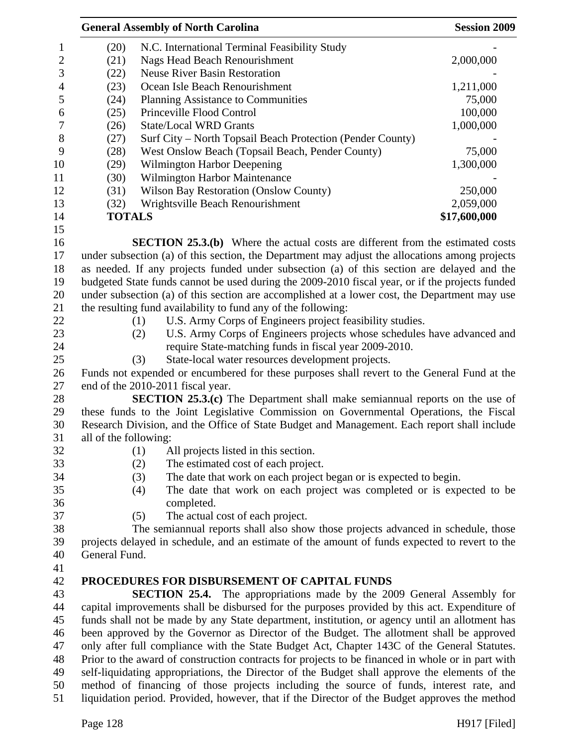|                  |                                                                                                   | <b>General Assembly of North Carolina</b>                                                       | <b>Session 2009</b> |  |  |  |
|------------------|---------------------------------------------------------------------------------------------------|-------------------------------------------------------------------------------------------------|---------------------|--|--|--|
| 1                | (20)                                                                                              | N.C. International Terminal Feasibility Study                                                   |                     |  |  |  |
| $\boldsymbol{2}$ | (21)                                                                                              | <b>Nags Head Beach Renourishment</b>                                                            | 2,000,000           |  |  |  |
| 3                | (22)                                                                                              | <b>Neuse River Basin Restoration</b>                                                            |                     |  |  |  |
| $\overline{4}$   | (23)                                                                                              | Ocean Isle Beach Renourishment                                                                  | 1,211,000           |  |  |  |
| 5                | (24)                                                                                              | Planning Assistance to Communities                                                              | 75,000              |  |  |  |
| 6                | (25)                                                                                              | Princeville Flood Control                                                                       | 100,000             |  |  |  |
| $\overline{7}$   | (26)                                                                                              | <b>State/Local WRD Grants</b>                                                                   | 1,000,000           |  |  |  |
| 8                | (27)                                                                                              | Surf City – North Topsail Beach Protection (Pender County)                                      |                     |  |  |  |
| 9                | (28)                                                                                              | West Onslow Beach (Topsail Beach, Pender County)                                                | 75,000              |  |  |  |
| 10               | (29)                                                                                              | Wilmington Harbor Deepening                                                                     | 1,300,000           |  |  |  |
| 11               | (30)                                                                                              | Wilmington Harbor Maintenance                                                                   |                     |  |  |  |
| 12               | (31)                                                                                              | <b>Wilson Bay Restoration (Onslow County)</b>                                                   | 250,000             |  |  |  |
| 13               | (32)                                                                                              | Wrightsville Beach Renourishment                                                                | 2,059,000           |  |  |  |
| 14               | <b>TOTALS</b>                                                                                     |                                                                                                 | \$17,600,000        |  |  |  |
| 15               |                                                                                                   |                                                                                                 |                     |  |  |  |
| 16               |                                                                                                   | <b>SECTION 25.3.(b)</b> Where the actual costs are different from the estimated costs           |                     |  |  |  |
| 17               |                                                                                                   | under subsection (a) of this section, the Department may adjust the allocations among projects  |                     |  |  |  |
| 18               |                                                                                                   | as needed. If any projects funded under subsection (a) of this section are delayed and the      |                     |  |  |  |
| 19               |                                                                                                   | budgeted State funds cannot be used during the 2009-2010 fiscal year, or if the projects funded |                     |  |  |  |
| 20               |                                                                                                   | under subsection (a) of this section are accomplished at a lower cost, the Department may use   |                     |  |  |  |
| 21               |                                                                                                   | the resulting fund availability to fund any of the following:                                   |                     |  |  |  |
| 22               |                                                                                                   | U.S. Army Corps of Engineers project feasibility studies.<br>(1)                                |                     |  |  |  |
| 23               |                                                                                                   | U.S. Army Corps of Engineers projects whose schedules have advanced and<br>(2)                  |                     |  |  |  |
| 24               |                                                                                                   | require State-matching funds in fiscal year 2009-2010.                                          |                     |  |  |  |
| 25               |                                                                                                   | (3)<br>State-local water resources development projects.                                        |                     |  |  |  |
| 26               |                                                                                                   | Funds not expended or encumbered for these purposes shall revert to the General Fund at the     |                     |  |  |  |
| 27               |                                                                                                   | end of the 2010-2011 fiscal year.                                                               |                     |  |  |  |
| 28               |                                                                                                   | <b>SECTION 25.3.(c)</b> The Department shall make semiannual reports on the use of              |                     |  |  |  |
| 29               |                                                                                                   | these funds to the Joint Legislative Commission on Governmental Operations, the Fiscal          |                     |  |  |  |
| 30               |                                                                                                   | Research Division, and the Office of State Budget and Management. Each report shall include     |                     |  |  |  |
| 31               | all of the following:                                                                             |                                                                                                 |                     |  |  |  |
| 32               |                                                                                                   | (1)<br>All projects listed in this section.                                                     |                     |  |  |  |
| 33               |                                                                                                   | (2)<br>The estimated cost of each project.                                                      |                     |  |  |  |
| 34               |                                                                                                   | (3)<br>The date that work on each project began or is expected to begin.                        |                     |  |  |  |
| 35               |                                                                                                   | The date that work on each project was completed or is expected to be<br>(4)                    |                     |  |  |  |
| 36               |                                                                                                   | completed.                                                                                      |                     |  |  |  |
| 37               |                                                                                                   | (5)<br>The actual cost of each project.                                                         |                     |  |  |  |
| 38               |                                                                                                   | The semiannual reports shall also show those projects advanced in schedule, those               |                     |  |  |  |
| 39               |                                                                                                   | projects delayed in schedule, and an estimate of the amount of funds expected to revert to the  |                     |  |  |  |
| 40               | General Fund.                                                                                     |                                                                                                 |                     |  |  |  |
| 41               |                                                                                                   |                                                                                                 |                     |  |  |  |
| 42               |                                                                                                   | PROCEDURES FOR DISBURSEMENT OF CAPITAL FUNDS                                                    |                     |  |  |  |
| 43               |                                                                                                   | <b>SECTION 25.4.</b> The appropriations made by the 2009 General Assembly for                   |                     |  |  |  |
| 44               |                                                                                                   | capital improvements shall be disbursed for the purposes provided by this act. Expenditure of   |                     |  |  |  |
| 45               | funds shall not be made by any State department, institution, or agency until an allotment has    |                                                                                                 |                     |  |  |  |
| 46               | been approved by the Governor as Director of the Budget. The allotment shall be approved          |                                                                                                 |                     |  |  |  |
| 47               | only after full compliance with the State Budget Act, Chapter 143C of the General Statutes.       |                                                                                                 |                     |  |  |  |
| 48               | Prior to the award of construction contracts for projects to be financed in whole or in part with |                                                                                                 |                     |  |  |  |
| 49               |                                                                                                   | self-liquidating appropriations, the Director of the Budget shall approve the elements of the   |                     |  |  |  |
| 50               |                                                                                                   | method of financing of those projects including the source of funds, interest rate, and         |                     |  |  |  |
| 51               |                                                                                                   | liquidation period. Provided, however, that if the Director of the Budget approves the method   |                     |  |  |  |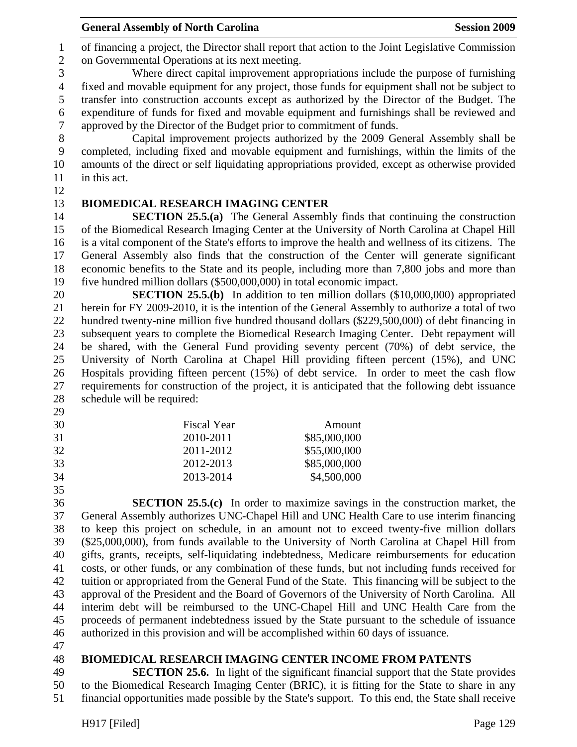General Assembly of North Carolina **Session 2009** 

1 of financing a project, the Director shall report that action to the Joint Legislative Commission 2 on Governmental Operations at its next meeting.

3 Where direct capital improvement appropriations include the purpose of furnishing 4 fixed and movable equipment for any project, those funds for equipment shall not be subject to 5 transfer into construction accounts except as authorized by the Director of the Budget. The 6 expenditure of funds for fixed and movable equipment and furnishings shall be reviewed and 7 approved by the Director of the Budget prior to commitment of funds.

8 Capital improvement projects authorized by the 2009 General Assembly shall be 9 completed, including fixed and movable equipment and furnishings, within the limits of the 10 amounts of the direct or self liquidating appropriations provided, except as otherwise provided 11 in this act.

12

# 13 **BIOMEDICAL RESEARCH IMAGING CENTER**

14 **SECTION 25.5.(a)** The General Assembly finds that continuing the construction 15 of the Biomedical Research Imaging Center at the University of North Carolina at Chapel Hill 16 is a vital component of the State's efforts to improve the health and wellness of its citizens. The 17 General Assembly also finds that the construction of the Center will generate significant 18 economic benefits to the State and its people, including more than 7,800 jobs and more than 19 five hundred million dollars (\$500,000,000) in total economic impact.

20 **SECTION 25.5.(b)** In addition to ten million dollars (\$10,000,000) appropriated 21 herein for FY 2009-2010, it is the intention of the General Assembly to authorize a total of two 22 hundred twenty-nine million five hundred thousand dollars (\$229,500,000) of debt financing in 23 subsequent years to complete the Biomedical Research Imaging Center. Debt repayment will 24 be shared, with the General Fund providing seventy percent (70%) of debt service, the 25 University of North Carolina at Chapel Hill providing fifteen percent (15%), and UNC 26 Hospitals providing fifteen percent (15%) of debt service. In order to meet the cash flow 27 requirements for construction of the project, it is anticipated that the following debt issuance 28 schedule will be required:

- 29
- 30 Fiscal Year Amount 31 2010-2011 \$85,000,000 32 2011-2012 \$55,000,000
- 33 2012-2013 \$85,000,000

34 2013-2014 \$4,500,000

35

36 **SECTION 25.5.(c)** In order to maximize savings in the construction market, the 37 General Assembly authorizes UNC-Chapel Hill and UNC Health Care to use interim financing 38 to keep this project on schedule, in an amount not to exceed twenty-five million dollars 39 (\$25,000,000), from funds available to the University of North Carolina at Chapel Hill from 40 gifts, grants, receipts, self-liquidating indebtedness, Medicare reimbursements for education 41 costs, or other funds, or any combination of these funds, but not including funds received for 42 tuition or appropriated from the General Fund of the State. This financing will be subject to the 43 approval of the President and the Board of Governors of the University of North Carolina. All 44 interim debt will be reimbursed to the UNC-Chapel Hill and UNC Health Care from the 45 proceeds of permanent indebtedness issued by the State pursuant to the schedule of issuance 46 authorized in this provision and will be accomplished within 60 days of issuance.

47

## 48 **BIOMEDICAL RESEARCH IMAGING CENTER INCOME FROM PATENTS**

49 **SECTION 25.6.** In light of the significant financial support that the State provides 50 to the Biomedical Research Imaging Center (BRIC), it is fitting for the State to share in any 51 financial opportunities made possible by the State's support. To this end, the State shall receive